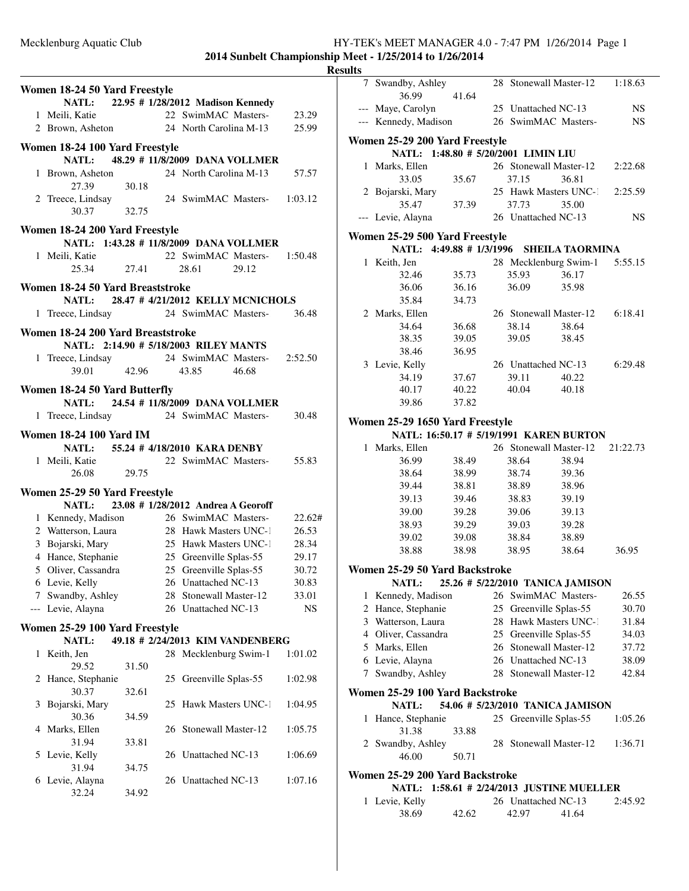**2014 Sunbelt Championship Meet - 1/25/2014 to 1/26/2014**

# **Results**

|                                                                                       | Women 18-24 50 Yard Freestyle                                              |       |    |                                  |       |           |  |  |
|---------------------------------------------------------------------------------------|----------------------------------------------------------------------------|-------|----|----------------------------------|-------|-----------|--|--|
|                                                                                       | NATL: 22.95 # 1/28/2012 Madison Kennedy                                    |       |    |                                  |       |           |  |  |
|                                                                                       | 1 Meili, Katie                                                             |       |    | 22 SwimMAC Masters-              |       | 23.29     |  |  |
|                                                                                       | 2 Brown, Asheton                                                           |       |    | 24 North Carolina M-13           |       | 25.99     |  |  |
|                                                                                       | Women 18-24 100 Yard Freestyle                                             |       |    |                                  |       |           |  |  |
|                                                                                       | <b>NATL:</b>                                                               |       |    | 48.29 # 11/8/2009 DANA VOLLMER   |       |           |  |  |
|                                                                                       | 1 Brown, Asheton<br>27.39                                                  | 30.18 |    | 24 North Carolina M-13           |       | 57.57     |  |  |
|                                                                                       | 2 Treece, Lindsay<br>30.37                                                 | 32.75 |    | 24 SwimMAC Masters- 1:03.12      |       |           |  |  |
|                                                                                       | Women 18-24 200 Yard Freestyle                                             |       |    |                                  |       |           |  |  |
|                                                                                       | NATL: 1:43.28 # 11/8/2009 DANA VOLLMER                                     |       |    |                                  |       |           |  |  |
|                                                                                       | 1 Meili, Katie                                                             |       |    | 22 SwimMAC Masters- 1:50.48      |       |           |  |  |
|                                                                                       | 25.34                                                                      | 27.41 |    | 28.61                            | 29.12 |           |  |  |
| Women 18-24 50 Yard Breaststroke<br>28.47 # 4/21/2012 KELLY MCNICHOLS<br><b>NATL:</b> |                                                                            |       |    |                                  |       |           |  |  |
|                                                                                       | 1 Treece, Lindsay                                                          |       |    | 24 SwimMAC Masters-              |       | 36.48     |  |  |
|                                                                                       |                                                                            |       |    |                                  |       |           |  |  |
|                                                                                       | Women 18-24 200 Yard Breaststroke<br>NATL: 2:14.90 # 5/18/2003 RILEY MANTS |       |    |                                  |       |           |  |  |
|                                                                                       | 1 Treece, Lindsay 24<br>30.01 42.96                                        |       |    | 24 SwimMAC Masters- 2:52.50      |       |           |  |  |
|                                                                                       |                                                                            |       |    | 43.85                            | 46.68 |           |  |  |
|                                                                                       |                                                                            |       |    |                                  |       |           |  |  |
| Women 18-24 50 Yard Butterfly<br>NATL: 24.54 # 11/8/2009 DANA VOLLMER                 |                                                                            |       |    |                                  |       |           |  |  |
|                                                                                       |                                                                            |       |    |                                  |       |           |  |  |
| $\mathbf{1}$                                                                          | Treece, Lindsay 24 SwimMAC Masters-                                        |       |    |                                  |       | 30.48     |  |  |
| <b>Women 18-24 100 Yard IM</b><br>NATL: 55.24 # 4/18/2010 KARA DENBY                  |                                                                            |       |    |                                  |       |           |  |  |
|                                                                                       |                                                                            |       |    |                                  |       |           |  |  |
|                                                                                       | 1 Meili, Katie<br>26.08                                                    | 29.75 |    | 22 SwimMAC Masters-              |       | 55.83     |  |  |
|                                                                                       | Women 25-29 50 Yard Freestyle                                              |       |    |                                  |       |           |  |  |
|                                                                                       | NATL: 23.08 # 1/28/2012 Andrea A Georoff                                   |       |    |                                  |       |           |  |  |
|                                                                                       | 1 Kennedy, Madison                                                         |       |    | 26 SwimMAC Masters-              |       | 22.62#    |  |  |
|                                                                                       | 2 Watterson, Laura 28 Hawk Masters UNC-1                                   |       |    |                                  |       | 26.53     |  |  |
|                                                                                       | 3 Bojarski, Mary                                                           |       |    | 25 Hawk Masters UNC-1            |       | 28.34     |  |  |
|                                                                                       | 4 Hance, Stephanie                                                         |       |    | 25 Greenville Splas-55           |       | 29.17     |  |  |
|                                                                                       | 5 Oliver, Cassandra                                                        |       |    | 25 Greenville Splas-55           |       | 30.72     |  |  |
|                                                                                       | 6 Levie, Kelly                                                             |       |    | 26 Unattached NC-13              |       | 30.83     |  |  |
| 7                                                                                     | Swandby, Ashley                                                            |       | 28 | Stonewall Master-12              |       | 33.01     |  |  |
|                                                                                       | Levie, Alayna                                                              |       |    | 26 Unattached NC-13              |       | <b>NS</b> |  |  |
|                                                                                       | Women 25-29 100 Yard Freestyle                                             |       |    |                                  |       |           |  |  |
|                                                                                       | NATL:                                                                      |       |    | 49.18 # 2/24/2013 KIM VANDENBERG |       |           |  |  |
| 1                                                                                     | Keith, Jen                                                                 |       |    | 28 Mecklenburg Swim-1            |       | 1:01.02   |  |  |
|                                                                                       | 29.52                                                                      | 31.50 |    |                                  |       |           |  |  |
| 2                                                                                     | Hance, Stephanie                                                           |       | 25 | Greenville Splas-55              |       | 1:02.98   |  |  |
|                                                                                       | 30.37                                                                      | 32.61 |    |                                  |       |           |  |  |
| 3                                                                                     | Bojarski, Mary                                                             |       | 25 | Hawk Masters UNC-1               |       | 1:04.95   |  |  |
|                                                                                       | 30.36                                                                      | 34.59 |    |                                  |       |           |  |  |
| 4                                                                                     | Marks, Ellen<br>31.94                                                      |       |    | 26 Stonewall Master-12           |       | 1:05.75   |  |  |
| 5                                                                                     | Levie, Kelly                                                               | 33.81 |    | 26 Unattached NC-13              |       | 1:06.69   |  |  |
|                                                                                       | 31.94                                                                      | 34.75 |    |                                  |       |           |  |  |
|                                                                                       | 6 Levie, Alayna                                                            |       |    | 26 Unattached NC-13              |       | 1:07.16   |  |  |
|                                                                                       | 32.24                                                                      | 34.92 |    |                                  |       |           |  |  |
|                                                                                       |                                                                            |       |    |                                  |       |           |  |  |

| யக                              |                                                     |       |  |                                  |                        |           |  |  |  |
|---------------------------------|-----------------------------------------------------|-------|--|----------------------------------|------------------------|-----------|--|--|--|
| 7                               | Swandby, Ashley                                     |       |  | 28 Stonewall Master-12           |                        | 1:18.63   |  |  |  |
|                                 | 36.99                                               | 41.64 |  |                                  |                        |           |  |  |  |
|                                 | --- Maye, Carolyn                                   |       |  | 25 Unattached NC-13              |                        | <b>NS</b> |  |  |  |
|                                 | --- Kennedy, Madison                                |       |  | 26 SwimMAC Masters-              |                        | <b>NS</b> |  |  |  |
|                                 | Women 25-29 200 Yard Freestyle                      |       |  |                                  |                        |           |  |  |  |
|                                 | NATL: 1:48.80 # 5/20/2001 LIMIN LIU                 |       |  |                                  |                        |           |  |  |  |
| $\mathbf{1}$                    | Marks, Ellen                                        |       |  | 26 Stonewall Master-12           |                        | 2:22.68   |  |  |  |
|                                 | 33.05                                               | 35.67 |  | 37.15                            | 36.81                  |           |  |  |  |
|                                 | 2 Bojarski, Mary                                    |       |  | 25 Hawk Masters UNC-1            |                        | 2:25.59   |  |  |  |
|                                 | 35.47                                               | 37.39 |  | 37.73                            | 35.00                  |           |  |  |  |
|                                 | --- Levie, Alayna                                   |       |  | 26 Unattached NC-13              |                        | <b>NS</b> |  |  |  |
| Women 25-29 500 Yard Freestyle  |                                                     |       |  |                                  |                        |           |  |  |  |
|                                 | NATL: 4:49.88 # 1/3/1996                            |       |  |                                  | <b>SHEILA TAORMINA</b> |           |  |  |  |
|                                 | 1 Keith, Jen                                        |       |  | 28 Mecklenburg Swim-1            |                        | 5:55.15   |  |  |  |
|                                 | 32.46                                               | 35.73 |  | 35.93                            | 36.17                  |           |  |  |  |
|                                 | 36.06                                               | 36.16 |  | 36.09                            | 35.98                  |           |  |  |  |
|                                 | 35.84                                               | 34.73 |  |                                  |                        |           |  |  |  |
|                                 | 2 Marks, Ellen                                      |       |  | 26 Stonewall Master-12           |                        | 6:18.41   |  |  |  |
|                                 | 34.64                                               | 36.68 |  | 38.14                            | 38.64                  |           |  |  |  |
|                                 | 38.35                                               | 39.05 |  | 39.05                            | 38.45                  |           |  |  |  |
|                                 | 38.46                                               | 36.95 |  |                                  |                        |           |  |  |  |
|                                 | 3 Levie, Kelly                                      |       |  | 26 Unattached NC-13              |                        | 6:29.48   |  |  |  |
|                                 | 34.19                                               | 37.67 |  | 39.11                            | 40.22                  |           |  |  |  |
|                                 | 40.17                                               | 40.22 |  | 40.04                            | 40.18                  |           |  |  |  |
|                                 | 39.86                                               | 37.82 |  |                                  |                        |           |  |  |  |
|                                 | Women 25-29 1650 Yard Freestyle                     |       |  |                                  |                        |           |  |  |  |
|                                 | NATL: 16:50.17 # 5/19/1991 KAREN BURTON             |       |  |                                  |                        |           |  |  |  |
|                                 | 1 Marks, Ellen                                      |       |  | 26 Stonewall Master-12           |                        | 21:22.73  |  |  |  |
|                                 | 36.99                                               | 38.49 |  | 38.64                            | 38.94                  |           |  |  |  |
|                                 | 38.64                                               | 38.99 |  | 38.74                            | 39.36                  |           |  |  |  |
|                                 | 39.44                                               | 38.81 |  | 38.89                            | 38.96                  |           |  |  |  |
|                                 | 39.13                                               | 39.46 |  | 38.83                            | 39.19                  |           |  |  |  |
|                                 | 39.00                                               | 39.28 |  | 39.06                            | 39.13                  |           |  |  |  |
|                                 | 38.93                                               | 39.29 |  | 39.03                            | 39.28                  |           |  |  |  |
|                                 | 39.02                                               | 39.08 |  | 38.84                            | 38.89                  |           |  |  |  |
|                                 | 38.88                                               | 38.98 |  | 38.95                            | 38.64                  | 36.95     |  |  |  |
|                                 | Women 25-29 50 Yard Backstroke                      |       |  |                                  |                        |           |  |  |  |
|                                 | NATL:                                               |       |  | 25.26 # 5/22/2010 TANICA JAMISON |                        |           |  |  |  |
| 1                               | Kennedy, Madison                                    |       |  | 26 SwimMAC Masters-              |                        | 26.55     |  |  |  |
| 2                               | Hance, Stephanie                                    |       |  | 25 Greenville Splas-55           |                        | 30.70     |  |  |  |
|                                 | 3 Watterson, Laura                                  |       |  | 28 Hawk Masters UNC-1            |                        | 31.84     |  |  |  |
|                                 | 4 Oliver, Cassandra                                 |       |  | 25 Greenville Splas-55           |                        | 34.03     |  |  |  |
|                                 | 5 Marks, Ellen                                      |       |  | 26 Stonewall Master-12           |                        | 37.72     |  |  |  |
| 6                               | Levie, Alayna                                       |       |  | 26 Unattached NC-13              |                        | 38.09     |  |  |  |
| 7                               | Swandby, Ashley                                     |       |  | 28 Stonewall Master-12           |                        | 42.84     |  |  |  |
|                                 | Women 25-29 100 Yard Backstroke                     |       |  |                                  |                        |           |  |  |  |
|                                 | NATL:                                               |       |  | 54.06 # 5/23/2010 TANICA JAMISON |                        |           |  |  |  |
| 1                               | Hance, Stephanie                                    |       |  | 25 Greenville Splas-55           |                        | 1:05.26   |  |  |  |
|                                 | 31.38                                               | 33.88 |  |                                  |                        |           |  |  |  |
|                                 | 2 Swandby, Ashley                                   |       |  | 28 Stonewall Master-12           |                        | 1:36.71   |  |  |  |
|                                 | 46.00                                               | 50.71 |  |                                  |                        |           |  |  |  |
| Women 25-29 200 Yard Backstroke |                                                     |       |  |                                  |                        |           |  |  |  |
|                                 | <b>NATL:</b><br>1:58.61 # 2/24/2013 JUSTINE MUELLER |       |  |                                  |                        |           |  |  |  |
| 1                               | Levie, Kelly                                        |       |  | 26 Unattached NC-13              |                        | 2:45.92   |  |  |  |
|                                 | 38.69                                               | 42.62 |  | 42.97                            | 41.64                  |           |  |  |  |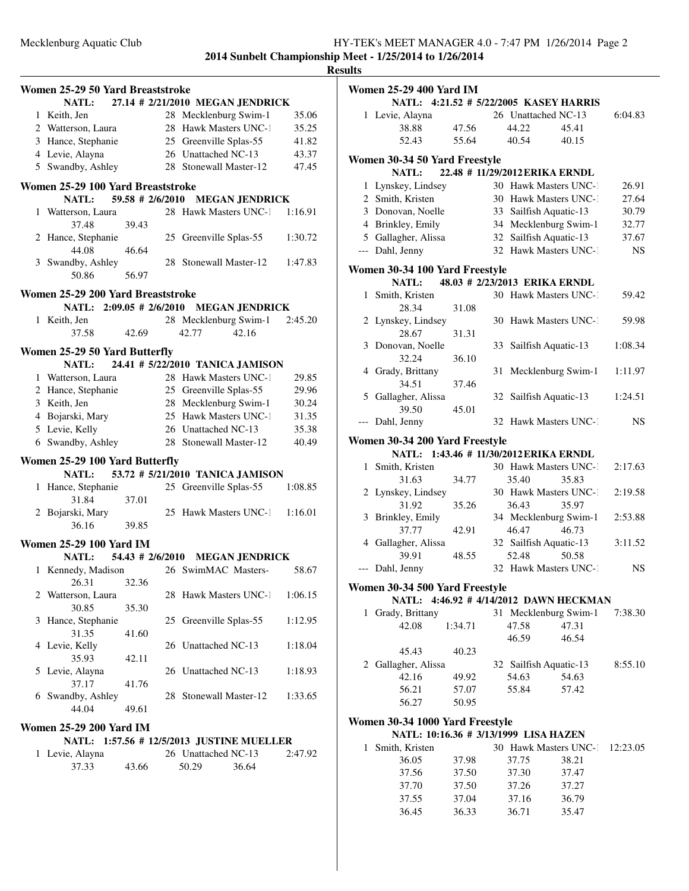|   |                                   |       |    |                                           |         | <b>Results</b> |
|---|-----------------------------------|-------|----|-------------------------------------------|---------|----------------|
|   | Women 25-29 50 Yard Breaststroke  |       |    |                                           |         | Wo             |
|   |                                   |       |    | NATL: 27.14 # 2/21/2010 MEGAN JENDRICK    |         |                |
|   | 1 Keith, Jen                      |       |    | 28 Mecklenburg Swim-1                     | 35.06   |                |
|   | 2 Watterson, Laura                |       |    | 28 Hawk Masters UNC-1                     | 35.25   |                |
|   | 3 Hance, Stephanie                |       |    | 25 Greenville Splas-55                    | 41.82   |                |
|   | 4 Levie, Alayna                   |       |    | 26 Unattached NC-13                       | 43.37   |                |
|   | 5 Swandby, Ashley                 |       |    | 28 Stonewall Master-12                    | 47.45   | Wo             |
|   | Women 25-29 100 Yard Breaststroke |       |    |                                           |         |                |
|   | <b>NATL:</b>                      |       |    | 59.58 # 2/6/2010 MEGAN JENDRICK           |         |                |
|   | 1 Watterson, Laura<br>37.48       | 39.43 |    | 28 Hawk Masters UNC-1                     | 1:16.91 |                |
|   | 2 Hance, Stephanie                |       |    |                                           |         |                |
|   | 44.08                             | 46.64 |    | 25 Greenville Splas-55                    | 1:30.72 |                |
|   | 3 Swandby, Ashley                 |       |    | 28 Stonewall Master-12                    | 1:47.83 |                |
|   | 50.86                             | 56.97 |    |                                           |         | Wo             |
|   | Women 25-29 200 Yard Breaststroke |       |    |                                           |         |                |
|   |                                   |       |    | NATL: 2:09.05 # 2/6/2010 MEGAN JENDRICK   |         |                |
|   | 1 Keith, Jen                      |       |    | 28 Mecklenburg Swim-1                     | 2:45.20 |                |
|   | 37.58                             | 42.69 |    | 42.16<br>42.77                            |         |                |
|   | Women 25-29 50 Yard Butterfly     |       |    |                                           |         |                |
|   | <b>NATL:</b>                      |       |    | 24.41 # 5/22/2010 TANICA JAMISON          |         |                |
|   | 1 Watterson, Laura                |       |    | 28 Hawk Masters UNC-1                     | 29.85   |                |
|   | 2 Hance, Stephanie                |       |    | 25 Greenville Splas-55                    | 29.96   |                |
|   | 3 Keith, Jen                      |       |    | 28 Mecklenburg Swim-1                     | 30.24   |                |
|   | 4 Bojarski, Mary                  |       |    | 25 Hawk Masters UNC-1                     | 31.35   |                |
|   | 5 Levie, Kelly                    |       |    | 26 Unattached NC-13                       | 35.38   |                |
|   | 6 Swandby, Ashley                 |       |    | 28 Stonewall Master-12                    | 40.49   | <b>Wo</b>      |
|   |                                   |       |    |                                           |         |                |
|   | Women 25-29 100 Yard Butterfly    |       |    |                                           |         |                |
|   | NATL:                             |       |    | 53.72 # 5/21/2010 TANICA JAMISON          |         |                |
|   | 1 Hance, Stephanie                |       |    | 25 Greenville Splas-55                    | 1:08.85 |                |
|   | 31.84                             | 37.01 |    |                                           |         |                |
|   | 2 Bojarski, Mary                  |       |    | 25 Hawk Masters UNC-1                     | 1:16.01 |                |
|   | 36.16                             | 39.85 |    |                                           |         |                |
|   | <b>Women 25-29 100 Yard IM</b>    |       |    |                                           |         |                |
|   |                                   |       |    | NATL: 54.43 # 2/6/2010 MEGAN JENDRICK     |         |                |
|   |                                   |       |    | 1 Kennedy, Madison 26 SwimMAC Masters-    | 58.67   |                |
|   | 26.31                             | 32.36 |    |                                           |         | Wo             |
|   | 2 Watterson, Laura                |       |    | 28 Hawk Masters UNC-1                     | 1:06.15 |                |
|   | 30.85                             | 35.30 |    |                                           |         |                |
| 3 | Hance, Stephanie                  |       | 25 | Greenville Splas-55                       | 1:12.95 |                |
|   | 31.35                             | 41.60 |    |                                           |         |                |
|   | 4 Levie, Kelly<br>35.93           |       |    | 26 Unattached NC-13                       | 1:18.04 |                |
|   |                                   | 42.11 |    | 26 Unattached NC-13                       |         |                |
|   | 5 Levie, Alayna<br>37.17          |       |    |                                           | 1:18.93 |                |
|   | 6 Swandby, Ashley                 | 41.76 |    | 28 Stonewall Master-12                    | 1:33.65 |                |
|   | 44.04                             | 49.61 |    |                                           |         |                |
|   |                                   |       |    |                                           |         | Wo             |
|   | <b>Women 25-29 200 Yard IM</b>    |       |    |                                           |         |                |
|   |                                   |       |    | NATL: 1:57.56 # 12/5/2013 JUSTINE MUELLER |         |                |
|   | 1 Levie, Alayna                   |       |    | 26 Unattached NC-13                       | 2:47.92 |                |
|   | 37.33                             | 43.66 |    | 50.29<br>36.64                            |         |                |
|   |                                   |       |    |                                           |         |                |

|                                | Women 25-29 400 Yard IM                |         |    |                                |       |           |  |  |  |  |
|--------------------------------|----------------------------------------|---------|----|--------------------------------|-------|-----------|--|--|--|--|
|                                | NATL: 4:21.52 # 5/22/2005 KASEY HARRIS |         |    |                                |       |           |  |  |  |  |
|                                | 1 Levie, Alayna                        |         |    | 26 Unattached NC-13            |       | 6:04.83   |  |  |  |  |
|                                | 38.88                                  | 47.56   |    | 44.22                          | 45.41 |           |  |  |  |  |
|                                | 52.43                                  | 55.64   |    | 40.54                          | 40.15 |           |  |  |  |  |
|                                | Women 30-34 50 Yard Freestyle          |         |    |                                |       |           |  |  |  |  |
|                                | <b>NATL:</b>                           |         |    | 22.48 # 11/29/2012 ERIKA ERNDL |       |           |  |  |  |  |
|                                | 1 Lynskey, Lindsey                     |         |    | 30 Hawk Masters UNC-1          |       | 26.91     |  |  |  |  |
|                                | 2 Smith, Kristen                       |         |    | 30 Hawk Masters UNC-1          |       | 27.64     |  |  |  |  |
|                                | 3 Donovan, Noelle                      |         |    | 33 Sailfish Aquatic-13         |       | 30.79     |  |  |  |  |
|                                | 4 Brinkley, Emily                      |         |    | 34 Mecklenburg Swim-1          |       | 32.77     |  |  |  |  |
|                                | 5 Gallagher, Alissa                    |         |    | 32 Sailfish Aquatic-13         |       | 37.67     |  |  |  |  |
|                                | --- Dahl, Jenny                        |         |    | 32 Hawk Masters UNC-1          |       | <b>NS</b> |  |  |  |  |
|                                | Women 30-34 100 Yard Freestyle         |         |    |                                |       |           |  |  |  |  |
|                                | <b>NATL:</b>                           |         |    | 48.03 # 2/23/2013 ERIKA ERNDL  |       |           |  |  |  |  |
| $\mathbf{1}$                   | Smith, Kristen                         |         |    | 30 Hawk Masters UNC-1          |       | 59.42     |  |  |  |  |
|                                | 28.34                                  | 31.08   |    |                                |       |           |  |  |  |  |
|                                | 2 Lynskey, Lindsey                     |         |    | 30 Hawk Masters UNC-1          |       | 59.98     |  |  |  |  |
|                                | 28.67                                  | 31.31   |    |                                |       |           |  |  |  |  |
|                                | 3 Donovan, Noelle                      |         | 33 | Sailfish Aquatic-13            |       | 1:08.34   |  |  |  |  |
|                                | 32.24                                  | 36.10   |    |                                |       |           |  |  |  |  |
|                                | 4 Grady, Brittany                      |         | 31 | Mecklenburg Swim-1             |       | 1:11.97   |  |  |  |  |
|                                | 34.51                                  | 37.46   |    |                                |       |           |  |  |  |  |
|                                | 5 Gallagher, Alissa                    |         | 32 | Sailfish Aquatic-13            |       | 1:24.51   |  |  |  |  |
|                                | 39.50                                  | 45.01   |    |                                |       |           |  |  |  |  |
|                                | --- Dahl, Jenny                        |         |    | 32 Hawk Masters UNC-1          |       | NS.       |  |  |  |  |
| Women 30-34 200 Yard Freestyle |                                        |         |    |                                |       |           |  |  |  |  |
|                                | NATL: 1:43.46 # 11/30/2012 ERIKA ERNDL |         |    |                                |       |           |  |  |  |  |
| 1                              | Smith, Kristen                         |         |    | 30 Hawk Masters UNC-1          |       | 2:17.63   |  |  |  |  |
|                                | 31.63                                  | 34.77   |    | 35.40                          | 35.83 |           |  |  |  |  |
|                                | 2 Lynskey, Lindsey                     |         |    | 30 Hawk Masters UNC-1          |       | 2:19.58   |  |  |  |  |
|                                | 31.92                                  | 35.26   |    | 36.43                          | 35.97 |           |  |  |  |  |
| 3                              | Brinkley, Emily                        |         |    | 34 Mecklenburg Swim-1          |       | 2:53.88   |  |  |  |  |
|                                | 37.77                                  | 42.91   |    | 46.47                          | 46.73 |           |  |  |  |  |
|                                | 4 Gallagher, Alissa                    |         |    | 32 Sailfish Aquatic-13         |       | 3:11.52   |  |  |  |  |
|                                | 39.91                                  | 48.55   |    | 52.48                          | 50.58 |           |  |  |  |  |
| ---                            | Dahl, Jenny                            |         |    | 32 Hawk Masters UNC-1          |       | NS        |  |  |  |  |
|                                | Women 30-34 500 Yard Freestyle         |         |    |                                |       |           |  |  |  |  |
|                                | NATL: 4:46.92 # 4/14/2012 DAWN HECKMAN |         |    |                                |       |           |  |  |  |  |
| $\mathbf{1}$                   | Grady, Brittany                        |         |    | 31 Mecklenburg Swim-1          |       | 7:38.30   |  |  |  |  |
|                                | 42.08                                  | 1:34.71 |    | 47.58                          | 47.31 |           |  |  |  |  |
|                                |                                        |         |    | 46.59                          | 46.54 |           |  |  |  |  |
|                                | 45.43                                  | 40.23   |    |                                |       |           |  |  |  |  |
|                                | 2 Gallagher, Alissa                    |         |    | 32 Sailfish Aquatic-13         |       | 8:55.10   |  |  |  |  |
|                                | 42.16                                  | 49.92   |    | 54.63                          | 54.63 |           |  |  |  |  |
|                                | 56.21                                  | 57.07   |    | 55.84                          | 57.42 |           |  |  |  |  |
|                                | 56.27                                  | 50.95   |    |                                |       |           |  |  |  |  |
|                                |                                        |         |    |                                |       |           |  |  |  |  |
|                                | Women 30-34 1000 Yard Freestyle        |         |    |                                |       |           |  |  |  |  |
| 1                              | NATL: 10:16.36 # 3/13/1999 LISA HAZEN  |         |    | 30 Hawk Masters UNC-1          |       |           |  |  |  |  |
|                                | Smith, Kristen                         |         |    |                                |       | 12:23.05  |  |  |  |  |
|                                | 36.05                                  | 37.98   |    | 37.75                          | 38.21 |           |  |  |  |  |
|                                | 37.56                                  | 37.50   |    | 37.30                          | 37.47 |           |  |  |  |  |
|                                | 37.70                                  | 37.50   |    | 37.26                          | 37.27 |           |  |  |  |  |
|                                | 37.55                                  | 37.04   |    | 37.16                          | 36.79 |           |  |  |  |  |

36.45 36.33 36.71 35.47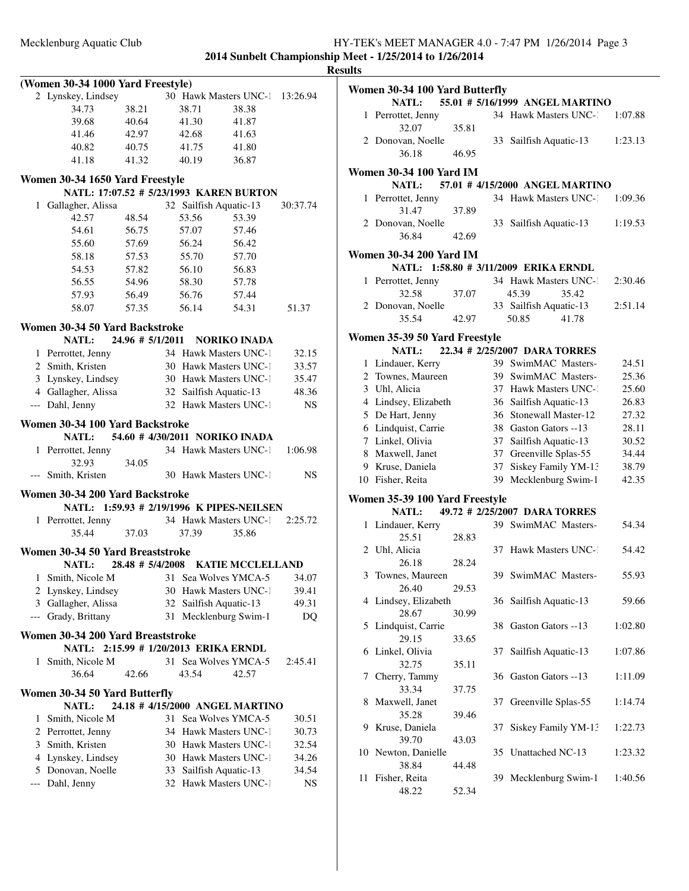|                                               |                      |                                       |                                                |                    | <b>Results</b> |
|-----------------------------------------------|----------------------|---------------------------------------|------------------------------------------------|--------------------|----------------|
| (Women 30-34 1000 Yard Freestyle)             |                      |                                       |                                                |                    | Wo             |
| 2 Lynskey, Lindsey                            |                      |                                       | 30 Hawk Masters UNC-1 13:26.94                 |                    |                |
| 34.73                                         | 38.21                | 38.71                                 | 38.38                                          |                    |                |
| 39.68                                         | 40.64                | 41.30                                 | 41.87                                          |                    |                |
| 41.46                                         | 42.97                | 42.68                                 | 41.63                                          |                    |                |
| 40.82                                         | 40.75                | 41.75                                 | 41.80                                          |                    |                |
| 41.18                                         | 41.32                | 40.19                                 | 36.87                                          |                    |                |
| Women 30-34 1650 Yard Freestyle               |                      |                                       |                                                |                    | Wo             |
|                                               |                      |                                       | NATL: 17:07.52 # 5/23/1993 KAREN BURTON        |                    |                |
| Gallagher, Alissa<br>$\mathbf{1}$             |                      | 32 Sailfish Aquatic-13                |                                                | 30:37.74           |                |
| 42.57                                         | 48.54                | 53.56                                 | 53.39                                          |                    |                |
| 54.61                                         | 56.75                | 57.07                                 | 57.46                                          |                    |                |
| 55.60                                         | 57.69                | 56.24                                 | 56.42                                          |                    |                |
| 58.18                                         | 57.53                | 55.70                                 | 57.70                                          |                    | Wo             |
| 54.53                                         | 57.82                | 56.10                                 | 56.83                                          |                    |                |
| 56.55                                         | 54.96                | 58.30                                 | 57.78                                          |                    |                |
| 57.93                                         | 56.49                | 56.76                                 | 57.44                                          |                    |                |
| 58.07                                         | 57.35                | 56.14                                 | 54.31                                          | 51.37              |                |
|                                               |                      |                                       |                                                |                    |                |
| Women 30-34 50 Yard Backstroke                |                      |                                       |                                                |                    | Wo             |
| NATL:                                         | $24.96 \pm 5/1/2011$ |                                       | <b>NORIKO INADA</b>                            |                    |                |
| 1 Perrottet, Jenny                            |                      |                                       | 34 Hawk Masters UNC-1                          | 32.15              |                |
| 2 Smith, Kristen                              |                      |                                       | 30 Hawk Masters UNC-1                          | 33.57              |                |
| 3 Lynskey, Lindsey                            |                      |                                       | 30 Hawk Masters UNC-1                          | 35.47              |                |
| 4 Gallagher, Alissa                           |                      | 32 Sailfish Aquatic-13                |                                                | 48.36              |                |
| --- Dahl, Jenny                               |                      |                                       | 32 Hawk Masters UNC-1                          | NS.                |                |
| Women 30-34 100 Yard Backstroke               |                      |                                       |                                                |                    |                |
| NATL:                                         |                      |                                       | 54.60 # 4/30/2011 NORIKO INADA                 |                    |                |
| 1 Perrottet, Jenny                            |                      |                                       | 34 Hawk Masters UNC-1 1:06.98                  |                    |                |
| 32.93                                         | 34.05                |                                       |                                                |                    |                |
| --- Smith, Kristen                            |                      |                                       | 30 Hawk Masters UNC-1                          | NS                 | 1              |
| Women 30-34 200 Yard Backstroke               |                      |                                       |                                                |                    |                |
|                                               |                      |                                       | NATL: 1:59.93 # 2/19/1996 K PIPES-NEILSEN      |                    | Wo             |
| 1 Perrottet, Jenny                            |                      |                                       | 34 Hawk Masters UNC-1 2:25.72                  |                    |                |
| 35.44                                         | 37.03                | 37.39                                 | 35.86                                          |                    |                |
|                                               |                      |                                       |                                                |                    |                |
| Women 30-34 50 Yard Breaststroke              |                      |                                       |                                                |                    |                |
| NATL:                                         |                      |                                       | 28.48 # 5/4/2008 KATIE MCCLELLAND              |                    |                |
| Smith, Nicole M<br>1                          |                      | 31                                    | Sea Wolves YMCA-5                              | 34.07              |                |
| 2 Lynskey, Lindsey                            |                      |                                       | 30 Hawk Masters UNC-1                          | 39.41              |                |
| 3 Gallagher, Alissa                           |                      | 32 Sailfish Aquatic-13                |                                                | 49.31              |                |
| Grady, Brittany                               |                      | 31                                    | Mecklenburg Swim-1                             | D <sub>O</sub>     |                |
| Women 30-34 200 Yard Breaststroke             |                      |                                       |                                                |                    |                |
|                                               |                      | NATL: 2:15.99 # 1/20/2013 ERIKA ERNDL |                                                |                    |                |
| Smith, Nicole M<br>1                          |                      |                                       | 31 Sea Wolves YMCA-5                           | 2:45.41            |                |
| 36.64                                         | 42.66                | 43.54                                 | 42.57                                          |                    |                |
|                                               |                      |                                       |                                                |                    |                |
| Women 30-34 50 Yard Butterfly<br><b>NATL:</b> |                      |                                       | 24.18 # 4/15/2000 ANGEL MARTINO                |                    |                |
|                                               |                      |                                       | 31 Sea Wolves YMCA-5                           |                    |                |
| 1 Smith, Nicole M                             |                      |                                       |                                                | 30.51              |                |
| 2 Perrottet, Jenny<br>3 Smith, Kristen        |                      |                                       | 34 Hawk Masters UNC-1                          | 30.73              |                |
|                                               |                      |                                       | 30 Hawk Masters UNC-1<br>30 Hawk Masters UNC-1 | 32.54              | 1              |
| 4 Lynskey, Lindsey                            |                      |                                       |                                                | 34.26              |                |
| 5 Donovan, Noelle                             |                      | 33                                    | Sailfish Aquatic-13<br>32 Hawk Masters UNC-1   | 34.54<br><b>NS</b> | 1              |
| --- Dahl, Jenny                               |                      |                                       |                                                |                    |                |
|                                               |                      |                                       |                                                |                    |                |
|                                               |                      |                                       |                                                |                    |                |

|    | Women 30-34 100 Yard Butterfly |       |    |                                       |         |
|----|--------------------------------|-------|----|---------------------------------------|---------|
|    | <b>NATL:</b>                   |       |    | 55.01 # 5/16/1999 ANGEL MARTINO       |         |
|    | 1 Perrottet, Jenny<br>32.07    | 35.81 |    | 34 Hawk Masters UNC-1                 | 1:07.88 |
|    | 2 Donovan, Noelle              |       | 33 | Sailfish Aquatic-13                   | 1:23.13 |
|    | 36.18                          | 46.95 |    |                                       |         |
|    |                                |       |    |                                       |         |
|    | <b>Women 30-34 100 Yard IM</b> |       |    |                                       |         |
|    | <b>NATL:</b>                   |       |    | 57.01 # 4/15/2000 ANGEL MARTINO       |         |
|    | 1 Perrottet, Jenny             |       |    | 34 Hawk Masters UNC-1                 | 1:09.36 |
|    | 31.47                          | 37.89 |    |                                       |         |
|    | 2 Donovan, Noelle              |       | 33 | Sailfish Aquatic-13                   | 1:19.53 |
|    | 36.84                          | 42.69 |    |                                       |         |
|    | Women 30-34 200 Yard IM        |       |    |                                       |         |
|    |                                |       |    | NATL: 1:58.80 # 3/11/2009 ERIKA ERNDL |         |
|    | 1 Perrottet, Jenny             |       |    | 34 Hawk Masters UNC-1                 | 2:30.46 |
|    | 32.58                          | 37.07 |    | 45.39<br>35.42                        |         |
|    | 2 Donovan, Noelle              |       |    | 33 Sailfish Aquatic-13                | 2:51.14 |
|    | 35.54                          | 42.97 |    | 50.85<br>41.78                        |         |
|    |                                |       |    |                                       |         |
|    | Women 35-39 50 Yard Freestyle  |       |    |                                       |         |
|    | <b>NATL:</b>                   |       |    | 22.34 # 2/25/2007 DARA TORRES         |         |
|    | 1 Lindauer, Kerry              |       |    | 39 SwimMAC Masters-                   | 24.51   |
|    | 2 Townes, Maureen              |       |    | 39 SwimMAC Masters-                   | 25.36   |
|    | 3 Uhl, Alicia                  |       |    | 37 Hawk Masters UNC-1                 | 25.60   |
|    | 4 Lindsey, Elizabeth           |       |    | 36 Sailfish Aquatic-13                | 26.83   |
|    | 5 De Hart, Jenny               |       |    | 36 Stonewall Master-12                | 27.32   |
|    | 6 Lindquist, Carrie            |       |    | 38 Gaston Gators --13                 | 28.11   |
|    | 7 Linkel, Olivia               |       |    | 37 Sailfish Aquatic-13                | 30.52   |
|    | 8 Maxwell, Janet               |       | 37 | Greenville Splas-55                   | 34.44   |
|    | 9 Kruse, Daniela               |       | 37 | Siskey Family YM-13                   | 38.79   |
|    | 10 Fisher, Reita               |       | 39 | Mecklenburg Swim-1                    | 42.35   |
|    | Women 35-39 100 Yard Freestyle |       |    |                                       |         |
|    | <b>NATL:</b>                   |       |    | 49.72 # 2/25/2007 DARA TORRES         |         |
|    | 1 Lindauer, Kerry              |       |    | 39 SwimMAC Masters-                   | 54.34   |
|    | 25.51                          | 28.83 |    |                                       |         |
|    | 2 Uhl, Alicia                  |       |    | 37 Hawk Masters UNC-1                 | 54.42   |
|    | 26.18                          | 28.24 |    |                                       |         |
| 3  | Townes, Maureen                |       |    | 39 SwimMAC Masters-                   | 55.93   |
|    | 26.40                          | 29.53 |    |                                       |         |
|    | 4 Lindsey, Elizabeth           |       |    | 36 Sailfish Aquatic-13                | 59.66   |
|    | 28.67                          | 30.99 |    |                                       |         |
| 5  | Lindquist, Carrie              |       | 38 | Gaston Gators --13                    | 1:02.80 |
|    | 29.15                          | 33.65 |    |                                       |         |
| 6  | Linkel, Olivia                 |       | 37 | Sailfish Aquatic-13                   | 1:07.86 |
|    | 32.75                          | 35.11 |    |                                       |         |
| 7  | Cherry, Tammy                  |       | 36 | Gaston Gators --13                    | 1:11.09 |
|    | 33.34                          | 37.75 |    |                                       |         |
| 8  | Maxwell, Janet                 |       | 37 | Greenville Splas-55                   | 1:14.74 |
|    | 35.28                          | 39.46 |    |                                       |         |
| 9  | Kruse, Daniela                 |       | 37 | Siskey Family YM-13                   | 1:22.73 |
|    | 39.70                          | 43.03 |    |                                       |         |
|    | 10 Newton, Danielle            |       | 35 | Unattached NC-13                      | 1:23.32 |
|    | 38.84                          | 44.48 |    |                                       |         |
| 11 | Fisher, Reita                  |       |    | 39 Mecklenburg Swim-1                 | 1:40.56 |
|    | 48.22                          | 52.34 |    |                                       |         |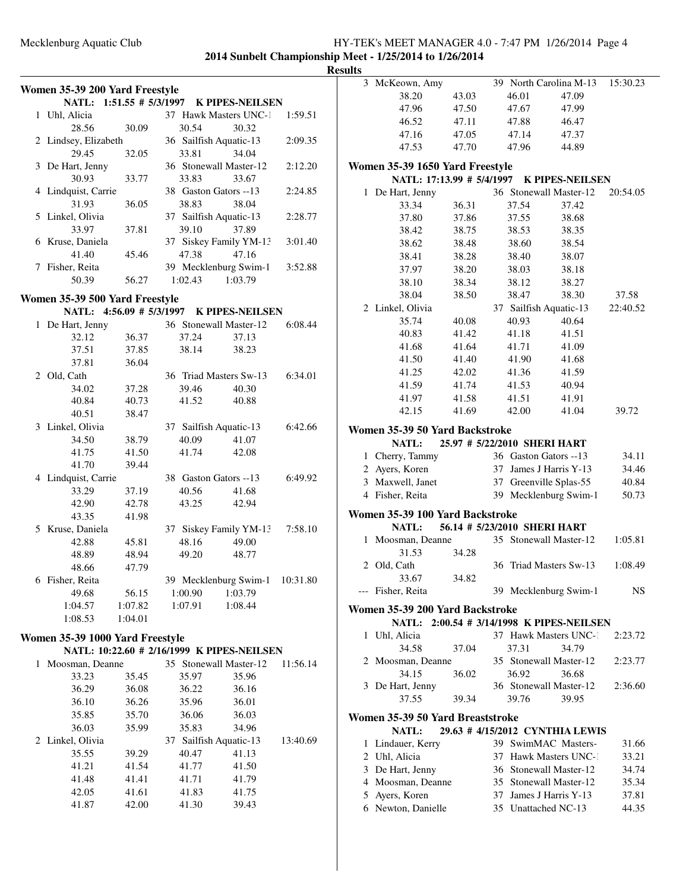### Mecklenburg Aquatic Club HY-TEK's MEET MANAGER 4.0 - 7:47 PM 1/26/2014 Page 4 **2014 Sunbelt Championship Meet - 1/25/2014 to 1/26/2014**

 De Hart, Jenny 36 Stonewall Master-12 34.74 Moosman, Deanne 35 Stonewall Master-12 35.34 Ayers, Koren 37 James J Harris Y-13 37.81 Newton, Danielle 35 Unattached NC-13 44.35

|                                 |                |                                 |                                            |          | <b>Results</b> |                                  |       |       |                                           |          |
|---------------------------------|----------------|---------------------------------|--------------------------------------------|----------|----------------|----------------------------------|-------|-------|-------------------------------------------|----------|
| Women 35-39 200 Yard Freestyle  |                |                                 |                                            |          |                | 3 McKeown, Amy                   |       |       | 39 North Carolina M-13                    | 15:30.23 |
|                                 |                |                                 | NATL: 1:51.55 # 5/3/1997 K PIPES-NEILSEN   |          |                | 38.20                            | 43.03 | 46.01 | 47.09                                     |          |
| 1 Uhl, Alicia                   |                |                                 | 37 Hawk Masters UNC-1                      | 1:59.51  |                | 47.96                            | 47.50 | 47.67 | 47.99                                     |          |
| 28.56                           | 30.09          | 30.54                           | 30.32                                      |          |                | 46.52                            | 47.11 | 47.88 | 46.47                                     |          |
|                                 |                |                                 |                                            |          |                | 47.16                            | 47.05 | 47.14 | 47.37                                     |          |
| 2 Lindsey, Elizabeth<br>29.45   | 32.05          | 36 Sailfish Aquatic-13<br>33.81 | 34.04                                      | 2:09.35  |                | 47.53                            | 47.70 | 47.96 | 44.89                                     |          |
| 3 De Hart, Jenny                |                |                                 | 36 Stonewall Master-12                     | 2:12.20  |                |                                  |       |       |                                           |          |
| 30.93                           | 33.77          | 33.83                           | 33.67                                      |          |                | Women 35-39 1650 Yard Freestyle  |       |       |                                           |          |
|                                 |                | 38 Gaston Gators --13           |                                            |          |                |                                  |       |       | NATL: 17:13.99 # 5/4/1997 K PIPES-NEILSEN |          |
| 4 Lindquist, Carrie             |                |                                 |                                            | 2:24.85  |                | 1 De Hart, Jenny                 |       |       | 36 Stonewall Master-12                    | 20:54.05 |
| 31.93<br>5 Linkel, Olivia       | 36.05          | 38.83                           | 38.04                                      | 2:28.77  |                | 33.34                            | 36.31 | 37.54 | 37.42                                     |          |
|                                 |                | 37 Sailfish Aquatic-13          |                                            |          |                | 37.80                            | 37.86 | 37.55 | 38.68                                     |          |
| 33.97                           | 37.81          | 39.10                           | 37.89                                      |          |                | 38.42                            | 38.75 | 38.53 | 38.35                                     |          |
| 6 Kruse, Daniela                |                |                                 | 37 Siskey Family YM-13                     | 3:01.40  |                | 38.62                            | 38.48 | 38.60 | 38.54                                     |          |
| 41.40                           | 45.46          | 47.38                           | 47.16                                      |          |                | 38.41                            | 38.28 | 38.40 | 38.07                                     |          |
| 7 Fisher, Reita                 |                |                                 | 39 Mecklenburg Swim-1                      | 3:52.88  |                | 37.97                            | 38.20 | 38.03 | 38.18                                     |          |
| 50.39                           | 56.27          | 1:02.43                         | 1:03.79                                    |          |                | 38.10                            | 38.34 | 38.12 | 38.27                                     |          |
| Women 35-39 500 Yard Freestyle  |                |                                 |                                            |          |                | 38.04                            | 38.50 | 38.47 | 38.30                                     | 37.58    |
|                                 |                |                                 | NATL: 4:56.09 # 5/3/1997 K PIPES-NEILSEN   |          |                | 2 Linkel, Olivia                 |       |       | 37 Sailfish Aquatic-13                    | 22:40.52 |
| 1 De Hart, Jenny                |                |                                 | 36 Stonewall Master-12                     | 6:08.44  |                | 35.74                            | 40.08 | 40.93 | 40.64                                     |          |
| 32.12                           | 36.37          | 37.24                           | 37.13                                      |          |                | 40.83                            | 41.42 | 41.18 | 41.51                                     |          |
| 37.51                           | 37.85          | 38.14                           | 38.23                                      |          |                | 41.68                            | 41.64 | 41.71 | 41.09                                     |          |
| 37.81                           | 36.04          |                                 |                                            |          |                | 41.50                            | 41.40 | 41.90 | 41.68                                     |          |
| 2 Old, Cath                     |                |                                 | 36 Triad Masters Sw-13                     | 6:34.01  |                | 41.25                            | 42.02 | 41.36 | 41.59                                     |          |
| 34.02                           | 37.28          | 39.46                           | 40.30                                      |          |                | 41.59                            | 41.74 | 41.53 | 40.94                                     |          |
| 40.84                           | 40.73          | 41.52                           | 40.88                                      |          |                | 41.97                            | 41.58 | 41.51 | 41.91                                     |          |
| 40.51                           | 38.47          |                                 |                                            |          |                | 42.15                            | 41.69 | 42.00 | 41.04                                     | 39.72    |
| 3 Linkel, Olivia                |                | 37 Sailfish Aquatic-13          |                                            | 6:42.66  |                |                                  |       |       |                                           |          |
| 34.50                           | 38.79          | 40.09                           | 41.07                                      |          |                | Women 35-39 50 Yard Backstroke   |       |       |                                           |          |
| 41.75                           | 41.50          | 41.74                           | 42.08                                      |          |                | NATL:                            |       |       | 25.97 # 5/22/2010 SHERI HART              |          |
| 41.70                           | 39.44          |                                 |                                            |          |                | 1 Cherry, Tammy                  |       |       | 36 Gaston Gators --13                     | 34.11    |
| 4 Lindquist, Carrie             |                | 38 Gaston Gators --13           |                                            | 6:49.92  |                | 2 Ayers, Koren                   |       |       | 37 James J Harris Y-13                    | 34.46    |
| 33.29                           |                |                                 |                                            |          |                | 3 Maxwell, Janet                 |       |       | 37 Greenville Splas-55                    | 40.84    |
| 42.90                           | 37.19<br>42.78 | 40.56<br>43.25                  | 41.68<br>42.94                             |          |                | 4 Fisher, Reita                  |       |       | 39 Mecklenburg Swim-1                     | 50.73    |
| 43.35                           |                |                                 |                                            |          |                | Women 35-39 100 Yard Backstroke  |       |       |                                           |          |
|                                 | 41.98          |                                 |                                            |          |                | NATL:                            |       |       | 56.14 # 5/23/2010 SHERI HART              |          |
| 5 Kruse, Daniela                |                |                                 | 37 Siskey Family YM-13                     | 7:58.10  |                | 1 Moosman, Deanne                |       |       | 35 Stonewall Master-12                    | 1:05.81  |
| 42.88                           | 45.81          | 48.16                           | 49.00                                      |          |                | 31.53                            | 34.28 |       |                                           |          |
| 48.89                           | 48.94          | 49.20                           | 48.77                                      |          |                | 2 Old, Cath                      |       |       | 36 Triad Masters Sw-13                    | 1:08.49  |
| 48.66                           | 47.79          |                                 |                                            |          |                | 33.67                            | 34.82 |       |                                           |          |
| 6 Fisher, Reita                 |                |                                 | 39 Mecklenburg Swim-1 10:31.80             |          |                | --- Fisher, Reita                |       |       |                                           | NS       |
| 49.68                           | 56.15          | 1:00.90                         | 1:03.79                                    |          |                |                                  |       |       | 39 Mecklenburg Swim-1                     |          |
| 1:04.57                         | 1:07.82        | 1:07.91                         | 1:08.44                                    |          |                | Women 35-39 200 Yard Backstroke  |       |       |                                           |          |
| 1:08.53                         | 1:04.01        |                                 |                                            |          |                |                                  |       |       | NATL: 2:00.54 # 3/14/1998 K PIPES-NEILSEN |          |
| Women 35-39 1000 Yard Freestyle |                |                                 |                                            |          |                | 1 Uhl, Alicia                    |       |       | 37 Hawk Masters UNC-1                     | 2:23.72  |
|                                 |                |                                 | NATL: 10:22.60 # 2/16/1999 K PIPES-NEILSEN |          |                | 34.58                            | 37.04 | 37.31 | 34.79                                     |          |
| 1 Moosman, Deanne               |                |                                 | 35 Stonewall Master-12                     | 11:56.14 |                | 2 Moosman, Deanne                |       |       | 35 Stonewall Master-12                    | 2:23.77  |
| 33.23                           | 35.45          | 35.97                           | 35.96                                      |          |                | 34.15                            | 36.02 | 36.92 | 36.68                                     |          |
| 36.29                           | 36.08          | 36.22                           | 36.16                                      |          |                | 3 De Hart, Jenny                 |       |       | 36 Stonewall Master-12                    | 2:36.60  |
| 36.10                           | 36.26          | 35.96                           | 36.01                                      |          |                | 37.55                            | 39.34 | 39.76 | 39.95                                     |          |
| 35.85                           | 35.70          |                                 | 36.03                                      |          |                |                                  |       |       |                                           |          |
|                                 |                | 36.06                           |                                            |          |                | Women 35-39 50 Yard Breaststroke |       |       |                                           |          |
| 36.03                           | 35.99          | 35.83                           | 34.96                                      |          |                | NATL:                            |       |       | 29.63 #4/15/2012 CYNTHIA LEWIS            |          |
| 2 Linkel, Olivia                |                | 37 Sailfish Aquatic-13          |                                            | 13:40.69 |                | 1 Lindauer, Kerry                |       |       | 39 SwimMAC Masters-                       | 31.66    |
| 35.55                           | 39.29          | 40.47                           | 41.13                                      |          |                | 2 Uhl, Alicia                    |       |       | 37 Hawk Masters UNC-1                     | 33.21    |
| 41.21                           | 41.54          | 41.77                           | 41.50                                      |          |                | 2 De Hort Janny                  |       |       | 26 Stonewall Moster 12                    | 34.74    |

41.48 41.41 41.71 41.79 42.05 41.61 41.83 41.75 41.87 42.00 41.30 39.43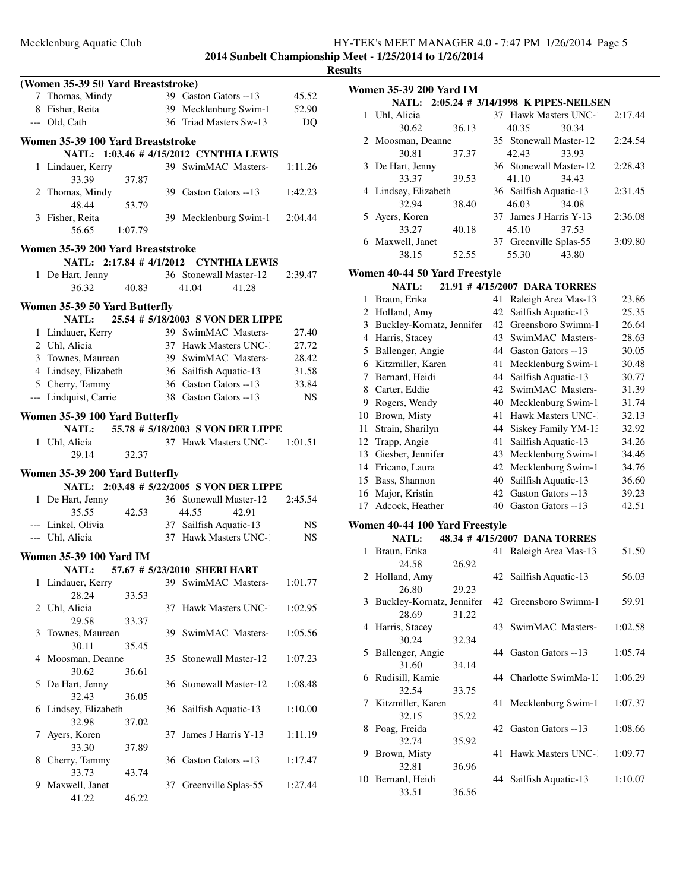|   |                                    |       |    |                                                                                                  |           | <b>Resul</b> |
|---|------------------------------------|-------|----|--------------------------------------------------------------------------------------------------|-----------|--------------|
|   | (Women 35-39 50 Yard Breaststroke) |       |    |                                                                                                  |           |              |
|   | 7 Thomas, Mindy                    |       |    | 39 Gaston Gators --13                                                                            | 45.52     |              |
|   | 8 Fisher, Reita                    |       |    | 39 Mecklenburg Swim-1                                                                            | 52.90     |              |
|   | --- Old. Cath                      |       |    | 36 Triad Masters Sw-13                                                                           | DQ        |              |
|   | Women 35-39 100 Yard Breaststroke  |       |    |                                                                                                  |           |              |
|   |                                    |       |    | NATL: 1:03.46 # 4/15/2012 CYNTHIA LEWIS                                                          |           |              |
|   | 1 Lindauer, Kerry<br>33.39         | 37.87 |    | 39 SwimMAC Masters-                                                                              | 1:11.26   |              |
|   | 2 Thomas, Mindy<br>48.44           | 53.79 |    | 39 Gaston Gators --13                                                                            | 1:42.23   |              |
|   | 3 Fisher, Reita<br>56.65 1:07.79   |       |    | 39 Mecklenburg Swim-1                                                                            | 2:04.44   |              |
|   | Women 35-39 200 Yard Breaststroke  |       |    |                                                                                                  |           |              |
|   |                                    |       |    | NATL: 2:17.84 #4/1/2012 CYNTHIA LEWIS                                                            |           |              |
|   | 1 De Hart, Jenny                   |       |    | 36 Stonewall Master-12                                                                           | 2:39.47   |              |
|   | 36.32                              | 40.83 |    | 41.04<br>41.28                                                                                   |           |              |
|   | Women 35-39 50 Yard Butterfly      |       |    |                                                                                                  |           |              |
|   |                                    |       |    | NATL: 25.54 # 5/18/2003 S VON DER LIPPE                                                          |           |              |
|   | 1 Lindauer, Kerry                  |       |    | 39 SwimMAC Masters-                                                                              | 27.40     |              |
|   | 2 Uhl, Alicia                      |       |    | 37 Hawk Masters UNC-1                                                                            | 27.72     |              |
|   | 3 Townes, Maureen                  |       |    | 39 SwimMAC Masters-                                                                              | 28.42     |              |
|   |                                    |       |    |                                                                                                  |           |              |
|   |                                    |       |    | 4 Lindsey, Elizabeth 36 Sailfish Aquatic-13 31.58<br>5 Cherry, Tammy 36 Gaston Gators --13 33.84 |           |              |
|   | --- Lindquist, Carrie              |       |    | 38 Gaston Gators --13                                                                            | NS        |              |
|   | Women 35-39 100 Yard Butterfly     |       |    |                                                                                                  |           |              |
|   |                                    |       |    | NATL: 55.78 # 5/18/2003 S VON DER LIPPE                                                          |           |              |
|   | 1 Uhl, Alicia                      |       |    | 37 Hawk Masters UNC-1 1:01.51                                                                    |           |              |
|   | 29.14                              | 32.37 |    |                                                                                                  |           |              |
|   | Women 35-39 200 Yard Butterfly     |       |    |                                                                                                  |           |              |
|   |                                    |       |    | NATL: 2:03.48 # 5/22/2005 S VON DER LIPPE                                                        |           |              |
|   | 1 De Hart, Jenny                   |       |    | 36 Stonewall Master-12                                                                           | 2:45.54   |              |
|   | 35.55                              | 42.53 |    | 44.55<br>42.91                                                                                   |           |              |
|   | --- Linkel, Olivia                 |       |    | 37 Sailfish Aquatic-13                                                                           | NS.       |              |
|   | --- Uhl, Alicia                    |       |    | 37 Hawk Masters UNC-1                                                                            | <b>NS</b> |              |
|   | <b>Women 35-39 100 Yard IM</b>     |       |    |                                                                                                  |           |              |
|   | NATL:                              |       |    | 57.67 # 5/23/2010 SHERI HART                                                                     |           |              |
|   | 1 Lindauer, Kerry<br>28.24         | 33.53 |    | 39 SwimMAC Masters-                                                                              | 1:01.77   |              |
| 2 | Uhl, Alicia                        |       |    | 37 Hawk Masters UNC-1                                                                            | 1:02.95   |              |
|   | 29.58                              | 33.37 |    |                                                                                                  |           |              |
| 3 | Townes, Maureen<br>30.11           | 35.45 | 39 | SwimMAC Masters-                                                                                 | 1:05.56   |              |
|   | 4 Moosman, Deanne                  |       | 35 | Stonewall Master-12                                                                              | 1:07.23   |              |
|   | 30.62                              | 36.61 |    |                                                                                                  |           |              |
| 5 | De Hart, Jenny<br>32.43            |       |    | 36 Stonewall Master-12                                                                           | 1:08.48   |              |
| 6 | Lindsey, Elizabeth                 | 36.05 |    | 36 Sailfish Aquatic-13                                                                           | 1:10.00   |              |
|   | 32.98                              | 37.02 |    |                                                                                                  |           |              |
| 7 | Ayers, Koren                       |       | 37 | James J Harris Y-13                                                                              | 1:11.19   |              |
|   | 33.30                              | 37.89 |    |                                                                                                  |           |              |
| 8 | Cherry, Tammy                      |       |    | 36 Gaston Gators --13                                                                            | 1:17.47   |              |
|   | 33.73                              | 43.74 |    |                                                                                                  |           |              |
| 9 | Maxwell, Janet                     |       | 37 | Greenville Splas-55                                                                              | 1:27.44   |              |
|   | 41.22                              | 46.22 |    |                                                                                                  |           |              |

| ılts                          |                                    |       |    |                                           |         |  |  |  |  |
|-------------------------------|------------------------------------|-------|----|-------------------------------------------|---------|--|--|--|--|
|                               | Women 35-39 200 Yard IM            |       |    |                                           |         |  |  |  |  |
|                               |                                    |       |    | NATL: 2:05.24 # 3/14/1998 K PIPES-NEILSEN |         |  |  |  |  |
| 1                             | Uhl, Alicia                        |       |    | 37 Hawk Masters UNC-1                     | 2:17.44 |  |  |  |  |
|                               | 30.62                              | 36.13 |    | 40.35<br>30.34                            |         |  |  |  |  |
| 2                             | Moosman, Deanne                    |       |    | 35 Stonewall Master-12                    | 2:24.54 |  |  |  |  |
|                               | 30.81                              | 37.37 |    | 42.43<br>33.93                            |         |  |  |  |  |
| 3                             | De Hart, Jenny                     |       |    | 36 Stonewall Master-12                    | 2:28.43 |  |  |  |  |
|                               | 33.37                              | 39.53 |    | 41.10<br>34.43                            |         |  |  |  |  |
|                               | 4 Lindsey, Elizabeth               |       |    | 36 Sailfish Aquatic-13                    | 2:31.45 |  |  |  |  |
|                               | 32.94                              | 38.40 |    | 46.03<br>34.08                            |         |  |  |  |  |
| 5                             | Ayers, Koren                       |       |    | 37 James J Harris Y-13                    | 2:36.08 |  |  |  |  |
|                               | 33.27                              | 40.18 |    | 45.10<br>37.53                            |         |  |  |  |  |
| 6                             | Maxwell, Janet                     |       |    | 37 Greenville Splas-55                    | 3:09.80 |  |  |  |  |
|                               | 38.15                              | 52.55 |    | 55.30<br>43.80                            |         |  |  |  |  |
|                               |                                    |       |    |                                           |         |  |  |  |  |
| Women 40-44 50 Yard Freestyle |                                    |       |    |                                           |         |  |  |  |  |
|                               | <b>NATL:</b>                       |       |    | 21.91 #4/15/2007 DARA TORRES              |         |  |  |  |  |
| 1                             | Braun, Erika                       |       | 41 | Raleigh Area Mas-13                       | 23.86   |  |  |  |  |
|                               | 2 Holland, Amy                     |       | 42 | Sailfish Aquatic-13                       | 25.35   |  |  |  |  |
| 3                             | Buckley-Kornatz, Jennifer          |       | 42 | Greensboro Swimm-1                        | 26.64   |  |  |  |  |
|                               | 4 Harris, Stacey                   |       | 43 | SwimMAC Masters-                          | 28.63   |  |  |  |  |
|                               | 5 Ballenger, Angie                 |       |    | 44 Gaston Gators --13                     | 30.05   |  |  |  |  |
|                               | 6 Kitzmiller, Karen                |       | 41 | Mecklenburg Swim-1                        | 30.48   |  |  |  |  |
|                               | 7 Bernard, Heidi                   |       | 44 | Sailfish Aquatic-13                       | 30.77   |  |  |  |  |
| 8                             | Carter, Eddie                      |       |    | 42 SwimMAC Masters-                       | 31.39   |  |  |  |  |
|                               | 9 Rogers, Wendy                    |       |    | 40 Mecklenburg Swim-1                     | 31.74   |  |  |  |  |
|                               | 10 Brown, Misty                    |       | 41 | Hawk Masters UNC-1                        | 32.13   |  |  |  |  |
| 11                            | Strain, Sharilyn                   |       | 44 | Siskey Family YM-13                       | 32.92   |  |  |  |  |
| 12                            | Trapp, Angie                       |       | 41 | Sailfish Aquatic-13                       | 34.26   |  |  |  |  |
| 13                            | Giesber, Jennifer                  |       | 43 | Mecklenburg Swim-1                        | 34.46   |  |  |  |  |
|                               | 14 Fricano, Laura                  |       | 42 | Mecklenburg Swim-1                        | 34.76   |  |  |  |  |
| 15                            | Bass, Shannon                      |       | 40 | Sailfish Aquatic-13                       | 36.60   |  |  |  |  |
| 16                            | Major, Kristin                     |       | 42 | Gaston Gators --13                        | 39.23   |  |  |  |  |
| 17                            | Adcock, Heather                    |       | 40 | Gaston Gators --13                        | 42.51   |  |  |  |  |
|                               |                                    |       |    |                                           |         |  |  |  |  |
|                               | Women 40-44 100 Yard Freestyle     |       |    |                                           |         |  |  |  |  |
|                               | NATL:                              |       |    | 48.34 #4/15/2007 DANA TORRES              |         |  |  |  |  |
| 1                             | Braun, Erika                       |       | 41 | Raleigh Area Mas-13                       | 51.50   |  |  |  |  |
|                               | 24.58                              | 26.92 |    |                                           | 56.03   |  |  |  |  |
|                               | 2 Holland, Amy                     |       |    | 42 Sailfish Aquatic-13                    |         |  |  |  |  |
|                               | 26.80                              | 29.23 |    | 42 Greensboro Swimm-1                     |         |  |  |  |  |
| 3                             | Buckley-Kornatz, Jennifer<br>28.69 |       |    |                                           | 59.91   |  |  |  |  |
|                               |                                    | 31.22 |    | 43 SwimMAC Masters-                       |         |  |  |  |  |
| 4                             | Harris, Stacey<br>30.24            |       |    |                                           | 1:02.58 |  |  |  |  |
|                               |                                    | 32.34 |    |                                           | 1:05.74 |  |  |  |  |
| 5                             | Ballenger, Angie<br>31.60          | 34.14 |    | 44 Gaston Gators --13                     |         |  |  |  |  |
|                               |                                    |       |    |                                           |         |  |  |  |  |
| 6                             | Rudisill, Kamie<br>32.54           |       |    | 44 Charlotte SwimMa-1.                    | 1:06.29 |  |  |  |  |
|                               |                                    | 33.75 |    |                                           |         |  |  |  |  |
| 7                             | Kitzmiller, Karen<br>32.15         | 35.22 | 41 | Mecklenburg Swim-1                        | 1:07.37 |  |  |  |  |
| 8                             | Poag, Freida                       |       |    | 42 Gaston Gators --13                     | 1:08.66 |  |  |  |  |
|                               | 32.74                              | 35.92 |    |                                           |         |  |  |  |  |
| 9                             | Brown, Misty                       |       | 41 | Hawk Masters UNC-1                        | 1:09.77 |  |  |  |  |
|                               | 32.81                              | 36.96 |    |                                           |         |  |  |  |  |
|                               |                                    |       |    |                                           |         |  |  |  |  |

10 Bernard, Heidi 44 Sailfish Aquatic-13 1:10.07<br>33.51 36.56  $36.56$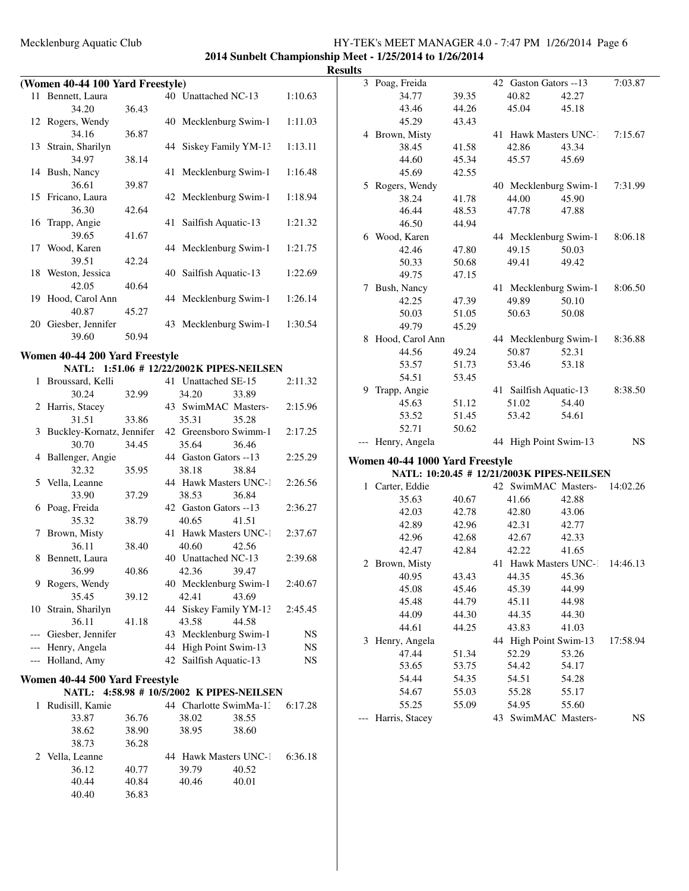### Mecklenburg Aquatic Club HY-TEK's MEET MANAGER 4.0 - 7:47 PM 1/26/2014 Page 6 **2014 to 1/26/2014** to 1/26/2014

<u>**Results**</u>

|       |                                  |       |    | 2014 Sunbelt Championship                 | R       |
|-------|----------------------------------|-------|----|-------------------------------------------|---------|
|       | (Women 40-44 100 Yard Freestyle) |       |    |                                           |         |
|       | 11 Bennett, Laura                |       |    | 40 Unattached NC-13                       | 1:10.63 |
|       | 34.20                            | 36.43 |    |                                           |         |
|       | 12 Rogers, Wendy                 |       |    | 40 Mecklenburg Swim-1                     | 1:11.03 |
|       | 34.16                            | 36.87 |    |                                           |         |
|       | 13 Strain, Sharilyn              |       |    | 44 Siskey Family YM-13                    | 1:13.11 |
|       | 34.97                            |       |    |                                           |         |
|       |                                  | 38.14 |    |                                           |         |
|       | 14 Bush, Nancy                   |       | 41 | Mecklenburg Swim-1                        | 1:16.48 |
|       | 36.61                            | 39.87 |    |                                           |         |
|       | 15 Fricano, Laura                |       | 42 | Mecklenburg Swim-1                        | 1:18.94 |
|       | 36.30                            | 42.64 |    |                                           |         |
| 16    | Trapp, Angie                     |       | 41 | Sailfish Aquatic-13                       | 1:21.32 |
|       | 39.65                            | 41.67 |    |                                           |         |
| 17    | Wood, Karen                      |       |    | 44 Mecklenburg Swim-1                     | 1:21.75 |
|       | 39.51                            | 42.24 |    |                                           |         |
|       | 18 Weston, Jessica               |       |    | 40 Sailfish Aquatic-13                    | 1:22.69 |
|       | 42.05                            | 40.64 |    |                                           |         |
|       | 19 Hood, Carol Ann               |       |    | 44 Mecklenburg Swim-1                     | 1:26.14 |
|       | 40.87                            | 45.27 |    |                                           |         |
|       | 20 Giesber, Jennifer             |       |    | 43 Mecklenburg Swim-1                     | 1:30.54 |
|       | 39.60                            | 50.94 |    |                                           |         |
|       |                                  |       |    |                                           |         |
|       | Women 40-44 200 Yard Freestyle   |       |    |                                           |         |
|       |                                  |       |    | NATL: 1:51.06 # 12/22/2002K PIPES-NEILSEN |         |
|       | 1 Broussard, Kelli               |       |    | 41 Unattached SE-15                       | 2:11.32 |
|       | 30.24                            | 32.99 |    | 34.20<br>33.89                            |         |
|       | 2 Harris, Stacey                 |       |    | 43 SwimMAC Masters-                       | 2:15.96 |
|       | 31.51                            | 33.86 |    | 35.31<br>35.28                            |         |
|       | 3 Buckley-Kornatz, Jennifer      |       |    | 42 Greensboro Swimm-1                     | 2:17.25 |
|       | 30.70                            | 34.45 |    | 35.64<br>36.46                            |         |
| 4     | Ballenger, Angie                 |       |    | 44 Gaston Gators --13                     | 2:25.29 |
|       | 32.32                            | 35.95 |    | 38.18<br>38.84                            |         |
| 5     | Vella, Leanne                    |       |    | 44 Hawk Masters UNC-1                     | 2:26.56 |
|       | 33.90                            | 37.29 |    | 38.53<br>36.84                            |         |
|       | 6 Poag, Freida                   |       |    | 42 Gaston Gators --13                     | 2:36.27 |
|       | 35.32                            | 38.79 |    | 40.65<br>41.51                            |         |
|       |                                  |       |    |                                           |         |
| 7     | Brown, Misty                     |       |    | 41 Hawk Masters UNC-1                     | 2:37.67 |
|       | 36.11                            | 38.40 |    | 40.60<br>42.56                            |         |
|       | 8 Bennett, Laura                 |       |    | 40 Unattached NC-13                       | 2:39.68 |
|       | 36.99                            | 40.86 |    | 42.36<br>39.47                            |         |
| 9     | Rogers, Wendy                    |       |    | 40 Mecklenburg Swim-1                     | 2:40.67 |
|       | 35.45                            | 39.12 |    | 42.41<br>43.69                            |         |
|       | 10 Strain, Sharilyn              |       |    | 44 Siskey Family YM-13                    | 2:45.45 |
|       | 36.11                            | 41.18 |    | 43.58<br>44.58                            |         |
|       | --- Giesber, Jennifer            |       |    | 43 Mecklenburg Swim-1                     | NS.     |
|       | --- Henry, Angela                |       |    | 44 High Point Swim-13                     | NS.     |
| $---$ | Holland, Amy                     |       |    | 42 Sailfish Aquatic-13                    | NS      |
|       |                                  |       |    |                                           |         |
|       | Women 40-44 500 Yard Freestyle   |       |    |                                           |         |
|       |                                  |       |    | NATL: 4:58.98 # 10/5/2002 K PIPES-NEILSEN |         |
|       | 1 Rudisill, Kamie                |       |    | 44 Charlotte SwimMa-1:                    | 6:17.28 |
|       | 33.87                            | 36.76 |    | 38.02<br>38.55                            |         |
|       | 38.62                            | 38.90 |    | 38.95<br>38.60                            |         |
|       | 38.73                            | 36.28 |    |                                           |         |
|       | 2 Vella, Leanne                  |       |    | 44 Hawk Masters UNC-1                     | 6:36.18 |
|       | 36.12                            | 40.77 |    | 39.79<br>40.52                            |         |
|       | 40.44                            | 40.84 |    | 40.46<br>40.01                            |         |
|       | 40.40                            | 36.83 |    |                                           |         |

| ᄖᄖ |                                            |       |                                |       |           |
|----|--------------------------------------------|-------|--------------------------------|-------|-----------|
|    | 3 Poag, Freida                             |       | 42 Gaston Gators --13          |       | 7:03.87   |
|    | 34.77                                      | 39.35 | 40.82                          | 42.27 |           |
|    | 43.46                                      | 44.26 | 45.04                          | 45.18 |           |
|    | 45.29                                      | 43.43 |                                |       |           |
|    | 4 Brown, Misty                             |       | 41 Hawk Masters UNC-1          |       | 7:15.67   |
|    | 38.45                                      | 41.58 | 42.86                          | 43.34 |           |
|    | 44.60                                      | 45.34 | 45.57                          | 45.69 |           |
|    | 45.69                                      | 42.55 |                                |       |           |
|    | 5 Rogers, Wendy                            |       | 40 Mecklenburg Swim-1          |       | 7:31.99   |
|    | 38.24                                      | 41.78 | 44.00                          | 45.90 |           |
|    | 46.44                                      | 48.53 | 47.78                          | 47.88 |           |
|    | 46.50                                      | 44.94 |                                |       |           |
|    | 6 Wood, Karen                              |       | 44 Mecklenburg Swim-1          |       | 8:06.18   |
|    | 42.46                                      | 47.80 | 49.15                          | 50.03 |           |
|    | 50.33                                      | 50.68 | 49.41                          | 49.42 |           |
|    | 49.75                                      | 47.15 |                                |       |           |
|    | 7 Bush, Nancy                              |       | 41 Mecklenburg Swim-1          |       | 8:06.50   |
|    | 42.25                                      | 47.39 | 49.89                          | 50.10 |           |
|    | 50.03                                      | 51.05 | 50.63                          | 50.08 |           |
|    | 49.79                                      | 45.29 |                                |       |           |
|    | 8 Hood, Carol Ann                          |       | 44 Mecklenburg Swim-1          |       | 8:36.88   |
|    | 44.56                                      | 49.24 | 50.87                          | 52.31 |           |
|    | 53.57                                      | 51.73 | 53.46                          | 53.18 |           |
|    | 54.51                                      | 53.45 |                                |       |           |
|    | 9 Trapp, Angie                             |       | 41 Sailfish Aquatic-13         |       | 8:38.50   |
|    | 45.63                                      | 51.12 | 51.02                          | 54.40 |           |
|    | 53.52                                      | 51.45 | 53.42                          | 54.61 |           |
|    | 52.71                                      | 50.62 |                                |       |           |
|    | --- Henry, Angela                          |       | 44 High Point Swim-13          |       | <b>NS</b> |
|    | Women 40-44 1000 Yard Freestyle            |       |                                |       |           |
|    | NATL: 10:20.45 # 12/21/2003K PIPES-NEILSEN |       |                                |       |           |
|    | 1 Carter, Eddie                            |       | 42 SwimMAC Masters-            |       | 14:02.26  |
|    | 35.63                                      | 40.67 | 41.66                          | 42.88 |           |
|    | 42.03                                      | 42.78 | 42.80                          | 43.06 |           |
|    | 42.89                                      | 42.96 | 42.31                          | 42.77 |           |
|    | 42.96                                      | 42.68 | 42.67                          | 42.33 |           |
|    | 42.47                                      | 42.84 | 42.22                          | 41.65 |           |
|    | 2 Brown, Misty                             |       | 41 Hawk Masters UNC-1 14:46.13 |       |           |
|    | 40.95                                      | 43.43 | 44.35 45.36                    |       |           |
|    | 45.08                                      | 45.46 | 45.39                          | 44.99 |           |
|    | 45.48                                      | 44.79 | 45.11                          | 44.98 |           |
|    | 44.09                                      | 44.30 | 44.35                          | 44.30 |           |
|    | 44.61                                      | 44.25 | 43.83                          | 41.03 |           |
| 3  | Henry, Angela                              |       | 44 High Point Swim-13          |       | 17:58.94  |
|    | 47.44                                      | 51.34 | 52.29                          | 53.26 |           |
|    | 53.65                                      | 53.75 | 54.42                          | 54.17 |           |
|    | 54.44                                      | 54.35 | 54.51                          | 54.28 |           |
|    | 54.67                                      | 55.03 | 55.28                          | 55.17 |           |
|    | 55.25                                      | 55.09 | 54.95                          | 55.60 |           |
|    | Harris, Stacey                             |       | 43 SwimMAC Masters-            |       | NS.       |
|    |                                            |       |                                |       |           |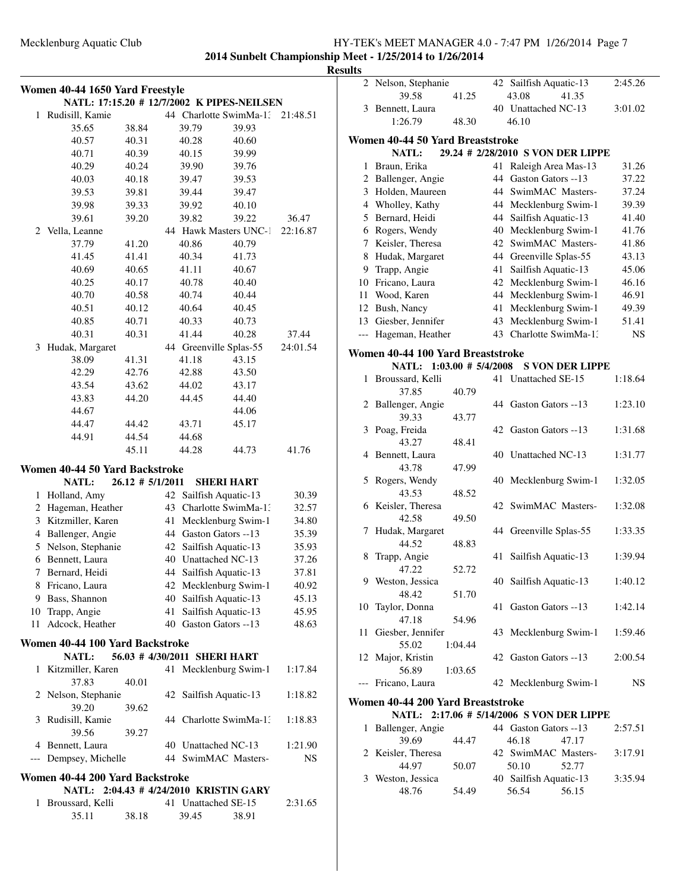# **2014 Sunbelt Championship Meet - 1/25/2014 to 1/26/2014**

# **Results**

|       | Women 40-44 1650 Yard Freestyle<br>NATL: 17:15.20 # 12/7/2002 K PIPES-NEILSEN |                     |    |                              |       |          |  |  |  |  |
|-------|-------------------------------------------------------------------------------|---------------------|----|------------------------------|-------|----------|--|--|--|--|
| 1     | Rudisill, Kamie                                                               |                     |    | 44 Charlotte SwimMa-1:       |       | 21:48.51 |  |  |  |  |
|       | 35.65                                                                         | 38.84               |    | 39.79                        | 39.93 |          |  |  |  |  |
|       | 40.57                                                                         | 40.31               |    | 40.28                        | 40.60 |          |  |  |  |  |
|       | 40.71                                                                         | 40.39               |    | 40.15                        | 39.99 |          |  |  |  |  |
|       | 40.29                                                                         | 40.24               |    | 39.90                        | 39.76 |          |  |  |  |  |
|       | 40.03                                                                         | 40.18               |    | 39.47                        | 39.53 |          |  |  |  |  |
|       |                                                                               |                     |    |                              |       |          |  |  |  |  |
|       | 39.53                                                                         | 39.81               |    | 39.44                        | 39.47 |          |  |  |  |  |
|       | 39.98                                                                         | 39.33               |    | 39.92                        | 40.10 |          |  |  |  |  |
|       | 39.61                                                                         | 39.20               |    | 39.82                        | 39.22 | 36.47    |  |  |  |  |
|       | 2 Vella, Leanne                                                               |                     |    | 44 Hawk Masters UNC-1        |       | 22:16.87 |  |  |  |  |
|       | 37.79                                                                         | 41.20               |    | 40.86                        | 40.79 |          |  |  |  |  |
|       | 41.45                                                                         | 41.41               |    | 40.34                        | 41.73 |          |  |  |  |  |
|       | 40.69                                                                         | 40.65               |    | 41.11                        | 40.67 |          |  |  |  |  |
|       | 40.25                                                                         | 40.17               |    | 40.78                        | 40.40 |          |  |  |  |  |
|       | 40.70                                                                         | 40.58               |    | 40.74                        | 40.44 |          |  |  |  |  |
|       | 40.51                                                                         | 40.12               |    | 40.64                        | 40.45 |          |  |  |  |  |
|       | 40.85                                                                         | 40.71               |    | 40.33                        | 40.73 |          |  |  |  |  |
|       | 40.31                                                                         | 40.31               |    | 41.44                        | 40.28 | 37.44    |  |  |  |  |
| 3     | Hudak, Margaret                                                               |                     |    | 44 Greenville Splas-55       |       | 24:01.54 |  |  |  |  |
|       | 38.09                                                                         | 41.31               |    | 41.18                        | 43.15 |          |  |  |  |  |
|       | 42.29                                                                         | 42.76               |    | 42.88                        | 43.50 |          |  |  |  |  |
|       | 43.54                                                                         | 43.62               |    | 44.02                        | 43.17 |          |  |  |  |  |
|       | 43.83                                                                         | 44.20               |    | 44.45                        | 44.40 |          |  |  |  |  |
|       | 44.67                                                                         |                     |    |                              | 44.06 |          |  |  |  |  |
|       | 44.47                                                                         | 44.42               |    | 43.71                        | 45.17 |          |  |  |  |  |
|       | 44.91                                                                         | 44.54               |    | 44.68                        |       |          |  |  |  |  |
|       |                                                                               | 45.11               |    | 44.28                        | 44.73 | 41.76    |  |  |  |  |
|       | Women 40-44 50 Yard Backstroke                                                |                     |    |                              |       |          |  |  |  |  |
|       | <b>NATL:</b>                                                                  | $26.12 \# 5/1/2011$ |    | <b>SHERI HART</b>            |       |          |  |  |  |  |
| 1     | Holland, Amy                                                                  |                     | 42 | Sailfish Aquatic-13          |       | 30.39    |  |  |  |  |
|       | 2 Hageman, Heather                                                            |                     | 43 | Charlotte SwimMa-1:          |       | 32.57    |  |  |  |  |
|       | 3 Kitzmiller, Karen                                                           |                     | 41 | Mecklenburg Swim-1           |       | 34.80    |  |  |  |  |
|       | 4 Ballenger, Angie                                                            |                     | 44 | Gaston Gators --13           | 35.39 |          |  |  |  |  |
|       | 5 Nelson, Stephanie                                                           |                     | 42 | Sailfish Aquatic-13          |       | 35.93    |  |  |  |  |
|       | 6 Bennett, Laura                                                              |                     |    | 40 Unattached NC-13          |       | 37.26    |  |  |  |  |
| 7     | Bernard, Heidi                                                                |                     | 44 | Sailfish Aquatic-13          |       | 37.81    |  |  |  |  |
|       | 8 Fricano, Laura                                                              |                     |    | 42 Mecklenburg Swim-1        |       | 40.92    |  |  |  |  |
|       | 9 Bass, Shannon                                                               |                     |    | 40 Sailfish Aquatic-13       |       | 45.13    |  |  |  |  |
|       | 10 Trapp, Angie                                                               |                     | 41 | Sailfish Aquatic-13          |       | 45.95    |  |  |  |  |
| 11    | Adcock, Heather                                                               |                     |    | 40 Gaston Gators --13        |       | 48.63    |  |  |  |  |
|       | Women 40-44 100 Yard Backstroke                                               |                     |    |                              |       |          |  |  |  |  |
|       | <b>NATL:</b>                                                                  |                     |    | 56.03 # 4/30/2011 SHERI HART |       |          |  |  |  |  |
| 1     | Kitzmiller, Karen                                                             |                     |    | 41 Mecklenburg Swim-1        |       | 1:17.84  |  |  |  |  |
|       | 37.83                                                                         | 40.01               |    |                              |       |          |  |  |  |  |
|       | 2 Nelson, Stephanie                                                           |                     |    | 42 Sailfish Aquatic-13       |       | 1:18.82  |  |  |  |  |
|       | 39.20                                                                         | 39.62               |    |                              |       |          |  |  |  |  |
| 3     | Rudisill, Kamie                                                               |                     |    | 44 Charlotte SwimMa-13       |       | 1:18.83  |  |  |  |  |
|       | 39.56                                                                         | 39.27               |    |                              |       |          |  |  |  |  |
|       | 4 Bennett, Laura                                                              |                     |    | 40 Unattached NC-13          |       | 1:21.90  |  |  |  |  |
| $---$ | Dempsey, Michelle                                                             |                     |    | 44 SwimMAC Masters-          |       | NS       |  |  |  |  |
|       | Women 40-44 200 Yard Backstroke                                               |                     |    |                              |       |          |  |  |  |  |
|       | NATL: 2:04.43 # 4/24/2010 KRISTIN GARY                                        |                     |    |                              |       |          |  |  |  |  |
| 1     | Broussard, Kelli                                                              |                     |    | 41 Unattached SE-15          |       | 2:31.65  |  |  |  |  |
|       | 35.11                                                                         | 38.18               |    | 39.45                        | 38.91 |          |  |  |  |  |

| uts            |                                                                 |         |    |                                           |           |  |  |  |  |
|----------------|-----------------------------------------------------------------|---------|----|-------------------------------------------|-----------|--|--|--|--|
|                | 2 Nelson, Stephanie                                             |         |    | 42 Sailfish Aquatic-13                    | 2:45.26   |  |  |  |  |
|                | 39.58                                                           | 41.25   |    | 43.08<br>41.35                            |           |  |  |  |  |
|                | 3 Bennett, Laura                                                |         |    | 40 Unattached NC-13                       | 3:01.02   |  |  |  |  |
|                | 1:26.79                                                         | 48.30   |    | 46.10                                     |           |  |  |  |  |
|                | Women 40-44 50 Yard Breaststroke                                |         |    |                                           |           |  |  |  |  |
|                | <b>NATL:</b>                                                    |         |    | 29.24 # 2/28/2010 S VON DER LIPPE         |           |  |  |  |  |
| 1              | Braun, Erika                                                    |         | 41 | Raleigh Area Mas-13                       | 31.26     |  |  |  |  |
| $\overline{2}$ | Ballenger, Angie                                                |         | 44 | Gaston Gators --13                        | 37.22     |  |  |  |  |
| 3              | Holden, Maureen                                                 |         | 44 | SwimMAC Masters-                          | 37.24     |  |  |  |  |
|                | 4 Wholley, Kathy                                                |         |    | 44 Mecklenburg Swim-1                     | 39.39     |  |  |  |  |
|                | 5 Bernard, Heidi                                                |         |    | 44 Sailfish Aquatic-13                    | 41.40     |  |  |  |  |
|                | 6 Rogers, Wendy                                                 |         |    | 40 Mecklenburg Swim-1                     | 41.76     |  |  |  |  |
|                | 7 Keisler, Theresa                                              |         | 42 | SwimMAC Masters-                          | 41.86     |  |  |  |  |
| 8              | Hudak, Margaret                                                 |         |    | 44 Greenville Splas-55                    | 43.13     |  |  |  |  |
| 9              | Trapp, Angie                                                    |         | 41 | Sailfish Aquatic-13                       | 45.06     |  |  |  |  |
|                | 10 Fricano, Laura                                               |         | 42 | Mecklenburg Swim-1                        | 46.16     |  |  |  |  |
| 11             | Wood, Karen                                                     |         | 44 | Mecklenburg Swim-1                        | 46.91     |  |  |  |  |
| 12             | Bush, Nancy                                                     |         | 41 | Mecklenburg Swim-1                        | 49.39     |  |  |  |  |
| 13             | Giesber, Jennifer                                               |         | 43 | Mecklenburg Swim-1                        | 51.41     |  |  |  |  |
| $---$          | Hageman, Heather                                                |         |    | 43 Charlotte SwimMa-1:                    | <b>NS</b> |  |  |  |  |
|                | Women 40-44 100 Yard Breaststroke                               |         |    |                                           |           |  |  |  |  |
|                | $1:03.00 \# 5/4/2008$<br><b>NATL:</b><br><b>S VON DER LIPPE</b> |         |    |                                           |           |  |  |  |  |
| 1              | Broussard, Kelli                                                |         | 41 | Unattached SE-15                          | 1:18.64   |  |  |  |  |
|                | 37.85                                                           | 40.79   |    |                                           |           |  |  |  |  |
|                | 2 Ballenger, Angie                                              |         |    | 44 Gaston Gators --13                     | 1:23.10   |  |  |  |  |
|                | 39.33                                                           | 43.77   |    |                                           |           |  |  |  |  |
| 3              | Poag, Freida                                                    |         |    | 42 Gaston Gators --13                     | 1:31.68   |  |  |  |  |
|                | 43.27                                                           | 48.41   |    |                                           |           |  |  |  |  |
| 4              | Bennett, Laura                                                  |         |    | 40 Unattached NC-13                       | 1:31.77   |  |  |  |  |
|                | 43.78                                                           | 47.99   |    |                                           |           |  |  |  |  |
| 5              | Rogers, Wendy                                                   |         |    | 40 Mecklenburg Swim-1                     | 1:32.05   |  |  |  |  |
|                | 43.53                                                           | 48.52   |    |                                           |           |  |  |  |  |
|                | 6 Keisler, Theresa                                              |         |    | 42 SwimMAC Masters-                       | 1:32.08   |  |  |  |  |
|                | 42.58                                                           | 49.50   |    |                                           |           |  |  |  |  |
| 7              | Hudak, Margaret                                                 |         |    | 44 Greenville Splas-55                    | 1:33.35   |  |  |  |  |
|                | 44.52                                                           | 48.83   |    |                                           |           |  |  |  |  |
| 8              | Trapp, Angie                                                    |         | 41 | Sailfish Aquatic-13                       | 1:39.94   |  |  |  |  |
|                | 47.22                                                           | 52.72   |    |                                           |           |  |  |  |  |
|                | 9 Weston, Jessica                                               |         |    | 40 Sailfish Aquatic-13                    | 1:40.12   |  |  |  |  |
|                | 48.42                                                           | 51.70   |    |                                           |           |  |  |  |  |
| 10             | Taylor, Donna                                                   |         |    | 41 Gaston Gators --13                     | 1:42.14   |  |  |  |  |
|                | 47.18                                                           | 54.96   |    |                                           |           |  |  |  |  |
| 11             | Giesber, Jennifer                                               |         |    | 43 Mecklenburg Swim-1                     | 1:59.46   |  |  |  |  |
|                | 55.02                                                           | 1:04.44 |    |                                           |           |  |  |  |  |
|                | 12 Major, Kristin                                               |         |    | 42 Gaston Gators --13                     | 2:00.54   |  |  |  |  |
|                | 56.89                                                           | 1:03.65 |    |                                           |           |  |  |  |  |
| $---$          | Fricano, Laura                                                  |         |    | 42 Mecklenburg Swim-1                     | NS        |  |  |  |  |
|                | Women 40-44 200 Yard Breaststroke                               |         |    |                                           |           |  |  |  |  |
|                |                                                                 |         |    | NATL: 2:17.06 # 5/14/2006 S VON DER LIPPE |           |  |  |  |  |
| 1              | Ballenger, Angie                                                |         |    | 44 Gaston Gators --13                     | 2:57.51   |  |  |  |  |
|                | 39.69                                                           | 44.47   |    | 46.18<br>47.17                            |           |  |  |  |  |
|                | 2 Keisler, Theresa                                              |         |    | 42 SwimMAC Masters-                       | 3:17.91   |  |  |  |  |
|                | 44.97                                                           | 50.07   |    | 50.10<br>52.77                            |           |  |  |  |  |
|                | 3 Weston, Jessica                                               |         |    | 40 Sailfish Aquatic-13                    | 3:35.94   |  |  |  |  |
|                | 48.76                                                           | 54.49   |    | 56.54<br>56.15                            |           |  |  |  |  |
|                |                                                                 |         |    |                                           |           |  |  |  |  |
|                |                                                                 |         |    |                                           |           |  |  |  |  |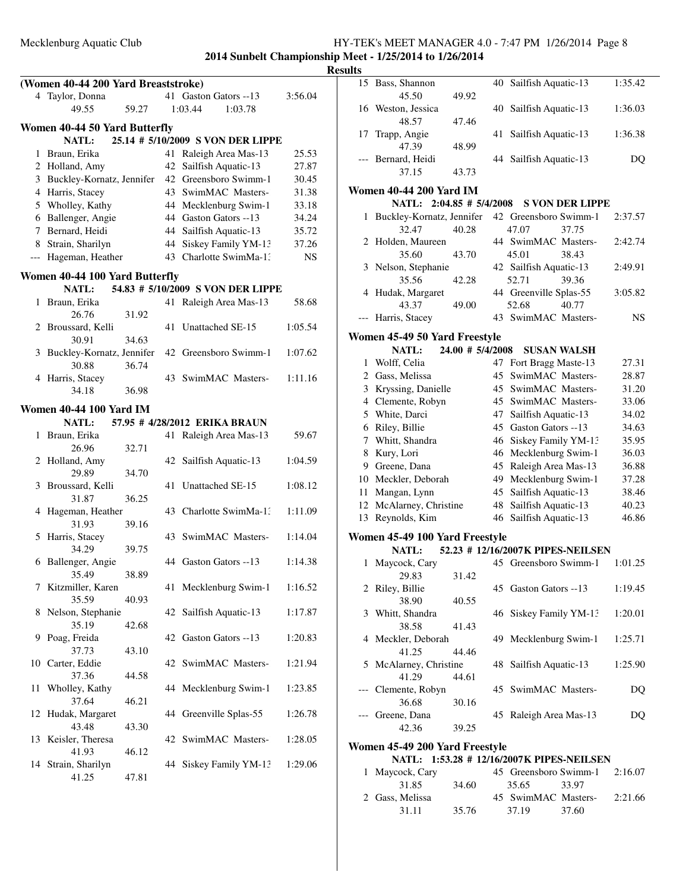**2014 Sunbelt Championship Meet - 1/25/2014 to 1/26/2014**

|    |                                     |       |                                   |         | <b>Result</b> |
|----|-------------------------------------|-------|-----------------------------------|---------|---------------|
|    | (Women 40-44 200 Yard Breaststroke) |       |                                   |         |               |
|    | 4 Taylor, Donna                     |       | 41 Gaston Gators --13             | 3:56.04 |               |
|    | 49.55                               | 59.27 | 1:03.44<br>1:03.78                |         |               |
|    | Women 40-44 50 Yard Butterfly       |       |                                   |         |               |
|    | <b>NATL:</b>                        |       | 25.14 # 5/10/2009 S VON DER LIPPE |         |               |
|    | 1 Braun, Erika                      |       | 41 Raleigh Area Mas-13            | 25.53   |               |
|    | 2 Holland, Amy                      |       | 42 Sailfish Aquatic-13            | 27.87   |               |
|    | 3 Buckley-Kornatz, Jennifer         |       | 42 Greensboro Swimm-1             | 30.45   |               |
|    | 4 Harris, Stacey                    |       | 43 SwimMAC Masters-               | 31.38   | W             |
|    | 5 Wholley, Kathy                    |       | 44 Mecklenburg Swim-1             | 33.18   |               |
|    | 6 Ballenger, Angie                  |       | 44 Gaston Gators --13             | 34.24   |               |
|    | 7 Bernard, Heidi                    |       | 44 Sailfish Aquatic-13            | 35.72   |               |
|    | 8 Strain, Sharilyn                  |       | 44 Siskey Family YM-13            | 37.26   |               |
|    | --- Hageman, Heather                |       | 43 Charlotte SwimMa-1:            | NS.     |               |
|    |                                     |       |                                   |         |               |
|    | Women 40-44 100 Yard Butterfly      |       |                                   |         |               |
|    | NATL:                               |       | 54.83 # 5/10/2009 S VON DER LIPPE |         |               |
|    | 1 Braun, Erika                      |       | 41 Raleigh Area Mas-13            | 58.68   |               |
|    | 26.76                               | 31.92 |                                   |         |               |
|    | 2 Broussard, Kelli                  |       | 41 Unattached SE-15               | 1:05.54 | W             |
|    | 30.91                               | 34.63 |                                   |         |               |
|    | 3 Buckley-Kornatz, Jennifer         |       | 42 Greensboro Swimm-1             | 1:07.62 |               |
|    | 30.88                               | 36.74 |                                   |         |               |
|    | 4 Harris, Stacey                    |       | 43 SwimMAC Masters-               | 1:11.16 |               |
|    | 34.18                               | 36.98 |                                   |         |               |
|    | <b>Women 40-44 100 Yard IM</b>      |       |                                   |         |               |
|    | <b>NATL:</b>                        |       | 57.95 # 4/28/2012 ERIKA BRAUN     |         |               |
|    | 1 Braun, Erika                      |       | 41 Raleigh Area Mas-13            | 59.67   |               |
|    | 26.96                               | 32.71 |                                   |         |               |
|    | 2 Holland, Amy                      |       | 42 Sailfish Aquatic-13            | 1:04.59 |               |
|    | 29.89                               | 34.70 |                                   |         |               |
|    | 3 Broussard, Kelli                  |       | 41 Unattached SE-15               | 1:08.12 |               |
|    | 31.87                               | 36.25 |                                   |         |               |
|    | 4 Hageman, Heather                  |       | 43 Charlotte SwimMa-1:            | 1:11.09 |               |
|    | 31.93                               | 39.16 |                                   |         |               |
| 5  | Harris, Stacey                      |       | 43 SwimMAC Masters-               | 1:14.04 | W             |
|    | 34.29                               | 39.75 |                                   |         |               |
|    | 6 Ballenger, Angie                  |       | 44 Gaston Gators --13             | 1:14.38 |               |
|    | 35.49                               | 38.89 |                                   |         |               |
| 7  | Kitzmiller, Karen                   |       | 41 Mecklenburg Swim-1             | 1:16.52 |               |
|    | 35.59                               | 40.93 |                                   |         |               |
| 8  | Nelson, Stephanie                   |       | 42 Sailfish Aquatic-13            | 1:17.87 |               |
|    | 35.19                               | 42.68 |                                   |         |               |
| 9  | Poag, Freida                        |       | 42 Gaston Gators --13             | 1:20.83 |               |
|    | 37.73                               | 43.10 |                                   |         |               |
|    | 10 Carter, Eddie                    |       | 42 SwimMAC Masters-               | 1:21.94 |               |
|    | 37.36                               | 44.58 |                                   |         |               |
| 11 | Wholley, Kathy                      |       | 44 Mecklenburg Swim-1             | 1:23.85 |               |
|    | 37.64                               | 46.21 |                                   |         |               |
| 12 | Hudak, Margaret                     |       | 44 Greenville Splas-55            | 1:26.78 |               |
|    | 43.48                               | 43.30 |                                   |         |               |
| 13 | Keisler, Theresa                    |       | 42 SwimMAC Masters-               | 1:28.05 | W             |
|    | 41.93                               | 46.12 |                                   |         |               |
|    | 14 Strain, Sharilyn                 |       | 44 Siskey Family YM-13            | 1:29.06 |               |
|    | 41.25                               | 47.81 |                                   |         |               |
|    |                                     |       |                                   |         |               |

| llts  |                                           |                  |     |                                   |                        |         |
|-------|-------------------------------------------|------------------|-----|-----------------------------------|------------------------|---------|
|       | 15 Bass, Shannon                          |                  |     | 40 Sailfish Aquatic-13            |                        | 1:35.42 |
|       | 45.50                                     | 49.92            |     |                                   |                        |         |
|       | 16 Weston, Jessica                        |                  |     | 40 Sailfish Aquatic-13            |                        | 1:36.03 |
|       | 48.57                                     | 47.46            |     |                                   |                        |         |
| 17    | Trapp, Angie                              |                  | 41  | Sailfish Aquatic-13               |                        | 1:36.38 |
|       | 47.39                                     | 48.99            |     |                                   |                        |         |
| $---$ | Bernard, Heidi                            |                  |     | 44 Sailfish Aquatic-13            |                        | DQ      |
|       | 37.15                                     | 43.73            |     |                                   |                        |         |
|       | <b>Women 40-44 200 Yard IM</b>            |                  |     |                                   |                        |         |
|       | NATL: 2:04.85 # 5/4/2008                  |                  |     |                                   | <b>S VON DER LIPPE</b> |         |
| 1     | Buckley-Kornatz, Jennifer                 |                  |     | 42 Greensboro Swimm-1             |                        | 2:37.57 |
|       | 32.47                                     | 40.28            |     | 47.07                             | 37.75                  |         |
|       | 2 Holden, Maureen                         |                  |     | 44 SwimMAC Masters-               |                        | 2:42.74 |
|       | 35.60                                     | 43.70            |     | 45.01                             | 38.43                  |         |
|       | 3 Nelson, Stephanie                       |                  |     | 42 Sailfish Aquatic-13            |                        | 2:49.91 |
|       | 35.56                                     | 42.28            |     | 52.71                             | 39.36                  |         |
|       | 4 Hudak, Margaret                         |                  |     | 44 Greenville Splas-55            |                        | 3:05.82 |
|       | 43.37                                     | 49.00            |     | 52.68<br>43 SwimMAC Masters-      | 40.77                  |         |
|       | Harris, Stacey                            |                  |     |                                   |                        | NS      |
|       | Women 45-49 50 Yard Freestyle             |                  |     |                                   |                        |         |
|       | <b>NATL:</b>                              | 24.00 # 5/4/2008 |     |                                   | <b>SUSAN WALSH</b>     |         |
|       | 1 Wolff, Celia                            |                  | 47  | Fort Bragg Maste-13               |                        | 27.31   |
|       | 2 Gass, Melissa                           |                  | 45  | SwimMAC Masters-                  |                        | 28.87   |
|       | 3 Kryssing, Danielle                      |                  | 45  | SwimMAC Masters-                  |                        | 31.20   |
|       | 4 Clemente, Robyn                         |                  |     | 45 SwimMAC Masters-               |                        | 33.06   |
|       | 5 White, Darci                            |                  | 47  | Sailfish Aquatic-13               |                        | 34.02   |
|       | 6 Riley, Billie                           |                  |     | 45 Gaston Gators -- 13            |                        | 34.63   |
|       | 7 Whitt, Shandra                          |                  |     | 46 Siskey Family YM-13            |                        | 35.95   |
|       | 8 Kury, Lori                              |                  |     | 46 Mecklenburg Swim-1             |                        | 36.03   |
|       | 9 Greene, Dana                            |                  |     | 45 Raleigh Area Mas-13            |                        | 36.88   |
|       | 10 Meckler, Deborah                       |                  |     | 49 Mecklenburg Swim-1             |                        | 37.28   |
| 11    | Mangan, Lynn                              |                  |     | 45 Sailfish Aquatic-13            |                        | 38.46   |
|       | 12 McAlarney, Christine                   |                  | 48  | Sailfish Aquatic-13               |                        | 40.23   |
|       | 13 Reynolds, Kim                          |                  |     | 46 Sailfish Aquatic-13            |                        | 46.86   |
|       | Women 45-49 100 Yard Freestyle            |                  |     |                                   |                        |         |
|       | <b>NATL:</b>                              |                  |     | 52.23 # 12/16/2007K PIPES-NEILSEN |                        |         |
| 1     | Maycock, Cary                             |                  |     | 45 Greensboro Swimm-1             |                        | 1:01.25 |
|       | 29.83                                     | 31.42            |     |                                   |                        |         |
|       | 2 Riley, Billie                           |                  |     | 45 Gaston Gators --13             |                        | 1:19.45 |
|       | 38.90                                     | 40.55            |     |                                   |                        |         |
| 3     | Whitt, Shandra                            |                  |     | 46 Siskey Family YM-13            |                        | 1:20.01 |
|       | 38.58                                     | 41.43            |     |                                   |                        |         |
|       | 4 Meckler, Deborah                        |                  | 49. | Mecklenburg Swim-1                |                        | 1:25.71 |
|       | 41.25                                     | 44.46            |     |                                   |                        |         |
| 5     | McAlarney, Christine                      |                  |     | 48 Sailfish Aquatic-13            |                        | 1:25.90 |
|       | 41.29                                     | 44.61            |     |                                   |                        |         |
|       | Clemente, Robyn                           |                  |     | 45 SwimMAC Masters-               |                        | DQ      |
|       | 36.68                                     | 30.16            |     |                                   |                        |         |
|       | Greene, Dana                              |                  |     | 45 Raleigh Area Mas-13            |                        | DQ      |
|       | 42.36                                     | 39.25            |     |                                   |                        |         |
|       | Women 45-49 200 Yard Freestyle            |                  |     |                                   |                        |         |
|       | NATL: 1:53.28 # 12/16/2007K PIPES-NEILSEN |                  |     |                                   |                        |         |
| 1     | Maycock, Cary                             |                  |     | 45 Greensboro Swimm-1             |                        | 2:16.07 |
|       | 31.85                                     | 34.60            |     | 35.65                             | 33.97                  |         |

2 Gass, Melissa 45 SwimMAC Masters-2:21.66 31.11 35.76 37.19 37.60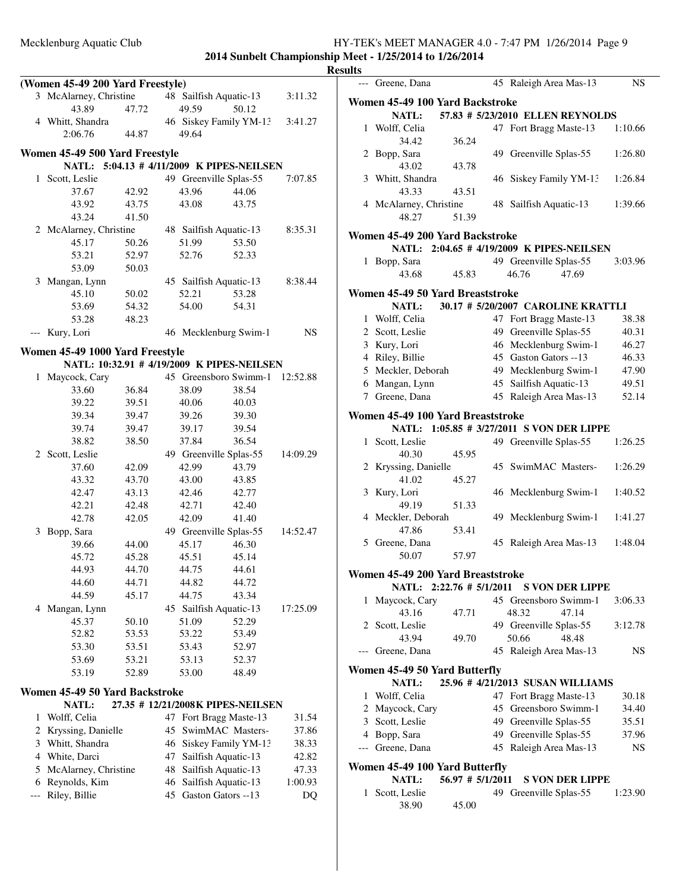|     |                                  |                |    |                |                                            |          | <b>Results</b> |
|-----|----------------------------------|----------------|----|----------------|--------------------------------------------|----------|----------------|
|     | (Women 45-49 200 Yard Freestyle) |                |    |                |                                            |          |                |
|     | 3 McAlarney, Christine           |                |    |                | 48 Sailfish Aquatic-13                     | 3:11.32  | W              |
|     | 43.89                            | 47.72          |    | 49.59          | 50.12                                      |          |                |
|     | 4 Whitt, Shandra<br>2:06.76      | 44.87          |    | 49.64          | 46 Siskey Family YM-13 3:41.27             |          |                |
|     |                                  |                |    |                |                                            |          |                |
|     | Women 45-49 500 Yard Freestyle   |                |    |                |                                            |          |                |
|     |                                  |                |    |                | NATL: 5:04.13 # 4/11/2009 K PIPES-NEILSEN  |          |                |
|     | 1 Scott, Leslie                  |                |    |                | 49 Greenville Splas-55                     | 7:07.85  |                |
|     | 37.67                            | 42.92          |    | 43.96          | 44.06                                      |          |                |
|     | 43.92                            | 43.75          |    | 43.08          | 43.75                                      |          |                |
|     | 43.24                            | 41.50          |    |                |                                            |          |                |
|     | 2 McAlarney, Christine           |                |    |                | 48 Sailfish Aquatic-13                     | 8:35.31  | W              |
|     | 45.17                            | 50.26          |    | 51.99          | 53.50                                      |          |                |
|     | 53.21                            | 52.97          |    | 52.76          | 52.33                                      |          |                |
|     | 53.09                            | 50.03          |    |                |                                            |          |                |
|     | 3 Mangan, Lynn                   |                |    |                | 45 Sailfish Aquatic-13                     | 8:38.44  |                |
|     | 45.10                            | 50.02          |    | 52.21          | 53.28                                      |          | W              |
|     | 53.69                            | 54.32<br>48.23 |    | 54.00          | 54.31                                      |          |                |
|     | 53.28                            |                |    |                |                                            |          |                |
|     | --- Kury, Lori                   |                |    |                | 46 Mecklenburg Swim-1                      | NS       |                |
|     | Women 45-49 1000 Yard Freestyle  |                |    |                |                                            |          |                |
|     |                                  |                |    |                | NATL: 10:32.91 # 4/19/2009 K PIPES-NEILSEN |          |                |
|     | 1 Maycock, Cary                  |                |    |                | 45 Greensboro Swimm-1 12:52.88             |          |                |
|     | 33.60                            | 36.84          |    | 38.09          | 38.54                                      |          |                |
|     | 39.22                            | 39.51          |    | 40.06          | 40.03                                      |          |                |
|     | 39.34                            | 39.47          |    | 39.26          | 39.30                                      |          | W              |
|     | 39.74                            | 39.47          |    | 39.17          | 39.54                                      |          |                |
|     | 38.82                            | 38.50          |    | 37.84          | 36.54                                      |          |                |
|     | 2 Scott, Leslie                  |                |    |                | 49 Greenville Splas-55                     | 14:09.29 |                |
|     | 37.60                            | 42.09          |    | 42.99<br>43.00 | 43.79                                      |          |                |
|     | 43.32<br>42.47                   | 43.70<br>43.13 |    | 42.46          | 43.85<br>42.77                             |          |                |
|     | 42.21                            | 42.48          |    | 42.71          | 42.40                                      |          |                |
|     | 42.78                            | 42.05          |    | 42.09          | 41.40                                      |          |                |
|     | 3 Bopp, Sara                     |                |    |                | 49 Greenville Splas-55                     | 14:52.47 |                |
|     | 39.66                            | 44.00          |    | 45.17          | 46.30                                      |          |                |
|     | 45.72                            | 45.28          |    | 45.51          | 45.14                                      |          |                |
|     | 44.93                            | 44.70          |    | 44.75          | 44.61                                      |          |                |
|     | 44.60                            | 44.71          |    | 44.82          | 44.72                                      |          | Wo             |
|     | 44.59                            | 45.17          |    | 44.75          | 43.34                                      |          |                |
|     | 4 Mangan, Lynn                   |                |    |                | 45 Sailfish Aquatic-13                     | 17:25.09 |                |
|     | 45.37                            | 50.10          |    | 51.09          | 52.29                                      |          |                |
|     | 52.82                            | 53.53          |    | 53.22          | 53.49                                      |          |                |
|     | 53.30                            | 53.51          |    | 53.43          | 52.97                                      |          |                |
|     | 53.69                            | 53.21          |    | 53.13          | 52.37                                      |          |                |
|     | 53.19                            | 52.89          |    | 53.00          | 48.49                                      |          | W              |
|     | Women 45-49 50 Yard Backstroke   |                |    |                |                                            |          |                |
|     | NATL:                            |                |    |                | 27.35 # 12/21/2008K PIPES-NEILSEN          |          |                |
|     | 1 Wolff, Celia                   |                |    |                | 47 Fort Bragg Maste-13                     | 31.54    |                |
|     | 2 Kryssing, Danielle             |                | 45 |                | SwimMAC Masters-                           | 37.86    |                |
|     | 3 Whitt, Shandra                 |                | 46 |                | Siskey Family YM-13                        | 38.33    |                |
|     | 4 White, Darci                   |                | 47 |                | Sailfish Aquatic-13                        | 42.82    |                |
|     | 5 McAlarney, Christine           |                | 48 |                | Sailfish Aquatic-13                        | 47.33    | Wo             |
|     | 6 Reynolds, Kim                  |                | 46 |                | Sailfish Aquatic-13                        | 1:00.93  |                |
| --- | Riley, Billie                    |                |    |                | 45 Gaston Gators --13                      | DQ       |                |
|     |                                  |                |    |                |                                            |          |                |
|     |                                  |                |    |                |                                            |          |                |
|     |                                  |                |    |                |                                            |          |                |

|   | --- Greene, Dana                       |                  |    | 45 Raleigh Area Mas-13                          | <b>NS</b> |  |  |  |  |
|---|----------------------------------------|------------------|----|-------------------------------------------------|-----------|--|--|--|--|
|   | Women 45-49 100 Yard Backstroke        |                  |    |                                                 |           |  |  |  |  |
|   | NATL:                                  |                  |    | 57.83 # 5/23/2010 ELLEN REYNOLDS                |           |  |  |  |  |
|   | 1 Wolff, Celia                         |                  |    | 47 Fort Bragg Maste-13                          | 1:10.66   |  |  |  |  |
|   | 34.42                                  | 36.24            |    |                                                 |           |  |  |  |  |
|   | 2 Bopp, Sara                           |                  |    | 49 Greenville Splas-55                          | 1:26.80   |  |  |  |  |
|   | 43.02                                  | 43.78            |    |                                                 |           |  |  |  |  |
|   | 3 Whitt, Shandra                       |                  |    | 46 Siskey Family YM-13                          | 1:26.84   |  |  |  |  |
|   | 43.33                                  | 43.51            |    |                                                 |           |  |  |  |  |
|   | 4 McAlarney, Christine                 |                  |    | 48 Sailfish Aquatic-13                          | 1:39.66   |  |  |  |  |
|   | 48.27                                  | 51.39            |    |                                                 |           |  |  |  |  |
|   | Women 45-49 200 Yard Backstroke        |                  |    |                                                 |           |  |  |  |  |
|   |                                        |                  |    | NATL: 2:04.65 # 4/19/2009 K PIPES-NEILSEN       |           |  |  |  |  |
| 1 | Bopp, Sara                             |                  |    | 49 Greenville Splas-55                          | 3:03.96   |  |  |  |  |
|   | 43.68                                  | 45.83            |    | 46.76<br>47.69                                  |           |  |  |  |  |
|   |                                        |                  |    |                                                 |           |  |  |  |  |
|   | Women 45-49 50 Yard Breaststroke       |                  |    |                                                 |           |  |  |  |  |
|   | <b>NATL:</b>                           |                  |    | 30.17 # 5/20/2007 CAROLINE KRATTLI              |           |  |  |  |  |
|   | 1 Wolff, Celia                         |                  |    | 47 Fort Bragg Maste-13                          | 38.38     |  |  |  |  |
|   | 2 Scott, Leslie                        |                  |    | 49 Greenville Splas-55                          | 40.31     |  |  |  |  |
|   | 3 Kury, Lori                           |                  |    | 46 Mecklenburg Swim-1                           | 46.27     |  |  |  |  |
|   | 4 Riley, Billie                        |                  |    | 45 Gaston Gators --13                           | 46.33     |  |  |  |  |
|   | 5 Meckler, Deborah                     |                  |    | 49 Mecklenburg Swim-1                           | 47.90     |  |  |  |  |
|   | 6 Mangan, Lynn                         |                  |    | 45 Sailfish Aquatic-13                          | 49.51     |  |  |  |  |
| 7 | Greene, Dana                           |                  |    | 45 Raleigh Area Mas-13                          | 52.14     |  |  |  |  |
|   | Women 45-49 100 Yard Breaststroke      |                  |    |                                                 |           |  |  |  |  |
|   | <b>NATL:</b>                           |                  |    | 1:05.85 # 3/27/2011 S VON DER LIPPE             |           |  |  |  |  |
| 1 | Scott, Leslie                          |                  |    | 49 Greenville Splas-55                          | 1:26.25   |  |  |  |  |
|   | 40.30                                  | 45.95            |    |                                                 |           |  |  |  |  |
|   | 2 Kryssing, Danielle                   |                  |    | 45 SwimMAC Masters-                             | 1:26.29   |  |  |  |  |
|   | 41.02                                  | 45.27            |    |                                                 |           |  |  |  |  |
| 3 | Kury, Lori                             |                  |    | 46 Mecklenburg Swim-1                           | 1:40.52   |  |  |  |  |
|   | 49.19                                  | 51.33            |    |                                                 |           |  |  |  |  |
|   | 4 Meckler, Deborah                     |                  |    | 49 Mecklenburg Swim-1                           | 1:41.27   |  |  |  |  |
|   | 47.86                                  | 53.41            |    |                                                 |           |  |  |  |  |
|   | 5 Greene, Dana                         |                  | 45 | Raleigh Area Mas-13                             | 1:48.04   |  |  |  |  |
|   | 50.07                                  | 57.97            |    |                                                 |           |  |  |  |  |
|   | Women 45-49 200 Yard Breaststroke      |                  |    |                                                 |           |  |  |  |  |
|   | NATL: 2:22.76 # 5/1/2011               |                  |    | <b>S VON DER LIPPE</b>                          |           |  |  |  |  |
| 1 | Maycock, Cary                          |                  |    | 45 Greensboro Swimm-1                           | 3:06.33   |  |  |  |  |
|   | 43.16                                  | 47.71            |    | 48.32<br>47.14                                  |           |  |  |  |  |
|   | 2 Scott, Leslie                        |                  |    | 49 Greenville Splas-55                          | 3:12.78   |  |  |  |  |
|   | 43.94                                  | 49.70            |    | 50.66<br>48.48                                  |           |  |  |  |  |
|   | Greene, Dana                           |                  |    | 45 Raleigh Area Mas-13                          | NS.       |  |  |  |  |
|   |                                        |                  |    |                                                 |           |  |  |  |  |
|   | Women 45-49 50 Yard Butterfly<br>NATL: |                  |    | 25.96 # 4/21/2013 SUSAN WILLIAMS                |           |  |  |  |  |
|   | 1 Wolff, Celia                         |                  |    |                                                 | 30.18     |  |  |  |  |
|   |                                        |                  |    | 47 Fort Bragg Maste-13<br>45 Greensboro Swimm-1 |           |  |  |  |  |
|   | 2 Maycock, Cary                        |                  |    |                                                 | 34.40     |  |  |  |  |
|   | 3 Scott, Leslie                        |                  |    | 49 Greenville Splas-55                          | 35.51     |  |  |  |  |
|   | 4 Bopp, Sara                           |                  |    | 49 Greenville Splas-55                          | 37.96     |  |  |  |  |
|   | --- Greene, Dana                       |                  |    | 45 Raleigh Area Mas-13                          | <b>NS</b> |  |  |  |  |
|   | Women 45-49 100 Yard Butterfly         |                  |    |                                                 |           |  |  |  |  |
|   | NATL:                                  | 56.97 # 5/1/2011 |    | <b>S VON DER LIPPE</b>                          |           |  |  |  |  |
| 1 | Scott, Leslie                          |                  |    | 49 Greenville Splas-55                          | 1:23.90   |  |  |  |  |
|   | 38.90                                  | 45.00            |    |                                                 |           |  |  |  |  |
|   |                                        |                  |    |                                                 |           |  |  |  |  |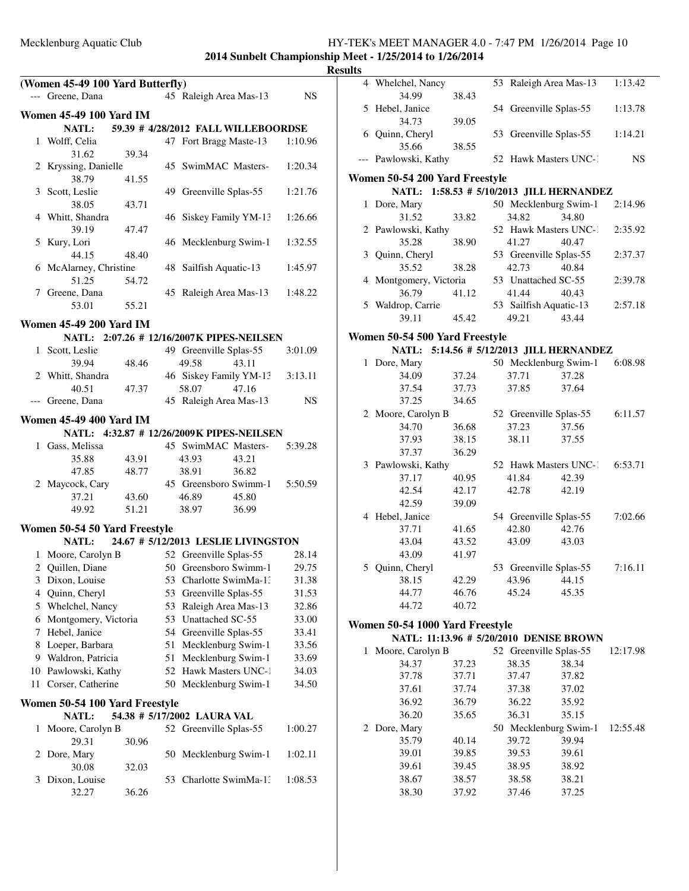# Mecklenburg Aquatic Club<br>
2014 Suppelt Championship Meet - 1/25/2014 to 1/26/2014<br>
2014 Suppelt Championship Meet - 1/25/2014 to 1/26/2014

|    |                                                                             |       |    |                             |                                     | 2014 Sunden Unampionshi<br>R |
|----|-----------------------------------------------------------------------------|-------|----|-----------------------------|-------------------------------------|------------------------------|
|    | (Women 45-49 100 Yard Butterfly)                                            |       |    |                             |                                     |                              |
|    | --- Greene, Dana                                                            |       |    | 45 Raleigh Area Mas-13      |                                     | NS.                          |
|    |                                                                             |       |    |                             |                                     |                              |
|    | <b>Women 45-49 100 Yard IM</b>                                              |       |    |                             |                                     |                              |
|    | NATL:                                                                       |       |    |                             | 59.39 # 4/28/2012 FALL WILLEBOORDSE |                              |
|    | 1 Wolff, Celia                                                              |       |    | 47 Fort Bragg Maste-13      |                                     | 1:10.96                      |
|    | 31.62                                                                       | 39.34 |    |                             |                                     |                              |
|    | 2 Kryssing, Danielle<br>38.79                                               | 41.55 |    |                             | 45 SwimMAC Masters-                 | 1:20.34                      |
|    | 3 Scott, Leslie                                                             |       |    | 49 Greenville Splas-55      |                                     | 1:21.76                      |
|    | 38.05                                                                       | 43.71 |    |                             |                                     |                              |
|    | 4 Whitt, Shandra                                                            |       |    |                             | 46 Siskey Family YM-13              | 1:26.66                      |
|    | 39.19                                                                       | 47.47 |    |                             |                                     |                              |
|    | 5 Kury, Lori                                                                |       |    | 46 Mecklenburg Swim-1       |                                     | 1:32.55                      |
|    | 44.15                                                                       | 48.40 |    |                             |                                     |                              |
|    | 6 McAlarney, Christine                                                      |       |    | 48 Sailfish Aquatic-13      |                                     | 1:45.97                      |
|    | 51.25                                                                       | 54.72 |    |                             |                                     |                              |
|    | 7 Greene, Dana                                                              |       |    | 45 Raleigh Area Mas-13      |                                     | 1:48.22                      |
|    | 53.01                                                                       | 55.21 |    |                             |                                     |                              |
|    | <b>Women 45-49 200 Yard IM</b>                                              |       |    |                             |                                     |                              |
|    | NATL: 2:07.26 # 12/16/2007K PIPES-NEILSEN                                   |       |    |                             |                                     |                              |
|    | 1 Scott, Leslie                                                             |       |    | 49 Greenville Splas-55      |                                     | 3:01.09                      |
|    | 39.94                                                                       | 48.46 |    | 49.58                       | 43.11                               |                              |
|    | 2 Whitt, Shandra                                                            |       |    |                             | 46 Siskey Family YM-13              | 3:13.11                      |
|    | 40.51                                                                       | 47.37 |    | 58.07                       | 47.16                               |                              |
|    | --- Greene, Dana                                                            |       |    | 45 Raleigh Area Mas-13      |                                     | NS                           |
|    |                                                                             |       |    |                             |                                     |                              |
|    | <b>Women 45-49 400 Yard IM</b><br>NATL: 4:32.87 # 12/26/2009K PIPES-NEILSEN |       |    |                             |                                     |                              |
|    | 1 Gass, Melissa                                                             |       |    |                             | 45 SwimMAC Masters-                 | 5:39.28                      |
|    | 35.88                                                                       | 43.91 |    | 43.93                       | 43.21                               |                              |
|    | 47.85                                                                       | 48.77 |    | 38.91                       | 36.82                               |                              |
|    | 2 Maycock, Cary                                                             |       |    |                             | 45 Greensboro Swimm-1               | 5:50.59                      |
|    | 37.21                                                                       | 43.60 |    | 46.89                       | 45.80                               |                              |
|    | 49.92                                                                       | 51.21 |    | 38.97 36.99                 |                                     |                              |
|    |                                                                             |       |    |                             |                                     |                              |
|    | Women 50-54 50 Yard Freestyle<br>NATL:                                      |       |    |                             |                                     |                              |
|    | 1 Moore, Carolyn B                                                          |       |    |                             | 24.67 # 5/12/2013 LESLIE LIVINGSTON |                              |
|    |                                                                             |       |    | 52 Greenville Splas-55      |                                     | 28.14                        |
| 2  | Quillen, Diane                                                              |       |    | 50 Greensboro Swimm-1       |                                     | 29.75                        |
| 3  | Dixon, Louise                                                               |       | 53 | Charlotte SwimMa-1.         |                                     | 31.38                        |
| 4  | Quinn, Cheryl                                                               |       | 53 | Greenville Splas-55         |                                     | 31.53                        |
| 5  | Whelchel, Nancy                                                             |       | 53 | Raleigh Area Mas-13         |                                     | 32.86                        |
| 6  | Montgomery, Victoria                                                        |       |    | 53 Unattached SC-55         |                                     | 33.00                        |
| 7  | Hebel, Janice                                                               |       | 54 | Greenville Splas-55         |                                     | 33.41                        |
| 8  | Loeper, Barbara                                                             |       | 51 | Mecklenburg Swim-1          |                                     | 33.56                        |
| 9  | Waldron, Patricia                                                           |       | 51 | Mecklenburg Swim-1          |                                     | 33.69                        |
| 10 | Pawlowski, Kathy                                                            |       |    | 52 Hawk Masters UNC-1       |                                     | 34.03                        |
| 11 | Corser, Catherine                                                           |       | 50 | Mecklenburg Swim-1          |                                     | 34.50                        |
|    | Women 50-54 100 Yard Freestyle                                              |       |    |                             |                                     |                              |
|    | NATL:                                                                       |       |    | 54.38 # 5/17/2002 LAURA VAL |                                     |                              |
| 1  | Moore, Carolyn B                                                            |       |    | 52 Greenville Splas-55      |                                     | 1:00.27                      |
|    | 29.31                                                                       | 30.96 |    |                             |                                     |                              |
| 2  | Dore, Mary                                                                  |       | 50 | Mecklenburg Swim-1          |                                     | 1:02.11                      |
|    | 30.08                                                                       | 32.03 |    |                             |                                     |                              |
| 3  | Dixon, Louise                                                               |       | 53 | Charlotte SwimMa-1.         |                                     | 1:08.53                      |
|    | 32.27                                                                       | 36.26 |    |                             |                                     |                              |
|    |                                                                             |       |    |                             |                                     |                              |

| ., | <b>Results</b> |                                          |                |                               |                |           |
|----|----------------|------------------------------------------|----------------|-------------------------------|----------------|-----------|
|    |                | 4 Whelchel, Nancy                        |                | 53 Raleigh Area Mas-13        |                | 1:13.42   |
|    |                | 34.99                                    | 38.43          |                               |                |           |
|    | 5              | Hebel, Janice                            |                | 54 Greenville Splas-55        |                | 1:13.78   |
|    |                | 34.73                                    | 39.05          |                               |                |           |
|    |                | 6 Quinn, Cheryl                          |                | 53 Greenville Splas-55        |                | 1:14.21   |
|    |                | 35.66                                    | 38.55          |                               |                |           |
|    |                | --- Pawlowski, Kathy                     |                | 52 Hawk Masters UNC-1         |                | <b>NS</b> |
|    |                | Women 50-54 200 Yard Freestyle           |                |                               |                |           |
|    |                | NATL: 1:58.53 # 5/10/2013 JILL HERNANDEZ |                |                               |                |           |
|    |                | 1 Dore, Mary                             |                | 50 Mecklenburg Swim-1         |                | 2:14.96   |
|    |                | 31.52                                    | 33.82          | 34.82                         | 34.80          |           |
|    |                | 2 Pawlowski, Kathy                       |                | 52 Hawk Masters UNC-1         |                | 2:35.92   |
|    |                | 35.28                                    | 38.90          | 41.27                         | 40.47          |           |
|    |                | 3 Quinn, Cheryl                          |                | 53 Greenville Splas-55        |                | 2:37.37   |
|    |                | 35.52                                    | 38.28          | 42.73                         | 40.84          |           |
|    |                | 4 Montgomery, Victoria                   |                | 53 Unattached SC-55           |                | 2:39.78   |
|    |                | 36.79                                    | 41.12          | 41.44                         | 40.43          |           |
|    |                | 5 Waldrop, Carrie                        |                | 53 Sailfish Aquatic-13        |                | 2:57.18   |
|    |                | 39.11                                    | 45.42          | 49.21                         | 43.44          |           |
|    |                | Women 50-54 500 Yard Freestyle           |                |                               |                |           |
|    |                | NATL: 5:14.56 # 5/12/2013 JILL HERNANDEZ |                |                               |                |           |
|    |                | 1 Dore, Mary                             |                | 50 Mecklenburg Swim-1 6:08.98 |                |           |
|    |                | 34.09                                    | 37.24          | 37.71                         | 37.28          |           |
|    |                | 37.54                                    | 37.73          | 37.85                         | 37.64          |           |
|    |                | 37.25                                    | 34.65          |                               |                |           |
|    |                | 2 Moore, Carolyn B                       |                | 52 Greenville Splas-55        |                | 6:11.57   |
|    |                | 34.70                                    | 36.68          | 37.23                         | 37.56          |           |
|    |                | 37.93                                    | 38.15          | 38.11                         | 37.55          |           |
|    |                | 37.37                                    | 36.29          |                               |                |           |
|    |                | 3 Pawlowski, Kathy                       |                | 52 Hawk Masters UNC-1 6:53.71 |                |           |
|    |                | 37.17                                    | 40.95          | 41.84                         | 42.39          |           |
|    |                | 42.54                                    | 42.17          | 42.78                         | 42.19          |           |
|    |                | 42.59                                    | 39.09          |                               |                |           |
|    |                | 4 Hebel, Janice                          |                | 54 Greenville Splas-55        |                | 7:02.66   |
|    |                | 37.71<br>43.04                           | 41.65          | 42.80                         | 42.76<br>43.03 |           |
|    |                | 43.09                                    | 43.52<br>41.97 | 43.09                         |                |           |
|    |                | 5 Quinn, Cheryl                          |                | 53 Greenville Splas-55        |                | 7:16.11   |
|    |                | 38.15                                    | 42.29          | 43.96                         | 44.15          |           |
|    |                | 44.77                                    | 46.76          | 45.24                         | 45.35          |           |
|    |                | 44.72                                    | 40.72          |                               |                |           |
|    |                |                                          |                |                               |                |           |
|    |                | Women 50-54 1000 Yard Freestyle          |                |                               |                |           |
|    |                | NATL: 11:13.96 # 5/20/2010 DENISE BROWN  |                |                               |                |           |
|    |                | 1 Moore, Carolyn B                       |                | 52 Greenville Splas-55        |                | 12:17.98  |
|    |                | 34.37                                    | 37.23<br>37.71 | 38.35                         | 38.34          |           |
|    |                | 37.78                                    |                | 37.47                         | 37.82          |           |
|    |                | 37.61<br>36.92                           | 37.74<br>36.79 | 37.38<br>36.22                | 37.02<br>35.92 |           |
|    |                | 36.20                                    | 35.65          | 36.31                         | 35.15          |           |
|    |                | 2 Dore, Mary                             |                | 50 Mecklenburg Swim-1         |                | 12:55.48  |
|    |                | 35.79                                    | 40.14          | 39.72                         | 39.94          |           |
|    |                | 39.01                                    | 39.85          | 39.53                         | 39.61          |           |
|    |                | 39.61                                    | 39.45          | 38.95                         | 38.92          |           |
|    |                | 38.67                                    | 38.57          | 38.58                         | 38.21          |           |
|    |                | 38.30                                    | 37.92          | 37.46                         | 37.25          |           |
|    |                |                                          |                |                               |                |           |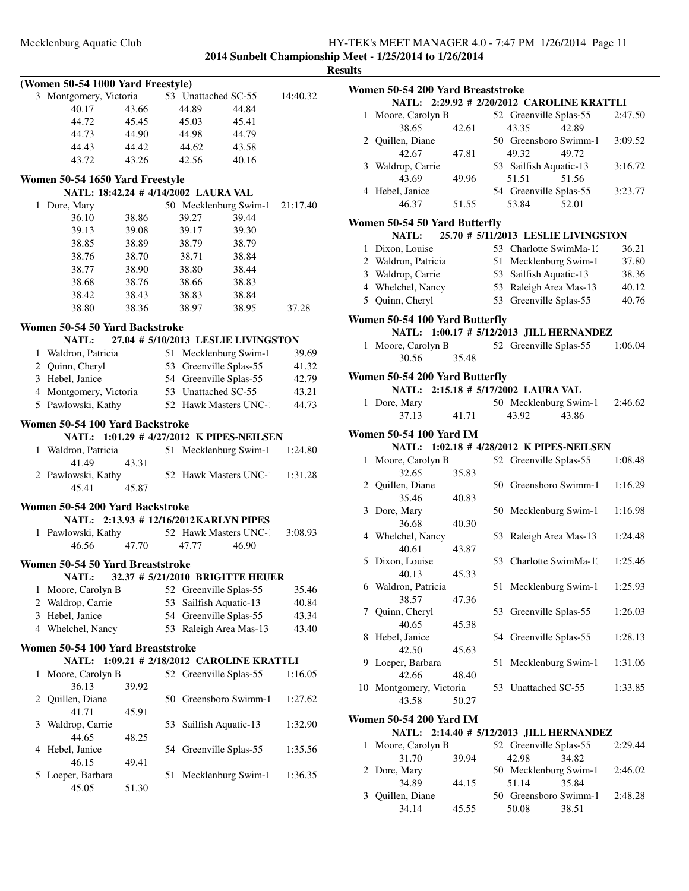**Results**

| (Women 50-54 1000 Yard Freestyle)                                            |                                                                         |       |    |                        |                                      |          |  |
|------------------------------------------------------------------------------|-------------------------------------------------------------------------|-------|----|------------------------|--------------------------------------|----------|--|
|                                                                              | 3 Montgomery, Victoria                                                  |       |    | 53 Unattached SC-55    |                                      | 14:40.32 |  |
|                                                                              | 40.17                                                                   | 43.66 |    | 44.89                  | 44.84                                |          |  |
|                                                                              | 44.72                                                                   | 45.45 |    | 45.03                  | 45.41                                |          |  |
|                                                                              | 44.73                                                                   | 44.90 |    | 44.98                  | 44.79                                |          |  |
|                                                                              | 44.43                                                                   | 44.42 |    | 44.62                  | 43.58                                |          |  |
|                                                                              | 43.72                                                                   | 43.26 |    | 42.56                  | 40.16                                |          |  |
|                                                                              |                                                                         |       |    |                        |                                      |          |  |
|                                                                              | Women 50-54 1650 Yard Freestyle<br>NATL: 18:42.24 # 4/14/2002 LAURA VAL |       |    |                        |                                      |          |  |
|                                                                              | 1 Dore, Mary                                                            |       |    |                        | 50 Mecklenburg Swim-1                | 21:17.40 |  |
|                                                                              | 36.10                                                                   | 38.86 |    | 39.27                  | 39.44                                |          |  |
|                                                                              | 39.13                                                                   | 39.08 |    | 39.17                  | 39.30                                |          |  |
|                                                                              | 38.85                                                                   | 38.89 |    | 38.79                  | 38.79                                |          |  |
|                                                                              | 38.76                                                                   |       |    | 38.71                  | 38.84                                |          |  |
|                                                                              | 38.77                                                                   | 38.70 |    | 38.80                  | 38.44                                |          |  |
|                                                                              |                                                                         | 38.90 |    |                        |                                      |          |  |
|                                                                              | 38.68                                                                   | 38.76 |    | 38.66                  | 38.83                                |          |  |
|                                                                              | 38.42                                                                   | 38.43 |    | 38.83                  | 38.84                                |          |  |
|                                                                              | 38.80                                                                   | 38.36 |    | 38.97                  | 38.95                                | 37.28    |  |
|                                                                              | Women 50-54 50 Yard Backstroke                                          |       |    |                        |                                      |          |  |
|                                                                              | NATL:                                                                   |       |    |                        | 27.04 # 5/10/2013 LESLIE LIVINGSTON  |          |  |
|                                                                              | 1 Waldron, Patricia                                                     |       |    | 51 Mecklenburg Swim-1  |                                      | 39.69    |  |
|                                                                              | 2 Quinn, Cheryl                                                         |       |    | 53 Greenville Splas-55 |                                      | 41.32    |  |
|                                                                              | 3 Hebel, Janice                                                         |       |    | 54 Greenville Splas-55 |                                      | 42.79    |  |
|                                                                              | 4 Montgomery, Victoria                                                  |       |    | 53 Unattached SC-55    |                                      | 43.21    |  |
|                                                                              | 5 Pawlowski, Kathy                                                      |       |    | 52 Hawk Masters UNC-1  |                                      | 44.73    |  |
|                                                                              |                                                                         |       |    |                        |                                      |          |  |
| Women 50-54 100 Yard Backstroke<br>NATL: 1:01.29 # 4/27/2012 K PIPES-NEILSEN |                                                                         |       |    |                        |                                      |          |  |
|                                                                              | 1 Waldron, Patricia                                                     |       | 51 |                        | Mecklenburg Swim-1                   | 1:24.80  |  |
|                                                                              | 41.49                                                                   | 43.31 |    |                        |                                      |          |  |
|                                                                              | 2 Pawlowski, Kathy                                                      |       |    |                        | 52 Hawk Masters UNC-1                | 1:31.28  |  |
|                                                                              | 45.41                                                                   | 45.87 |    |                        |                                      |          |  |
|                                                                              |                                                                         |       |    |                        |                                      |          |  |
|                                                                              | Women 50-54 200 Yard Backstroke                                         |       |    |                        |                                      |          |  |
|                                                                              | NATL: 2:13.93 # 12/16/2012 KARLYN PIPES                                 |       |    |                        |                                      |          |  |
|                                                                              | 1 Pawlowski, Kathy                                                      |       |    | 52 Hawk Masters UNC-1  |                                      | 3:08.93  |  |
|                                                                              | 46.56                                                                   | 47.70 |    | 47.77                  | 46.90                                |          |  |
|                                                                              | Women 50-54 50 Yard Breaststroke                                        |       |    |                        |                                      |          |  |
|                                                                              | <b>NATL:</b>                                                            |       |    |                        | 32.37 # 5/21/2010 BRIGITTE HEUER     |          |  |
| 1                                                                            | Moore, Carolyn B                                                        |       |    | 52 Greenville Splas-55 |                                      | 35.46    |  |
|                                                                              | 2 Waldrop, Carrie                                                       |       | 53 | Sailfish Aquatic-13    |                                      | 40.84    |  |
|                                                                              | 3 Hebel, Janice                                                         |       |    | 54 Greenville Splas-55 |                                      | 43.34    |  |
|                                                                              | 4 Whelchel, Nancy                                                       |       |    | 53 Raleigh Area Mas-13 |                                      | 43.40    |  |
|                                                                              |                                                                         |       |    |                        |                                      |          |  |
|                                                                              | Women 50-54 100 Yard Breaststroke                                       |       |    |                        | 1:09.21 # 2/18/2012 CAROLINE KRATTLI |          |  |
|                                                                              | <b>NATL:</b>                                                            |       |    |                        |                                      |          |  |
| 1                                                                            | Moore, Carolyn B                                                        |       |    | 52 Greenville Splas-55 |                                      | 1:16.05  |  |
|                                                                              | 36.13                                                                   | 39.92 |    |                        |                                      |          |  |
| 2                                                                            | Quillen, Diane                                                          |       |    | 50 Greensboro Swimm-1  |                                      | 1:27.62  |  |
|                                                                              | 41.71                                                                   | 45.91 |    |                        |                                      |          |  |
| 3                                                                            | Waldrop, Carrie                                                         |       | 53 | Sailfish Aquatic-13    |                                      | 1:32.90  |  |
|                                                                              | 44.65                                                                   | 48.25 |    |                        |                                      |          |  |
| 4                                                                            | Hebel, Janice                                                           |       |    | 54 Greenville Splas-55 |                                      | 1:35.56  |  |
|                                                                              | 46.15                                                                   | 49.41 |    |                        |                                      |          |  |
| 5                                                                            | Loeper, Barbara                                                         |       | 51 | Mecklenburg Swim-1     |                                      | 1:36.35  |  |
|                                                                              | 45.05                                                                   | 51.30 |    |                        |                                      |          |  |

| ults |                                                                                 |       |    |                                 |                                     |         |  |  |  |
|------|---------------------------------------------------------------------------------|-------|----|---------------------------------|-------------------------------------|---------|--|--|--|
|      | Women 50-54 200 Yard Breaststroke<br>NATL: 2:29.92 # 2/20/2012 CAROLINE KRATTLI |       |    |                                 |                                     |         |  |  |  |
| 1    | Moore, Carolyn B                                                                |       |    | 52 Greenville Splas-55          |                                     | 2:47.50 |  |  |  |
|      | 38.65                                                                           | 42.61 |    | 43.35                           | 42.89                               |         |  |  |  |
|      | 2 Quillen, Diane                                                                |       |    | 50 Greensboro Swimm-1           |                                     | 3:09.52 |  |  |  |
|      | 42.67                                                                           | 47.81 |    | 49.32                           | 49.72                               |         |  |  |  |
|      | 3 Waldrop, Carrie                                                               |       |    | 53 Sailfish Aquatic-13          |                                     | 3:16.72 |  |  |  |
|      | 43.69                                                                           |       |    |                                 | 51.56                               |         |  |  |  |
|      |                                                                                 | 49.96 |    | 51.51                           |                                     |         |  |  |  |
|      | 4 Hebel, Janice                                                                 |       |    | 54 Greenville Splas-55          |                                     | 3:23.77 |  |  |  |
|      | 46.37                                                                           | 51.55 |    | 53.84                           | 52.01                               |         |  |  |  |
|      | Women 50-54 50 Yard Butterfly                                                   |       |    |                                 |                                     |         |  |  |  |
|      | <b>NATL:</b>                                                                    |       |    |                                 | 25.70 # 5/11/2013 LESLIE LIVINGSTON |         |  |  |  |
|      | 1 Dixon, Louise                                                                 |       |    | 53 Charlotte SwimMa-1.          |                                     | 36.21   |  |  |  |
|      | 2 Waldron, Patricia                                                             |       |    | 51 Mecklenburg Swim-1           |                                     | 37.80   |  |  |  |
|      | 3 Waldrop, Carrie                                                               |       |    | 53 Sailfish Aquatic-13          |                                     | 38.36   |  |  |  |
|      | 4 Whelchel, Nancy                                                               |       |    | 53 Raleigh Area Mas-13          |                                     | 40.12   |  |  |  |
|      | 5 Quinn, Cheryl                                                                 |       | 53 | Greenville Splas-55             |                                     | 40.76   |  |  |  |
|      |                                                                                 |       |    |                                 |                                     |         |  |  |  |
|      | Women 50-54 100 Yard Butterfly                                                  |       |    |                                 |                                     |         |  |  |  |
|      | NATL: 1:00.17 # 5/12/2013 JILL HERNANDEZ                                        |       |    |                                 |                                     |         |  |  |  |
|      | 1 Moore, Carolyn B                                                              |       |    | 52 Greenville Splas-55          |                                     | 1:06.04 |  |  |  |
|      | 30.56                                                                           | 35.48 |    |                                 |                                     |         |  |  |  |
|      | Women 50-54 200 Yard Butterfly                                                  |       |    |                                 |                                     |         |  |  |  |
|      | NATL: 2:15.18 # 5/17/2002 LAURA VAL                                             |       |    |                                 |                                     |         |  |  |  |
|      | 1 Dore, Mary                                                                    |       |    | 50 Mecklenburg Swim-1           |                                     | 2:46.62 |  |  |  |
|      | 37.13                                                                           | 41.71 |    | 43.92                           | 43.86                               |         |  |  |  |
|      |                                                                                 |       |    |                                 |                                     |         |  |  |  |
|      | <b>Women 50-54 100 Yard IM</b>                                                  |       |    |                                 |                                     |         |  |  |  |
|      | NATL: 1:02.18 # 4/28/2012 K PIPES-NEILSEN                                       |       |    |                                 |                                     |         |  |  |  |
| 1    | Moore, Carolyn B                                                                |       |    | 52 Greenville Splas-55          |                                     | 1:08.48 |  |  |  |
|      | 32.65                                                                           | 35.83 |    |                                 |                                     |         |  |  |  |
|      | 2 Quillen, Diane                                                                |       |    | 50 Greensboro Swimm-1           |                                     | 1:16.29 |  |  |  |
|      | 35.46                                                                           | 40.83 |    |                                 |                                     |         |  |  |  |
|      | 3 Dore, Mary                                                                    |       |    |                                 |                                     |         |  |  |  |
|      |                                                                                 |       |    | 50 Mecklenburg Swim-1           |                                     | 1:16.98 |  |  |  |
|      | 36.68                                                                           | 40.30 |    |                                 |                                     |         |  |  |  |
|      | 4 Whelchel, Nancy                                                               |       |    | 53 Raleigh Area Mas-13          |                                     | 1:24.48 |  |  |  |
|      | 40.61                                                                           | 43.87 |    |                                 |                                     |         |  |  |  |
|      | 5 Dixon, Louise                                                                 |       |    | 53 Charlotte SwimMa-1.          |                                     | 1:25.46 |  |  |  |
|      | 40.13                                                                           | 45.33 |    |                                 |                                     |         |  |  |  |
|      | 6 Waldron, Patricia                                                             |       | 51 | Mecklenburg Swim-1              |                                     | 1:25.93 |  |  |  |
|      | 38.57                                                                           | 47.36 |    |                                 |                                     |         |  |  |  |
| 7    | Quinn, Cheryl                                                                   |       | 53 | Greenville Splas-55             |                                     | 1:26.03 |  |  |  |
|      | 40.65                                                                           | 45.38 |    |                                 |                                     |         |  |  |  |
| 8    | Hebel, Janice                                                                   |       | 54 | Greenville Splas-55             |                                     | 1:28.13 |  |  |  |
|      | 42.50                                                                           | 45.63 |    |                                 |                                     |         |  |  |  |
| 9    | Loeper, Barbara                                                                 |       | 51 | Mecklenburg Swim-1              |                                     | 1:31.06 |  |  |  |
|      | 42.66                                                                           | 48.40 |    |                                 |                                     |         |  |  |  |
|      | 10 Montgomery, Victoria                                                         |       |    | 53 Unattached SC-55             |                                     | 1:33.85 |  |  |  |
|      | 43.58                                                                           | 50.27 |    |                                 |                                     |         |  |  |  |
|      |                                                                                 |       |    |                                 |                                     |         |  |  |  |
|      | <b>Women 50-54 200 Yard IM</b>                                                  |       |    |                                 |                                     |         |  |  |  |
|      | NATL: 2:14.40 # 5/12/2013 JILL HERNANDEZ                                        |       |    |                                 |                                     |         |  |  |  |
| 1    | Moore, Carolyn B<br>31.70                                                       | 39.94 |    | 52 Greenville Splas-55<br>42.98 | 34.82                               | 2:29.44 |  |  |  |

| 2 Dore, Mary     | 50 Mecklenburg Swim-1 | 2:46.02               |       |         |
|------------------|-----------------------|-----------------------|-------|---------|
| 34.89            | 44.15                 | 51.14                 | 35.84 |         |
| 3 Ouillen, Diane |                       | 50 Greensboro Swimm-1 |       | 2:48.28 |
| 34.14            | 45.55                 | 50.08                 | 38.51 |         |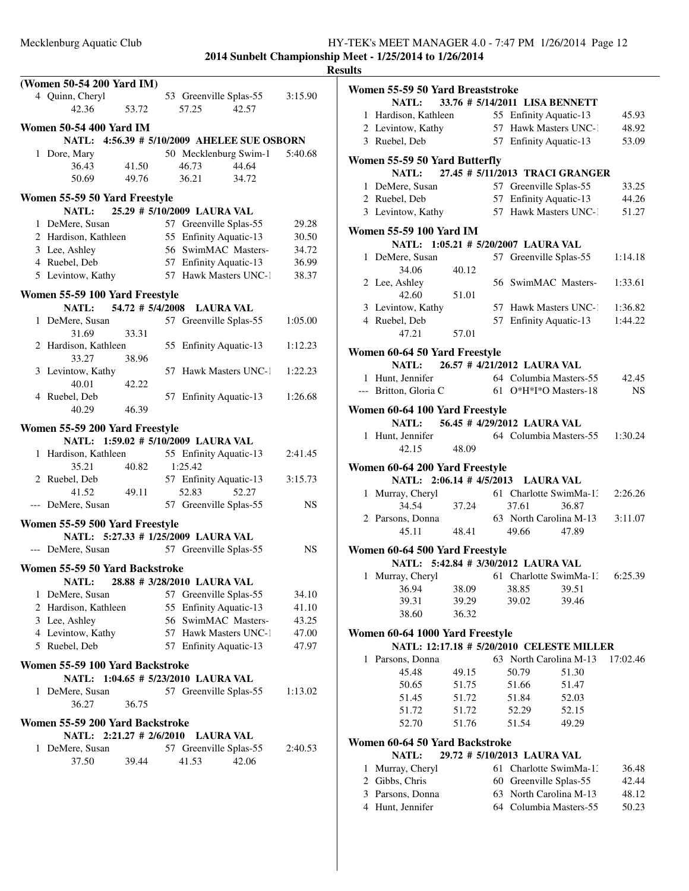|   | (Women 50-54 200 Yard IM)                                             |                  |                                 |       |           |
|---|-----------------------------------------------------------------------|------------------|---------------------------------|-------|-----------|
|   | 4 Quinn, Cheryl                                                       |                  | 53 Greenville Splas-55          |       | 3:15.90   |
|   | 42.36                                                                 | 53.72            | 57.25                           | 42.57 |           |
|   | <b>Women 50-54 400 Yard IM</b>                                        |                  |                                 |       |           |
|   | NATL: 4:56.39 # 5/10/2009 AHELEE SUE OSBORN                           |                  |                                 |       |           |
|   | 1 Dore, Mary                                                          |                  | 50 Mecklenburg Swim-1           |       | 5:40.68   |
|   | 36.43                                                                 | 41.50            | 46.73                           | 44.64 |           |
|   | 50.69                                                                 | 49.76            | 36.21                           | 34.72 |           |
|   | Women 55-59 50 Yard Freestyle                                         |                  |                                 |       |           |
|   | NATL:                                                                 |                  | 25.29 # 5/10/2009 LAURA VAL     |       |           |
|   | 1 DeMere, Susan                                                       |                  | 57 Greenville Splas-55          |       | 29.28     |
|   | 2 Hardison, Kathleen                                                  |                  | 55 Enfinity Aquatic-13          |       | 30.50     |
|   | 3 Lee, Ashley                                                         |                  | 56 SwimMAC Masters-             |       | 34.72     |
|   | 4 Ruebel, Deb                                                         |                  | 57 Enfinity Aquatic-13          |       |           |
|   |                                                                       |                  |                                 |       | 36.99     |
|   | 5 Levintow, Kathy                                                     |                  | 57 Hawk Masters UNC-1           |       | 38.37     |
|   | Women 55-59 100 Yard Freestyle                                        |                  |                                 |       |           |
|   | <b>NATL:</b>                                                          | 54.72 # 5/4/2008 | <b>LAURA VAL</b>                |       |           |
|   | 1 DeMere, Susan                                                       |                  | 57 Greenville Splas-55          |       | 1:05.00   |
|   | 31.69                                                                 | 33.31            |                                 |       |           |
|   | 2 Hardison, Kathleen                                                  |                  | 55 Enfinity Aquatic-13          |       | 1:12.23   |
|   | 33.27                                                                 | 38.96            |                                 |       |           |
|   | 3 Levintow, Kathy                                                     |                  | 57 Hawk Masters UNC-1           |       | 1:22.23   |
|   | 40.01                                                                 | 42.22            |                                 |       |           |
|   | 4 Ruebel, Deb                                                         |                  | 57 Enfinity Aquatic-13          |       | 1:26.68   |
|   | 40.29                                                                 | 46.39            |                                 |       |           |
|   |                                                                       |                  |                                 |       |           |
|   | Women 55-59 200 Yard Freestyle<br>NATL: 1:59.02 # 5/10/2009 LAURA VAL |                  |                                 |       |           |
|   |                                                                       |                  |                                 |       |           |
|   | 1 Hardison, Kathleen                                                  |                  | 55 Enfinity Aquatic-13          |       | 2:41.45   |
|   | 35.21                                                                 | 40.82            | 1:25.42                         |       |           |
|   | 2 Ruebel, Deb<br>41.52                                                | 49.11            | 57 Enfinity Aquatic-13<br>52.83 | 52.27 | 3:15.73   |
|   | --- DeMere, Susan                                                     |                  | 57 Greenville Splas-55          |       | <b>NS</b> |
|   |                                                                       |                  |                                 |       |           |
|   | Women 55-59 500 Yard Freestyle                                        |                  |                                 |       |           |
|   | NATL: 5:27.33 # 1/25/2009 LAURA VAL                                   |                  |                                 |       |           |
|   | --- DeMere, Susan                                                     |                  | 57 Greenville Splas-55          |       | <b>NS</b> |
|   | Women 55-59 50 Yard Backstroke                                        |                  |                                 |       |           |
|   | NATL:                                                                 |                  | 28.88 # 3/28/2010 LAURA VAL     |       |           |
|   | 1 DeMere, Susan                                                       |                  | 57 Greenville Splas-55          |       | 34.10     |
|   | 2 Hardison, Kathleen                                                  |                  | 55 Enfinity Aquatic-13          |       | 41.10     |
|   | 3 Lee, Ashley                                                         |                  | 56 SwimMAC Masters-             |       | 43.25     |
|   |                                                                       |                  | 57 Hawk Masters UNC-1           |       |           |
|   | 4 Levintow, Kathy                                                     |                  |                                 |       | 47.00     |
|   | 5 Ruebel, Deb                                                         |                  | 57 Enfinity Aquatic-13          |       | 47.97     |
|   | Women 55-59 100 Yard Backstroke                                       |                  |                                 |       |           |
|   | NATL: 1:04.65 # 5/23/2010 LAURA VAL                                   |                  |                                 |       |           |
|   | 1 DeMere, Susan                                                       |                  | 57 Greenville Splas-55          |       | 1:13.02   |
|   | 36.27                                                                 | 36.75            |                                 |       |           |
|   |                                                                       |                  |                                 |       |           |
|   | Women 55-59 200 Yard Backstroke<br>NATL: $2:21.27 \# 2/6/2010$        |                  |                                 |       |           |
|   |                                                                       |                  | <b>LAURA VAL</b>                |       |           |
| 1 | DeMere, Susan                                                         |                  | 57 Greenville Splas-55          |       | 2:40.53   |
|   | 37.50                                                                 | 39.44            | 41.53                           | 42.06 |           |
|   |                                                                       |                  |                                 |       |           |
|   |                                                                       |                  |                                 |       |           |
|   |                                                                       |                  |                                 |       |           |

| <b>Results</b> |                                                                       |       |                             |                                 |          |
|----------------|-----------------------------------------------------------------------|-------|-----------------------------|---------------------------------|----------|
|                | Women 55-59 50 Yard Breaststroke                                      |       |                             |                                 |          |
|                | NATL: 33.76 # 5/14/2011 LISA BENNETT                                  |       |                             |                                 |          |
|                | 1 Hardison, Kathleen                                                  |       | 55 Enfinity Aquatic-13      |                                 | 45.93    |
|                | 2 Levintow, Kathy                                                     |       |                             | 57 Hawk Masters UNC-1           | 48.92    |
|                | 3 Ruebel, Deb                                                         |       | 57 Enfinity Aquatic-13      |                                 | 53.09    |
|                |                                                                       |       |                             |                                 |          |
|                | Women 55-59 50 Yard Butterfly<br>NATL:                                |       |                             | 27.45 # 5/11/2013 TRACI GRANGER |          |
|                | 1 DeMere, Susan 57 Greenville Splas-55                                |       |                             |                                 | 33.25    |
|                | 2 Ruebel, Deb                                                         |       | 57 Enfinity Aquatic-13      |                                 | 44.26    |
|                | 3 Levintow, Kathy 57 Hawk Masters UNC-1                               |       |                             |                                 | 51.27    |
|                |                                                                       |       |                             |                                 |          |
|                | <b>Women 55-59 100 Yard IM</b><br>NATL: 1:05.21 # 5/20/2007 LAURA VAL |       |                             |                                 |          |
|                | 1 DeMere, Susan                                                       |       |                             | 57 Greenville Splas-55          | 1:14.18  |
|                | 34.06                                                                 | 40.12 |                             |                                 |          |
|                | 2 Lee, Ashley                                                         |       |                             | 56 SwimMAC Masters-             | 1:33.61  |
|                | 42.60                                                                 | 51.01 |                             |                                 |          |
|                | 3 Levintow, Kathy                                                     |       |                             | 57 Hawk Masters UNC-1           | 1:36.82  |
|                | 4 Ruebel, Deb                                                         |       |                             | 57 Enfinity Aquatic-13          | 1:44.22  |
|                | 47.21                                                                 | 57.01 |                             |                                 |          |
|                | Women 60-64 50 Yard Freestyle                                         |       |                             |                                 |          |
|                | <b>NATL:</b>                                                          |       | 26.57 # 4/21/2012 LAURA VAL |                                 |          |
|                | 1 Hunt, Jennifer                                                      |       |                             | 64 Columbia Masters-55          | 42.45    |
|                | --- Britton, Gloria C 61 O*H*I*O Masters-18                           |       |                             |                                 | NS.      |
|                | Women 60-64 100 Yard Freestyle                                        |       |                             |                                 |          |
|                | NATL: 56.45 # 4/29/2012 LAURA VAL                                     |       |                             |                                 |          |
|                | 1 Hunt, Jennifer                                                      |       |                             | 64 Columbia Masters-55 1:30.24  |          |
|                | 42.15                                                                 | 48.09 |                             |                                 |          |
|                | Women 60-64 200 Yard Freestyle                                        |       |                             |                                 |          |
|                | NATL: 2:06.14 # 4/5/2013 LAURA VAL                                    |       |                             |                                 |          |
|                | 1 Murray, Cheryl                                                      |       |                             | 61 Charlotte SwimMa-1.          | 2:26.26  |
|                | 34.54                                                                 | 37.24 | 37.61                       | 36.87                           |          |
|                | 2 Parsons, Donna                                                      |       |                             | 63 North Carolina M-13          | 3:11.07  |
|                | 45.11                                                                 | 48.41 | 49.66                       | 47.89                           |          |
|                | Women 60-64 500 Yard Freestyle                                        |       |                             |                                 |          |
|                | NATL: 5:42.84 # 3/30/2012 LAURA VAL                                   |       |                             |                                 |          |
|                | 1 Murray, Cheryl                                                      |       |                             | 61 Charlotte SwimMa-1.          | 6:25.39  |
|                | 36.94                                                                 | 38.09 | 38.85                       | 39.51                           |          |
|                | 39.31                                                                 | 39.29 | 39.02                       | 39.46                           |          |
|                | 38.60                                                                 | 36.32 |                             |                                 |          |
|                | Women 60-64 1000 Yard Freestyle                                       |       |                             |                                 |          |
|                | NATL: 12:17.18 # 5/20/2010 CELESTE MILLER                             |       |                             |                                 |          |
|                | 1 Parsons, Donna                                                      |       | 63 North Carolina M-13      |                                 | 17:02.46 |
|                | 45.48                                                                 | 49.15 | 50.79                       | 51.30                           |          |
|                | 50.65                                                                 | 51.75 | 51.66                       | 51.47                           |          |
|                | 51.45                                                                 | 51.72 | 51.84                       | 52.03                           |          |
|                | 51.72                                                                 | 51.72 | 52.29                       | 52.15                           |          |
|                | 52.70                                                                 | 51.76 | 51.54                       | 49.29                           |          |
|                | Women 60-64 50 Yard Backstroke                                        |       |                             |                                 |          |
|                | NATL:                                                                 |       | 29.72 # 5/10/2013 LAURA VAL |                                 |          |
|                | 1 Murray, Cheryl                                                      |       |                             | 61 Charlotte SwimMa-1.          | 36.48    |
|                | 2 Gibbs, Chris                                                        |       | 60 Greenville Splas-55      |                                 | 42.44    |
|                | 3 Parsons, Donna                                                      |       | 63 North Carolina M-13      |                                 | 48.12    |
|                | 4 Hunt, Jennifer                                                      |       |                             | 64 Columbia Masters-55          | 50.23    |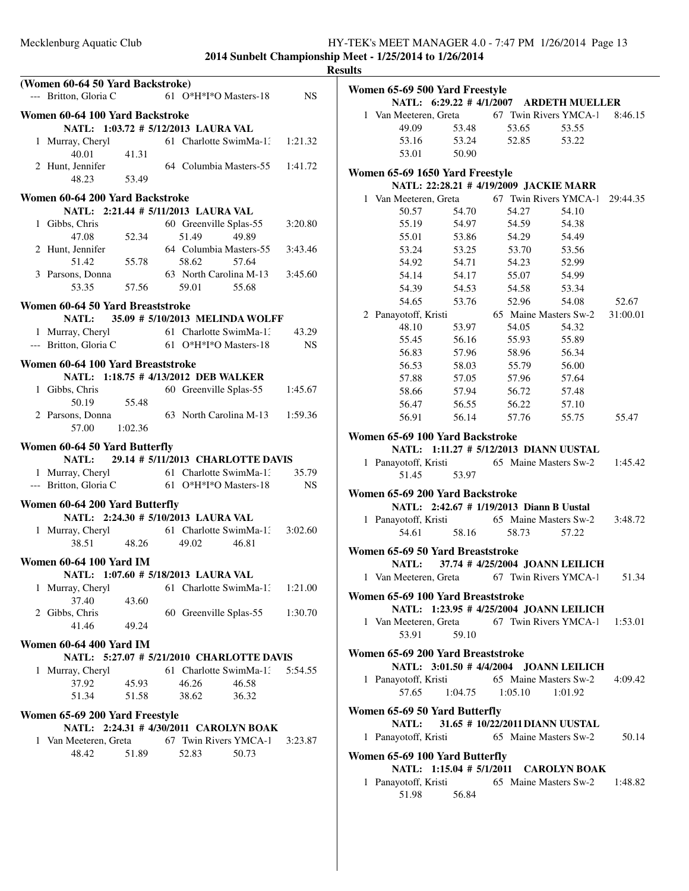|                                                                                        |         | <b>Results</b> |
|----------------------------------------------------------------------------------------|---------|----------------|
| (Women 60-64 50 Yard Backstroke)                                                       |         | <b>Wo</b>      |
| 61 O*H*I*O Masters-18<br>--- Britton, Gloria C                                         | NS.     |                |
| Women 60-64 100 Yard Backstroke<br>NATL: 1:03.72 # 5/12/2013 LAURA VAL                 |         |                |
| 61 Charlotte SwimMa-1: 1:21.32<br>1 Murray, Cheryl<br>41.31<br>40.01                   |         |                |
| 2 Hunt, Jennifer<br>64 Columbia Masters-55 1:41.72<br>53.49<br>48.23                   |         | Wo             |
| Women 60-64 200 Yard Backstroke                                                        |         |                |
| NATL: 2:21.44 # 5/11/2013 LAURA VAL<br>1 Gibbs, Chris<br>60 Greenville Splas-55        | 3:20.80 |                |
| 47.08<br>52.34<br>51.49<br>49.89                                                       |         |                |
| 2 Hunt, Jennifer<br>64 Columbia Masters-55<br>55.78<br>51.42<br>58.62<br>57.64         | 3:43.46 |                |
| 63 North Carolina M-13 3:45.60<br>3 Parsons, Donna                                     |         |                |
| 57.56 59.01 55.68<br>53.35                                                             |         |                |
| Women 60-64 50 Yard Breaststroke                                                       |         |                |
| NATL: 35.09 # 5/10/2013 MELINDA WOLFF                                                  |         |                |
| 1 Murray, Cheryl 61 Charlotte SwimMa-1.<br>--- Britton, Gloria C 61 O*H*I*O Masters-18 | 43.29   |                |
|                                                                                        | NS.     |                |
| Women 60-64 100 Yard Breaststroke                                                      |         |                |
| NATL: 1:18.75 # 4/13/2012 DEB WALKER                                                   |         |                |
| 60 Greenville Splas-55<br>1 Gibbs, Chris                                               | 1:45.67 |                |
| 50.19 55.48                                                                            |         |                |
| 2 Parsons, Donna<br>63 North Carolina M-13 1:59.36<br>57.00<br>1:02.36                 |         |                |
|                                                                                        |         | Wo             |
| Women 60-64 50 Yard Butterfly<br>29.14 # 5/11/2013 CHARLOTTE DAVIS<br><b>NATL:</b>     |         |                |
| 61 Charlotte SwimMa-13<br>1 Murray, Cheryl                                             | 35.79   |                |
| --- Britton, Gloria C 61 O*H*I*O Masters-18                                            | NS.     |                |
| Women 60-64 200 Yard Butterfly                                                         |         | W <sub>0</sub> |
| NATL: 2:24.30 # 5/10/2013 LAURA VAL                                                    |         |                |
| 1 Murray, Cheryl 61 Charlotte SwimMa-1: 3:02.60                                        |         |                |
| 48.26<br>38.51<br>46.81<br>49.02                                                       |         | Wo             |
| <b>Women 60-64 100 Yard IM</b>                                                         |         |                |
| NATL: 1:07.60 # 5/18/2013 LAURA VAL                                                    |         |                |
| 1 Murray, Cheryl<br>61 Charlotte SwimMa-1: 1:21.00<br>37.40<br>43.60                   |         | Wo             |
| 2 Gibbs, Chris<br>60 Greenville Splas-55                                               | 1:30.70 |                |
| 41.46<br>49.24                                                                         |         |                |
| <b>Women 60-64 400 Yard IM</b>                                                         |         |                |
| NATL: 5:27.07 # 5/21/2010 CHARLOTTE DAVIS                                              |         | Wo             |
| 1 Murray, Cheryl<br>61 Charlotte SwimMa-1:                                             | 5:54.55 |                |
| 37.92<br>45.93<br>46.26<br>46.58<br>51.34<br>51.58<br>36.32<br>38.62                   |         |                |
|                                                                                        |         | Wo             |
| Women 65-69 200 Yard Freestyle<br>NATL: 2:24.31 # 4/30/2011 CAROLYN BOAK               |         |                |
| 67 Twin Rivers YMCA-1<br>1 Van Meeteren, Greta                                         | 3:23.87 |                |
| 48.42<br>51.89<br>50.73<br>52.83                                                       |         |                |
|                                                                                        |         | Wo             |
|                                                                                        |         |                |

| Women 65-69 500 Yard Freestyle                       |       | NATL: 6:29.22 #4/1/2007 ARDETH MUELLER   |                       |          |
|------------------------------------------------------|-------|------------------------------------------|-----------------------|----------|
|                                                      |       |                                          |                       | 8:46.15  |
| 1 Van Meeteren, Greta 67 Twin Rivers YMCA-1<br>49.09 | 53.48 | 53.65                                    | 53.55                 |          |
| 53.16                                                | 53.24 | 52.85                                    | 53.22                 |          |
| 53.01                                                | 50.90 |                                          |                       |          |
|                                                      |       |                                          |                       |          |
| Women 65-69 1650 Yard Freestyle                      |       |                                          |                       |          |
|                                                      |       | NATL: 22:28.21 # 4/19/2009 JACKIE MARR   |                       |          |
| 1 Van Meeteren, Greta 67 Twin Rivers YMCA-1 29:44.35 |       |                                          |                       |          |
| 50.57                                                | 54.70 | 54.27                                    | 54.10                 |          |
| 55.19                                                | 54.97 | 54.59                                    | 54.38                 |          |
| 55.01                                                | 53.86 | 54.29                                    | 54.49                 |          |
| 53.24                                                | 53.25 | 53.70                                    | 53.56                 |          |
| 54.92                                                | 54.71 | 54.23                                    | 52.99                 |          |
| 54.14                                                | 54.17 | 55.07                                    | 54.99                 |          |
| 54.39                                                | 54.53 | 54.58                                    | 53.34                 |          |
| 54.65                                                | 53.76 | 52.96                                    | 54.08                 | 52.67    |
| 2 Panayotoff, Kristi                                 |       |                                          | 65 Maine Masters Sw-2 | 31:00.01 |
| 48.10                                                | 53.97 | 54.05                                    | 54.32                 |          |
| 55.45                                                | 56.16 | 55.93                                    | 55.89                 |          |
| 56.83                                                | 57.96 | 58.96                                    | 56.34                 |          |
| 56.53                                                | 58.03 | 55.79                                    | 56.00                 |          |
| 57.88                                                | 57.05 | 57.96                                    | 57.64                 |          |
| 58.66                                                | 57.94 | 56.72                                    | 57.48                 |          |
| 56.47                                                | 56.55 | 56.22                                    | 57.10                 |          |
| 56.91                                                | 56.14 | 57.76                                    | 55.75                 | 55.47    |
|                                                      |       |                                          |                       |          |
| Women 65-69 100 Yard Backstroke                      |       |                                          |                       |          |
|                                                      |       | NATL: 1:11.27 # 5/12/2013 DIANN UUSTAL   |                       |          |
| 1 Panayotoff, Kristi 65 Maine Masters Sw-2           |       |                                          |                       | 1:45.42  |
| 51.45                                                | 53.97 |                                          |                       |          |
| Women 65-69 200 Yard Backstroke                      |       |                                          |                       |          |
|                                                      |       | NATL: 2:42.67 # 1/19/2013 Diann B Uustal |                       |          |
| 1 Panayotoff, Kristi 65 Maine Masters Sw-2           |       |                                          |                       | 3:48.72  |
| 54.61                                                | 58.16 | 58.73                                    | 57.22                 |          |
| Women 65-69 50 Yard Breaststroke                     |       |                                          |                       |          |
|                                                      |       | NATL: 37.74 # 4/25/2004 JOANN LEILICH    |                       |          |
| 1 Van Meeteren, Greta 67 Twin Rivers YMCA-1          |       |                                          |                       | 51.34    |
|                                                      |       |                                          |                       |          |
| Women 65-69 100 Yard Breaststroke                    |       |                                          |                       |          |
|                                                      |       | NATL: 1:23.95 # 4/25/2004 JOANN LEILICH  |                       |          |
| 1 Van Meeteren, Greta 67 Twin Rivers YMCA-1 1:53.01  |       |                                          |                       |          |
| 53.91                                                | 59.10 |                                          |                       |          |
| Women 65-69 200 Yard Breaststroke                    |       |                                          |                       |          |
|                                                      |       | NATL: 3:01.50 # 4/4/2004 JOANN LEILICH   |                       |          |
| 1 Panayotoff, Kristi 65 Maine Masters Sw-2 4:09.42   |       |                                          |                       |          |
|                                                      |       | 57.65 1:04.75 1:05.10 1:01.92            |                       |          |
|                                                      |       |                                          |                       |          |
| Women 65-69 50 Yard Butterfly                        |       |                                          |                       |          |
|                                                      |       | NATL: 31.65 #10/22/2011 DIANN UUSTAL     |                       |          |
| 1 Panayotoff, Kristi                                 |       | 65 Maine Masters Sw-2                    |                       | 50.14    |
| Women 65-69 100 Yard Butterfly                       |       |                                          |                       |          |
|                                                      |       | NATL: 1:15.04 # 5/1/2011 CAROLYN BOAK    |                       |          |
| 1 Panayotoff, Kristi 65 Maine Masters Sw-2 1:48.82   |       |                                          |                       |          |
|                                                      |       |                                          |                       |          |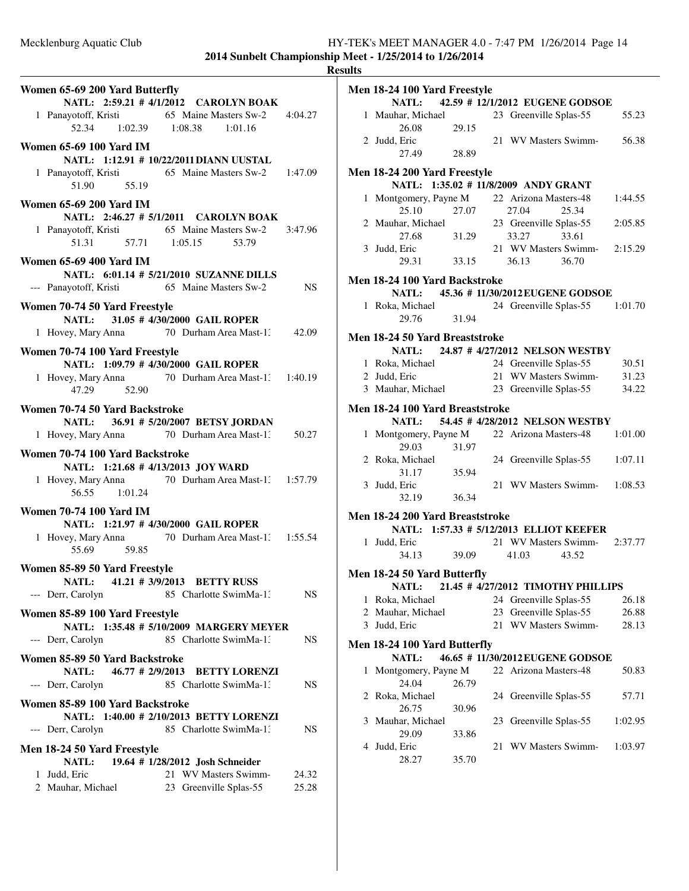|                                                                                                                              |                 | <b>Results</b> |
|------------------------------------------------------------------------------------------------------------------------------|-----------------|----------------|
| Women 65-69 200 Yard Butterfly                                                                                               |                 | Me             |
| NATL: 2:59.21 # 4/1/2012 CAROLYN BOAK<br>1 Panayotoff, Kristi 65 Maine Masters Sw-2 4:04.27<br>52.34 1:02.39 1:08.38 1:01.16 |                 |                |
| <b>Women 65-69 100 Yard IM</b>                                                                                               |                 |                |
| NATL: 1:12.91 # 10/22/2011 DIANN UUSTAL<br>1 Panayotoff, Kristi 65 Maine Masters Sw-2 1:47.09<br>51.90 55.19                 |                 | Me             |
| <b>Women 65-69 200 Yard IM</b>                                                                                               |                 |                |
| NATL: 2:46.27 # 5/1/2011 CAROLYN BOAK<br>1 Panayotoff, Kristi 65 Maine Masters Sw-2 3:47.96<br>51.31 57.71 1:05.15 53.79     |                 |                |
| <b>Women 65-69 400 Yard IM</b>                                                                                               |                 |                |
| NATL: 6:01.14 # 5/21/2010 SUZANNE DILLS<br>--- Panayotoff, Kristi 65 Maine Masters Sw-2                                      | NS <sub>N</sub> | Me             |
| Women 70-74 50 Yard Freestyle                                                                                                |                 |                |
| NATL: 31.05 # 4/30/2000 GAIL ROPER                                                                                           |                 |                |
| 1 Hovey, Mary Anna 70 Durham Area Mast-1: 42.09                                                                              |                 | Me             |
| Women 70-74 100 Yard Freestyle                                                                                               |                 |                |
| NATL: 1:09.79 # 4/30/2000 GAIL ROPER<br>1 Hovey, Mary Anna 70 Durham Area Mast-1: 1:40.19<br>47.29 52.90                     |                 |                |
| Women 70-74 50 Yard Backstroke                                                                                               |                 | Me             |
| NATL: 36.91 # 5/20/2007 BETSY JORDAN                                                                                         |                 |                |
| 1 Hovey, Mary Anna 70 Durham Area Mast-1: 50.27                                                                              |                 |                |
| Women 70-74 100 Yard Backstroke                                                                                              |                 |                |
| NATL: 1:21.68 # 4/13/2013 JOY WARD<br>1 Hovey, Mary Anna 70 Durham Area Mast-1: 1:57.79<br>56.55 1:01.24                     |                 |                |
| <b>Women 70-74 100 Yard IM</b>                                                                                               |                 | Me             |
| NATL: 1:21.97 # 4/30/2000 GAIL ROPER                                                                                         |                 |                |
| 1 Hovey, Mary Anna 70 Durham Area Mast-1. 1:55.54<br>55.69<br>59.85                                                          |                 |                |
| Women 85-89 50 Yard Freestyle                                                                                                |                 |                |
| <b>NATL:</b><br>41.21 # 3/9/2013 BETTY RUSS                                                                                  |                 | Me             |
| 85 Charlotte SwimMa-1:<br>--- Derr, Carolyn                                                                                  | NS              |                |
| Women 85-89 100 Yard Freestyle                                                                                               |                 |                |
| NATL: 1:35.48 # 5/10/2009 MARGERY MEYER<br>--- Derr, Carolyn<br>85 Charlotte SwimMa-1.                                       | NS.             |                |
| Women 85-89 50 Yard Backstroke                                                                                               |                 | Me             |
| NATL: 46.77 # 2/9/2013 BETTY LORENZI                                                                                         |                 |                |
| 85 Charlotte SwimMa-1:<br>--- Derr, Carolyn                                                                                  | NS              |                |
| Women 85-89 100 Yard Backstroke                                                                                              |                 |                |
| NATL: 1:40.00 # 2/10/2013 BETTY LORENZI<br>85 Charlotte SwimMa-1.<br>--- Derr, Carolyn                                       | NS              |                |
|                                                                                                                              |                 |                |
| Men 18-24 50 Yard Freestyle<br>19.64 # 1/28/2012 Josh Schneider<br><b>NATL:</b>                                              |                 |                |
| 21 WV Masters Swimm-<br>1 Judd, Eric                                                                                         | 24.32           |                |
| 2 Mauhar, Michael<br>23 Greenville Splas-55                                                                                  | 25.28           |                |

|   | Men 18-24 100 Yard Freestyle                |       |    |                                         |         |
|---|---------------------------------------------|-------|----|-----------------------------------------|---------|
|   |                                             |       |    | NATL: 42.59 # 12/1/2012 EUGENE GODSOE   |         |
|   | 1 Mauhar, Michael                           |       |    | 23 Greenville Splas-55                  | 55.23   |
|   | 26.08                                       | 29.15 |    |                                         |         |
|   | 2 Judd, Eric                                |       |    | 21 WV Masters Swimm-                    | 56.38   |
|   | 27.49                                       | 28.89 |    |                                         |         |
|   | <b>Men 18-24 200 Yard Freestyle</b>         |       |    |                                         |         |
|   |                                             |       |    | NATL: 1:35.02 # 11/8/2009 ANDY GRANT    |         |
|   | 1 Montgomery, Payne M                       |       |    | 22 Arizona Masters-48                   | 1:44.55 |
|   | 25.10                                       | 27.07 |    | 27.04<br>25.34                          |         |
|   | 2 Mauhar, Michael                           |       |    | 23 Greenville Splas-55                  | 2:05.85 |
|   | 27.68                                       | 31.29 |    | 33.27<br>33.61                          |         |
|   | 3 Judd, Eric                                |       |    | 21 WV Masters Swimm-                    | 2:15.29 |
|   | 29.31                                       | 33.15 |    | 36.13<br>36.70                          |         |
|   | Men 18-24 100 Yard Backstroke               |       |    |                                         |         |
|   |                                             |       |    | NATL: 45.36 # 11/30/2012 EUGENE GODSOE  |         |
|   | 1 Roka, Michael                             |       |    | 24 Greenville Splas-55                  | 1:01.70 |
|   | 29.76                                       | 31.94 |    |                                         |         |
|   |                                             |       |    |                                         |         |
|   | Men 18-24 50 Yard Breaststroke              |       |    |                                         |         |
|   | <b>NATL:</b>                                |       |    | 24.87 #4/27/2012 NELSON WESTBY          |         |
|   | 1 Roka, Michael                             |       |    | 24 Greenville Splas-55                  | 30.51   |
|   | 2 Judd, Eric                                |       |    | 21 WV Masters Swimm-                    | 31.23   |
|   | 3 Mauhar, Michael                           |       |    | 23 Greenville Splas-55                  | 34.22   |
|   | Men 18-24 100 Yard Breaststroke             |       |    |                                         |         |
|   |                                             |       |    | NATL: 54.45 # 4/28/2012 NELSON WESTBY   |         |
|   | 1 Montgomery, Payne M                       |       |    | 22 Arizona Masters-48                   | 1:01.00 |
|   | 29.03                                       | 31.97 |    |                                         |         |
|   | 2 Roka, Michael                             |       |    | 24 Greenville Splas-55                  | 1:07.11 |
|   | 31.17                                       | 35.94 |    |                                         |         |
|   | 3 Judd, Eric                                |       |    | 21 WV Masters Swimm-1:08.53             |         |
|   | 32.19                                       | 36.34 |    |                                         |         |
|   | Men 18-24 200 Yard Breaststroke             |       |    |                                         |         |
|   |                                             |       |    | NATL: 1:57.33 # 5/12/2013 ELLIOT KEEFER |         |
|   | 1 Judd, Eric                                |       |    | 21 WV Masters Swimm-                    | 2:37.77 |
|   | 34.13                                       | 39.09 |    | 41.03<br>43.52                          |         |
|   |                                             |       |    |                                         |         |
|   | Men 18-24 50 Yard Butterfly<br><b>NATL:</b> |       |    | 21.45 # 4/27/2012 TIMOTHY PHILLIPS      |         |
| 1 | Roka, Michael                               |       |    | 24 Greenville Splas-55                  | 26.18   |
|   | 2 Mauhar, Michael                           |       | 23 | Greenville Splas-55                     | 26.88   |
| 3 | Judd, Eric                                  |       | 21 | WV Masters Swimm-                       | 28.13   |
|   |                                             |       |    |                                         |         |
|   | Men 18-24 100 Yard Butterfly                |       |    |                                         |         |
|   | NATL:                                       |       |    | 46.65 #11/30/2012 EUGENE GODSOE         |         |
| 1 | Montgomery, Payne M                         |       |    | 22 Arizona Masters-48                   | 50.83   |
|   | 24.04                                       | 26.79 |    |                                         |         |
| 2 | Roka, Michael                               |       |    | 24 Greenville Splas-55                  | 57.71   |
|   | 26.75                                       | 30.96 |    |                                         |         |
| 3 | Mauhar, Michael                             |       | 23 | Greenville Splas-55                     | 1:02.95 |
|   | 29.09                                       | 33.86 |    |                                         |         |
| 4 | Judd, Eric                                  |       | 21 | WV Masters Swimm-                       | 1:03.97 |
|   | 28.27                                       | 35.70 |    |                                         |         |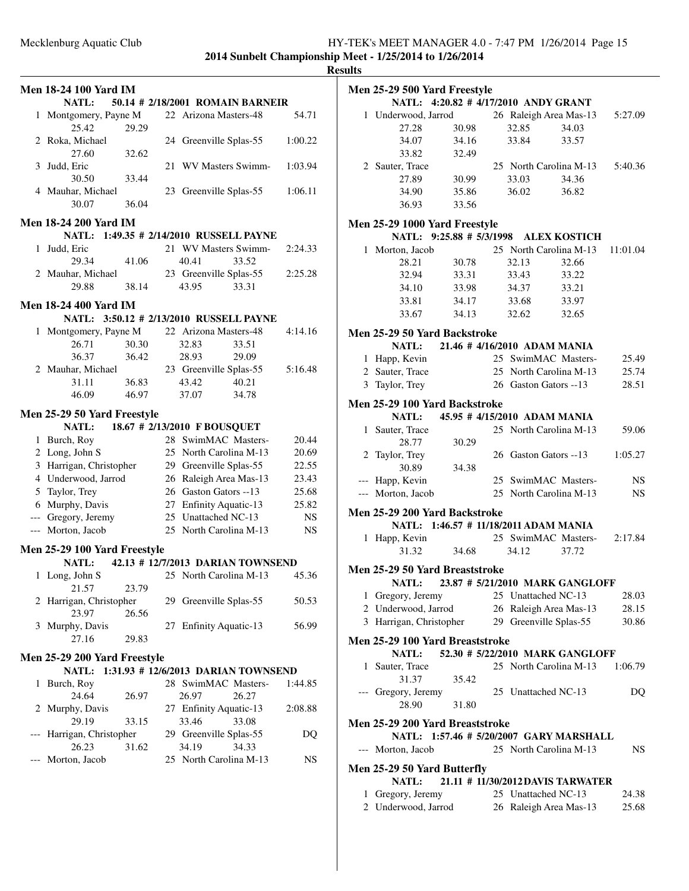**2014 Sunbelt Championship Meet - 1/25/2014 to 1/26/2014**

# **Results**

|              | <b>Men 18-24 100 Yard IM</b><br><b>NATL:</b> |                |    |                              | 50.14 # 2/18/2001 ROMAIN BARNEIR    |         |
|--------------|----------------------------------------------|----------------|----|------------------------------|-------------------------------------|---------|
| $\mathbf{1}$ | Montgomery, Payne M<br>25.42                 | 29.29          |    | 22 Arizona Masters-48        |                                     | 54.71   |
|              | 2 Roka, Michael<br>27.60                     | 32.62          |    | 24 Greenville Splas-55       |                                     | 1:00.22 |
| 3            | Judd, Eric                                   |                | 21 | WV Masters Swimm-            |                                     | 1:03.94 |
|              | 30.50<br>4 Mauhar, Michael<br>30.07          | 33.44<br>36.04 |    | 23 Greenville Splas-55       |                                     | 1:06.11 |
|              | <b>Men 18-24 200 Yard IM</b>                 |                |    |                              |                                     |         |
|              | NATL: 1:49.35 # 2/14/2010 RUSSELL PAYNE      |                |    |                              |                                     |         |
| $\mathbf{1}$ | Judd, Eric                                   |                |    | 21 WV Masters Swimm-         |                                     | 2:24.33 |
|              | 29.34                                        | 41.06          |    | 40.41                        | 33.52                               |         |
|              | 2 Mauhar, Michael                            |                |    | 23 Greenville Splas-55       |                                     | 2:25.28 |
|              | 29.88                                        | 38.14          |    | 43.95                        | 33.31                               |         |
|              | <b>Men 18-24 400 Yard IM</b>                 |                |    |                              |                                     |         |
|              |                                              |                |    |                              |                                     |         |
|              | NATL: 3:50.12 # 2/13/2010 RUSSELL PAYNE      |                |    |                              |                                     |         |
| 1            | Montgomery, Payne M                          |                |    | 22 Arizona Masters-48        |                                     | 4:14.16 |
|              | 26.71                                        | 30.30          |    | 32.83                        | 33.51                               |         |
|              | 36.37                                        | 36.42          |    | 28.93                        | 29.09                               |         |
|              | 2 Mauhar, Michael                            |                |    | 23 Greenville Splas-55       |                                     | 5:16.48 |
|              | 31.11                                        | 36.83          |    | 43.42                        | 40.21                               |         |
|              | 46.09                                        | 46.97          |    | 37.07                        | 34.78                               |         |
|              | Men 25-29 50 Yard Freestyle                  |                |    |                              |                                     |         |
|              | <b>NATL:</b>                                 |                |    | 18.67 # 2/13/2010 F BOUSQUET |                                     |         |
|              | 1 Burch, Roy                                 |                |    | 28 SwimMAC Masters-          |                                     | 20.44   |
|              | 2 Long, John S                               |                |    | 25 North Carolina M-13       |                                     | 20.69   |
|              | 3 Harrigan, Christopher                      |                |    | 29 Greenville Splas-55       |                                     | 22.55   |
|              | 4 Underwood, Jarrod                          |                |    | 26 Raleigh Area Mas-13       |                                     | 23.43   |
|              | 5 Taylor, Trey                               |                |    | 26 Gaston Gators --13        |                                     | 25.68   |
|              | 6 Murphy, Davis                              |                |    | 27 Enfinity Aquatic-13       |                                     | 25.82   |
|              | --- Gregory, Jeremy                          |                |    | 25 Unattached NC-13          |                                     |         |
|              |                                              |                |    |                              |                                     | NS      |
|              | --- Morton, Jacob                            |                |    | 25 North Carolina M-13       |                                     | NS.     |
|              | Men 25-29 100 Yard Freestyle                 |                |    |                              |                                     |         |
|              | <b>NATL:</b>                                 |                |    |                              | 42.13 # 12/7/2013 DARIAN TOWNSEND   |         |
| 1            | Long, John S                                 |                |    | 25 North Carolina M-13       |                                     | 45.36   |
|              | 21.57                                        | 23.79          |    |                              |                                     |         |
|              | 2 Harrigan, Christopher                      |                |    | 29 Greenville Splas-55       |                                     | 50.53   |
|              | 23.97                                        | 26.56          |    |                              |                                     |         |
| 3            | Murphy, Davis                                |                |    | 27 Enfinity Aquatic-13       |                                     | 56.99   |
|              | 27.16                                        | 29.83          |    |                              |                                     |         |
|              | Men 25-29 200 Yard Freestyle                 |                |    |                              |                                     |         |
|              | <b>NATL:</b>                                 |                |    |                              | 1:31.93 # 12/6/2013 DARIAN TOWNSEND |         |
| 1            | Burch, Roy                                   |                |    | 28 SwimMAC Masters-          |                                     | 1:44.85 |
|              | 24.64                                        | 26.97          |    | 26.97                        | 26.27                               |         |
| 2            | Murphy, Davis                                |                |    | 27 Enfinity Aquatic-13       |                                     | 2:08.88 |
|              | 29.19                                        | 33.15          |    | 33.46                        | 33.08                               |         |
| ---          | Harrigan, Christopher                        |                |    | 29 Greenville Splas-55       |                                     | DQ      |
|              | 26.23                                        | 31.62          |    | 34.19                        | 34.33                               |         |
|              | Morton, Jacob                                |                |    | 25 North Carolina M-13       |                                     | NS      |
|              |                                              |                |    |                              |                                     |         |
|              |                                              |                |    |                              |                                     |         |
|              |                                              |                |    |                              |                                     |         |
|              |                                              |                |    |                              |                                     |         |

|              |                         | Men 25-29 500 Yard Freestyle          |       |                                         |           |
|--------------|-------------------------|---------------------------------------|-------|-----------------------------------------|-----------|
|              |                         | NATL: 4:20.82 # 4/17/2010 ANDY GRANT  |       |                                         |           |
|              | 1 Underwood, Jarrod     |                                       |       | 26 Raleigh Area Mas-13                  | 5:27.09   |
|              | 27.28                   | 30.98                                 | 32.85 | 34.03                                   |           |
|              | 34.07                   | 34.16                                 | 33.84 | 33.57                                   |           |
|              | 33.82                   | 32.49                                 |       |                                         |           |
|              | 2 Sauter, Trace         |                                       |       | 25 North Carolina M-13                  | 5:40.36   |
|              | 27.89                   | 30.99                                 | 33.03 | 34.36                                   |           |
|              | 34.90                   | 35.86                                 | 36.02 | 36.82                                   |           |
|              | 36.93                   | 33.56                                 |       |                                         |           |
|              |                         |                                       |       |                                         |           |
|              |                         | Men 25-29 1000 Yard Freestyle         |       |                                         |           |
|              |                         | NATL: 9:25.88 # 5/3/1998 ALEX KOSTICH |       |                                         |           |
|              | 1 Morton, Jacob         |                                       |       | 25 North Carolina M-13                  | 11:01.04  |
|              | 28.21                   | 30.78                                 | 32.13 | 32.66                                   |           |
|              | 32.94                   | 33.31                                 | 33.43 | 33.22                                   |           |
|              | 34.10                   | 33.98                                 | 34.37 | 33.21                                   |           |
|              | 33.81                   | 34.17                                 | 33.68 | 33.97                                   |           |
|              | 33.67                   | 34.13                                 | 32.62 | 32.65                                   |           |
|              |                         | Men 25-29 50 Yard Backstroke          |       |                                         |           |
|              | <b>NATL:</b>            |                                       |       | 21.46 # 4/16/2010 ADAM MANIA            |           |
|              | 1 Happ, Kevin           |                                       |       | 25 SwimMAC Masters-                     | 25.49     |
|              | 2 Sauter, Trace         |                                       |       | 25 North Carolina M-13                  | 25.74     |
|              | 3 Taylor, Trey          |                                       |       | 26 Gaston Gators --13                   | 28.51     |
|              |                         |                                       |       |                                         |           |
|              |                         | Men 25-29 100 Yard Backstroke         |       |                                         |           |
|              | <b>NATL:</b>            |                                       |       | 45.95 # 4/15/2010 ADAM MANIA            |           |
| $\mathbf{1}$ | Sauter, Trace           |                                       |       | 25 North Carolina M-13                  | 59.06     |
|              | 28.77                   | 30.29                                 |       |                                         |           |
| 2            | Taylor, Trey            |                                       |       | 26 Gaston Gators --13                   | 1:05.27   |
|              | 30.89                   | 34.38                                 |       |                                         |           |
|              | --- Happ, Kevin         |                                       |       | 25 SwimMAC Masters-                     | <b>NS</b> |
|              | --- Morton, Jacob       |                                       |       | 25 North Carolina M-13                  | <b>NS</b> |
|              |                         | Men 25-29 200 Yard Backstroke         |       |                                         |           |
|              |                         | NATL: 1:46.57 # 11/18/2011 ADAM MANIA |       |                                         |           |
| $\mathbf{1}$ | Happ, Kevin             |                                       |       | 25 SwimMAC Masters-                     | 2:17.84   |
|              | 31.32                   | 34.68                                 | 34.12 | 37.72                                   |           |
|              |                         |                                       |       |                                         |           |
|              |                         | Men 25-29 50 Yard Breaststroke        |       |                                         |           |
|              |                         |                                       |       | NATL: 23.87 # 5/21/2010 MARK GANGLOFF   |           |
|              | 1 Gregory, Jeremy       |                                       |       | 25 Unattached NC-13                     | 28.03     |
|              | 2 Underwood, Jarrod     |                                       |       | 26 Raleigh Area Mas-13                  | 28.15     |
|              | 3 Harrigan, Christopher |                                       |       | 29 Greenville Splas-55                  | 30.86     |
|              |                         | Men 25-29 100 Yard Breaststroke       |       |                                         |           |
|              |                         |                                       |       | NATL: 52.30 # 5/22/2010 MARK GANGLOFF   |           |
| 1            | Sauter, Trace           |                                       |       | 25 North Carolina M-13                  | 1:06.79   |
|              | 31.37                   | 35.42                                 |       |                                         |           |
| ---          | Gregory, Jeremy         |                                       |       | 25 Unattached NC-13                     | DQ        |
|              | 28.90                   | 31.80                                 |       |                                         |           |
|              |                         |                                       |       |                                         |           |
|              |                         | Men 25-29 200 Yard Breaststroke       |       |                                         |           |
|              |                         |                                       |       | NATL: 1:57.46 # 5/20/2007 GARY MARSHALL |           |
|              | --- Morton, Jacob       |                                       |       | 25 North Carolina M-13                  | NS.       |
|              |                         | Men 25-29 50 Yard Butterfly           |       |                                         |           |
|              | NATL:                   |                                       |       | 21.11 # 11/30/2012 DAVIS TARWATER       |           |
| $\mathbf{1}$ | Gregory, Jeremy         |                                       |       | 25 Unattached NC-13                     | 24.38     |
|              | 2 Underwood, Jarrod     |                                       |       | 26 Raleigh Area Mas-13                  | 25.68     |
|              |                         |                                       |       |                                         |           |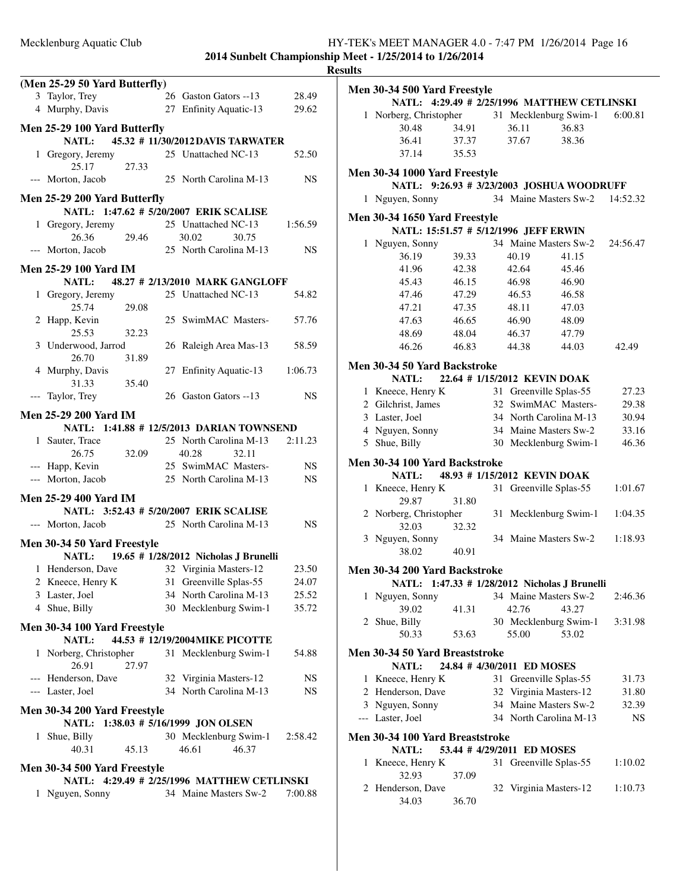**2014 Sunbelt Championship Meet - 1/25/2014 to 1/26/2014 Results**

| (Men 25-29 50 Yard Butterfly)   |       |                                                         |                |
|---------------------------------|-------|---------------------------------------------------------|----------------|
| 3 Taylor, Trey                  |       | 26 Gaston Gators --13                                   | 28.49          |
|                                 |       | 4 Murphy, Davis 27 Enfinity Aquatic-13                  | 29.62          |
|                                 |       |                                                         |                |
| Men 25-29 100 Yard Butterfly    |       | NATL: 45.32 # 11/30/2012 DAVIS TARWATER                 |                |
| 1 Gregory, Jeremy               |       | 25 Unattached NC-13                                     | 52.50          |
| 25.17                           | 27.33 |                                                         |                |
| --- Morton, Jacob               |       | 25 North Carolina M-13                                  | NS             |
|                                 |       |                                                         |                |
| Men 25-29 200 Yard Butterfly    |       |                                                         |                |
|                                 |       | NATL: 1:47.62 # 5/20/2007 ERIK SCALISE                  |                |
| 26.36                           | 29.46 | 1 Gregory, Jeremy 25 Unattached NC-13<br>30.02<br>30.75 | 1:56.59        |
| --- Morton, Jacob               |       | 25 North Carolina M-13                                  | NS             |
|                                 |       |                                                         |                |
| <b>Men 25-29 100 Yard IM</b>    |       |                                                         |                |
|                                 |       | NATL: 48.27 # 2/13/2010 MARK GANGLOFF                   |                |
| 1 Gregory, Jeremy               |       | 25 Unattached NC-13                                     | 54.82          |
| 25.74                           | 29.08 |                                                         |                |
| 2 Happ, Kevin<br>25.53          | 32.23 | 25 SwimMAC Masters-                                     | 57.76          |
| 3 Underwood, Jarrod             |       | 26 Raleigh Area Mas-13                                  | 58.59          |
| 26.70                           | 31.89 |                                                         |                |
| 4 Murphy, Davis                 |       | 27 Enfinity Aquatic-13                                  | 1:06.73        |
| 31.33                           | 35.40 |                                                         |                |
| --- Taylor, Trey                |       | 26 Gaston Gators --13                                   | NS             |
|                                 |       |                                                         |                |
| <b>Men 25-29 200 Yard IM</b>    |       | NATL: 1:41.88 # 12/5/2013 DARIAN TOWNSEND               |                |
| 1 Sauter, Trace                 |       | 25 North Carolina M-13                                  | 2:11.23        |
| 26.75                           | 32.09 | 40.28<br>32.11                                          |                |
| --- Happ, Kevin                 |       | 25 SwimMAC Masters-                                     | NS             |
| --- Morton, Jacob               |       | 25 North Carolina M-13                                  | NS.            |
| <b>Men 25-29 400 Yard IM</b>    |       |                                                         |                |
|                                 |       | NATL: 3:52.43 # 5/20/2007 ERIK SCALISE                  |                |
| --- Morton, Jacob               |       | 25 North Carolina M-13                                  | NS             |
|                                 |       |                                                         |                |
| Men 30-34 50 Yard Freestyle     |       |                                                         |                |
|                                 |       | NATL: 19.65 # 1/28/2012 Nicholas J Brunelli             |                |
| 1 Henderson, Dave               |       | 32 Virginia Masters-12                                  | 23.50          |
| 2 Kneece, Henry K               |       | 31 Greenville Splas-55                                  | 24.07          |
| 3 Laster, Joel<br>4 Shue, Billy |       | 34 North Carolina M-13                                  | 25.52<br>35.72 |
|                                 |       | 30 Mecklenburg Swim-1                                   |                |
| Men 30-34 100 Yard Freestyle    |       |                                                         |                |
| NATL:                           |       | 44.53 # 12/19/2004 MIKE PICOTTE                         |                |
| 1 Norberg, Christopher          |       | 31 Mecklenburg Swim-1                                   | 54.88          |
| 26.91<br>--- Henderson, Dave    | 27.97 | 32 Virginia Masters-12                                  | <b>NS</b>      |
| --- Laster, Joel                |       | 34 North Carolina M-13                                  | NS.            |
|                                 |       |                                                         |                |
| Men 30-34 200 Yard Freestyle    |       |                                                         |                |
| 1 Shue, Billy                   |       | NATL: 1:38.03 # 5/16/1999 JON OLSEN                     |                |
| 40.31                           | 45.13 | 30 Mecklenburg Swim-1<br>46.61<br>46.37                 | 2:58.42        |
|                                 |       |                                                         |                |
| Men 30-34 500 Yard Freestyle    |       |                                                         |                |
|                                 |       | NATL: 4:29.49 # 2/25/1996 MATTHEW CETLINSKI             |                |
| 1 Nguyen, Sonny                 |       | 34 Maine Masters Sw-2                                   | 7:00.88        |
|                                 |       |                                                         |                |

|   | Men 30-34 500 Yard Freestyle                                           |       |    |                              |                                       |           |
|---|------------------------------------------------------------------------|-------|----|------------------------------|---------------------------------------|-----------|
|   | <b>NATL:</b>                                                           |       |    |                              | 4:29.49 # 2/25/1996 MATTHEW CETLINSKI |           |
|   | 1 Norberg, Christopher 31 Mecklenburg Swim-1                           |       |    |                              |                                       | 6:00.81   |
|   | 30.48                                                                  | 34.91 |    | 36.11                        | 36.83                                 |           |
|   | 36.41                                                                  | 37.37 |    | 37.67                        | 38.36                                 |           |
|   | 37.14                                                                  | 35.53 |    |                              |                                       |           |
|   | Men 30-34 1000 Yard Freestyle                                          |       |    |                              |                                       |           |
|   | NATL: 9:26.93 # 3/23/2003 JOSHUA WOODRUFF<br>1 Nguyen, Sonny           |       |    | 34 Maine Masters Sw-2        |                                       | 14:52.32  |
|   |                                                                        |       |    |                              |                                       |           |
|   | Men 30-34 1650 Yard Freestyle<br>NATL: 15:51.57 # 5/12/1996 JEFF ERWIN |       |    |                              |                                       |           |
|   | 1 Nguyen, Sonny                                                        |       |    | 34 Maine Masters Sw-2        |                                       | 24:56.47  |
|   | 36.19                                                                  | 39.33 |    | 40.19                        | 41.15                                 |           |
|   | 41.96                                                                  | 42.38 |    | 42.64                        | 45.46                                 |           |
|   | 45.43                                                                  | 46.15 |    | 46.98                        | 46.90                                 |           |
|   | 47.46                                                                  | 47.29 |    | 46.53                        | 46.58                                 |           |
|   | 47.21                                                                  | 47.35 |    | 48.11                        |                                       |           |
|   |                                                                        |       |    |                              | 47.03                                 |           |
|   | 47.63                                                                  | 46.65 |    | 46.90                        | 48.09                                 |           |
|   | 48.69                                                                  | 48.04 |    | 46.37                        | 47.79                                 |           |
|   | 46.26                                                                  | 46.83 |    | 44.38                        | 44.03                                 | 42.49     |
|   | Men 30-34 50 Yard Backstroke                                           |       |    |                              |                                       |           |
|   | <b>NATL:</b>                                                           |       |    | 22.64 # 1/15/2012 KEVIN DOAK |                                       |           |
|   | 1 Kneece, Henry K                                                      |       |    | 31 Greenville Splas-55       |                                       | 27.23     |
|   | 2 Gilchrist, James                                                     |       |    | 32 SwimMAC Masters-          |                                       | 29.38     |
|   | 3 Laster, Joel                                                         |       |    | 34 North Carolina M-13       |                                       | 30.94     |
|   | 4 Nguyen, Sonny                                                        |       |    | 34 Maine Masters Sw-2        |                                       | 33.16     |
|   | 5 Shue, Billy                                                          |       |    | 30 Mecklenburg Swim-1        |                                       | 46.36     |
|   | Men 30-34 100 Yard Backstroke                                          |       |    |                              |                                       |           |
|   | <b>NATL:</b>                                                           |       |    | 48.93 # 1/15/2012 KEVIN DOAK |                                       |           |
|   | 1 Kneece, Henry K                                                      |       | 31 | Greenville Splas-55          |                                       | 1:01.67   |
|   | 29.87                                                                  | 31.80 |    |                              |                                       |           |
|   | 2 Norberg, Christopher                                                 |       |    |                              | 31 Mecklenburg Swim-1                 | 1:04.35   |
|   | 32.03                                                                  | 32.32 |    |                              |                                       |           |
|   | 3 Nguyen, Sonny                                                        |       |    |                              | 34 Maine Masters Sw-2                 | 1:18.93   |
|   | 38.02                                                                  | 40.91 |    |                              |                                       |           |
|   | Men 30-34 200 Yard Backstroke                                          |       |    |                              |                                       |           |
|   | NATL: 1:47.33 # 1/28/2012 Nicholas J Brunelli                          |       |    |                              |                                       |           |
| 1 | Nguyen, Sonny                                                          |       |    | 34 Maine Masters Sw-2        |                                       | 2:46.36   |
|   | 39.02                                                                  | 41.31 |    | 42.76                        | 43.27                                 |           |
|   | 2 Shue, Billy                                                          |       |    | 30 Mecklenburg Swim-1        |                                       | 3:31.98   |
|   | 50.33                                                                  | 53.63 |    | 55.00                        | 53.02                                 |           |
|   | Men 30-34 50 Yard Breaststroke                                         |       |    |                              |                                       |           |
|   | NATL:                                                                  |       |    | 24.84 #4/30/2011 ED MOSES    |                                       |           |
|   | 1 Kneece, Henry K                                                      |       |    | 31 Greenville Splas-55       |                                       | 31.73     |
|   | 2 Henderson, Dave                                                      |       |    | 32 Virginia Masters-12       |                                       | 31.80     |
|   | 3 Nguyen, Sonny                                                        |       |    | 34 Maine Masters Sw-2        |                                       | 32.39     |
|   | --- Laster, Joel                                                       |       |    | 34 North Carolina M-13       |                                       | <b>NS</b> |
|   | Men 30-34 100 Yard Breaststroke                                        |       |    |                              |                                       |           |
|   | NATL:                                                                  |       |    | 53.44 # 4/29/2011 ED MOSES   |                                       |           |
| 1 | Kneece, Henry K                                                        |       | 31 | Greenville Splas-55          |                                       | 1:10.02   |
|   | 32.93                                                                  | 37.09 |    |                              |                                       |           |
|   | 2 Henderson, Dave                                                      |       | 32 | Virginia Masters-12          |                                       | 1:10.73   |
|   | 34.03                                                                  | 36.70 |    |                              |                                       |           |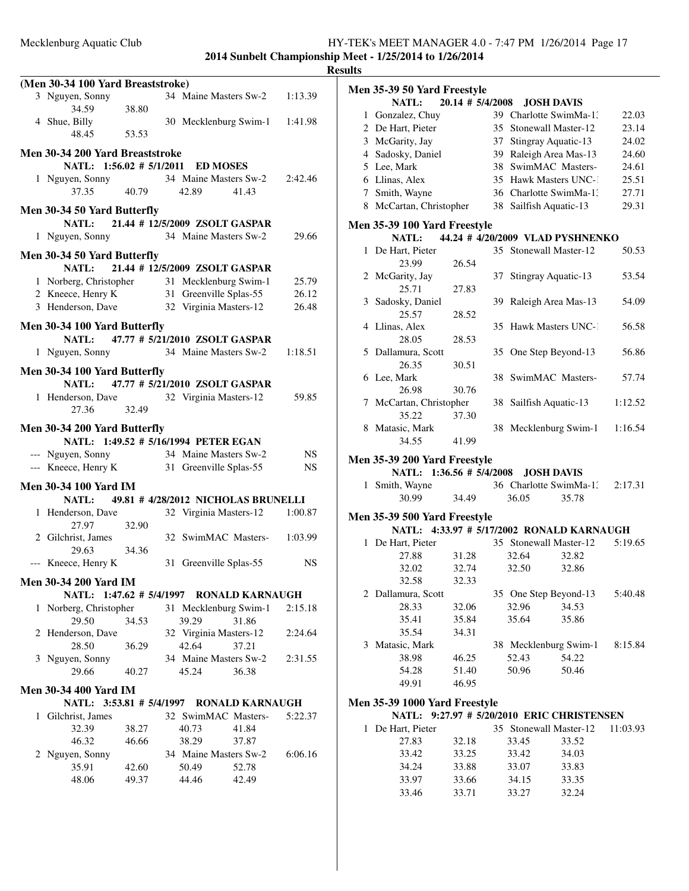|              |                                              |       |                                     |                        |           | лc |
|--------------|----------------------------------------------|-------|-------------------------------------|------------------------|-----------|----|
|              | (Men 30-34 100 Yard Breaststroke)            |       |                                     |                        |           |    |
|              | 3 Nguyen, Sonny                              |       | 34 Maine Masters Sw-2 1:13.39       |                        |           |    |
|              | 34.59<br>4 Shue, Billy                       | 38.80 | 30 Mecklenburg Swim-1 1:41.98       |                        |           |    |
|              | 48.45                                        | 53.53 |                                     |                        |           |    |
|              | Men 30-34 200 Yard Breaststroke              |       |                                     |                        |           |    |
|              | NATL: 1:56.02 # 5/1/2011 ED MOSES            |       |                                     |                        |           |    |
|              |                                              |       | 34 Maine Masters Sw-2               |                        | 2:42.46   |    |
|              | 1 Nguyen, Sonny<br>37.35 40.79               |       | 42.89                               | 41.43                  |           |    |
|              | Men 30-34 50 Yard Butterfly                  |       |                                     |                        |           |    |
|              | NATL:                                        |       | 21.44 # 12/5/2009 ZSOLT GASPAR      |                        |           |    |
|              | 1 Nguyen, Sonny 34 Maine Masters Sw-2        |       |                                     |                        | 29.66     |    |
|              | Men 30-34 50 Yard Butterfly                  |       |                                     |                        |           |    |
|              | <b>NATL:</b>                                 |       | 21.44 # 12/5/2009 ZSOLT GASPAR      |                        |           |    |
|              |                                              |       |                                     |                        | 25.79     |    |
|              | 1 Norberg, Christopher 31 Mecklenburg Swim-1 |       |                                     |                        |           |    |
|              | 2 Kneece, Henry K                            |       | 31 Greenville Splas-55              |                        | 26.12     |    |
|              | 3 Henderson, Dave                            |       | 32 Virginia Masters-12              |                        | 26.48     |    |
|              | Men 30-34 100 Yard Butterfly                 |       |                                     |                        |           |    |
|              | NATL: 47.77 # 5/21/2010 ZSOLT GASPAR         |       |                                     |                        |           |    |
|              | 1 Nguyen, Sonny                              |       | 34 Maine Masters Sw-2               |                        | 1:18.51   |    |
|              | Men 30-34 100 Yard Butterfly                 |       |                                     |                        |           |    |
|              | NATL: 47.77 # 5/21/2010 ZSOLT GASPAR         |       |                                     |                        |           |    |
|              | 1 Henderson, Dave 32 Virginia Masters-12     |       |                                     |                        | 59.85     |    |
|              | 27.36                                        | 32.49 |                                     |                        |           |    |
|              |                                              |       |                                     |                        |           |    |
|              | Men 30-34 200 Yard Butterfly                 |       |                                     |                        |           |    |
|              | NATL: 1:49.52 # 5/16/1994 PETER EGAN         |       |                                     |                        |           |    |
|              | --- Nguyen, Sonny                            |       | 34 Maine Masters Sw-2               |                        | NS        |    |
|              | --- Kneece, Henry K                          |       | 31 Greenville Splas-55              |                        | <b>NS</b> |    |
|              | <b>Men 30-34 100 Yard IM</b>                 |       |                                     |                        |           |    |
|              | NATL:                                        |       | 49.81 # 4/28/2012 NICHOLAS BRUNELLI |                        |           |    |
|              | 1 Henderson, Dave                            |       | 32 Virginia Masters-12              |                        | 1:00.87   |    |
|              | 27.97                                        | 32.90 |                                     |                        |           |    |
|              | 2 Gilchrist, James                           |       | 32 SwimMAC Masters- 1:03.99         |                        |           |    |
|              | 29.63                                        | 34.36 |                                     |                        |           |    |
|              |                                              |       |                                     |                        | NS        |    |
|              | --- Kneece, Henry K                          |       | 31 Greenville Splas-55              |                        |           |    |
|              | <b>Men 30-34 200 Yard IM</b>                 |       |                                     |                        |           |    |
|              | NATL: 1:47.62 # 5/4/1997 RONALD KARNAUGH     |       |                                     |                        |           |    |
|              | 1 Norberg, Christopher                       |       | 31 Mecklenburg Swim-1               |                        | 2:15.18   |    |
|              | 29.50                                        | 34.53 | 39.29                               | 31.86                  |           |    |
|              | 2 Henderson, Dave                            |       | 32 Virginia Masters-12              |                        | 2:24.64   |    |
|              | 28.50                                        | 36.29 | 42.64                               | 37.21                  |           |    |
|              | 3 Nguyen, Sonny                              |       | 34 Maine Masters Sw-2               |                        | 2:31.55   |    |
|              | 29.66                                        | 40.27 | 45.24                               | 36.38                  |           |    |
|              | <b>Men 30-34 400 Yard IM</b>                 |       |                                     |                        |           |    |
|              | NATL: 3:53.81 # 5/4/1997                     |       |                                     | <b>RONALD KARNAUGH</b> |           |    |
| $\mathbf{1}$ | Gilchrist, James                             |       | 32 SwimMAC Masters-                 |                        | 5:22.37   |    |
|              | 32.39                                        | 38.27 | 40.73                               | 41.84                  |           |    |
|              | 46.32                                        | 46.66 | 38.29                               | 37.87                  |           |    |
|              |                                              |       |                                     |                        |           |    |
|              | 2 Nguyen, Sonny                              |       | 34 Maine Masters Sw-2               |                        | 6:06.16   |    |
|              | 35.91                                        | 42.60 | 50.49                               | 52.78                  |           |    |
|              | 48.06                                        | 49.37 | 44.46                               | 42.49                  |           |    |
|              |                                              |       |                                     |                        |           |    |

| ılts |                                     |                      |    |       |                                            |          |
|------|-------------------------------------|----------------------|----|-------|--------------------------------------------|----------|
|      | Men 35-39 50 Yard Freestyle         |                      |    |       |                                            |          |
|      | NATL:                               | $20.14$ # $5/4/2008$ |    |       | <b>JOSH DAVIS</b>                          |          |
|      | 1 Gonzalez, Chuy                    |                      |    |       | 39 Charlotte SwimMa-1.                     | 22.03    |
|      | 2 De Hart, Pieter                   |                      | 35 |       | Stonewall Master-12                        | 23.14    |
|      | 3 McGarity, Jay                     |                      | 37 |       | Stingray Aquatic-13                        | 24.02    |
|      | 4 Sadosky, Daniel                   |                      |    |       | 39 Raleigh Area Mas-13                     | 24.60    |
|      | 5 Lee, Mark                         |                      | 38 |       | SwimMAC Masters-                           | 24.61    |
|      | 6 Llinas, Alex                      |                      |    |       | 35 Hawk Masters UNC-1                      | 25.51    |
|      | 7 Smith, Wayne                      |                      |    |       | 36 Charlotte SwimMa-13                     | 27.71    |
|      | 8 McCartan, Christopher             |                      |    |       | 38 Sailfish Aquatic-13                     | 29.31    |
|      | Men 35-39 100 Yard Freestyle        |                      |    |       |                                            |          |
|      | <b>NATL:</b>                        |                      |    |       | 44.24 # 4/20/2009 VLAD PYSHNENKO           |          |
|      | 1 De Hart, Pieter                   |                      |    |       | 35 Stonewall Master-12                     | 50.53    |
|      | 23.99                               | 26.54                |    |       |                                            |          |
|      | 2 McGarity, Jay                     |                      | 37 |       | Stingray Aquatic-13                        | 53.54    |
|      | 25.71                               | 27.83                |    |       |                                            |          |
|      | 3 Sadosky, Daniel                   |                      | 39 |       | Raleigh Area Mas-13                        | 54.09    |
|      | 25.57                               | 28.52                |    |       |                                            |          |
|      | 4 Llinas, Alex                      |                      | 35 |       | Hawk Masters UNC-1                         | 56.58    |
|      | 28.05                               | 28.53                |    |       |                                            |          |
|      | 5 Dallamura, Scott                  |                      |    |       | 35 One Step Beyond-13                      | 56.86    |
|      | 26.35                               | 30.51                |    |       |                                            |          |
|      | 6 Lee, Mark                         |                      |    |       | 38 SwimMAC Masters-                        | 57.74    |
|      | 26.98                               | 30.76                |    |       |                                            |          |
|      | 7 McCartan, Christopher             |                      |    |       | 38 Sailfish Aquatic-13                     | 1:12.52  |
|      | 35.22                               | 37.30                |    |       |                                            |          |
| 8    | Matasic, Mark                       |                      |    |       | 38 Mecklenburg Swim-1                      | 1:16.54  |
|      | 34.55                               | 41.99                |    |       |                                            |          |
|      |                                     |                      |    |       |                                            |          |
|      | Men 35-39 200 Yard Freestyle        |                      |    |       |                                            |          |
|      | NATL: 1:36.56 # 5/4/2008            |                      |    |       | <b>JOSH DAVIS</b>                          |          |
|      | 1 Smith, Wayne                      |                      |    |       | 36 Charlotte SwimMa-1:                     | 2:17.31  |
|      | 30.99                               | 34.49                |    | 36.05 | 35.78                                      |          |
|      | <b>Men 35-39 500 Yard Freestyle</b> |                      |    |       |                                            |          |
|      |                                     |                      |    |       | NATL: 4:33.97 # 5/17/2002 RONALD KARNAUGH  |          |
|      | 1 De Hart, Pieter                   |                      |    |       | 35 Stonewall Master-12                     | 5:19.65  |
|      | 27.88                               | 31.28                |    | 32.64 | 32.82                                      |          |
|      | 32.02                               | 32.74                |    | 32.50 | 32.86                                      |          |
|      | 32.58                               | 32.33                |    |       |                                            |          |
|      | 2 Dallamura, Scott                  |                      |    |       | 35 One Step Beyond-13                      | 5:40.48  |
|      | 28.33                               | 32.06                |    | 32.96 | 34.53                                      |          |
|      | 35.41                               | 35.84                |    | 35.64 | 35.86                                      |          |
|      | 35.54                               | 34.31                |    |       |                                            |          |
|      | 3 Matasic, Mark                     |                      |    |       | 38 Mecklenburg Swim-1 8:15.84              |          |
|      | 38.98                               | 46.25                |    | 52.43 | 54.22                                      |          |
|      | 54.28                               | 51.40                |    | 50.96 | 50.46                                      |          |
|      | 49.91                               | 46.95                |    |       |                                            |          |
|      |                                     |                      |    |       |                                            |          |
|      | Men 35-39 1000 Yard Freestyle       |                      |    |       |                                            |          |
|      |                                     |                      |    |       | NATL: 9:27.97 # 5/20/2010 ERIC CHRISTENSEN |          |
|      | 1 De Hart, Pieter                   |                      |    |       | 35 Stonewall Master-12                     | 11:03.93 |
|      | 27.83                               | 32.18                |    | 33.45 | 33.52                                      |          |
|      | 33.42                               | 33.25                |    | 33.42 | 34.03                                      |          |

34.24 33.88 33.07 33.83<br>33.97 33.66 34.15 33.35 33.97 33.66 34.15 33.35 33.46 33.71 33.27 32.24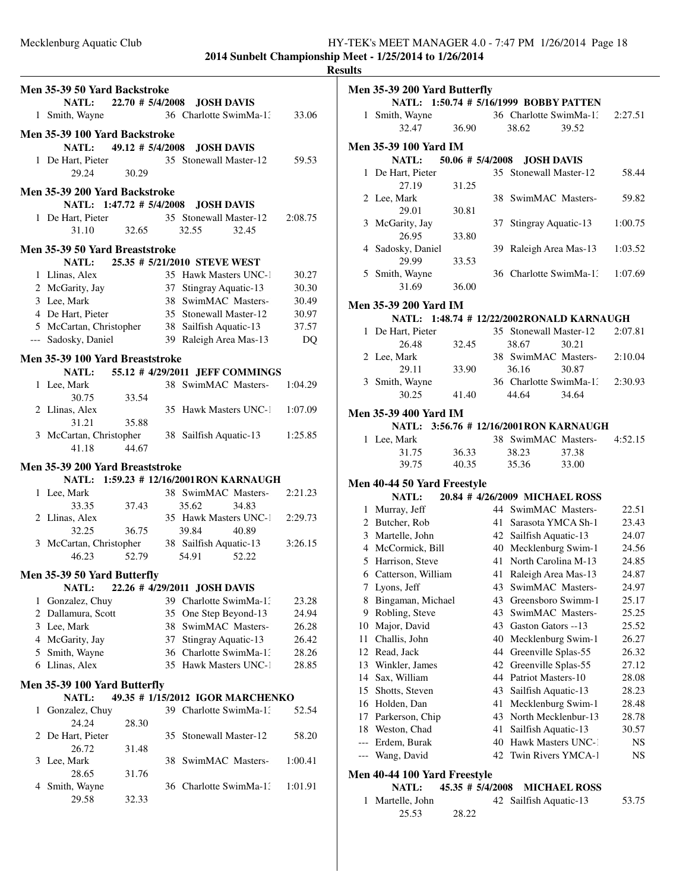|                                 |       |    |                                                                                                                                             |         | <b>Results</b> |
|---------------------------------|-------|----|---------------------------------------------------------------------------------------------------------------------------------------------|---------|----------------|
| Men 35-39 50 Yard Backstroke    |       |    |                                                                                                                                             |         | Me             |
|                                 |       |    | NATL: 22.70 # 5/4/2008 JOSH DAVIS                                                                                                           |         |                |
| 1 Smith, Wayne                  |       |    | 36 Charlotte SwimMa-1: 33.06                                                                                                                |         |                |
| Men 35-39 100 Yard Backstroke   |       |    |                                                                                                                                             |         |                |
| NATL: $49.12 \# 5/4/2008$       |       |    | <b>JOSH DAVIS</b>                                                                                                                           |         | Me             |
| 1 De Hart, Pieter               |       |    | 35 Stonewall Master-12                                                                                                                      | 59.53   |                |
| 29.24 30.29                     |       |    |                                                                                                                                             |         |                |
|                                 |       |    |                                                                                                                                             |         |                |
| Men 35-39 200 Yard Backstroke   |       |    |                                                                                                                                             |         |                |
|                                 |       |    | NATL: 1:47.72 # 5/4/2008 JOSH DAVIS                                                                                                         |         |                |
|                                 |       |    | 1 De Hart, Pieter 35 Stonewall Master-12                                                                                                    | 2:08.75 |                |
| 31.10                           | 32.65 |    | 32.55<br>32.45                                                                                                                              |         |                |
| Men 35-39 50 Yard Breaststroke  |       |    |                                                                                                                                             |         |                |
|                                 |       |    | NATL: 25.35 # 5/21/2010 STEVE WEST                                                                                                          |         |                |
| 1 Llinas, Alex                  |       |    | 35 Hawk Masters UNC-1<br>37 Stingray Aquatic-13                                                                                             | 30.27   |                |
| 2 McGarity, Jay                 |       |    |                                                                                                                                             | 30.30   |                |
| 3 Lee, Mark                     |       |    | 38 SwimMAC Masters-                                                                                                                         | 30.49   | Me             |
| 4 De Hart, Pieter               |       |    | 35 Stonewall Master-12                                                                                                                      | 30.97   |                |
|                                 |       |    |                                                                                                                                             | 37.57   |                |
| --- Sadosky, Daniel             |       |    | Suonewall Master-12<br>5 McCartan, Christopher 38 Sailfish Aquatic-13<br>5 Sadosky, Daniel 39 Raleigh Area Mas-13<br>39 Raleigh Area Mas-13 | DQ      |                |
|                                 |       |    |                                                                                                                                             |         |                |
| Men 35-39 100 Yard Breaststroke |       |    | NATL: 55.12 # 4/29/2011 JEFF COMMINGS                                                                                                       |         |                |
|                                 |       |    | 38 SwimMAC Masters-                                                                                                                         |         |                |
| 1 Lee, Mark<br>30.75            | 33.54 |    |                                                                                                                                             | 1:04.29 |                |
| 2 Llinas, Alex                  |       |    | 35 Hawk Masters UNC-1 1:07.09                                                                                                               |         |                |
| 31.21                           | 35.88 |    |                                                                                                                                             |         | Me             |
|                                 |       |    | 3 McCartan, Christopher 38 Sailfish Aquatic-13                                                                                              | 1:25.85 |                |
| 41.18                           | 44.67 |    |                                                                                                                                             |         |                |
|                                 |       |    |                                                                                                                                             |         |                |
| Men 35-39 200 Yard Breaststroke |       |    |                                                                                                                                             |         |                |
|                                 |       |    | NATL: 1:59.23 # 12/16/2001RON KARNAUGH                                                                                                      |         | Me             |
| 1 Lee, Mark                     |       |    | 38 SwimMAC Masters-                                                                                                                         | 2:21.23 |                |
| 33.35 37.43                     |       |    | 35.62<br>34.83                                                                                                                              |         |                |
| 2 Llinas, Alex                  |       |    | 35 Hawk Masters UNC-1                                                                                                                       | 2:29.73 |                |
| 32.25                           | 36.75 |    | 39.84<br>40.89                                                                                                                              |         |                |
|                                 |       |    | 3 McCartan, Christopher 38 Sailfish Aquatic-13                                                                                              | 3:26.15 |                |
| 46.23                           | 52.79 |    | 54.91<br>52.22                                                                                                                              |         |                |
| Men 35-39 50 Yard Butterfly     |       |    |                                                                                                                                             |         |                |
| <b>NATL:</b>                    |       |    | 22.26 # 4/29/2011 JOSH DAVIS                                                                                                                |         |                |
| 1 Gonzalez, Chuy                |       |    | 39 Charlotte SwimMa-1:                                                                                                                      | 23.28   |                |
| 2 Dallamura, Scott              |       |    | 35 One Step Beyond-13                                                                                                                       | 24.94   |                |
| 3 Lee, Mark                     |       |    | 38 SwimMAC Masters-                                                                                                                         | 26.28   | 1              |
| 4 McGarity, Jay                 |       |    | 37 Stingray Aquatic-13                                                                                                                      | 26.42   | 1              |
| 5 Smith, Wayne                  |       |    | 36 Charlotte SwimMa-1:                                                                                                                      | 28.26   | 1              |
| 6 Llinas, Alex                  |       |    | 35 Hawk Masters UNC-1                                                                                                                       | 28.85   | 1              |
|                                 |       |    |                                                                                                                                             |         | 1              |
| Men 35-39 100 Yard Butterfly    |       |    |                                                                                                                                             |         | 1              |
| NATL:                           |       |    | 49.35 # 1/15/2012 IGOR MARCHENKO                                                                                                            |         | 1              |
| 1 Gonzalez, Chuy                |       |    | 39 Charlotte SwimMa-1:                                                                                                                      | 52.54   | 1              |
| 24.24                           | 28.30 |    |                                                                                                                                             |         | 1              |
| 2 De Hart, Pieter               |       | 35 | Stonewall Master-12                                                                                                                         | 58.20   |                |
| 26.72                           | 31.48 |    |                                                                                                                                             |         |                |
| 3 Lee, Mark                     |       |    | 38 SwimMAC Masters-                                                                                                                         | 1:00.41 |                |
| 28.65                           | 31.76 |    |                                                                                                                                             |         | Me             |
| 4 Smith, Wayne                  |       |    | 36 Charlotte SwimMa-1.                                                                                                                      | 1:01.91 |                |
| 29.58                           | 32.33 |    |                                                                                                                                             |         |                |
|                                 |       |    |                                                                                                                                             |         |                |

|       | Men 35-39 200 Yard Butterfly               |                  |          |                                           |       |                |
|-------|--------------------------------------------|------------------|----------|-------------------------------------------|-------|----------------|
|       | NATL: 1:50.74 # 5/16/1999 BOBBY PATTEN     |                  |          |                                           |       |                |
| 1     | Smith, Wayne                               |                  |          | 36 Charlotte SwimMa-1.                    |       | 2:27.51        |
|       | 32.47                                      | 36.90            |          | 38.62                                     | 39.52 |                |
|       | <b>Men 35-39 100 Yard IM</b>               |                  |          |                                           |       |                |
|       | <b>NATL:</b>                               | 50.06 # 5/4/2008 |          | <b>JOSH DAVIS</b>                         |       |                |
| 1     | De Hart, Pieter                            |                  |          | 35 Stonewall Master-12                    |       | 58.44          |
|       | 27.19                                      | 31.25            |          |                                           |       |                |
|       | 2 Lee, Mark                                |                  | 38       | SwimMAC Masters-                          |       | 59.82          |
|       | 29.01                                      | 30.81            |          |                                           |       |                |
|       | 3 McGarity, Jay                            |                  | 37       | Stingray Aquatic-13                       |       | 1:00.75        |
|       | 26.95                                      | 33.80            |          |                                           |       |                |
|       | 4 Sadosky, Daniel                          |                  | 39       | Raleigh Area Mas-13                       |       | 1:03.52        |
|       | 29.99                                      | 33.53            |          |                                           |       |                |
|       | 5 Smith, Wayne                             |                  |          | 36 Charlotte SwimMa-1:                    |       | 1:07.69        |
|       | 31.69                                      | 36.00            |          |                                           |       |                |
|       | <b>Men 35-39 200 Yard IM</b>               |                  |          |                                           |       |                |
|       | NATL: 1:48.74 # 12/22/2002 RONALD KARNAUGH |                  |          |                                           |       |                |
| 1     | De Hart, Pieter                            |                  |          | 35 Stonewall Master-12                    |       | 2:07.81        |
|       | 26.48                                      | 32.45            |          | 38.67                                     | 30.21 |                |
|       | 2 Lee, Mark                                |                  |          | 38 SwimMAC Masters-                       |       | 2:10.04        |
|       | 29.11                                      | 33.90            |          | 36.16                                     | 30.87 |                |
|       | 3 Smith, Wayne                             |                  |          | 36 Charlotte SwimMa-1.                    |       | 2:30.93        |
|       | 30.25                                      | 41.40            |          | 44.64                                     | 34.64 |                |
|       | <b>Men 35-39 400 Yard IM</b>               |                  |          |                                           |       |                |
|       | NATL: 3:56.76 # 12/16/2001RON KARNAUGH     |                  |          |                                           |       |                |
|       | 1 Lee, Mark                                |                  |          | 38 SwimMAC Masters-                       |       | 4:52.15        |
|       | 31.75                                      | 36.33            |          | 38.23                                     | 37.38 |                |
|       | 39.75                                      | 40.35            |          | 35.36                                     | 33.00 |                |
|       | Men 40-44 50 Yard Freestyle                |                  |          |                                           |       |                |
|       | <b>NATL:</b>                               |                  |          | 20.84 #4/26/2009 MICHAEL ROSS             |       |                |
|       | 1 Murray, Jeff                             |                  |          | 44 SwimMAC Masters-                       |       | 22.51          |
|       | 2 Butcher, Rob                             |                  |          | 41 Sarasota YMCA Sh-1                     |       | 23.43          |
|       | 3 Martelle, John                           |                  |          | 42 Sailfish Aquatic-13                    |       | 24.07          |
|       | 4 McCormick, Bill                          |                  |          | 40 Mecklenburg Swim-1                     |       | 24.56          |
|       | 5 Harrison, Steve                          |                  |          | 41 North Carolina M-13                    |       | 24.85          |
|       | 6 Catterson, William                       |                  |          | 41 Raleigh Area Mas-13                    |       | 24.87          |
| Τ     | Lyons, Jeff                                |                  | 43       | SwimMAC Masters-                          |       | 24.97          |
| 8     | Bingaman, Michael                          |                  | 43       | Greensboro Swimm-1                        |       | 25.17          |
|       | 9 Robling, Steve                           |                  | 43       | SwimMAC Masters-                          |       | 25.25          |
|       | 10 Major, David                            |                  | 43       | Gaston Gators -- 13                       |       | 25.52          |
| 11    | Challis, John                              |                  |          | 40 Mecklenburg Swim-1                     |       | 26.27          |
|       | 12 Read, Jack                              |                  |          | 44 Greenville Splas-55                    |       | 26.32          |
|       | 13 Winkler, James                          |                  | 42       | Greenville Splas-55                       |       | 27.12          |
|       | 14 Sax, William                            |                  | 44       | Patriot Masters-10                        |       | 28.08          |
|       | 15 Shotts, Steven<br>16 Holden, Dan        |                  | 43       | Sailfish Aquatic-13                       |       | 28.23          |
|       |                                            |                  | 41<br>43 | Mecklenburg Swim-1<br>North Mecklenbur-13 |       | 28.48          |
| 17    | Parkerson, Chip<br>18 Weston, Chad         |                  | 41       | Sailfish Aquatic-13                       |       | 28.78<br>30.57 |
| $---$ | Erdem, Burak                               |                  | 40       | Hawk Masters UNC-1                        |       | NS             |
|       | --- Wang, David                            |                  | 42       | Twin Rivers YMCA-1                        |       | NS             |
|       |                                            |                  |          |                                           |       |                |
|       | Men 40-44 100 Yard Freestyle               |                  |          |                                           |       |                |

**NATL:** 45.35 # 5/4/2008 **MICHAEL ROSS** 1 Martelle, John 42 Sailfish Aquatic-13 53.75

25.53 28.22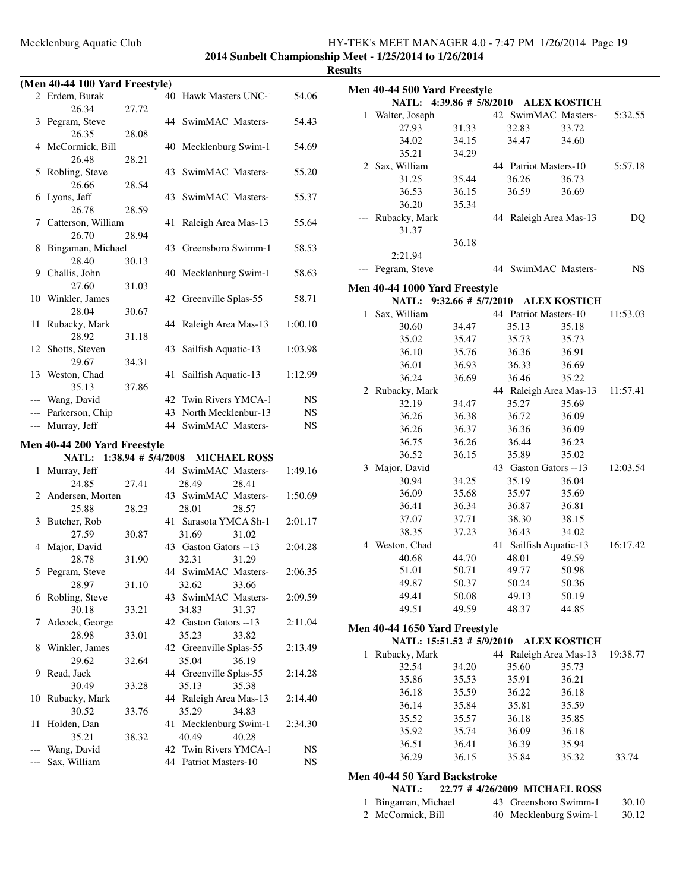|              | (Men 40-44 100 Yard Freestyle) |       |                                                |           |
|--------------|--------------------------------|-------|------------------------------------------------|-----------|
|              | 2 Erdem, Burak                 |       | 40 Hawk Masters UNC-1                          | 54.06     |
|              | 26.34                          | 27.72 |                                                |           |
|              | 3 Pegram, Steve                |       | 44 SwimMAC Masters-                            | 54.43     |
|              | 26.35                          | 28.08 |                                                |           |
|              | 4 McCormick, Bill              |       | 40 Mecklenburg Swim-1                          | 54.69     |
|              | 26.48                          | 28.21 |                                                |           |
|              | 5 Robling, Steve               |       | SwimMAC Masters-<br>43                         | 55.20     |
|              | 26.66                          | 28.54 |                                                |           |
| 6            | Lyons, Jeff                    |       | SwimMAC Masters-<br>43                         | 55.37     |
|              | 26.78<br>7 Catterson, William  | 28.59 | 41<br>Raleigh Area Mas-13                      | 55.64     |
|              | 26.70                          | 28.94 |                                                |           |
| 8            | Bingaman, Michael              |       | 43 Greensboro Swimm-1                          | 58.53     |
|              | 28.40                          | 30.13 |                                                |           |
| 9            | Challis, John                  |       | 40 Mecklenburg Swim-1                          | 58.63     |
|              | 27.60                          | 31.03 |                                                |           |
|              | 10 Winkler, James              |       | 42 Greenville Splas-55                         | 58.71     |
|              | 28.04                          | 30.67 |                                                |           |
| 11           | Rubacky, Mark                  |       | 44<br>Raleigh Area Mas-13                      | 1:00.10   |
|              | 28.92                          | 31.18 |                                                |           |
| 12           | Shotts, Steven                 |       | Sailfish Aquatic-13<br>43                      | 1:03.98   |
|              | 29.67                          | 34.31 |                                                |           |
|              | 13 Weston, Chad                |       | Sailfish Aquatic-13<br>41                      | 1:12.99   |
|              | 35.13                          | 37.86 |                                                |           |
|              | --- Wang, David                |       | 42 Twin Rivers YMCA-1                          | NS        |
|              | --- Parkerson, Chip            |       | 43 North Mecklenbur-13                         | <b>NS</b> |
| ---          | Murray, Jeff                   |       | 44 SwimMAC Masters-                            | NS.       |
|              | Men 40-44 200 Yard Freestyle   |       |                                                |           |
|              |                                |       |                                                |           |
|              |                                |       |                                                |           |
|              | NATL: 1:38.94 # 5/4/2008       |       | <b>MICHAEL ROSS</b>                            |           |
| $\mathbf{1}$ | Murray, Jeff<br>24.85          | 27.41 | 44 SwimMAC Masters-<br>28.49<br>28.41          | 1:49.16   |
|              |                                |       | 43 SwimMAC Masters-                            | 1:50.69   |
|              | 2 Andersen, Morten<br>25.88    | 28.23 | 28.01<br>28.57                                 |           |
| 3            | Butcher, Rob                   |       | 41 Sarasota YMCA Sh-1                          | 2:01.17   |
|              | 27.59                          | 30.87 | 31.69<br>31.02                                 |           |
|              | 4 Major, David                 |       | 43 Gaston Gators --13                          | 2:04.28   |
|              | 28.78                          | 31.90 | 32.31<br>31.29                                 |           |
|              | 5 Pegram, Steve                |       | 44 SwimMAC Masters-                            | 2:06.35   |
|              | 28.97                          | 31.10 | 32.62<br>33.66                                 |           |
| 6            | Robling, Steve                 |       | 43 SwimMAC Masters-                            | 2:09.59   |
|              | 30.18                          | 33.21 | 34.83<br>31.37                                 |           |
| 7            | Adcock, George                 |       | 42 Gaston Gators --13                          | 2:11.04   |
|              | 28.98                          | 33.01 | 35.23<br>33.82                                 |           |
| 8            | Winkler, James                 |       | 42 Greenville Splas-55                         | 2:13.49   |
|              | 29.62                          | 32.64 | 35.04<br>36.19                                 |           |
| 9            | Read, Jack                     |       | 44 Greenville Splas-55                         | 2:14.28   |
|              | 30.49                          | 33.28 | 35.13<br>35.38                                 |           |
| 10           | Rubacky, Mark                  |       | 44 Raleigh Area Mas-13                         | 2:14.40   |
|              | 30.52                          | 33.76 | 35.29<br>34.83                                 |           |
| 11           | Holden, Dan                    |       | 41 Mecklenburg Swim-1                          | 2:34.30   |
|              | 35.21                          | 38.32 | 40.49<br>40.28                                 |           |
| ---          | Wang, David<br>Sax, William    |       | 42 Twin Rivers YMCA-1<br>44 Patriot Masters-10 | NS<br>NS. |

| uts            |                                                            |                |    |       |                                 |           |
|----------------|------------------------------------------------------------|----------------|----|-------|---------------------------------|-----------|
|                | <b>Men 40-44 500 Yard Freestyle</b>                        |                |    |       |                                 |           |
|                | <b>NATL:</b>                                               |                |    |       | 4:39.86 # 5/8/2010 ALEX KOSTICH |           |
|                | 1 Walter, Joseph                                           |                |    |       | 42 SwimMAC Masters-             | 5:32.55   |
|                | 27.93                                                      | 31.33          |    | 32.83 | 33.72                           |           |
|                | 34.02                                                      | 34.15          |    | 34.47 | 34.60                           |           |
|                | 35.21                                                      | 34.29          |    |       |                                 |           |
|                | 2 Sax, William                                             |                |    |       | 44 Patriot Masters-10           | 5:57.18   |
|                | 31.25                                                      | 35.44          |    | 36.26 | 36.73                           |           |
|                | 36.53                                                      | 36.15          |    | 36.59 | 36.69                           |           |
|                | 36.20                                                      | 35.34          |    |       |                                 |           |
|                |                                                            |                |    |       |                                 |           |
|                | Rubacky, Mark                                              |                |    |       | 44 Raleigh Area Mas-13          | DQ        |
|                | 31.37                                                      |                |    |       |                                 |           |
|                |                                                            | 36.18          |    |       |                                 |           |
|                | 2:21.94                                                    |                |    |       |                                 |           |
| $---$          | Pegram, Steve                                              |                |    |       | 44 SwimMAC Masters-             | <b>NS</b> |
|                | Men 40-44 1000 Yard Freestyle                              |                |    |       |                                 |           |
|                | NATL: 9:32.66 # 5/7/2010                                   |                |    |       | <b>ALEX KOSTICH</b>             |           |
| $\mathbf{1}$   | Sax, William                                               |                |    |       | 44 Patriot Masters-10           | 11:53.03  |
|                | 30.60                                                      | 34.47          |    | 35.13 | 35.18                           |           |
|                | 35.02                                                      | 35.47          |    | 35.73 | 35.73                           |           |
|                | 36.10                                                      | 35.76          |    | 36.36 | 36.91                           |           |
|                | 36.01                                                      | 36.93          |    | 36.33 | 36.69                           |           |
|                | 36.24                                                      | 36.69          |    | 36.46 | 35.22                           |           |
|                | 2 Rubacky, Mark                                            |                |    |       | 44 Raleigh Area Mas-13          | 11:57.41  |
|                | 32.19                                                      | 34.47          |    | 35.27 | 35.69                           |           |
|                | 36.26                                                      | 36.38          |    | 36.72 | 36.09                           |           |
|                | 36.26                                                      | 36.37          |    | 36.36 | 36.09                           |           |
|                | 36.75                                                      | 36.26          |    | 36.44 | 36.23                           |           |
|                | 36.52                                                      | 36.15          |    | 35.89 | 35.02                           |           |
|                | 3 Major, David                                             |                |    |       | 43 Gaston Gators --13           | 12:03.54  |
|                | 30.94                                                      | 34.25          |    | 35.19 | 36.04                           |           |
|                | 36.09                                                      | 35.68          |    | 35.97 | 35.69                           |           |
|                | 36.41                                                      | 36.34          |    | 36.87 | 36.81                           |           |
|                | 37.07                                                      | 37.71          |    | 38.30 | 38.15                           |           |
|                | 38.35                                                      | 37.23          |    | 36.43 | 34.02                           |           |
|                | 4 Weston, Chad                                             |                |    |       | 41 Sailfish Aquatic-13          | 16:17.42  |
|                | 40.68                                                      | 44.70          |    | 48.01 | 49.59                           |           |
|                | 51.01                                                      | 50.71          |    | 49.77 | 50.98                           |           |
|                | 49.87                                                      | 50.37          |    | 50.24 | 50.36                           |           |
|                | 49.41                                                      | 50.08          |    | 49.13 | 50.19                           |           |
|                | 49.51                                                      | 49.59          |    | 48.37 | 44.85                           |           |
|                |                                                            |                |    |       |                                 |           |
|                | Men 40-44 1650 Yard Freestyle<br>NATL: 15:51.52 # 5/9/2010 |                |    |       | <b>ALEX KOSTICH</b>             |           |
|                |                                                            |                |    |       |                                 |           |
| 1              | Rubacky, Mark<br>32.54                                     |                |    | 35.60 | 44 Raleigh Area Mas-13          | 19:38.77  |
|                | 35.86                                                      | 34.20<br>35.53 |    | 35.91 | 35.73<br>36.21                  |           |
|                | 36.18                                                      |                |    | 36.22 | 36.18                           |           |
|                |                                                            | 35.59          |    |       |                                 |           |
|                | 36.14                                                      | 35.84          |    | 35.81 | 35.59                           |           |
|                | 35.52                                                      | 35.57          |    | 36.18 | 35.85                           |           |
|                | 35.92                                                      | 35.74          |    | 36.09 | 36.18                           |           |
|                | 36.51                                                      | 36.41          |    | 36.39 | 35.94                           |           |
|                | 36.29                                                      | 36.15          |    | 35.84 | 35.32                           | 33.74     |
|                | Men 40-44 50 Yard Backstroke                               |                |    |       |                                 |           |
|                | NATL:                                                      |                |    |       | 22.77 # 4/26/2009 MICHAEL ROSS  |           |
| 1              | Bingaman, Michael                                          |                |    |       | 43 Greensboro Swimm-1           | 30.10     |
| $\overline{2}$ | McCormick, Bill                                            |                | 40 |       | Mecklenburg Swim-1              | 30.12     |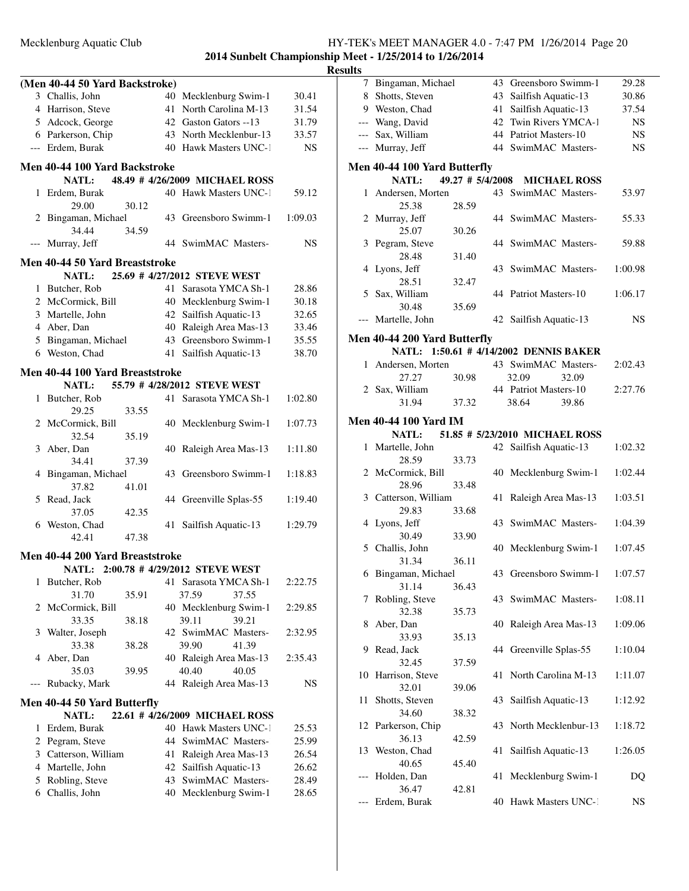|     |                                             |       |          |                                         |                | <b>Results</b> |
|-----|---------------------------------------------|-------|----------|-----------------------------------------|----------------|----------------|
|     | (Men 40-44 50 Yard Backstroke)              |       |          |                                         |                |                |
|     | 3 Challis, John                             |       |          | 40 Mecklenburg Swim-1                   | 30.41          |                |
|     | 4 Harrison, Steve                           |       |          | 41 North Carolina M-13                  | 31.54          |                |
|     | 5 Adcock, George                            |       |          | 42 Gaston Gators --13                   | 31.79          |                |
|     | 6 Parkerson, Chip                           |       |          | 43 North Mecklenbur-13                  | 33.57          |                |
|     | --- Erdem, Burak                            |       |          | 40 Hawk Masters UNC-1                   | <b>NS</b>      |                |
|     | Men 40-44 100 Yard Backstroke               |       |          |                                         |                | $\bf M$        |
|     |                                             |       |          | NATL: 48.49 # 4/26/2009 MICHAEL ROSS    |                |                |
|     | 1 Erdem, Burak                              |       |          | 40 Hawk Masters UNC-1                   | 59.12          |                |
|     | 29.00                                       | 30.12 |          |                                         |                |                |
|     | 2 Bingaman, Michael                         |       |          | 43 Greensboro Swimm-1                   | 1:09.03        |                |
|     | 34.44                                       | 34.59 |          |                                         |                |                |
|     | --- Murray, Jeff                            |       |          | 44 SwimMAC Masters-                     | NS             |                |
|     | Men 40-44 50 Yard Breaststroke              |       |          |                                         |                |                |
|     |                                             |       |          | NATL: 25.69 # 4/27/2012 STEVE WEST      |                |                |
|     | 1 Butcher, Rob                              |       |          | 41 Sarasota YMCA Sh-1                   | 28.86          |                |
|     | 2 McCormick, Bill                           |       |          | 40 Mecklenburg Swim-1                   | 30.18          |                |
|     | 3 Martelle, John                            |       |          | 42 Sailfish Aquatic-13                  | 32.65          |                |
|     | 4 Aber, Dan                                 |       |          | 40 Raleigh Area Mas-13                  | 33.46          |                |
|     | 5 Bingaman, Michael                         |       |          | 43 Greensboro Swimm-1                   | 35.55          | M              |
|     | 6 Weston, Chad                              |       |          | 41 Sailfish Aquatic-13                  | 38.70          |                |
|     |                                             |       |          |                                         |                |                |
|     | Men 40-44 100 Yard Breaststroke             |       |          |                                         |                |                |
|     | <b>NATL:</b>                                |       |          | 55.79 # 4/28/2012 STEVE WEST            |                |                |
|     | 1 Butcher, Rob                              |       |          | 41 Sarasota YMCA Sh-1                   | 1:02.80        |                |
|     | 29.25                                       | 33.55 |          |                                         |                | M              |
|     | 2 McCormick, Bill                           |       |          | 40 Mecklenburg Swim-1                   | 1:07.73        |                |
|     | 32.54                                       | 35.19 |          |                                         |                |                |
|     | 3 Aber, Dan<br>34.41                        | 37.39 |          | 40 Raleigh Area Mas-13                  | 1:11.80        |                |
|     | 4 Bingaman, Michael                         |       |          | 43 Greensboro Swimm-1                   | 1:18.83        |                |
|     | 37.82                                       | 41.01 |          |                                         |                |                |
|     | 5 Read, Jack                                |       |          | 44 Greenville Splas-55                  | 1:19.40        |                |
|     | 37.05                                       | 42.35 |          |                                         |                |                |
|     | 6 Weston, Chad                              |       |          | 41 Sailfish Aquatic-13                  | 1:29.79        |                |
|     | 42.41                                       | 47.38 |          |                                         |                |                |
|     |                                             |       |          |                                         |                |                |
|     | Men 40-44 200 Yard Breaststroke             |       |          | NATL: 2:00.78 # 4/29/2012 STEVE WEST    |                |                |
| 1   | Butcher, Rob                                |       |          | 41 Sarasota YMCA Sh-1                   | 2:22.75        |                |
|     | 31.70                                       | 35.91 |          | 37.59<br>37.55                          |                |                |
| 2   | McCormick, Bill                             |       |          | 40 Mecklenburg Swim-1                   | 2:29.85        |                |
|     | 33.35                                       | 38.18 |          | 39.21<br>39.11                          |                |                |
| 3   | Walter, Joseph                              |       |          | 42 SwimMAC Masters-                     | 2:32.95        |                |
|     | 33.38                                       | 38.28 |          | 39.90<br>41.39                          |                |                |
| 4   | Aber, Dan                                   |       |          | 40 Raleigh Area Mas-13                  | 2:35.43        |                |
|     | 35.03                                       | 39.95 |          | 40.40<br>40.05                          |                |                |
| --- | Rubacky, Mark                               |       |          | 44 Raleigh Area Mas-13                  | NS             |                |
|     |                                             |       |          |                                         |                |                |
|     | Men 40-44 50 Yard Butterfly<br><b>NATL:</b> |       |          | 22.61 #4/26/2009 MICHAEL ROSS           |                |                |
|     | 1 Erdem, Burak                              |       |          | 40 Hawk Masters UNC-1                   |                |                |
|     |                                             |       |          |                                         | 25.53          |                |
|     | 2 Pegram, Steve                             |       |          | 44 SwimMAC Masters-                     | 25.99          |                |
|     | 3 Catterson, William                        |       |          | 41 Raleigh Area Mas-13                  | 26.54          |                |
|     | 4 Martelle, John<br>5 Robling, Steve        |       | 42<br>43 | Sailfish Aquatic-13<br>SwimMAC Masters- | 26.62          |                |
|     | 6 Challis, John                             |       |          | 40 Mecklenburg Swim-1                   | 28.49<br>28.65 |                |
|     |                                             |       |          |                                         |                |                |

| ults |                              |                  |    |                                        |           |
|------|------------------------------|------------------|----|----------------------------------------|-----------|
| 7    | Bingaman, Michael            |                  |    | 43 Greensboro Swimm-1                  | 29.28     |
|      | 8 Shotts, Steven             |                  |    | 43 Sailfish Aquatic-13                 | 30.86     |
|      | 9 Weston, Chad               |                  | 41 | Sailfish Aquatic-13                    | 37.54     |
|      | --- Wang, David              |                  |    | 42 Twin Rivers YMCA-1                  | NS        |
|      | --- Sax, William             |                  |    | 44 Patriot Masters-10                  | <b>NS</b> |
|      | --- Murray, Jeff             |                  |    | 44 SwimMAC Masters-                    | <b>NS</b> |
|      | Men 40-44 100 Yard Butterfly |                  |    |                                        |           |
|      | NATL:                        | 49.27 # 5/4/2008 |    | <b>MICHAEL ROSS</b>                    |           |
|      | 1 Andersen, Morten           |                  |    | 43 SwimMAC Masters-                    | 53.97     |
|      | 25.38                        | 28.59            |    |                                        |           |
|      | 2 Murray, Jeff               |                  |    | 44 SwimMAC Masters-                    | 55.33     |
|      | 25.07                        | 30.26            |    |                                        |           |
|      | 3 Pegram, Steve              |                  |    | 44 SwimMAC Masters-                    | 59.88     |
|      | 28.48                        | 31.40            |    |                                        |           |
|      | 4 Lyons, Jeff                |                  |    | 43 SwimMAC Masters-                    | 1:00.98   |
|      | 28.51                        | 32.47            |    |                                        |           |
|      | 5 Sax, William               |                  |    | 44 Patriot Masters-10                  | 1:06.17   |
|      | 30.48                        | 35.69            |    |                                        |           |
|      | --- Martelle, John           |                  |    | 42 Sailfish Aquatic-13                 | NS        |
|      | Men 40-44 200 Yard Butterfly |                  |    |                                        |           |
|      |                              |                  |    | NATL: 1:50.61 # 4/14/2002 DENNIS BAKER |           |
|      | 1 Andersen, Morten           |                  |    | 43 SwimMAC Masters-                    | 2:02.43   |
|      | 27.27                        | 30.98            |    | 32.09<br>32.09                         |           |
|      | 2 Sax, William               |                  |    | 44 Patriot Masters-10                  | 2:27.76   |
|      | 31.94                        | 37.32            |    | 38.64<br>39.86                         |           |
|      | <b>Men 40-44 100 Yard IM</b> |                  |    |                                        |           |
|      | <b>NATL:</b>                 |                  |    | 51.85 # 5/23/2010 MICHAEL ROSS         |           |
|      | 1 Martelle, John             |                  |    | 42 Sailfish Aquatic-13                 | 1:02.32   |
|      | 28.59                        | 33.73            |    |                                        |           |
|      | 2 McCormick, Bill            |                  |    | 40 Mecklenburg Swim-1                  | 1:02.44   |
|      | 28.96                        | 33.48            |    |                                        |           |
|      | 3 Catterson, William         |                  | 41 | Raleigh Area Mas-13                    | 1:03.51   |
|      | 29.83                        | 33.68            |    |                                        |           |
|      | 4 Lyons, Jeff                |                  |    | 43 SwimMAC Masters-                    | 1:04.39   |
|      | 30.49                        | 33.90            |    |                                        |           |
|      | 5 Challis, John              |                  |    | 40 Mecklenburg Swim-1                  | 1:07.45   |
|      | 31.34                        | 36.11            |    |                                        |           |
|      | 6 Bingaman, Michael          |                  |    | 43 Greensboro Swimm-1 1:07.57          |           |
|      | 31.14                        | 36.43            |    |                                        |           |
| 7    | Robling, Steve               |                  | 43 | SwimMAC Masters-                       | 1:08.11   |
|      | 32.38                        | 35.73            |    |                                        |           |
| 8    | Aber, Dan                    |                  | 40 | Raleigh Area Mas-13                    | 1:09.06   |
|      | 33.93                        | 35.13            |    | 44 Greenville Splas-55                 |           |
| 9.   | Read, Jack<br>32.45          |                  |    |                                        | 1:10.04   |
| 10   | Harrison, Steve              | 37.59            | 41 | North Carolina M-13                    | 1:11.07   |
|      | 32.01                        | 39.06            |    |                                        |           |
| 11   | Shotts, Steven               |                  | 43 | Sailfish Aquatic-13                    | 1:12.92   |
|      | 34.60                        | 38.32            |    |                                        |           |
|      | 12 Parkerson, Chip           |                  | 43 | North Mecklenbur-13                    | 1:18.72   |
|      | 36.13                        | 42.59            |    |                                        |           |
|      | 13 Weston, Chad              |                  | 41 | Sailfish Aquatic-13                    | 1:26.05   |
|      | 40.65                        | 45.40            |    |                                        |           |
|      | Holden, Dan                  |                  | 41 | Mecklenburg Swim-1                     | DQ        |
|      | 36.47                        | 42.81            |    |                                        |           |
|      | Erdem, Burak                 |                  |    | 40 Hawk Masters UNC-1                  | NS        |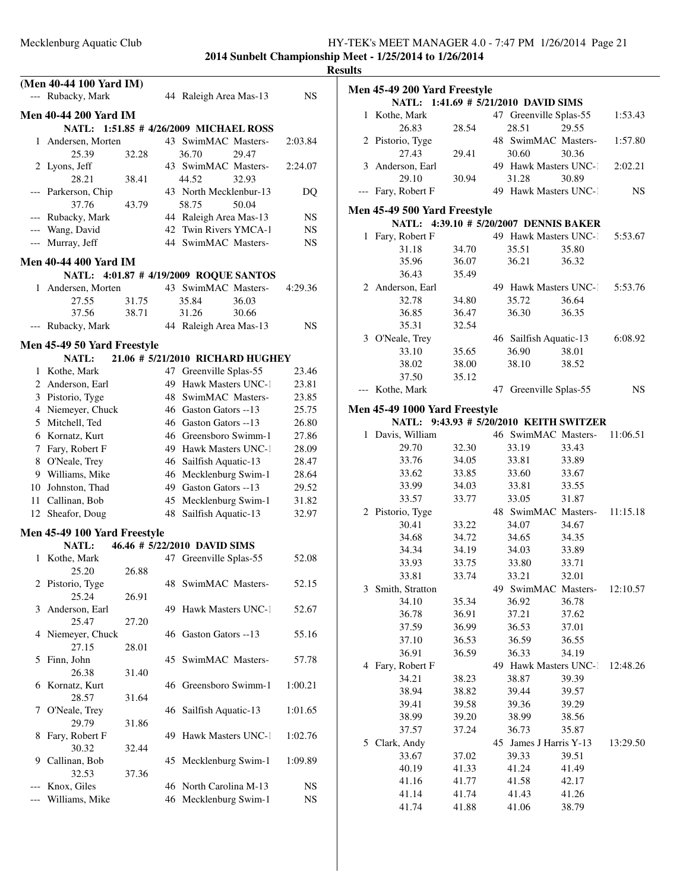**2014 Sunbelt Championship Meet - 1/25/2014 to 1/26/2014 Results**

|              | (Men 40-44 100 Yard IM)      |       |    |                                        |           |
|--------------|------------------------------|-------|----|----------------------------------------|-----------|
|              | --- Rubacky, Mark            |       |    | 44 Raleigh Area Mas-13                 | NS        |
|              | <b>Men 40-44 200 Yard IM</b> |       |    |                                        |           |
|              |                              |       |    | NATL: 1:51.85 # 4/26/2009 MICHAEL ROSS |           |
| $\mathbf{1}$ | Andersen, Morten             |       |    | 43 SwimMAC Masters-                    | 2:03.84   |
|              | 25.39                        | 32.28 |    | 36.70<br>29.47                         |           |
|              | 2 Lyons, Jeff                |       |    | 43 SwimMAC Masters-                    | 2:24.07   |
|              | 28.21                        | 38.41 |    | 44.52<br>32.93                         |           |
| ---          | Parkerson, Chip              |       |    | 43 North Mecklenbur-13                 | DO        |
|              | 37.76                        | 43.79 |    | 58.75<br>50.04                         |           |
|              | --- Rubacky, Mark            |       |    | 44 Raleigh Area Mas-13                 | NS        |
|              | --- Wang, David              |       |    | 42 Twin Rivers YMCA-1                  | <b>NS</b> |
|              | --- Murray, Jeff             |       |    | 44 SwimMAC Masters-                    | NS        |
|              | Men 40-44 400 Yard IM        |       |    |                                        |           |
|              |                              |       |    | NATL: 4:01.87 #4/19/2009 ROQUE SANTOS  |           |
| 1            | Andersen, Morten             |       |    | 43 SwimMAC Masters-                    | 4:29.36   |
|              | 27.55                        | 31.75 |    | 35.84<br>36.03                         |           |
|              | 37.56                        | 38.71 |    | 31.26<br>30.66                         |           |
|              | Rubacky, Mark                |       |    | 44 Raleigh Area Mas-13                 | NS        |
|              | Men 45-49 50 Yard Freestyle  |       |    |                                        |           |
|              | <b>NATL:</b>                 |       |    | 21.06 # 5/21/2010 RICHARD HUGHEY       |           |
|              | 1 Kothe, Mark                |       | 47 | Greenville Splas-55                    | 23.46     |
|              | 2 Anderson, Earl             |       |    | 49 Hawk Masters UNC-1                  | 23.81     |
|              | 3 Pistorio, Tyge             |       | 48 | SwimMAC Masters-                       | 23.85     |
|              | 4 Niemeyer, Chuck            |       |    | 46 Gaston Gators --13                  | 25.75     |
|              | 5 Mitchell, Ted              |       |    | 46 Gaston Gators --13                  | 26.80     |
|              | 6 Kornatz, Kurt              |       |    | 46 Greensboro Swimm-1                  | 27.86     |
|              | 7 Fary, Robert F             |       |    | 49 Hawk Masters UNC-1                  | 28.09     |
| 8            | O'Neale, Trey                |       |    | 46 Sailfish Aquatic-13                 | 28.47     |
|              | 9 Williams, Mike             |       |    | 46 Mecklenburg Swim-1                  | 28.64     |
|              | 10 Johnston, Thad            |       |    | 49 Gaston Gators --13                  | 29.52     |
|              | 11 Callinan, Bob             |       |    | 45 Mecklenburg Swim-1                  | 31.82     |
|              | 12 Sheafor, Doug             |       | 48 | Sailfish Aquatic-13                    | 32.97     |
|              | Men 45-49 100 Yard Freestyle |       |    |                                        |           |
|              | <b>NATL:</b>                 |       |    | 46.46 # 5/22/2010 DAVID SIMS           |           |
|              | 1 Kothe, Mark                |       |    | 47 Greenville Splas-55                 | 52.08     |
|              | 25.20                        | 26.88 |    |                                        |           |
|              | 2 Pistorio, Tyge             |       |    | 48 SwimMAC Masters-                    | 52.15     |
|              | 25.24                        | 26.91 |    |                                        |           |
| 3            | Anderson, Earl               |       |    | 49 Hawk Masters UNC-1                  | 52.67     |
|              | 25.47                        | 27.20 |    |                                        |           |
| 4            | Niemeyer, Chuck              |       |    | 46 Gaston Gators --13                  | 55.16     |
|              | 27.15                        | 28.01 |    |                                        |           |
| 5            | Finn, John                   |       | 45 | SwimMAC Masters-                       | 57.78     |
|              | 26.38                        | 31.40 |    |                                        |           |
| 6            | Kornatz, Kurt                |       |    | 46 Greensboro Swimm-1                  | 1:00.21   |
|              | 28.57                        | 31.64 |    |                                        |           |
| 7            | O'Neale, Trey                |       | 46 | Sailfish Aquatic-13                    | 1:01.65   |
|              | 29.79                        | 31.86 | 49 | Hawk Masters UNC-1                     |           |
| 8            | Fary, Robert F<br>30.32      |       |    |                                        | 1:02.76   |
| 9            | Callinan, Bob                | 32.44 |    | 45 Mecklenburg Swim-1                  | 1:09.89   |
|              | 32.53                        | 37.36 |    |                                        |           |
|              | Knox, Giles                  |       |    | 46 North Carolina M-13                 | NS        |
|              | Williams, Mike               |       |    | 46 Mecklenburg Swim-1                  | NS        |
|              |                              |       |    |                                        |           |

| ults         |                                      |                |                                   |       |           |
|--------------|--------------------------------------|----------------|-----------------------------------|-------|-----------|
|              | Men 45-49 200 Yard Freestyle         |                |                                   |       |           |
|              | NATL: 1:41.69 # 5/21/2010 DAVID SIMS |                |                                   |       |           |
|              | 1 Kothe, Mark                        |                | 47 Greenville Splas-55            |       | 1:53.43   |
|              | 26.83                                | 28.54          | 28.51                             | 29.55 |           |
|              | 2 Pistorio, Tyge                     |                | 48 SwimMAC Masters-               |       | 1:57.80   |
|              | 27.43                                | 29.41          | 30.60                             | 30.36 |           |
|              | 3 Anderson, Earl                     |                | 49 Hawk Masters UNC-1             |       | 2:02.21   |
|              | 29.10                                | 30.94          | 31.28                             | 30.89 |           |
|              | --- Fary, Robert F                   |                | 49 Hawk Masters UNC-1             |       | <b>NS</b> |
|              |                                      |                |                                   |       |           |
|              | Men 45-49 500 Yard Freestyle         |                |                                   |       |           |
|              | NATL:                                |                | 4:39.10 # 5/20/2007 DENNIS BAKER  |       |           |
|              | 1 Fary, Robert F                     |                | 49 Hawk Masters UNC-1             |       | 5:53.67   |
|              | 31.18                                | 34.70          | 35.51                             | 35.80 |           |
|              | 35.96                                | 36.07          | 36.21                             | 36.32 |           |
|              | 36.43                                | 35.49          |                                   |       |           |
|              | 2 Anderson, Earl                     |                | 49 Hawk Masters UNC-1             |       | 5:53.76   |
|              | 32.78                                | 34.80          | 35.72                             | 36.64 |           |
|              | 36.85                                | 36.47          | 36.30                             | 36.35 |           |
|              | 35.31                                | 32.54          |                                   |       |           |
|              | 3 O'Neale, Trey                      |                | 46 Sailfish Aquatic-13            |       | 6:08.92   |
|              | 33.10                                | 35.65          | 36.90                             | 38.01 |           |
|              | 38.02                                | 38.00          | 38.10                             | 38.52 |           |
|              | 37.50                                | 35.12          |                                   |       |           |
|              | --- Kothe, Mark                      |                | 47 Greenville Splas-55            |       | NS        |
|              | Men 45-49 1000 Yard Freestyle        |                |                                   |       |           |
|              | <b>NATL:</b>                         |                | 9:43.93 # 5/20/2010 KEITH SWITZER |       |           |
| $\mathbf{1}$ | Davis, William                       |                | 46 SwimMAC Masters-               |       | 11:06.51  |
|              | 29.70                                | 32.30          | 33.19                             | 33.43 |           |
|              | 33.76                                | 34.05          | 33.81                             | 33.89 |           |
|              | 33.62                                | 33.85          | 33.60                             | 33.67 |           |
|              | 33.99                                | 34.03          | 33.81                             | 33.55 |           |
|              | 33.57                                | 33.77          | 33.05                             | 31.87 |           |
|              | 2 Pistorio, Tyge                     |                | 48 SwimMAC Masters-               |       | 11:15.18  |
|              | 30.41                                | 33.22          | 34.07                             | 34.67 |           |
|              | 34.68                                | 34.72          | 34.65                             | 34.35 |           |
|              | 34.34                                | 34.19          | 34.03                             | 33.89 |           |
|              | 33.93                                | 33.75          | 33.80                             | 33.71 |           |
|              | 33.81                                | 33.74          | 33.21                             | 32.01 |           |
| 3            | Smith, Stratton                      |                | 49 SwimMAC Masters-               |       | 12:10.57  |
|              | 34.10                                | 35.34          | 36.92                             | 36.78 |           |
|              | 36.78                                | 36.91          | 37.21                             | 37.62 |           |
|              | 37.59                                | 36.99          | 36.53                             | 37.01 |           |
|              | 37.10                                | 36.53          | 36.59                             | 36.55 |           |
|              | 36.91                                | 36.59          | 36.33                             | 34.19 |           |
|              | 4 Fary, Robert F                     |                |                                   |       |           |
|              | 34.21                                |                | 49 Hawk Masters UNC-1<br>38.87    | 39.39 | 12:48.26  |
|              |                                      | 38.23<br>38.82 |                                   |       |           |
|              | 38.94                                | 39.58          | 39.44                             | 39.57 |           |
|              | 39.41                                |                | 39.36                             | 39.29 |           |
|              | 38.99                                | 39.20          | 38.99                             | 38.56 |           |
|              | 37.57                                | 37.24          | 36.73                             | 35.87 |           |
|              | 5 Clark, Andy                        |                | 45 James J Harris Y-13            |       | 13:29.50  |
|              | 33.67                                | 37.02          | 39.33                             | 39.51 |           |
|              | 40.19                                | 41.33          | 41.24                             | 41.49 |           |

41.16 41.77 41.58 42.17 41.14 41.74 41.43 41.26 41.74 41.88 41.06 38.79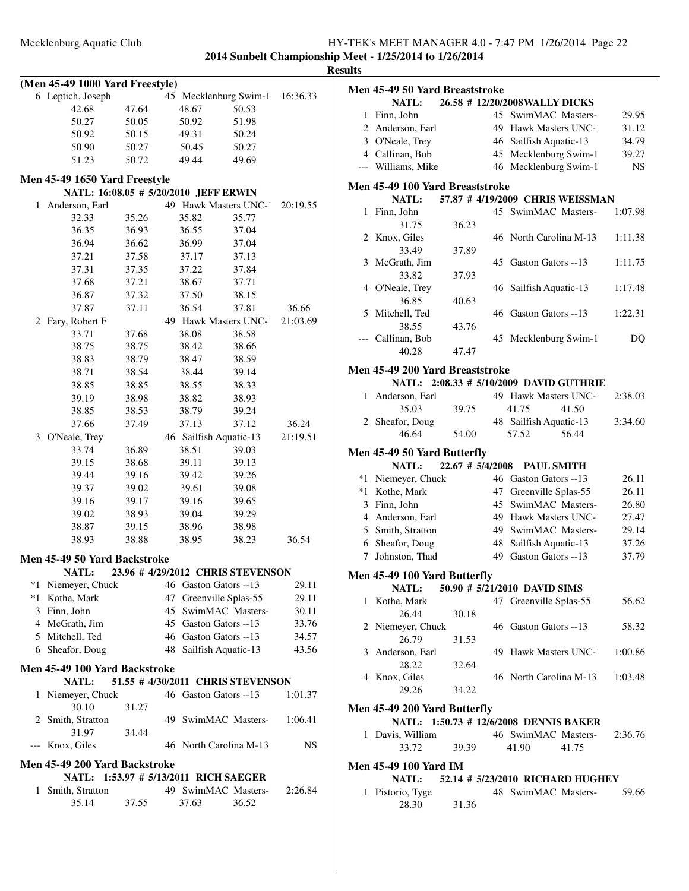**2014 Sunbelt Championship Meet - 1/25/2014 to 1/26/2014 Results**

| (Men 45-49 1000 Yard Freestyle) |                                                                        |       |    |                                  |       |          |
|---------------------------------|------------------------------------------------------------------------|-------|----|----------------------------------|-------|----------|
|                                 | 6 Leptich, Joseph                                                      |       |    | 45 Mecklenburg Swim-1            |       | 16:36.33 |
|                                 | 42.68                                                                  | 47.64 |    | 48.67                            | 50.53 |          |
|                                 | 50.27                                                                  | 50.05 |    | 50.92                            | 51.98 |          |
|                                 | 50.92                                                                  | 50.15 |    | 49.31                            | 50.24 |          |
|                                 | 50.90                                                                  | 50.27 |    | 50.45                            | 50.27 |          |
|                                 | 51.23                                                                  | 50.72 |    | 49.44                            | 49.69 |          |
|                                 |                                                                        |       |    |                                  |       |          |
|                                 | Men 45-49 1650 Yard Freestyle<br>NATL: 16:08.05 # 5/20/2010 JEFF ERWIN |       |    |                                  |       |          |
| 1                               | Anderson, Earl                                                         |       |    | 49 Hawk Masters UNC-1            |       | 20:19.55 |
|                                 | 32.33                                                                  | 35.26 |    | 35.82                            | 35.77 |          |
|                                 | 36.35                                                                  | 36.93 |    | 36.55                            | 37.04 |          |
|                                 | 36.94                                                                  | 36.62 |    | 36.99                            |       |          |
|                                 | 37.21                                                                  | 37.58 |    | 37.17                            | 37.04 |          |
|                                 |                                                                        |       |    |                                  | 37.13 |          |
|                                 | 37.31                                                                  | 37.35 |    | 37.22                            | 37.84 |          |
|                                 | 37.68                                                                  | 37.21 |    | 38.67                            | 37.71 |          |
|                                 | 36.87                                                                  | 37.32 |    | 37.50                            | 38.15 |          |
|                                 | 37.87                                                                  | 37.11 |    | 36.54                            | 37.81 | 36.66    |
| 2                               | Fary, Robert F                                                         |       |    | 49 Hawk Masters UNC-1            |       | 21:03.69 |
|                                 | 33.71                                                                  | 37.68 |    | 38.08                            | 38.58 |          |
|                                 | 38.75                                                                  | 38.75 |    | 38.42                            | 38.66 |          |
|                                 | 38.83                                                                  | 38.79 |    | 38.47                            | 38.59 |          |
|                                 | 38.71                                                                  | 38.54 |    | 38.44                            | 39.14 |          |
|                                 | 38.85                                                                  | 38.85 |    | 38.55                            | 38.33 |          |
|                                 | 39.19                                                                  | 38.98 |    | 38.82                            | 38.93 |          |
|                                 | 38.85                                                                  | 38.53 |    | 38.79                            | 39.24 |          |
|                                 | 37.66                                                                  | 37.49 |    | 37.13                            | 37.12 | 36.24    |
| 3                               | O'Neale, Trey                                                          |       |    | 46 Sailfish Aquatic-13           |       | 21:19.51 |
|                                 | 33.74                                                                  | 36.89 |    | 38.51                            | 39.03 |          |
|                                 | 39.15                                                                  | 38.68 |    | 39.11                            | 39.13 |          |
|                                 | 39.44                                                                  | 39.16 |    | 39.42                            | 39.26 |          |
|                                 | 39.37                                                                  | 39.02 |    | 39.61                            | 39.08 |          |
|                                 | 39.16                                                                  | 39.17 |    | 39.16                            | 39.65 |          |
|                                 | 39.02                                                                  | 38.93 |    | 39.04                            | 39.29 |          |
|                                 | 38.87                                                                  | 39.15 |    | 38.96                            | 38.98 |          |
|                                 | 38.93                                                                  | 38.88 |    | 38.95                            | 38.23 | 36.54    |
|                                 | Men 45-49 50 Yard Backstroke                                           |       |    |                                  |       |          |
|                                 | NATL:                                                                  |       |    | 23.96 #4/29/2012 CHRIS STEVENSON |       |          |
|                                 | *1 Niemeyer, Chuck                                                     |       |    | 46 Gaston Gators --13            |       | 29.11    |
|                                 | *1 Kothe, Mark                                                         |       | 47 | Greenville Splas-55              |       | 29.11    |
|                                 | 3 Finn, John                                                           |       |    | 45 SwimMAC Masters-              |       | 30.11    |
|                                 | 4 McGrath, Jim                                                         |       |    | 45 Gaston Gators --13            |       | 33.76    |
|                                 | 5 Mitchell, Ted                                                        |       |    | 46 Gaston Gators --13            |       | 34.57    |
|                                 | 6 Sheafor, Doug                                                        |       |    | 48 Sailfish Aquatic-13           |       | 43.56    |
|                                 |                                                                        |       |    |                                  |       |          |
|                                 | Men 45-49 100 Yard Backstroke                                          |       |    |                                  |       |          |
|                                 | <b>NATL:</b>                                                           |       |    | 51.55 #4/30/2011 CHRIS STEVENSON |       |          |
| 1                               | Niemeyer, Chuck                                                        |       |    | 46 Gaston Gators --13            |       | 1:01.37  |
|                                 | 30.10                                                                  | 31.27 |    |                                  |       |          |
|                                 | 2 Smith, Stratton                                                      |       |    | 49 SwimMAC Masters-              |       | 1:06.41  |
|                                 | 31.97                                                                  | 34.44 |    |                                  |       |          |
| $---$                           | Knox, Giles                                                            |       |    | 46 North Carolina M-13           |       | NS       |
|                                 | Men 45-49 200 Yard Backstroke                                          |       |    |                                  |       |          |
|                                 | <b>NATL:</b>                                                           |       |    | 1:53.97 # 5/13/2011 RICH SAEGER  |       |          |
| 1                               | Smith, Stratton                                                        |       |    | 49 SwimMAC Masters-              |       | 2:26.84  |
|                                 | 35.14                                                                  | 37.55 |    | 37.63                            | 36.52 |          |

| ults |                                         |                  |    |                                         |           |
|------|-----------------------------------------|------------------|----|-----------------------------------------|-----------|
|      | Men 45-49 50 Yard Breaststroke<br>NATL: |                  |    | 26.58 #12/20/2008 WALLY DICKS           |           |
|      | 1 Finn, John                            |                  |    | 45 SwimMAC Masters-                     | 29.95     |
|      |                                         |                  |    |                                         |           |
|      | 2 Anderson, Earl                        |                  |    | 49 Hawk Masters UNC-1                   | 31.12     |
|      | 3 O'Neale, Trey                         |                  |    | 46 Sailfish Aquatic-13                  | 34.79     |
|      | 4 Callinan, Bob                         |                  |    | 45 Mecklenburg Swim-1                   | 39.27     |
|      | --- Williams, Mike                      |                  |    | 46 Mecklenburg Swim-1                   | <b>NS</b> |
|      | Men 45-49 100 Yard Breaststroke         |                  |    |                                         |           |
|      | <b>NATL:</b>                            |                  |    | 57.87 #4/19/2009 CHRIS WEISSMAN         |           |
|      | 1 Finn, John                            |                  |    | 45 SwimMAC Masters-                     | 1:07.98   |
|      | 31.75                                   | 36.23            |    |                                         |           |
|      | 2 Knox, Giles                           |                  |    | 46 North Carolina M-13                  | 1:11.38   |
|      | 33.49                                   | 37.89            |    |                                         |           |
|      | 3 McGrath, Jim                          |                  |    | 45 Gaston Gators --13                   | 1:11.75   |
|      | 33.82                                   | 37.93            |    |                                         |           |
|      | 4 O'Neale, Trey                         |                  |    | 46 Sailfish Aquatic-13                  | 1:17.48   |
|      | 36.85                                   | 40.63            |    |                                         |           |
|      | 5 Mitchell, Ted                         |                  |    | 46 Gaston Gators --13                   | 1:22.31   |
|      | 38.55                                   | 43.76            |    |                                         |           |
|      | --- Callinan, Bob                       |                  |    | 45 Mecklenburg Swim-1                   | DQ        |
|      | 40.28                                   | 47.47            |    |                                         |           |
|      | Men 45-49 200 Yard Breaststroke         |                  |    |                                         |           |
|      |                                         |                  |    | NATL: 2:08.33 # 5/10/2009 DAVID GUTHRIE |           |
|      | 1 Anderson, Earl                        |                  |    | 49 Hawk Masters UNC-1                   | 2:38.03   |
|      | 35.03                                   | 39.75            |    | 41.75<br>41.50                          |           |
|      | 2 Sheafor, Doug                         |                  |    | 48 Sailfish Aquatic-13                  | 3:34.60   |
|      | 46.64                                   | 54.00            |    | 57.52<br>56.44                          |           |
|      | Men 45-49 50 Yard Butterfly             |                  |    |                                         |           |
|      | <b>NATL:</b>                            | 22.67 # 5/4/2008 |    | <b>PAUL SMITH</b>                       |           |
|      | *1 Niemeyer, Chuck                      |                  |    | 46 Gaston Gators --13                   | 26.11     |
|      | *1 Kothe, Mark                          |                  |    | 47 Greenville Splas-55                  | 26.11     |
|      | 3 Finn, John                            |                  |    | 45 SwimMAC Masters-                     | 26.80     |
|      | 4 Anderson, Earl                        |                  | 49 | Hawk Masters UNC-1                      | 27.47     |
|      | 5 Smith, Stratton                       |                  |    | 49 SwimMAC Masters-                     | 29.14     |
|      | 6 Sheafor, Doug                         |                  |    | 48 Sailfish Aquatic-13                  | 37.26     |
| 7    | Johnston, Thad                          |                  | 49 | Gaston Gators --13                      | 37.79     |
|      |                                         |                  |    |                                         |           |
|      | Men 45-49 100 Yard Butterfly<br>NATL:   |                  |    | 50.90 # 5/21/2010 DAVID SIMS            |           |
| 1    | Kothe, Mark                             |                  |    | 47 Greenville Splas-55                  | 56.62     |
|      | 26.44                                   | 30.18            |    |                                         |           |
|      | 2 Niemeyer, Chuck                       |                  |    | 46 Gaston Gators --13                   | 58.32     |
|      | 26.79                                   | 31.53            |    |                                         |           |
|      | 3 Anderson, Earl                        |                  |    | 49 Hawk Masters UNC-1                   | 1:00.86   |
|      | 28.22                                   | 32.64            |    |                                         |           |
|      | 4 Knox, Giles                           |                  |    | 46 North Carolina M-13                  | 1:03.48   |
|      | 29.26                                   | 34.22            |    |                                         |           |
|      |                                         |                  |    |                                         |           |
|      | Men 45-49 200 Yard Butterfly            |                  |    |                                         |           |
|      |                                         |                  |    | NATL: 1:50.73 # 12/6/2008 DENNIS BAKER  |           |
| 1    | Davis, William                          |                  |    | 46 SwimMAC Masters-                     | 2:36.76   |
|      | 33.72                                   | 39.39            |    | 41.90<br>41.75                          |           |
|      | <b>Men 45-49 100 Yard IM</b>            |                  |    |                                         |           |
|      | NATL:                                   |                  |    | 52.14 # 5/23/2010 RICHARD HUGHEY        |           |
|      | 1 Pistorio, Tyge                        |                  |    | 48 SwimMAC Masters-                     | 59.66     |
|      | 28.30                                   | 31.36            |    |                                         |           |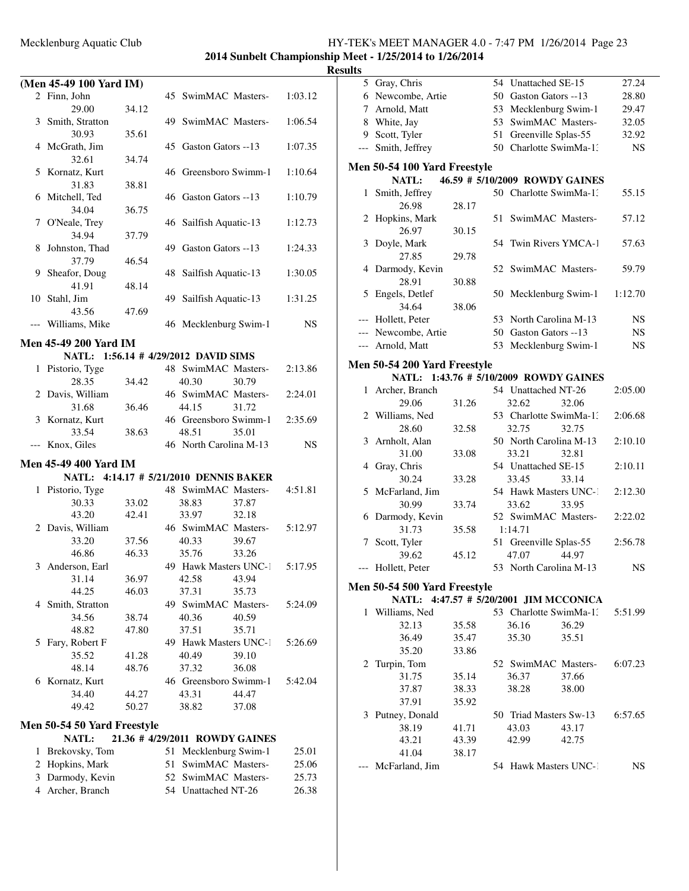### **2014 Sunbelt Championship Meet - 1/25/2014 to 1/26/2014 Results**

|     | (Men 45-49 100 Yard IM)            |                |    |                                        |                |         |
|-----|------------------------------------|----------------|----|----------------------------------------|----------------|---------|
|     | 2 Finn, John                       |                |    | 45 SwimMAC Masters-                    |                | 1:03.12 |
|     | 29.00                              | 34.12          |    |                                        |                |         |
|     | 3 Smith, Stratton                  |                |    | 49 SwimMAC Masters-                    |                | 1:06.54 |
|     | 30.93                              | 35.61          |    |                                        |                |         |
|     | 4 McGrath, Jim                     |                |    | 45 Gaston Gators --13                  |                | 1:07.35 |
|     | 32.61                              | 34.74          |    |                                        |                |         |
|     | 5 Kornatz, Kurt                    |                |    | 46 Greensboro Swimm-1                  |                | 1:10.64 |
|     | 31.83                              | 38.81          |    |                                        |                |         |
|     | 6 Mitchell, Ted                    |                |    | 46 Gaston Gators --13                  |                | 1:10.79 |
|     | 34.04                              | 36.75          |    |                                        |                |         |
| 7   | O'Neale, Trey                      |                | 46 | Sailfish Aquatic-13                    |                | 1:12.73 |
|     | 34.94                              | 37.79          |    |                                        |                |         |
| 8   | Johnston, Thad                     |                | 49 | Gaston Gators --13                     |                | 1:24.33 |
|     | 37.79                              | 46.54          |    |                                        |                |         |
|     | 9 Sheafor, Doug                    |                | 48 | Sailfish Aquatic-13                    |                | 1:30.05 |
|     | 41.91                              | 48.14          |    |                                        |                |         |
|     | 10 Stahl, Jim                      |                |    | 49 Sailfish Aquatic-13                 |                | 1:31.25 |
|     | 43.56                              | 47.69          |    |                                        |                |         |
|     | Williams, Mike                     |                |    | 46 Mecklenburg Swim-1                  |                | NS      |
|     | Men 45-49 200 Yard IM              |                |    |                                        |                |         |
|     |                                    |                |    | NATL: 1:56.14 # 4/29/2012 DAVID SIMS   |                |         |
|     | 1 Pistorio, Tyge                   |                |    | 48 SwimMAC Masters-                    |                | 2:13.86 |
|     | 28.35                              | 34.42          |    | 40.30                                  | 30.79          |         |
| 2   | Davis, William                     |                |    | 46 SwimMAC Masters-                    |                | 2:24.01 |
|     | 31.68                              | 36.46          |    | 44.15                                  | 31.72          |         |
|     | 3 Kornatz, Kurt                    |                |    | 46 Greensboro Swimm-1                  |                | 2:35.69 |
|     | 33.54                              | 38.63          |    | 48.51                                  | 35.01          |         |
| --- | Knox, Giles                        |                |    | 46 North Carolina M-13                 |                | NS      |
|     |                                    |                |    |                                        |                |         |
|     | Men 45-49 400 Yard IM              |                |    |                                        |                |         |
|     |                                    |                |    | NATL: 4:14.17 # 5/21/2010 DENNIS BAKER |                |         |
|     | 1 Pistorio, Tyge                   |                |    | 48 SwimMAC Masters-                    |                | 4:51.81 |
|     | 30.33                              | 33.02          |    | 38.83                                  | 37.87          |         |
|     | 43.20                              | 42.41          |    | 33.97                                  | 32.18          |         |
|     | 2 Davis, William                   |                |    | 46 SwimMAC Masters-                    |                | 5:12.97 |
|     | 33.20                              | 37.56          |    | 40.33                                  | 39.67          |         |
|     | 46.86                              | 46.33          |    | 35.76                                  | 33.26          |         |
|     | 3 Anderson, Earl                   |                |    | 49 Hawk Masters UNC-1                  |                | 5:17.95 |
|     | 31.14                              | 36.97          |    | 42.58 43.94                            |                |         |
|     | 44.25                              | 46.03          |    | 37.31                                  | 35.73          |         |
|     | 4 Smith, Stratton<br>34.56         |                |    | 49 SwimMAC Masters-                    |                | 5:24.09 |
|     | 48.82                              | 38.74          |    | 40.36                                  | 40.59          |         |
|     |                                    | 47.80          |    | 37.51                                  | 35.71          |         |
| 5   | Fary, Robert F                     |                |    | 49 Hawk Masters UNC-1                  |                | 5:26.69 |
|     | 35.52<br>48.14                     | 41.28<br>48.76 |    | 40.49<br>37.32                         | 39.10<br>36.08 |         |
|     |                                    |                |    | 46 Greensboro Swimm-1                  |                | 5:42.04 |
|     | 6 Kornatz, Kurt<br>34.40           | 44.27          |    | 43.31                                  | 44.47          |         |
|     | 49.42                              | 50.27          |    | 38.82                                  | 37.08          |         |
|     |                                    |                |    |                                        |                |         |
|     | <b>Men 50-54 50 Yard Freestyle</b> |                |    |                                        |                |         |
|     | NATL:                              |                |    | 21.36 # 4/29/2011 ROWDY GAINES         |                |         |
| 1   | Brekovsky, Tom                     |                |    | 51 Mecklenburg Swim-1                  |                | 25.01   |
| 2   | Hopkins, Mark                      |                |    | 51 SwimMAC Masters-                    |                | 25.06   |
| 3   | Darmody, Kevin                     |                |    | 52 SwimMAC Masters-                    |                | 25.73   |

4 Archer, Branch 54 Unattached NT-26 26.38

|              | 5 Gray, Chris                          |       |    | 54 Unattached SE-15              |       | 27.24     |
|--------------|----------------------------------------|-------|----|----------------------------------|-------|-----------|
|              | 6 Newcombe, Artie                      |       |    | 50 Gaston Gators --13            |       | 28.80     |
|              | 7 Arnold, Matt                         |       |    | 53 Mecklenburg Swim-1            |       | 29.47     |
|              | 8 White, Jay                           |       |    | 53 SwimMAC Masters-              |       | 32.05     |
|              | 9 Scott, Tyler                         |       | 51 | Greenville Splas-55              |       | 32.92     |
| ---          | Smith, Jeffrey                         |       |    | 50 Charlotte SwimMa-1:           |       | NS        |
|              |                                        |       |    |                                  |       |           |
|              | Men 50-54 100 Yard Freestyle           |       |    |                                  |       |           |
|              | NATL:                                  |       |    | 46.59 # 5/10/2009 ROWDY GAINES   |       |           |
| $\mathbf{1}$ | Smith, Jeffrey                         |       |    | 50 Charlotte SwimMa-1:           |       | 55.15     |
|              | 26.98                                  | 28.17 |    |                                  |       |           |
| 2            | Hopkins, Mark                          |       | 51 | SwimMAC Masters-                 |       | 57.12     |
|              | 26.97                                  | 30.15 |    |                                  |       |           |
| 3            | Doyle, Mark                            |       |    | 54 Twin Rivers YMCA-1            |       | 57.63     |
|              | 27.85                                  | 29.78 |    |                                  |       |           |
|              | 4 Darmody, Kevin                       |       |    | 52 SwimMAC Masters-              |       | 59.79     |
|              | 28.91                                  | 30.88 |    |                                  |       |           |
|              | 5 Engels, Detlef                       |       |    | 50 Mecklenburg Swim-1            |       | 1:12.70   |
|              | 34.64                                  | 38.06 |    |                                  |       |           |
|              | --- Hollett, Peter                     |       |    | 53 North Carolina M-13           |       | <b>NS</b> |
|              | --- Newcombe, Artie                    |       |    | 50 Gaston Gators --13            |       | <b>NS</b> |
|              | --- Arnold, Matt                       |       |    | 53 Mecklenburg Swim-1            |       | <b>NS</b> |
|              | <b>Men 50-54 200 Yard Freestyle</b>    |       |    |                                  |       |           |
|              | <b>NATL:</b>                           |       |    | 1:43.76 # 5/10/2009 ROWDY GAINES |       |           |
| $\mathbf{1}$ | Archer, Branch                         |       |    | 54 Unattached NT-26              |       | 2:05.00   |
|              | 29.06                                  | 31.26 |    | 32.62                            | 32.06 |           |
|              | 2 Williams, Ned                        |       |    | 53 Charlotte SwimMa-1:           |       | 2:06.68   |
|              | 28.60                                  | 32.58 |    | 32.75                            | 32.75 |           |
| 3            | Arnholt, Alan                          |       |    | 50 North Carolina M-13           |       | 2:10.10   |
|              | 31.00                                  | 33.08 |    | 33.21                            | 32.81 |           |
|              | 4 Gray, Chris                          |       |    | 54 Unattached SE-15              |       | 2:10.11   |
|              | 30.24                                  | 33.28 |    | 33.45                            | 33.14 |           |
|              | 5 McFarland, Jim                       |       |    | 54 Hawk Masters UNC-1            |       | 2:12.30   |
|              | 30.99                                  | 33.74 |    | 33.62                            | 33.95 |           |
|              | 6 Darmody, Kevin                       |       |    | 52 SwimMAC Masters-              |       | 2:22.02   |
|              | 31.73                                  | 35.58 |    | 1:14.71                          |       |           |
|              | 7 Scott, Tyler                         |       |    | 51 Greenville Splas-55           |       | 2:56.78   |
|              | 39.62                                  | 45.12 |    | 47.07                            | 44.97 |           |
| ---          | Hollett, Peter                         |       |    | 53 North Carolina M-13           |       | NS        |
|              |                                        |       |    |                                  |       |           |
|              | Men 50-54 500 Yard Freestyle           |       |    |                                  |       |           |
|              | NATL: 4:47.57 # 5/20/2001 JIM MCCONICA |       |    |                                  |       |           |
|              | 1 Williams, Ned                        |       |    | 53 Charlotte SwimMa-1:           |       | 5:51.99   |
|              | 32.13                                  | 35.58 |    | 36.16                            | 36.29 |           |
|              | 36.49                                  | 35.47 |    | 35.30                            | 35.51 |           |
|              | 35.20                                  | 33.86 |    |                                  |       |           |
|              | 2 Turpin, Tom                          |       |    | 52 SwimMAC Masters-              |       | 6:07.23   |
|              | 31.75                                  | 35.14 |    | 36.37                            | 37.66 |           |
|              | 37.87                                  | 38.33 |    | 38.28                            | 38.00 |           |
|              | 37.91                                  | 35.92 |    |                                  |       |           |
| 3            | Putney, Donald                         |       |    | 50 Triad Masters Sw-13           |       | 6:57.65   |
|              | 38.19                                  | 41.71 |    | 43.03                            | 43.17 |           |
|              | 43.21                                  | 43.39 |    | 42.99                            | 42.75 |           |
|              | 41.04                                  | 38.17 |    |                                  |       |           |
|              | McFarland, Jim                         |       |    | 54 Hawk Masters UNC-1            |       | NS        |
|              |                                        |       |    |                                  |       |           |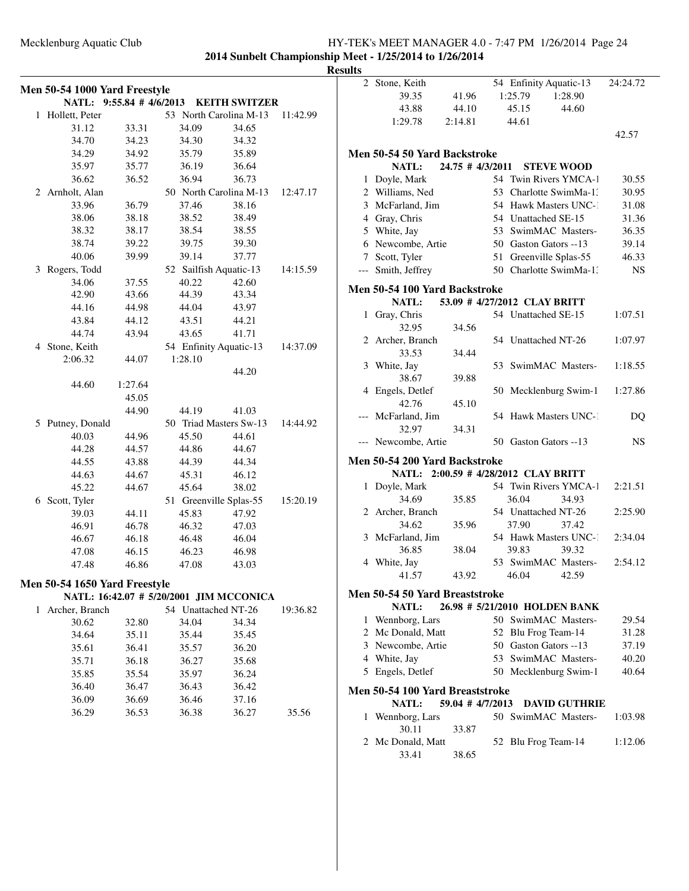**2014 Sunbelt Championship Meet - 1/25/2014 to 1/26/2014 Results**

|              | Men 50-54 1000 Yard Freestyle |                                         |                        |                      |          |
|--------------|-------------------------------|-----------------------------------------|------------------------|----------------------|----------|
|              | <b>NATL:</b>                  | $9:55.84$ # 4/6/2013                    |                        | <b>KEITH SWITZER</b> |          |
| $\mathbf{1}$ | Hollett, Peter                |                                         | 53 North Carolina M-13 |                      | 11:42.99 |
|              | 31.12                         | 33.31                                   | 34.09                  | 34.65                |          |
|              | 34.70                         | 34.23                                   | 34.30                  | 34.32                |          |
|              | 34.29                         | 34.92                                   | 35.79                  | 35.89                |          |
|              | 35.97                         | 35.77                                   | 36.19                  | 36.64                |          |
|              | 36.62                         | 36.52                                   | 36.94                  | 36.73                |          |
|              | 2 Arnholt, Alan               |                                         | 50 North Carolina M-13 |                      | 12:47.17 |
|              | 33.96                         | 36.79                                   | 37.46                  | 38.16                |          |
|              | 38.06                         | 38.18                                   | 38.52                  | 38.49                |          |
|              | 38.32                         | 38.17                                   | 38.54                  | 38.55                |          |
|              | 38.74                         | 39.22                                   | 39.75                  | 39.30                |          |
|              | 40.06                         | 39.99                                   | 39.14                  | 37.77                |          |
| 3            | Rogers, Todd                  |                                         | 52 Sailfish Aquatic-13 |                      | 14:15.59 |
|              | 34.06                         | 37.55                                   | 40.22                  | 42.60                |          |
|              | 42.90                         | 43.66                                   | 44.39                  | 43.34                |          |
|              | 44.16                         | 44.98                                   | 44.04                  | 43.97                |          |
|              | 43.84                         | 44.12                                   | 43.51                  | 44.21                |          |
|              | 44.74                         | 43.94                                   | 43.65                  | 41.71                |          |
|              | 4 Stone, Keith                |                                         | 54 Enfinity Aquatic-13 |                      | 14:37.09 |
|              | 2:06.32                       | 44.07                                   | 1:28.10                |                      |          |
|              |                               |                                         |                        | 44.20                |          |
|              | 44.60                         | 1:27.64                                 |                        |                      |          |
|              |                               | 45.05                                   |                        |                      |          |
|              |                               | 44.90                                   | 44.19                  | 41.03                |          |
| 5            | Putney, Donald                |                                         | 50 Triad Masters Sw-13 |                      | 14:44.92 |
|              | 40.03                         | 44.96                                   | 45.50                  | 44.61                |          |
|              | 44.28                         | 44.57                                   | 44.86                  | 44.67                |          |
|              | 44.55                         | 43.88                                   | 44.39                  | 44.34                |          |
|              | 44.63                         | 44.67                                   | 45.31                  | 46.12                |          |
|              | 45.22                         | 44.67                                   | 45.64                  | 38.02                |          |
|              | 6 Scott, Tyler                |                                         | 51 Greenville Splas-55 |                      | 15:20.19 |
|              | 39.03                         | 44.11                                   | 45.83                  | 47.92                |          |
|              | 46.91                         | 46.78                                   | 46.32                  | 47.03                |          |
|              | 46.67                         | 46.18                                   | 46.48                  | 46.04                |          |
|              | 47.08                         | 46.15                                   | 46.23                  | 46.98                |          |
|              | 47.48                         | 46.86                                   | 47.08                  | 43.03                |          |
|              |                               |                                         |                        |                      |          |
|              | Men 50-54 1650 Yard Freestyle |                                         |                        |                      |          |
|              |                               | NATL: 16:42.07 # 5/20/2001 JIM MCCONICA |                        |                      |          |
| 1            | Archer, Branch                |                                         | 54 Unattached NT-26    |                      | 19:36.82 |
|              | 30.62                         | 32.80                                   | 34.04                  | 34.34                |          |
|              | 34.64                         | 35.11                                   | 35.44                  | 35.45                |          |
|              | 35.61                         | 36.41                                   | 35.57                  | 36.20                |          |
|              | 35.71                         | 36.18                                   | 36.27                  | 35.68                |          |
|              | 35.85                         | 35.54                                   | 35.97                  | 36.24                |          |
|              | 36.40                         | 36.47                                   | 36.43                  | 36.42                |          |
|              | 36.09                         | 36.69                                   | 36.46                  | 37.16                |          |
|              | 36.29                         | 36.53                                   | 36.38                  | 36.27                | 35.56    |
|              |                               |                                         |                        |                      |          |

|              | 2 Stone, Keith                                                        |                  |    | 54 Enfinity Aquatic-13        |                      | 24:24.72  |
|--------------|-----------------------------------------------------------------------|------------------|----|-------------------------------|----------------------|-----------|
|              | 39.35                                                                 | 41.96            |    | 1:25.79                       | 1:28.90              |           |
|              | 43.88                                                                 | 44.10            |    | 45.15                         | 44.60                |           |
|              | 1:29.78                                                               | 2:14.81          |    | 44.61                         |                      |           |
|              |                                                                       |                  |    |                               |                      | 42.57     |
|              |                                                                       |                  |    |                               |                      |           |
|              | Men 50-54 50 Yard Backstroke                                          |                  |    |                               |                      |           |
|              | NATL: 24.75 # 4/3/2011                                                |                  |    |                               | <b>STEVE WOOD</b>    |           |
|              | 1 Doyle, Mark                                                         |                  |    | 54 Twin Rivers YMCA-1         |                      | 30.55     |
|              | 2 Williams, Ned                                                       |                  |    | 53 Charlotte SwimMa-1.        |                      | 30.95     |
|              | 3 McFarland, Jim                                                      |                  |    | 54 Hawk Masters UNC-1         |                      | 31.08     |
|              | 4 Gray, Chris                                                         |                  |    | 54 Unattached SE-15           |                      | 31.36     |
|              | 5 White, Jay                                                          |                  |    | 53 SwimMAC Masters-           |                      | 36.35     |
|              | 6 Newcombe, Artie                                                     |                  |    | 50 Gaston Gators --13         |                      | 39.14     |
|              | 7 Scott, Tyler                                                        |                  | 51 | Greenville Splas-55           |                      | 46.33     |
|              | --- Smith, Jeffrey                                                    |                  |    | 50 Charlotte SwimMa-1:        |                      | <b>NS</b> |
|              | Men 50-54 100 Yard Backstroke                                         |                  |    |                               |                      |           |
|              | <b>NATL:</b>                                                          |                  |    | 53.09 # 4/27/2012 CLAY BRITT  |                      |           |
| $\mathbf{1}$ | Gray, Chris                                                           |                  |    | 54 Unattached SE-15           |                      | 1:07.51   |
|              | 32.95                                                                 | 34.56            |    |                               |                      |           |
|              | 2 Archer, Branch                                                      |                  |    | 54 Unattached NT-26           |                      | 1:07.97   |
|              | 33.53                                                                 | 34.44            |    |                               |                      |           |
| 3            | White, Jay                                                            |                  | 53 | SwimMAC Masters-              |                      | 1:18.55   |
|              | 38.67                                                                 | 39.88            |    |                               |                      |           |
|              | 4 Engels, Detlef                                                      |                  |    | 50 Mecklenburg Swim-1         |                      | 1:27.86   |
|              | 42.76                                                                 | 45.10            |    |                               |                      |           |
|              | McFarland, Jim                                                        |                  |    | 54 Hawk Masters UNC-1         |                      | DQ        |
|              | 32.97                                                                 | 34.31            |    |                               |                      |           |
|              | Newcombe, Artie                                                       |                  |    | 50 Gaston Gators --13         |                      | NS.       |
|              |                                                                       |                  |    |                               |                      |           |
|              | Men 50-54 200 Yard Backstroke<br>NATL: 2:00.59 # 4/28/2012 CLAY BRITT |                  |    |                               |                      |           |
| 1            | Doyle, Mark                                                           |                  |    | 54 Twin Rivers YMCA-1         |                      | 2:21.51   |
|              | 34.69                                                                 | 35.85            |    | 36.04                         | 34.93                |           |
|              | 2 Archer, Branch                                                      |                  |    | 54 Unattached NT-26           |                      | 2:25.90   |
|              | 34.62                                                                 | 35.96            |    | 37.90                         | 37.42                |           |
|              | 3 McFarland, Jim                                                      |                  |    | 54 Hawk Masters UNC-1         |                      | 2:34.04   |
|              | 36.85                                                                 | 38.04            |    | 39.83                         | 39.32                |           |
|              | 4 White, Jay                                                          |                  |    | 53 SwimMAC Masters-           |                      | 2:54.12   |
|              | 41.57                                                                 | 43.92            |    | 46.04                         | 42.59                |           |
|              |                                                                       |                  |    |                               |                      |           |
|              | Men 50-54 50 Yard Breaststroke                                        |                  |    |                               |                      |           |
|              | <b>NATL:</b>                                                          |                  |    | 26.98 # 5/21/2010 HOLDEN BANK |                      |           |
|              | 1 Wennborg, Lars                                                      |                  |    | 50 SwimMAC Masters-           |                      | 29.54     |
|              | 2 Mc Donald, Matt                                                     |                  |    | 52 Blu Frog Team-14           |                      | 31.28     |
|              | 3 Newcombe, Artie                                                     |                  |    | 50 Gaston Gators --13         |                      | 37.19     |
|              | 4 White, Jay                                                          |                  |    | 53 SwimMAC Masters-           |                      | 40.20     |
|              | 5 Engels, Detlef                                                      |                  |    | 50 Mecklenburg Swim-1         |                      | 40.64     |
|              | Men 50-54 100 Yard Breaststroke                                       |                  |    |                               |                      |           |
|              | <b>NATL:</b>                                                          | 59.04 # 4/7/2013 |    |                               | <b>DAVID GUTHRIE</b> |           |
| 1            | Wennborg, Lars                                                        |                  |    | 50 SwimMAC Masters-           |                      | 1:03.98   |
|              | 30.11                                                                 | 33.87            |    |                               |                      |           |
|              | 2 Mc Donald, Matt                                                     |                  |    | 52 Blu Frog Team-14           |                      | 1:12.06   |
|              | 33.41                                                                 | 38.65            |    |                               |                      |           |
|              |                                                                       |                  |    |                               |                      |           |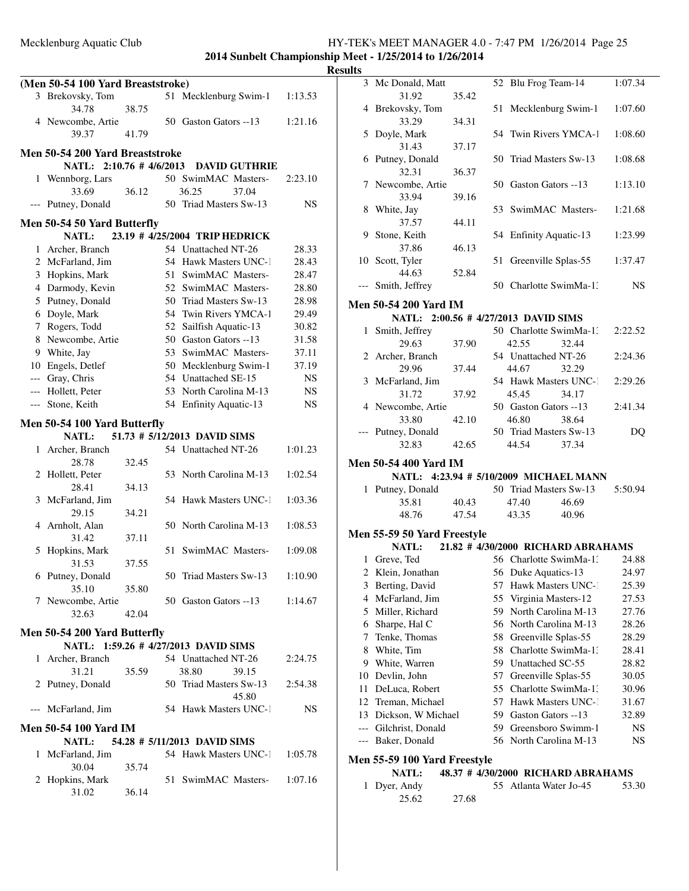**2014 Sunbelt Championship Meet - 1/25/2014 to 1/26/2014 Results**

|   | (Men 50-54 100 Yard Breaststroke) |       |     |                                      |           |
|---|-----------------------------------|-------|-----|--------------------------------------|-----------|
|   | 3 Brekovsky, Tom                  |       |     | 51 Mecklenburg Swim-1                | 1:13.53   |
|   | 34.78                             | 38.75 |     |                                      |           |
|   | 4 Newcombe, Artie                 |       |     | 50 Gaston Gators --13                | 1:21.16   |
|   | 39.37                             | 41.79 |     |                                      |           |
|   | Men 50-54 200 Yard Breaststroke   |       |     |                                      |           |
|   |                                   |       |     |                                      |           |
|   | NATL: 2:10.76 # 4/6/2013          |       |     | <b>DAVID GUTHRIE</b>                 |           |
| 1 | Wennborg, Lars                    |       |     | 50 SwimMAC Masters-                  | 2:23.10   |
|   | 33.69                             | 36.12 |     | 36.25<br>37.04                       |           |
|   | Putney, Donald                    |       |     | 50 Triad Masters Sw-13               | NS        |
|   | Men 50-54 50 Yard Butterfly       |       |     |                                      |           |
|   | <b>NATL:</b>                      |       |     | 23.19 # 4/25/2004 TRIP HEDRICK       |           |
|   | 1 Archer, Branch                  |       |     | 54 Unattached NT-26                  | 28.33     |
|   | 2 McFarland, Jim                  |       | 54  | <b>Hawk Masters UNC-1</b>            | 28.43     |
|   | 3 Hopkins, Mark                   |       |     | 51 SwimMAC Masters-                  | 28.47     |
|   | 4 Darmody, Kevin                  |       |     | 52 SwimMAC Masters-                  | 28.80     |
|   | 5 Putney, Donald                  |       |     | 50 Triad Masters Sw-13               | 28.98     |
|   | 6 Doyle, Mark                     |       |     | 54 Twin Rivers YMCA-1                | 29.49     |
|   | 7 Rogers, Todd                    |       |     | 52 Sailfish Aquatic-13               | 30.82     |
|   | 8 Newcombe, Artie                 |       |     | 50 Gaston Gators --13                | 31.58     |
|   | 9 White, Jay                      |       |     | 53 SwimMAC Masters-                  | 37.11     |
|   | 10 Engels, Detlef                 |       |     | 50 Mecklenburg Swim-1                | 37.19     |
|   | --- Gray, Chris                   |       |     | 54 Unattached SE-15                  | <b>NS</b> |
|   | --- Hollett, Peter                |       |     | 53 North Carolina M-13               | <b>NS</b> |
|   | --- Stone, Keith                  |       |     | 54 Enfinity Aquatic-13               | <b>NS</b> |
|   | Men 50-54 100 Yard Butterfly      |       |     |                                      |           |
|   | NATL:                             |       |     | 51.73 # 5/12/2013 DAVID SIMS         |           |
| 1 | Archer, Branch                    |       |     | 54 Unattached NT-26                  | 1:01.23   |
|   | 28.78                             | 32.45 |     |                                      |           |
|   | 2 Hollett, Peter                  |       |     | 53 North Carolina M-13               | 1:02.54   |
|   | 28.41                             | 34.13 |     |                                      |           |
| 3 | McFarland, Jim                    |       |     | 54 Hawk Masters UNC-1                | 1:03.36   |
|   | 29.15                             | 34.21 |     |                                      |           |
| 4 | Arnholt, Alan                     |       | 50. | North Carolina M-13                  | 1:08.53   |
|   | 31.42                             | 37.11 |     |                                      |           |
| 5 | Hopkins, Mark                     |       | 51  | SwimMAC Masters-                     | 1:09.08   |
|   | 31.53                             | 37.55 |     |                                      |           |
|   | 6 Putney, Donald                  |       |     | 50 Triad Masters Sw-13               | 1:10.90   |
|   | 35.10                             | 35.80 |     |                                      |           |
|   | 7 Newcombe, Artie                 |       |     | 50 Gaston Gators --13                | 1:14.67   |
|   | 32.63                             | 42.04 |     |                                      |           |
|   | Men 50-54 200 Yard Butterfly      |       |     |                                      |           |
|   |                                   |       |     | NATL: 1:59.26 # 4/27/2013 DAVID SIMS |           |
| 1 | Archer, Branch                    |       |     | 54 Unattached NT-26                  | 2:24.75   |
|   | 31.21                             | 35.59 |     | 38.80<br>39.15                       |           |
|   | 2 Putney, Donald                  |       |     | 50 Triad Masters Sw-13               | 2:54.38   |
|   |                                   |       |     | 45.80                                |           |
|   | --- McFarland, Jim                |       |     | 54 Hawk Masters UNC-1                | NS        |
|   |                                   |       |     |                                      |           |
|   | Men 50-54 100 Yard IM             |       |     |                                      |           |
|   | <b>NATL:</b>                      |       |     | 54.28 # 5/11/2013 DAVID SIMS         |           |
| 1 | McFarland, Jim                    |       |     | 54 Hawk Masters UNC-1                | 1:05.78   |
|   | 30.04                             | 35.74 |     |                                      |           |
|   | 2 Hopkins, Mark                   |       |     | 51 SwimMAC Masters- 1:07.16          |           |
|   | 31.02                             | 36.14 |     |                                      |           |

|       | 3 Mc Donald, Matt                      |       |     | 52 Blu Frog Team-14                             |                                    | 1:07.34 |
|-------|----------------------------------------|-------|-----|-------------------------------------------------|------------------------------------|---------|
|       | 31.92                                  | 35.42 |     |                                                 |                                    |         |
|       | 4 Brekovsky, Tom                       |       | 51  | Mecklenburg Swim-1                              |                                    | 1:07.60 |
|       | 33.29                                  | 34.31 |     |                                                 |                                    |         |
| 5     | Doyle, Mark                            |       |     | 54 Twin Rivers YMCA-1                           |                                    | 1:08.60 |
|       | 31.43<br>6 Putney, Donald              | 37.17 |     | 50 Triad Masters Sw-13                          |                                    | 1:08.68 |
|       | 32.31                                  | 36.37 |     |                                                 |                                    |         |
| 7     | Newcombe, Artie                        |       |     | 50 Gaston Gators --13                           |                                    | 1:13.10 |
|       | 33.94                                  | 39.16 |     |                                                 |                                    |         |
| 8     | White, Jay                             |       |     | 53 SwimMAC Masters-                             |                                    | 1:21.68 |
|       | 37.57                                  | 44.11 |     |                                                 |                                    |         |
| 9     | Stone, Keith                           |       |     | 54 Enfinity Aquatic-13                          |                                    | 1:23.99 |
|       | 37.86                                  | 46.13 |     |                                                 |                                    |         |
|       | 10 Scott, Tyler                        |       | 51  | Greenville Splas-55                             |                                    | 1:37.47 |
|       | 44.63                                  | 52.84 |     |                                                 |                                    |         |
| $---$ | Smith, Jeffrey                         |       |     | 50 Charlotte SwimMa-1.                          |                                    | NS      |
|       | <b>Men 50-54 200 Yard IM</b>           |       |     |                                                 |                                    |         |
|       | NATL: 2:00.56 # 4/27/2013 DAVID SIMS   |       |     |                                                 |                                    |         |
|       | 1 Smith, Jeffrey                       |       |     | 50 Charlotte SwimMa-1:                          |                                    | 2:22.52 |
|       | 29.63                                  | 37.90 |     | 42.55                                           | 32.44                              |         |
|       | 2 Archer, Branch                       |       |     | 54 Unattached NT-26                             |                                    | 2:24.36 |
|       | 29.96                                  | 37.44 |     | 44.67                                           | 32.29                              |         |
|       | 3 McFarland, Jim                       |       |     | 54 Hawk Masters UNC-1                           |                                    | 2:29.26 |
|       | 31.72                                  | 37.92 |     | 45.45                                           | 34.17                              |         |
|       | 4 Newcombe, Artie                      |       |     | 50 Gaston Gators --13                           |                                    | 2:41.34 |
|       | 33.80                                  | 42.10 |     | 46.80                                           | 38.64                              |         |
|       | --- Putney, Donald                     |       |     | 50 Triad Masters Sw-13                          |                                    | DQ      |
|       | 32.83                                  | 42.65 |     | 44.54                                           | 37.34                              |         |
|       | <b>Men 50-54 400 Yard IM</b>           |       |     |                                                 |                                    |         |
|       | NATL: 4:23.94 # 5/10/2009 MICHAEL MANN |       |     |                                                 |                                    |         |
|       | 1 Putney, Donald                       |       |     | 50 Triad Masters Sw-13                          |                                    | 5:50.94 |
|       | 35.81                                  | 40.43 |     | 47.40                                           | 46.69                              |         |
|       | 48.76                                  | 47.54 |     | 43.35                                           | 40.96                              |         |
|       |                                        |       |     |                                                 |                                    |         |
|       | <b>Men 55-59 50 Yard Freestyle</b>     |       |     |                                                 |                                    |         |
|       | <b>NATL:</b>                           |       |     |                                                 | 21.82 # 4/30/2000 RICHARD ABRAHAMS |         |
|       | 1 Greve, Ted                           |       |     | 56 Charlotte SwimMa-1.                          |                                    | 24.88   |
| 2     | Klein, Jonathan                        |       |     | 56 Duke Aquatics-13                             |                                    | 24.97   |
| 3     | Berting, David                         |       | 57  | Hawk Masters UNC-1                              |                                    | 25.39   |
|       | 4 McFarland, Jim                       |       | 55  | Virginia Masters-12                             |                                    | 27.53   |
| 5     | Miller, Richard                        |       | 59  | North Carolina M-13                             |                                    | 27.76   |
| 6     | Sharpe, Hal C                          |       | 56  | North Carolina M-13                             |                                    | 28.26   |
| 7     | Tenke, Thomas                          |       | 58  | Greenville Splas-55                             |                                    | 28.29   |
| 8     | White, Tim                             |       | 58  | Charlotte SwimMa-1:<br>Unattached SC-55         |                                    | 28.41   |
| 9     | White, Warren                          |       | 59. |                                                 |                                    | 28.82   |
| 10    | Devlin, John                           |       | 57  | Greenville Splas-55                             |                                    | 30.05   |
| 11    | DeLuca, Robert                         |       | 55  | Charlotte SwimMa-1.                             |                                    | 30.96   |
| 12    | Treman, Michael                        |       | 57  | Hawk Masters UNC-1                              |                                    | 31.67   |
| 13    | Dickson, W Michael                     |       |     | 59 Gaston Gators --13                           |                                    | 32.89   |
| $---$ | Gilchrist, Donald                      |       |     | 59 Greensboro Swimm-1<br>56 North Carolina M-13 |                                    | NS      |
| $---$ | Baker, Donald                          |       |     |                                                 |                                    | NS      |
|       | Men 55-59 100 Yard Freestyle           |       |     |                                                 |                                    |         |
|       | <b>NATL:</b>                           |       |     |                                                 | 48.37 # 4/30/2000 RICHARD ABRAHAMS |         |
|       | $1$ Dyer Andy                          |       |     | $55$ Atlanta Water $I_0$ 45                     |                                    | 53.30 L |

| 1 Dyer, Andy |       | 55 Atlanta Water Jo-45 | 53.30 |
|--------------|-------|------------------------|-------|
| 25.62        | 27.68 |                        |       |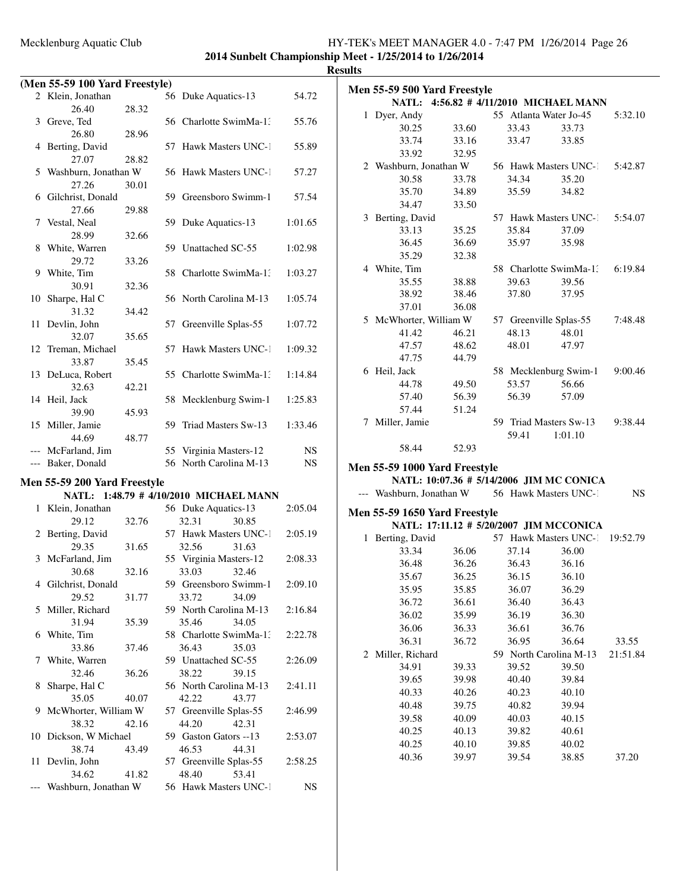### Mecklenburg Aquatic Club HY-TEK's MEET MANAGER 4.0 - 7:47 PM 1/26/2014 Page 26 **2014 Sunbelt Championship Meet - 1/25/2014 to 1/26/2014**

**(Men 55-59 100 Yard Freestyle)** 56 Duke Aquatics-13 54.72 26.40 28.32 3 Greve, Ted 56 Charlotte SwimMa-1: 55.76 26.80 28.96 4 Berting, David 57 Hawk Masters UNC-1 55.89 27.07 28.82 5 Washburn, Jonathan W 56 Hawk Masters UNC-1 57.27 27.26 30.01<br>6 Gilchrist, Donald 59 Greensboro Swimm-1 57.54 27.66 29.88 7 Vestal, Neal 59 Duke Aquatics-13 1:01.65 28.99 32.66 8 White, Warren 59 Unattached SC-55 1:02.98 29.72 33.26 9 White, Tim 58 Charlotte SwimMa-1: 1:03.27 30.91 32.36 10 Sharpe, Hal C 56 North Carolina M-13 1:05.74 31.32 34.42 11 Devlin, John 57 Greenville Splas-55 1:07.72 32.07 35.65 12 Treman, Michael 57 Hawk Masters UNC-1 1:09.32 33.87 35.45 13 DeLuca, Robert 55 Charlotte SwimMa-13 1:14.84 32.63 42.21 14 Heil, Jack 58 Mecklenburg Swim-1 1:25.83 39.90 45.93 15 Miller, Jamie 59 Triad Masters Sw-13 1:33.46 44.69 48.77 McFarland, Jim 55 Virginia Masters-12 NS --- Baker, Donald 56 North Carolina M-13 NS **Men 55-59 200 Yard Freestyle NATL: 1:48.79 # 4/10/2010 MICHAEL MANN** 1 Klein, Jonathan 56 Duke Aquatics-13 2:05.04

| 29.12                    | 32.76 | 32.31 30.85            |                       |           |
|--------------------------|-------|------------------------|-----------------------|-----------|
| 2 Berting, David         |       |                        | 57 Hawk Masters UNC-1 | 2:05.19   |
| 29.35                    | 31.65 | 32.56 31.63            |                       |           |
| 3 McFarland, Jim         |       | 55 Virginia Masters-12 |                       | 2:08.33   |
| 30.68                    | 32.16 | 33.03 32.46            |                       |           |
| 4 Gilchrist, Donald      |       | 59 Greensboro Swimm-1  |                       | 2:09.10   |
| 29.52                    | 31.77 | 33.72 34.09            |                       |           |
| 5 Miller, Richard        |       | 59 North Carolina M-13 |                       | 2:16.84   |
| 31.94                    | 35.39 | 35.46 34.05            |                       |           |
| 6 White, Tim             |       | 58 Charlotte SwimMa-1. |                       | 2:22.78   |
| 33.86                    | 37.46 | 36.43 35.03            |                       |           |
| 7 White, Warren          |       | 59 Unattached SC-55    |                       | 2:26.09   |
| 32.46                    | 36.26 | 38.22 39.15            |                       |           |
| 8 Sharpe, Hal C          |       | 56 North Carolina M-13 |                       | 2:41.11   |
| 35.05                    | 40.07 | 42.22 43.77            |                       |           |
| 9 McWhorter, William W   |       | 57 Greenville Splas-55 |                       | 2:46.99   |
| 38.32 42.16              |       | 44.20 42.31            |                       |           |
| 10 Dickson, W Michael    |       | 59 Gaston Gators --13  |                       | 2:53.07   |
| 38.74 43.49              |       | 46.53 44.31            |                       |           |
| 11 Devlin, John          |       | 57 Greenville Splas-55 |                       | 2:58.25   |
| 34.62 41.82              |       | 48.40 53.41            |                       |           |
| --- Washburn, Jonathan W |       | 56 Hawk Masters UNC-1  |                       | <b>NS</b> |
|                          |       |                        |                       |           |

| <b>Results</b> |                               |       |       |                                                       |           |
|----------------|-------------------------------|-------|-------|-------------------------------------------------------|-----------|
|                | Men 55-59 500 Yard Freestyle  |       |       |                                                       |           |
|                |                               |       |       | NATL: 4:56.82 # 4/11/2010 MICHAEL MANN                |           |
|                | 1 Dyer, Andy                  |       |       | 55 Atlanta Water Jo-45                                | 5:32.10   |
|                | 30.25                         | 33.60 | 33.43 | 33.73                                                 |           |
|                | 33.74                         | 33.16 | 33.47 | 33.85                                                 |           |
|                | 33.92                         | 32.95 |       |                                                       |           |
|                |                               |       |       | 2 Washburn, Jonathan W 56 Hawk Masters UNC-1 5:42.87  |           |
|                | 30.58                         | 33.78 | 34.34 | 35.20                                                 |           |
|                | 35.70                         | 34.89 | 35.59 | 34.82                                                 |           |
|                | 34.47                         | 33.50 |       |                                                       |           |
|                | 3 Berting, David              |       |       | 57 Hawk Masters UNC-1 5:54.07                         |           |
|                | 33.13                         | 35.25 | 35.84 | 37.09                                                 |           |
|                | 36.45                         | 36.69 | 35.97 | 35.98                                                 |           |
|                | 35.29                         | 32.38 |       |                                                       |           |
|                | 4 White, Tim                  |       |       | 58 Charlotte SwimMa-1: 6:19.84                        |           |
|                | 35.55                         | 38.88 | 39.63 | 39.56                                                 |           |
|                | 38.92                         | 38.46 | 37.80 | 37.95                                                 |           |
|                | 37.01                         | 36.08 |       |                                                       |           |
|                |                               |       |       | 5 McWhorter, William W 57 Greenville Splas-55 7:48.48 |           |
|                | 41.42                         | 46.21 | 48.13 | 48.01                                                 |           |
|                | 47.57                         | 48.62 | 48.01 | 47.97                                                 |           |
|                | 47.75                         | 44.79 |       |                                                       |           |
|                | 6 Heil, Jack                  |       |       | 58 Mecklenburg Swim-1 9:00.46                         |           |
|                | 44.78                         | 49.50 | 53.57 | 56.66                                                 |           |
|                | 57.40                         | 56.39 | 56.39 | 57.09                                                 |           |
|                | 57.44                         | 51.24 |       |                                                       |           |
|                | 7 Miller, Jamie               |       |       | 59 Triad Masters Sw-13 9:38.44                        |           |
|                |                               |       |       | 59.41 1:01.10                                         |           |
|                | 58.44                         | 52.93 |       |                                                       |           |
|                | Men 55-59 1000 Yard Freestyle |       |       |                                                       |           |
|                |                               |       |       | NATL: 10:07.36 # 5/14/2006 JIM MC CONICA              |           |
|                |                               |       |       | --- Washburn, Jonathan W 56 Hawk Masters UNC-1        | <b>NS</b> |
|                |                               |       |       |                                                       |           |
|                | Men 55-59 1650 Yard Freestyle |       |       | NATL: 17:11.12 # 5/20/2007 JIM MCCONICA               |           |
|                | 1 Berting, David              |       |       | 57 Hawk Masters UNC-1 19:52.79                        |           |
|                | 33.34                         | 36.06 | 37.14 | 36.00                                                 |           |
|                | 36.48                         | 36.26 | 36.43 | 36.16                                                 |           |
|                | 35.67                         | 36.25 | 36.15 | 36.10                                                 |           |
|                | 35.95                         | 35.85 | 36.07 | 36.29                                                 |           |
|                | 36.72                         | 36.61 | 36.40 | 36.43                                                 |           |
|                | 36.02                         | 35.99 | 36.19 | 36.30                                                 |           |
|                | 36.06                         | 36.33 | 36.61 | 36.76                                                 |           |
|                | 36.31                         | 36.72 | 36.95 | 36.64                                                 | 33.55     |
| 2              | Miller, Richard               |       |       | 59 North Carolina M-13                                | 21:51.84  |
|                | 34.91                         | 39.33 | 39.52 | 39.50                                                 |           |
|                | 39.65                         | 39.98 | 40.40 | 39.84                                                 |           |
|                | 40.33                         | 40.26 | 40.23 | 40.10                                                 |           |
|                | 40.48                         | 39.75 | 40.82 | 39.94                                                 |           |
|                | 39.58                         | 40.09 | 40.03 | 40.15                                                 |           |
|                | 40.25                         | 40.13 | 39.82 | 40.61                                                 |           |
|                | 40.25                         | 40.10 | 39.85 | 40.02                                                 |           |
|                | 40.36                         | 39.97 | 39.54 | 38.85                                                 | 37.20     |
|                |                               |       |       |                                                       |           |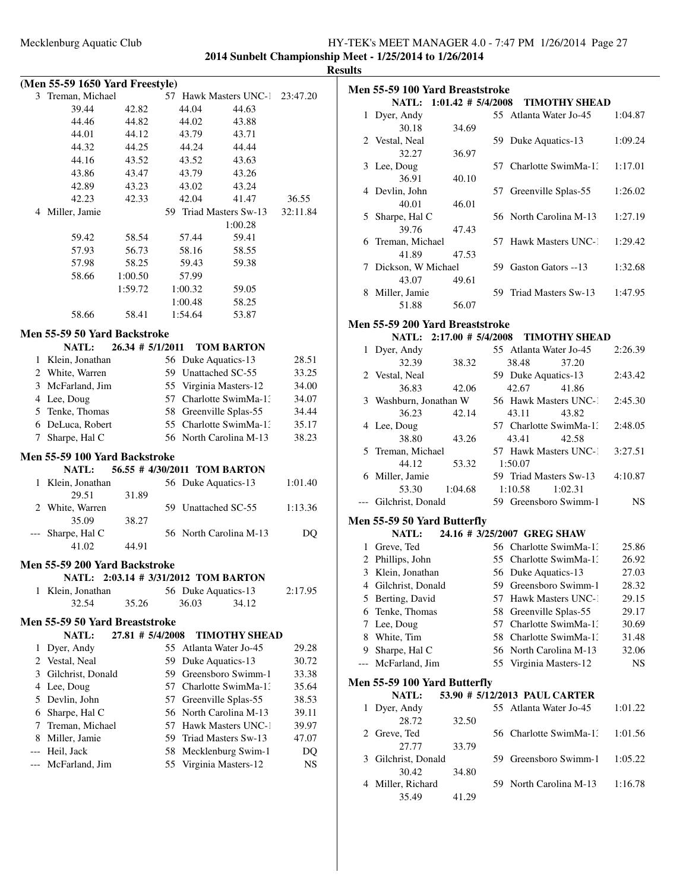**2014 Sunbelt Championship Meet - 1/25/2014 to 1/26/2014 Results**

|                | (Men 55-59 1650 Yard Freestyle)      |                      |    |         |                              |          |
|----------------|--------------------------------------|----------------------|----|---------|------------------------------|----------|
|                | 3 Treman, Michael                    |                      |    |         | 57 Hawk Masters UNC-1        | 23:47.20 |
|                | 39.44                                | 42.82                |    | 44.04   | 44.63                        |          |
|                | 44.46                                | 44.82                |    | 44.02   | 43.88                        |          |
|                | 44.01                                | 44.12                |    | 43.79   | 43.71                        |          |
|                | 44.32                                | 44.25                |    | 44.24   | 44.44                        |          |
|                | 44.16                                | 43.52                |    | 43.52   | 43.63                        |          |
|                | 43.86                                | 43.47                |    | 43.79   | 43.26                        |          |
|                | 42.89                                | 43.23                |    | 43.02   | 43.24                        |          |
|                | 42.23                                | 42.33                |    | 42.04   | 41.47                        | 36.55    |
|                | 4 Miller, Jamie                      |                      |    |         | 59 Triad Masters Sw-13       | 32:11.84 |
|                |                                      |                      |    |         | 1:00.28                      |          |
|                | 59.42                                | 58.54                |    | 57.44   | 59.41                        |          |
|                | 57.93                                | 56.73                |    | 58.16   | 58.55                        |          |
|                | 57.98                                | 58.25                |    | 59.43   | 59.38                        |          |
|                | 58.66                                | 1:00.50              |    | 57.99   |                              |          |
|                |                                      | 1:59.72              |    | 1:00.32 | 59.05                        |          |
|                |                                      |                      |    | 1:00.48 | 58.25                        |          |
|                | 58.66                                | 58.41                |    | 1:54.64 | 53.87                        |          |
|                | Men 55-59 50 Yard Backstroke         |                      |    |         |                              |          |
|                | <b>NATL:</b>                         | $26.34$ # $5/1/2011$ |    |         | <b>TOM BARTON</b>            |          |
| 1              | Klein, Jonathan                      |                      |    |         | 56 Duke Aquatics-13          | 28.51    |
|                | 2 White, Warren                      |                      |    |         | 59 Unattached SC-55          | 33.25    |
|                | 3 McFarland, Jim                     |                      |    |         | 55 Virginia Masters-12       | 34.00    |
|                | 4 Lee, Doug                          |                      |    |         | 57 Charlotte SwimMa-1:       | 34.07    |
|                | 5 Tenke, Thomas                      |                      |    |         | 58 Greenville Splas-55       | 34.44    |
|                | 6 DeLuca, Robert                     |                      |    |         | 55 Charlotte SwimMa-1:       | 35.17    |
| 7              | Sharpe, Hal C                        |                      |    |         | 56 North Carolina M-13       | 38.23    |
|                |                                      |                      |    |         |                              |          |
|                | Men 55-59 100 Yard Backstroke        |                      |    |         |                              |          |
|                | <b>NATL:</b>                         |                      |    |         | 56.55 # 4/30/2011 TOM BARTON |          |
| 1              | Klein, Jonathan<br>29.51             |                      |    |         | 56 Duke Aquatics-13          | 1:01.40  |
|                | 2 White, Warren                      | 31.89                |    |         | 59 Unattached SC-55          | 1:13.36  |
|                | 35.09                                | 38.27                |    |         |                              |          |
|                | Sharpe, Hal C                        |                      |    |         | 56 North Carolina M-13       | DQ       |
|                | 41.02                                | 44.91                |    |         |                              |          |
|                |                                      |                      |    |         |                              |          |
|                | Men 55-59 200 Yard Backstroke        |                      |    |         |                              |          |
|                | NATL: 2:03.14 # 3/31/2012 TOM BARTON |                      |    |         |                              |          |
| 1              | Klein, Jonathan<br>32.54             | 35.26                |    | 36.03   | 56 Duke Aquatics-13<br>34.12 | 2:17.95  |
|                |                                      |                      |    |         |                              |          |
|                | Men 55-59 50 Yard Breaststroke       |                      |    |         |                              |          |
|                | NATL:                                | 27.81 # 5/4/2008     |    |         | <b>TIMOTHY SHEAD</b>         |          |
| 1              | Dyer, Andy                           |                      | 55 |         | Atlanta Water Jo-45          | 29.28    |
| $\overline{c}$ | Vestal, Neal                         |                      |    |         | 59 Duke Aquatics-13          | 30.72    |
| 3              | Gilchrist, Donald                    |                      |    |         | 59 Greensboro Swimm-1        | 33.38    |
| 4              | Lee, Doug                            |                      |    |         | 57 Charlotte SwimMa-1.       | 35.64    |
| 5              | Devlin, John                         |                      | 57 |         | Greenville Splas-55          | 38.53    |
| 6              | Sharpe, Hal C                        |                      |    |         | 56 North Carolina M-13       | 39.11    |
| 7              | Treman, Michael                      |                      |    |         | 57 Hawk Masters UNC-1        | 39.97    |
| 8              | Miller, Jamie                        |                      |    |         | 59 Triad Masters Sw-13       | 47.07    |
| ---            | Heil, Jack                           |                      | 58 |         | Mecklenburg Swim-1           | DQ       |
| ---            | McFarland, Jim                       |                      | 55 |         | Virginia Masters-12          | NS.      |
|                |                                      |                      |    |         |                              |          |

|              | Men 55-59 100 Yard Breaststroke   |                       |     |                                                  |                    |
|--------------|-----------------------------------|-----------------------|-----|--------------------------------------------------|--------------------|
|              | <b>NATL:</b>                      | $1:01.42 \# 5/4/2008$ |     | <b>TIMOTHY SHEAD</b>                             |                    |
| $\mathbf{1}$ | Dyer, Andy                        |                       |     | 55 Atlanta Water Jo-45                           | 1:04.87            |
|              | 30.18                             | 34.69                 |     |                                                  |                    |
|              | 2 Vestal, Neal                    |                       |     | 59 Duke Aquatics-13                              | 1:09.24            |
|              | 32.27                             | 36.97                 |     |                                                  |                    |
|              | 3 Lee, Doug                       |                       | 57  | Charlotte SwimMa-1:                              | 1:17.01            |
|              | 36.91                             | 40.10                 |     |                                                  |                    |
|              | 4 Devlin, John                    |                       | 57  | Greenville Splas-55                              | 1:26.02            |
|              | 40.01                             | 46.01                 |     |                                                  |                    |
| 5            | Sharpe, Hal C<br>39.76            | 47.43                 |     | 56 North Carolina M-13                           | 1:27.19            |
| 6            | Treman, Michael                   |                       | 57  | Hawk Masters UNC-1                               | 1:29.42            |
|              | 41.89                             | 47.53                 |     |                                                  |                    |
|              | 7 Dickson, W Michael              |                       |     | 59 Gaston Gators --13                            | 1:32.68            |
|              | 43.07                             | 49.61                 |     |                                                  |                    |
|              | 8 Miller, Jamie                   |                       |     | 59 Triad Masters Sw-13                           | 1:47.95            |
|              | 51.88                             | 56.07                 |     |                                                  |                    |
|              | Men 55-59 200 Yard Breaststroke   |                       |     |                                                  |                    |
|              | NATL: 2:17.00 # 5/4/2008          |                       |     | <b>TIMOTHY SHEAD</b>                             |                    |
| 1            | Dyer, Andy                        |                       |     | 55 Atlanta Water Jo-45                           | 2:26.39            |
|              | 32.39                             | 38.32                 |     | 38.48<br>37.20                                   |                    |
|              | 2 Vestal, Neal                    |                       |     | 59 Duke Aquatics-13                              | 2:43.42            |
|              | 36.83                             | 42.06                 |     | 42.67<br>41.86                                   |                    |
|              | 3 Washburn, Jonathan W            |                       |     | 56 Hawk Masters UNC-1                            | 2:45.30            |
|              | 36.23                             | 42.14                 |     | 43.11<br>43.82                                   |                    |
|              | 4 Lee, Doug                       |                       |     | 57 Charlotte SwimMa-1.                           | 2:48.05            |
|              | 38.80                             | 43.26                 |     | 43.41<br>42.58                                   |                    |
|              | 5 Treman, Michael                 |                       |     | 57 Hawk Masters UNC-1                            | 3:27.51            |
|              | 44.12                             | 53.32                 |     | 1:50.07                                          |                    |
|              | 6 Miller, Jamie                   |                       |     | 59 Triad Masters Sw-13                           | 4:10.87            |
|              | 53.30                             | 1:04.68               |     | 1:10.58<br>1:02.31                               |                    |
|              | Gilchrist, Donald                 |                       |     | 59 Greensboro Swimm-1                            | <b>NS</b>          |
|              | Men 55-59 50 Yard Butterfly       |                       |     |                                                  |                    |
|              | <b>NATL:</b>                      |                       |     | 24.16 # 3/25/2007 GREG SHAW                      |                    |
|              | 1 Greve, Ted                      |                       |     | 56 Charlotte SwimMa-1:                           | 25.86              |
|              | 2 Phillips, John                  |                       |     | 55 Charlotte SwimMa-13                           | 26.92              |
|              | 3 Klein, Jonathan                 |                       |     | 56 Duke Aquatics-13                              | 27.03              |
|              | 4 Gilchrist, Donald               |                       |     | 59 Greensboro Swimm-1                            | 28.32              |
|              | 5 Berting, David                  |                       | 57  | Hawk Masters UNC-1                               | 29.15              |
| 6            | Tenke, Thomas                     |                       | 58  | Greenville Splas-55                              | 29.17              |
| 7            | Lee, Doug                         |                       | 57  | Charlotte SwimMa-1:                              | 30.69              |
| 8            | White, Tim                        |                       |     | 58 Charlotte SwimMa-1.                           | 31.48              |
| ---          | 9 Sharpe, Hal C<br>McFarland, Jim |                       |     | 56 North Carolina M-13<br>55 Virginia Masters-12 | 32.06<br><b>NS</b> |
|              |                                   |                       |     |                                                  |                    |
|              | Men 55-59 100 Yard Butterfly      |                       |     |                                                  |                    |
|              | NATL:                             |                       |     | 53.90 # 5/12/2013 PAUL CARTER                    |                    |
| 1            | Dyer, Andy                        |                       |     | 55 Atlanta Water Jo-45                           | 1:01.22            |
|              | 28.72                             | 32.50                 |     |                                                  |                    |
| 2            | Greve, Ted                        |                       |     | 56 Charlotte SwimMa-1.                           | 1:01.56            |
|              | 27.77                             | 33.79                 |     | Greensboro Swimm-1                               |                    |
| 3            | Gilchrist, Donald<br>30.42        | 34.80                 | 59. |                                                  | 1:05.22            |
| 4            | Miller, Richard                   |                       | 59  | North Carolina M-13                              | 1:16.78            |
|              | 35.49                             | 41.29                 |     |                                                  |                    |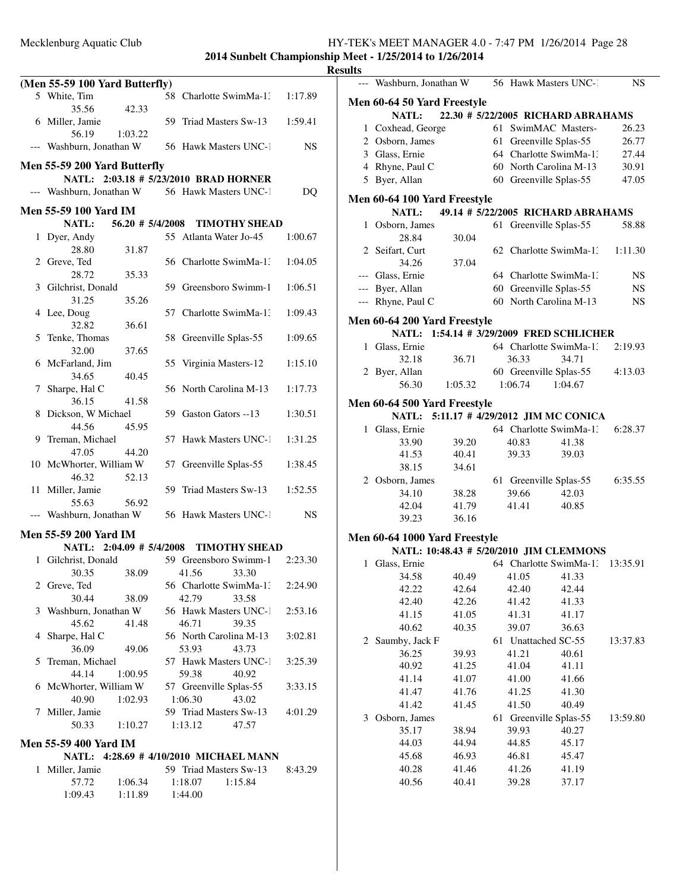**2014 Sunbelt Championship Meet - 1/25/2014 to 1/26/2014 <u>esults</u>** 

|   |                                                |                                        |           | Кe |
|---|------------------------------------------------|----------------------------------------|-----------|----|
|   | (Men 55-59 100 Yard Butterfly)                 |                                        |           |    |
|   | 5 White, Tim                                   | 58 Charlotte SwimMa-1:                 | 1:17.89   |    |
|   | 35.56<br>42.33                                 |                                        |           |    |
|   | 6 Miller, Jamie                                | 59 Triad Masters Sw-13                 | 1:59.41   |    |
|   | 56.19<br>1:03.22                               |                                        |           |    |
|   | --- Washburn, Jonathan W 56 Hawk Masters UNC-1 |                                        | <b>NS</b> |    |
|   |                                                |                                        |           |    |
|   | Men 55-59 200 Yard Butterfly                   |                                        |           |    |
|   | NATL: 2:03.18 # 5/23/2010 BRAD HORNER          |                                        |           |    |
|   | --- Washburn, Jonathan W 56 Hawk Masters UNC-1 |                                        | DQ        |    |
|   | Men 55-59 100 Yard IM                          |                                        |           |    |
|   |                                                | NATL: 56.20 # 5/4/2008 TIMOTHY SHEAD   |           |    |
|   | 1 Dyer, Andy                                   | 55 Atlanta Water Jo-45                 | 1:00.67   |    |
|   | 28.80<br>31.87                                 |                                        |           |    |
|   | 2 Greve, Ted                                   | 56 Charlotte SwimMa-1.                 | 1:04.05   |    |
|   | 28.72<br>35.33                                 |                                        |           |    |
|   | 3 Gilchrist, Donald                            | 59 Greensboro Swimm-1                  | 1:06.51   |    |
|   | 31.25<br>35.26                                 |                                        |           |    |
|   | 4 Lee, Doug                                    | 57 Charlotte SwimMa-1:                 | 1:09.43   |    |
|   | 36.61<br>32.82                                 |                                        |           |    |
|   | 5 Tenke, Thomas                                | 58 Greenville Splas-55                 | 1:09.65   |    |
|   | 32.00<br>37.65                                 |                                        |           |    |
|   | 6 McFarland, Jim                               | 55 Virginia Masters-12                 | 1:15.10   |    |
|   | 34.65<br>40.45                                 |                                        |           |    |
|   | 7 Sharpe, Hal C                                | 56 North Carolina M-13                 | 1:17.73   |    |
|   | 36.15<br>41.58                                 |                                        |           |    |
|   | 8 Dickson, W Michael                           | 59 Gaston Gators --13                  | 1:30.51   |    |
|   | 44.56<br>45.95                                 |                                        |           |    |
|   | 9 Treman, Michael                              | 57 Hawk Masters UNC-1                  | 1:31.25   |    |
|   | 47.05<br>44.20                                 |                                        |           |    |
|   | 10 McWhorter, William W                        | 57 Greenville Splas-55                 | 1:38.45   |    |
|   | 46.32<br>52.13                                 |                                        |           |    |
|   | 11 Miller, Jamie                               | 59 Triad Masters Sw-13                 | 1:52.55   |    |
|   | 55.63<br>56.92                                 |                                        |           |    |
|   | --- Washburn, Jonathan W                       | 56 Hawk Masters UNC-1                  | NS.       |    |
|   |                                                |                                        |           |    |
|   | Men 55-59 200 Yard IM                          |                                        |           |    |
|   |                                                | NATL: 2:04.09 # 5/4/2008 TIMOTHY SHEAD |           |    |
|   | 1 Gilchrist, Donald                            | 59 Greensboro Swimm-1 2:23.30          |           |    |
|   | 30.35 38.09 41.56 33.30                        |                                        |           |    |
|   | 2 Greve, Ted                                   | 56 Charlotte SwimMa-1.                 | 2:24.90   |    |
|   | 30.44<br>38.09                                 | 42.79<br>33.58                         |           |    |
| 3 | Washburn, Jonathan W                           | 56 Hawk Masters UNC-1                  | 2:53.16   |    |
|   | 45.62<br>41.48                                 | 46.71<br>39.35                         |           |    |
| 4 | Sharpe, Hal C                                  | 56 North Carolina M-13                 | 3:02.81   |    |
|   | 36.09<br>49.06                                 | 53.93<br>43.73                         |           |    |
| 5 | Treman, Michael                                | 57 Hawk Masters UNC-1                  | 3:25.39   |    |
|   | 44.14<br>1:00.95                               | 59.38<br>40.92                         |           |    |
|   | 6 McWhorter, William W                         | 57 Greenville Splas-55                 | 3:33.15   |    |
|   | 40.90<br>1:02.93                               | 1:06.30<br>43.02                       |           |    |
| 7 | Miller, Jamie                                  | 59 Triad Masters Sw-13                 | 4:01.29   |    |
|   | 50.33<br>1:10.27                               | 47.57<br>1:13.12                       |           |    |
|   | Men 55-59 400 Yard IM                          |                                        |           |    |
|   |                                                | NATL: 4:28.69 #4/10/2010 MICHAEL MANN  |           |    |
| 1 | Miller, Jamie                                  | 59 Triad Masters Sw-13                 | 8:43.29   |    |
|   | 57.72<br>1:06.34                               | 1:18.07<br>1:15.84                     |           |    |
|   | 1:09.43 1:11.89 1:44.00                        |                                        |           |    |
|   |                                                |                                        |           |    |

|              | --- Washburn, Jonathan W                           |                |    |                     | 56 Hawk Masters UNC-1                   | NS        |  |
|--------------|----------------------------------------------------|----------------|----|---------------------|-----------------------------------------|-----------|--|
|              | Men 60-64 50 Yard Freestyle                        |                |    |                     |                                         |           |  |
|              | 22.30 # 5/22/2005 RICHARD ABRAHAMS<br><b>NATL:</b> |                |    |                     |                                         |           |  |
|              | 1 Coxhead, George                                  |                |    |                     | 61 SwimMAC Masters-                     | 26.23     |  |
|              | 2 Osborn, James                                    |                |    |                     | 61 Greenville Splas-55                  | 26.77     |  |
|              | 3 Glass, Ernie                                     |                |    |                     | 64 Charlotte SwimMa-1.                  | 27.44     |  |
|              | 4 Rhyne, Paul C                                    |                |    |                     | 60 North Carolina M-13                  | 30.91     |  |
|              | 5 Byer, Allan                                      |                |    |                     | 60 Greenville Splas-55                  | 47.05     |  |
|              | Men 60-64 100 Yard Freestyle                       |                |    |                     |                                         |           |  |
|              | <b>NATL:</b>                                       |                |    |                     | 49.14 # 5/22/2005 RICHARD ABRAHAMS      |           |  |
| 1            | Osborn, James                                      |                | 61 |                     | Greenville Splas-55                     | 58.88     |  |
|              | 28.84                                              | 30.04          |    |                     |                                         |           |  |
|              | 2 Seifart, Curt                                    |                |    |                     | 62 Charlotte SwimMa-1.                  | 1:11.30   |  |
|              | 34.26                                              | 37.04          |    |                     |                                         |           |  |
|              | --- Glass, Ernie                                   |                |    |                     | 64 Charlotte SwimMa-1.                  | NS        |  |
|              | --- Byer, Allan                                    |                |    |                     | 60 Greenville Splas-55                  | NS.       |  |
|              | --- Rhyne, Paul C                                  |                |    |                     | 60 North Carolina M-13                  | <b>NS</b> |  |
|              | Men 60-64 200 Yard Freestyle                       |                |    |                     |                                         |           |  |
|              | <b>NATL:</b>                                       |                |    |                     | 1:54.14 # 3/29/2009 FRED SCHLICHER      |           |  |
| $\mathbf{1}$ | Glass, Ernie                                       |                |    |                     | 64 Charlotte SwimMa-1:                  | 2:19.93   |  |
|              | 32.18                                              | 36.71          |    | 36.33               | 34.71                                   |           |  |
|              | 2 Byer, Allan                                      |                |    |                     | 60 Greenville Splas-55                  | 4:13.03   |  |
|              | 56.30                                              | 1:05.32        |    | 1:06.74             | 1:04.67                                 |           |  |
|              | Men 60-64 500 Yard Freestyle                       |                |    |                     |                                         |           |  |
|              | <b>NATL:</b>                                       |                |    |                     | 5:11.17 # 4/29/2012 JIM MC CONICA       |           |  |
| 1            | Glass, Ernie                                       |                |    |                     | 64 Charlotte SwimMa-1.                  | 6:28.37   |  |
|              |                                                    |                |    |                     |                                         |           |  |
|              | 33.90<br>41.53                                     | 39.20<br>40.41 |    | 40.83<br>39.33      | 41.38<br>39.03                          |           |  |
|              | 38.15                                              | 34.61          |    |                     |                                         |           |  |
|              | 2 Osborn, James                                    |                |    |                     | 61 Greenville Splas-55                  | 6:35.55   |  |
|              | 34.10                                              | 38.28          |    | 39.66               | 42.03                                   |           |  |
|              | 42.04                                              | 41.79          |    | 41.41               | 40.85                                   |           |  |
|              | 39.23                                              | 36.16          |    |                     |                                         |           |  |
|              |                                                    |                |    |                     |                                         |           |  |
|              | Men 60-64 1000 Yard Freestyle                      |                |    |                     |                                         |           |  |
|              |                                                    |                |    |                     | NATL: 10:48.43 # 5/20/2010 JIM CLEMMONS |           |  |
| $\mathbf{1}$ | Glass, Ernie                                       |                |    |                     | 64 Charlotte SwimMa-1.                  | 13:35.91  |  |
|              | 34.58                                              | 40.49          |    | 41.05               | 41.33                                   |           |  |
|              | 42.22                                              | 42.64          |    | 42.40               | 42.44                                   |           |  |
|              | 42.40                                              | 42.26          |    | 41.42               | 41.33                                   |           |  |
|              | 41.15                                              | 41.05          |    | 41.31               | 41.17                                   |           |  |
|              | 40.62                                              | 40.35          |    | 39.07               | 36.63                                   |           |  |
|              | 2 Saumby, Jack F                                   |                |    | 61 Unattached SC-55 |                                         | 13:37.83  |  |
|              | 36.25                                              | 39.93          |    | 41.21               | 40.61                                   |           |  |
|              | 40.92                                              | 41.25          |    | 41.04               | 41.11                                   |           |  |
|              | 41.14                                              | 41.07          |    | 41.00               | 41.66                                   |           |  |
|              | 41.47                                              | 41.76          |    | 41.25               | 41.30                                   |           |  |
|              | 41.42                                              | 41.45          |    | 41.50               | 40.49                                   |           |  |
| 3            | Osborn, James                                      |                | 61 |                     | Greenville Splas-55                     | 13:59.80  |  |
|              | 35.17                                              | 38.94          |    | 39.93               | 40.27                                   |           |  |
|              | 44.03                                              | 44.94          |    | 44.85               | 45.17                                   |           |  |
|              | 45.68                                              | 46.93          |    | 46.81               | 45.47                                   |           |  |
|              | 40.28                                              | 41.46          |    | 41.26               | 41.19                                   |           |  |
|              | 40.56                                              | 40.41          |    | 39.28               | 37.17                                   |           |  |
|              |                                                    |                |    |                     |                                         |           |  |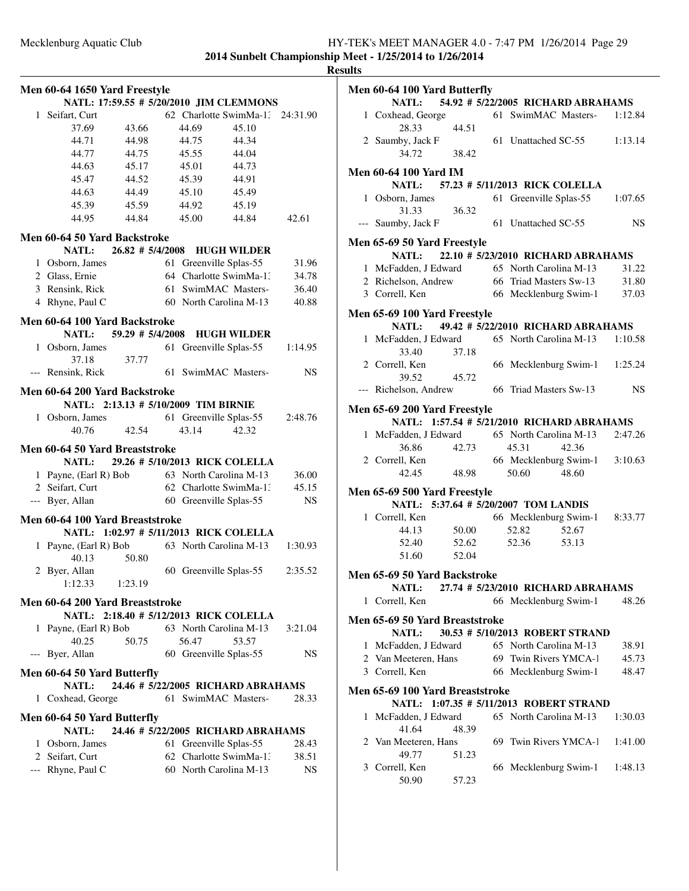**2014 Sunbelt Championship Meet - 1/25/2014 to 1/26/2014 Results**

|              | Men 60-64 1650 Yard Freestyle   |                                      |    |       | NATL: 17:59.55 # 5/20/2010 JIM CLEMMONS |          |
|--------------|---------------------------------|--------------------------------------|----|-------|-----------------------------------------|----------|
| $\mathbf{1}$ |                                 |                                      |    |       | 62 Charlotte SwimMa-13                  |          |
|              | Seifart, Curt                   | 43.66                                |    | 44.69 |                                         | 24:31.90 |
|              | 37.69<br>44.71                  | 44.98                                |    | 44.75 | 45.10<br>44.34                          |          |
|              |                                 |                                      |    |       |                                         |          |
|              | 44.77                           | 44.75                                |    | 45.55 | 44.04                                   |          |
|              | 44.63                           | 45.17                                |    | 45.01 | 44.73                                   |          |
|              | 45.47                           | 44.52                                |    | 45.39 | 44.91                                   |          |
|              | 44.63                           | 44.49                                |    | 45.10 | 45.49                                   |          |
|              | 45.39                           | 45.59                                |    | 44.92 | 45.19                                   |          |
|              | 44.95                           | 44.84                                |    | 45.00 | 44.84                                   | 42.61    |
|              | Men 60-64 50 Yard Backstroke    |                                      |    |       |                                         |          |
|              | <b>NATL:</b>                    | 26.82 # 5/4/2008                     |    |       | <b>HUGH WILDER</b>                      |          |
|              | 1 Osborn, James                 |                                      | 61 |       | Greenville Splas-55                     | 31.96    |
|              | 2 Glass, Ernie                  |                                      |    |       | 64 Charlotte SwimMa-1:                  | 34.78    |
|              | 3 Rensink, Rick                 |                                      |    |       | 61 SwimMAC Masters-                     | 36.40    |
|              | 4 Rhyne, Paul C                 |                                      |    |       | 60 North Carolina M-13                  | 40.88    |
|              | Men 60-64 100 Yard Backstroke   |                                      |    |       |                                         |          |
|              | <b>NATL:</b>                    | 59.29 # 5/4/2008                     |    |       | <b>HUGH WILDER</b>                      |          |
|              | 1 Osborn, James                 |                                      |    |       | 61 Greenville Splas-55                  | 1:14.95  |
|              | 37.18                           | 37.77                                |    |       |                                         |          |
|              | Rensink, Rick                   |                                      |    |       | 61 SwimMAC Masters-                     | NS       |
|              |                                 |                                      |    |       |                                         |          |
|              | Men 60-64 200 Yard Backstroke   |                                      |    |       |                                         |          |
|              |                                 | NATL: 2:13.13 # 5/10/2009 TIM BIRNIE |    |       |                                         |          |
| $\mathbf{1}$ | Osborn, James                   |                                      |    |       | 61 Greenville Splas-55                  | 2:48.76  |
|              | 40.76                           | 42.54                                |    | 43.14 | 42.32                                   |          |
|              | Men 60-64 50 Yard Breaststroke  |                                      |    |       |                                         |          |
|              | <b>NATL:</b>                    |                                      |    |       | 29.26 # 5/10/2013 RICK COLELLA          |          |
|              | 1 Payne, (Earl R) Bob           |                                      |    |       | 63 North Carolina M-13                  | 36.00    |
|              | 2 Seifart, Curt                 |                                      |    |       | 62 Charlotte SwimMa-1.                  | 45.15    |
|              | --- Byer, Allan                 |                                      |    |       | 60 Greenville Splas-55                  | NS       |
|              |                                 |                                      |    |       |                                         |          |
|              | Men 60-64 100 Yard Breaststroke |                                      |    |       |                                         |          |
|              |                                 |                                      |    |       | NATL: 1:02.97 # 5/11/2013 RICK COLELLA  |          |
| 1            | Payne, (Earl R) Bob<br>40.13    | 50.80                                |    |       | 63 North Carolina M-13                  | 1:30.93  |
|              | 2 Byer, Allan                   |                                      |    |       | 60 Greenville Splas-55                  | 2:35.52  |
|              | 1:12.33                         | 1:23.19                              |    |       |                                         |          |
|              | Men 60-64 200 Yard Breaststroke |                                      |    |       |                                         |          |
|              |                                 |                                      |    |       | NATL: 2:18.40 # 5/12/2013 RICK COLELLA  |          |
| 1            | Payne, (Earl R) Bob             |                                      |    |       | 63 North Carolina M-13                  | 3:21.04  |
|              | 40.25                           | 50.75                                |    | 56.47 | 53.57                                   |          |
| $---$        | Byer, Allan                     |                                      |    |       | 60 Greenville Splas-55                  | NS.      |
|              |                                 |                                      |    |       |                                         |          |
|              | Men 60-64 50 Yard Butterfly     |                                      |    |       |                                         |          |
|              | <b>NATL:</b>                    |                                      |    |       | 24.46 # 5/22/2005 RICHARD ABRAHAMS      |          |
|              | 1 Coxhead, George               |                                      |    |       | 61 SwimMAC Masters-                     | 28.33    |
|              | Men 60-64 50 Yard Butterfly     |                                      |    |       |                                         |          |
|              | <b>NATL:</b>                    |                                      |    |       | 24.46 # 5/22/2005 RICHARD ABRAHAMS      |          |
|              | 1 Osborn, James                 |                                      |    |       | 61 Greenville Splas-55                  | 28.43    |
|              | 2 Seifart, Curt                 |                                      |    |       | 62 Charlotte SwimMa-1:                  | 38.51    |
|              | --- Rhyne, Paul C               |                                      |    |       | 60 North Carolina M-13                  | NS       |
|              |                                 |                                      |    |       |                                         |          |

|              | Men 60-64 100 Yard Butterfly                                 |       |                        |                                    |           |
|--------------|--------------------------------------------------------------|-------|------------------------|------------------------------------|-----------|
|              | NATL: 54.92 # 5/22/2005 RICHARD ABRAHAMS                     |       |                        |                                    |           |
|              | 1 Coxhead, George<br>28.33                                   | 44.51 |                        | 61 SwimMAC Masters- 1:12.84        |           |
|              | 2 Saumby, Jack F<br>34.72                                    | 38.42 |                        | 61 Unattached SC-55 1:13.14        |           |
|              | <b>Men 60-64 100 Yard IM</b>                                 |       |                        |                                    |           |
|              | NATL: 57.23 # 5/11/2013 RICK COLELLA                         |       |                        |                                    |           |
|              | 1 Osborn, James                                              |       | 61 Greenville Splas-55 |                                    | 1:07.65   |
|              |                                                              |       |                        |                                    |           |
|              | 31.33<br>--- Saumby, Jack F                                  | 36.32 | 61 Unattached SC-55    |                                    | <b>NS</b> |
|              | Men 65-69 50 Yard Freestyle                                  |       |                        |                                    |           |
|              | <b>NATL:</b>                                                 |       |                        | 22.10 # 5/23/2010 RICHARD ABRAHAMS |           |
|              | 1 McFadden, J Edward 65 North Carolina M-13                  |       |                        |                                    | 31.22     |
|              | 2 Richelson, Andrew                                          |       |                        | 66 Triad Masters Sw-13 31.80       |           |
|              | 3 Correll, Ken                                               |       |                        | 66 Mecklenburg Swim-1 37.03        |           |
|              | Men 65-69 100 Yard Freestyle                                 |       |                        |                                    |           |
|              | NATL: 49.42 # 5/22/2010 RICHARD ABRAHAMS                     |       |                        |                                    |           |
|              | 1 McFadden, J Edward 65 North Carolina M-13 1:10.58<br>33.40 | 37.18 |                        |                                    |           |
|              | 2 Correll, Ken                                               |       |                        | 66 Mecklenburg Swim-1 1:25.24      |           |
|              | 39.52                                                        | 45.72 |                        |                                    |           |
|              | --- Richelson, Andrew 66 Triad Masters Sw-13                 |       |                        |                                    | NS.       |
|              |                                                              |       |                        |                                    |           |
|              | <b>Men 65-69 200 Yard Freestyle</b>                          |       |                        |                                    |           |
|              | NATL: 1:57.54 # 5/21/2010 RICHARD ABRAHAMS                   |       |                        |                                    |           |
|              | 1 McFadden, J Edward                                         |       |                        | 65 North Carolina M-13             | 2:47.26   |
|              | 36.86                                                        | 42.73 | 45.31                  | 42.36                              |           |
|              | 2 Correll, Ken                                               |       |                        | 66 Mecklenburg Swim-1 3:10.63      |           |
|              | 42.45                                                        | 48.98 | 50.60 48.60            |                                    |           |
|              | <b>Men 65-69 500 Yard Freestyle</b>                          |       |                        |                                    |           |
|              | NATL: 5:37.64 # 5/20/2007 TOM LANDIS                         |       |                        |                                    |           |
|              | 1 Correll, Ken                                               |       |                        | 66 Mecklenburg Swim-1 8:33.77      |           |
|              |                                                              |       |                        |                                    |           |
|              | 44.13                                                        | 50.00 | 52.82                  | 52.67                              |           |
|              | 52.40                                                        | 52.62 | 52.36                  | 53.13                              |           |
|              | 51.60                                                        | 52.04 |                        |                                    |           |
|              | Men 65-69 50 Yard Backstroke                                 |       |                        |                                    |           |
|              | NATL:                                                        |       |                        | 27.74 # 5/23/2010 RICHARD ABRAHAMS |           |
| $\mathbf{1}$ | Correll, Ken                                                 |       | 66 Mecklenburg Swim-1  |                                    | 48.26     |
|              | Men 65-69 50 Yard Breaststroke                               |       |                        |                                    |           |
|              | <b>NATL:</b>                                                 |       |                        | 30.53 # 5/10/2013 ROBERT STRAND    |           |
|              |                                                              |       |                        |                                    |           |
|              | 1 McFadden, J Edward                                         |       | 65 North Carolina M-13 |                                    | 38.91     |
|              | 2 Van Meeteren, Hans                                         |       | 69 Twin Rivers YMCA-1  |                                    | 45.73     |
|              | 3 Correll, Ken                                               |       | 66 Mecklenburg Swim-1  |                                    | 48.47     |
|              | Men 65-69 100 Yard Breaststroke                              |       |                        |                                    |           |
|              | NATL: 1:07.35 # 5/11/2013 ROBERT STRAND                      |       |                        |                                    |           |
| $\mathbf{1}$ | McFadden, J Edward<br>41.64                                  | 48.39 | 65 North Carolina M-13 |                                    | 1:30.03   |
|              |                                                              |       |                        |                                    |           |
|              | 2 Van Meeteren, Hans                                         |       | 69 Twin Rivers YMCA-1  |                                    | 1:41.00   |
|              | 49.77                                                        | 51.23 |                        |                                    |           |
|              | 3 Correll, Ken                                               |       | 66 Mecklenburg Swim-1  |                                    | 1:48.13   |
|              | 50.90                                                        | 57.23 |                        |                                    |           |
|              |                                                              |       |                        |                                    |           |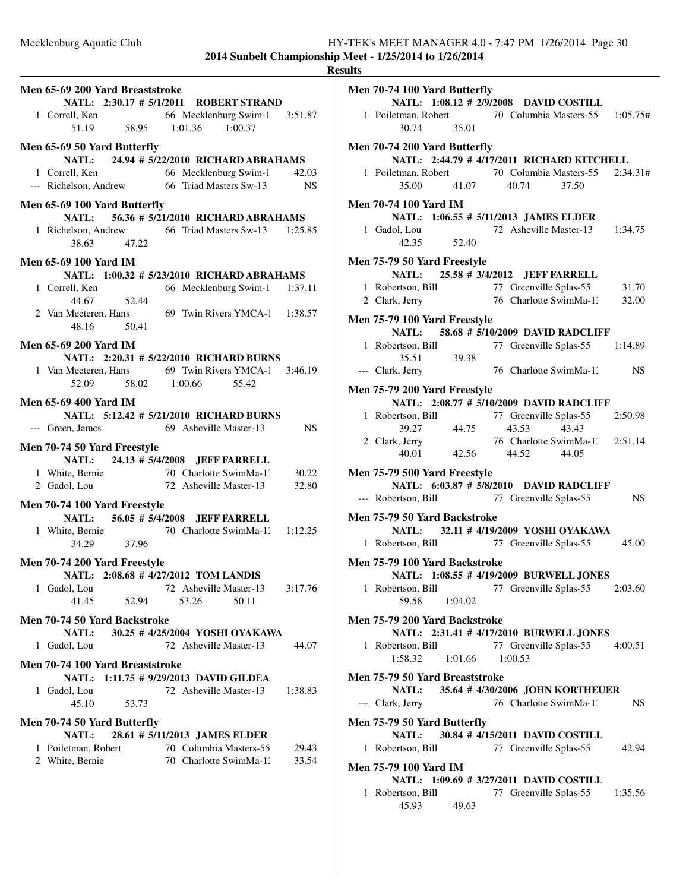|                                                                                            |                                   | <b>Results</b> |
|--------------------------------------------------------------------------------------------|-----------------------------------|----------------|
| Men 65-69 200 Yard Breaststroke                                                            |                                   | Me             |
| NATL: 2:30.17 # 5/1/2011 ROBERT STRAND                                                     |                                   |                |
| 1 Correll, Ken<br>51.19 58.95 66 Mecklenburg Swim-1 3:51.87<br>51.19 58.95 1:01.36 1:00.37 |                                   |                |
|                                                                                            |                                   |                |
| Men 65-69 50 Yard Butterfly                                                                |                                   | Me             |
| NATL: 24.94 # 5/22/2010 RICHARD ABRAHAMS                                                   |                                   |                |
| 1 Correll, Ken 66 Mecklenburg Swim-1                                                       | 42.03                             |                |
| --- Richelson, Andrew 66 Triad Masters Sw-13                                               | NS.                               |                |
|                                                                                            |                                   |                |
| Men 65-69 100 Yard Butterfly                                                               |                                   | Me             |
| NATL: 56.36 # 5/21/2010 RICHARD ABRAHAMS                                                   |                                   |                |
| 1 Richelson, Andrew 66 Triad Masters Sw-13 1:25.85                                         |                                   |                |
| 38.63 47.22                                                                                |                                   |                |
| <b>Men 65-69 100 Yard IM</b>                                                               |                                   | Me             |
| NATL: 1:00.32 # 5/23/2010 RICHARD ABRAHAMS                                                 |                                   |                |
| 1 Correll, Ken                                                                             | 66 Mecklenburg Swim-1 1:37.11     |                |
| 52.44<br>44.67                                                                             |                                   |                |
| 2 Van Meeteren, Hans 69 Twin Rivers YMCA-1 1:38.57                                         |                                   | Me             |
| 48.16 50.41                                                                                |                                   |                |
| <b>Men 65-69 200 Yard IM</b>                                                               |                                   |                |
| NATL: 2:20.31 # 5/22/2010 RICHARD BURNS                                                    |                                   |                |
| 1 Van Meeteren, Hans 69 Twin Rivers YMCA-1 3:46.19                                         |                                   |                |
| 52.09 58.02 1:00.66 55.42                                                                  |                                   |                |
|                                                                                            |                                   | Me             |
| <b>Men 65-69 400 Yard IM</b>                                                               |                                   |                |
| NATL: 5:12.42 # 5/21/2010 RICHARD BURNS                                                    |                                   |                |
| --- Green, James 69 Asheville Master-13                                                    | NS NS                             |                |
| Men 70-74 50 Yard Freestyle                                                                |                                   |                |
| 24.13 # 5/4/2008 JEFF FARRELL<br>NATL:                                                     |                                   |                |
|                                                                                            |                                   | Me             |
| 1 White, Bernie 70 Charlotte SwimMa-1: 30.22<br>2 Gadol, Lou 72 Asheville Master-13 32.80  |                                   |                |
| Men 70-74 100 Yard Freestyle                                                               |                                   |                |
| NATL: 56.05 # 5/4/2008 JEFF FARRELL                                                        |                                   | Me             |
|                                                                                            |                                   |                |
| 1 White, Bernie 70 Charlotte SwimMa-1: 1:12.25<br>34.29 37.96                              |                                   |                |
|                                                                                            |                                   |                |
| Men 70-74 200 Yard Freestyle                                                               |                                   | Me             |
| NATL: 2:08.68 # 4/27/2012 TOM LANDIS                                                       |                                   |                |
| 1 Gadol, Lou                                                                               | 72 Asheville Master-13<br>3:17.76 |                |
| 41.45<br>52.94<br>53.26                                                                    | 50.11                             |                |
| Men 70-74 50 Yard Backstroke                                                               |                                   | Me             |
| 30.25 # 4/25/2004 YOSHI OYAKAWA<br><b>NATL:</b>                                            |                                   |                |
| 1 Gadol, Lou                                                                               | 72 Asheville Master-13<br>44.07   |                |
|                                                                                            |                                   |                |
| Men 70-74 100 Yard Breaststroke<br>NATL: 1:11.75 # 9/29/2013 DAVID GILDEA                  |                                   | Me             |
| 1 Gadol, Lou                                                                               | 72 Asheville Master-13<br>1:38.83 |                |
| 45.10<br>53.73                                                                             |                                   |                |
|                                                                                            |                                   | Ξ,             |
| Men 70-74 50 Yard Butterfly                                                                |                                   | Me             |
| 28.61 # 5/11/2013 JAMES ELDER<br>NATL:                                                     |                                   |                |
| 70 Columbia Masters-55<br>1 Poiletman, Robert                                              | 29.43                             |                |
| 70 Charlotte SwimMa-13<br>2 White, Bernie                                                  | 33.54                             | Me             |
|                                                                                            |                                   |                |
|                                                                                            |                                   |                |
|                                                                                            |                                   |                |
|                                                                                            |                                   |                |

| Men 70-74 100 Yard Butterfly                                                                  |                   |         |                                                                                                                                             |           |
|-----------------------------------------------------------------------------------------------|-------------------|---------|---------------------------------------------------------------------------------------------------------------------------------------------|-----------|
|                                                                                               |                   |         | NATL: 1:08.12 # 2/9/2008 DAVID COSTILL                                                                                                      |           |
| 1 Poiletman, Robert 70 Columbia Masters-55 1:05.75#                                           |                   |         |                                                                                                                                             |           |
| 30.74 35.01                                                                                   |                   |         |                                                                                                                                             |           |
| Men 70-74 200 Yard Butterfly                                                                  |                   |         |                                                                                                                                             |           |
|                                                                                               |                   |         | NATL: 2:44.79 # 4/17/2011 RICHARD KITCHELL                                                                                                  |           |
|                                                                                               |                   |         |                                                                                                                                             |           |
| 1 Poiletman, Robert 70 Columbia Masters-55 2:34.31#                                           | 35.00 41.07 40.74 |         |                                                                                                                                             |           |
|                                                                                               |                   |         | 37.50                                                                                                                                       |           |
| <b>Men 70-74 100 Yard IM</b>                                                                  |                   |         |                                                                                                                                             |           |
| NATL: 1:06.55 # 5/11/2013 JAMES ELDER                                                         |                   |         |                                                                                                                                             |           |
| 1 Gadol, Lou                                                                                  |                   |         | 72 Asheville Master-13 1:34.75                                                                                                              |           |
| $42.35$ $52.40$                                                                               |                   |         |                                                                                                                                             |           |
|                                                                                               |                   |         |                                                                                                                                             |           |
| <b>Men 75-79 50 Yard Freestyle</b>                                                            |                   |         |                                                                                                                                             |           |
| NATL: 25.58 # 3/4/2012 JEFF FARRELL                                                           |                   |         |                                                                                                                                             |           |
| 1 Robertson, Bill 77 Greenville Splas-55 31.70<br>2 Clark, Jerry 76 Charlotte SwimMa-1: 32.00 |                   |         |                                                                                                                                             |           |
| 2 Clark, Jerry                                                                                |                   |         |                                                                                                                                             |           |
| Men 75-79 100 Yard Freestyle                                                                  |                   |         |                                                                                                                                             |           |
|                                                                                               |                   |         | NATL: 58.68 # 5/10/2009 DAVID RADCLIFF                                                                                                      |           |
| 1 Robertson, Bill 77 Greenville Splas-55 1:14.89                                              |                   |         |                                                                                                                                             |           |
| 35.51                                                                                         | 39.38             |         |                                                                                                                                             |           |
| --- Clark, Jerry                                                                              |                   |         | 76 Charlotte SwimMa-1: NS                                                                                                                   |           |
|                                                                                               |                   |         |                                                                                                                                             |           |
| Men 75-79 200 Yard Freestyle                                                                  |                   |         |                                                                                                                                             |           |
|                                                                                               |                   |         | NATL: 2:08.77 # 5/10/2009 DAVID RADCLIFF                                                                                                    |           |
| 1 Robertson, Bill                                                                             |                   |         |                                                                                                                                             |           |
|                                                                                               |                   |         |                                                                                                                                             |           |
| 2 Clark, Jerry                                                                                |                   |         |                                                                                                                                             |           |
|                                                                                               |                   |         | rtson, Bill 77 Greenville Splas-55 2:50.98<br>39.27 44.75 43.53 43.43<br>5. Jerry 76 Charlotte SwimMa-1: 2:51.14<br>40.01 42.56 44.52 44.05 |           |
|                                                                                               |                   |         |                                                                                                                                             |           |
| <b>Men 75-79 500 Yard Freestyle</b>                                                           |                   |         | NATL: 6:03.87 # 5/8/2010 DAVID RADCLIFF                                                                                                     |           |
|                                                                                               |                   |         |                                                                                                                                             |           |
| --- Robertson, Bill 77 Greenville Splas-55                                                    |                   |         |                                                                                                                                             | <b>NS</b> |
| Men 75-79 50 Yard Backstroke                                                                  |                   |         |                                                                                                                                             |           |
|                                                                                               |                   |         | NATL: 32.11 # 4/19/2009 YOSHI OYAKAWA                                                                                                       |           |
| 1 Robertson, Bill 77 Greenville Splas-55                                                      |                   |         |                                                                                                                                             | 45.00     |
|                                                                                               |                   |         |                                                                                                                                             |           |
| Men 75-79 100 Yard Backstroke                                                                 |                   |         |                                                                                                                                             |           |
|                                                                                               |                   |         | NATL: 1:08.55 # 4/19/2009 BURWELL JONES                                                                                                     |           |
| 1 Robertson, Bill 77 Greenville Splas-55 2:03.60                                              |                   |         |                                                                                                                                             |           |
| 59.58                                                                                         | 1:04.02           |         |                                                                                                                                             |           |
| Men 75-79 200 Yard Backstroke                                                                 |                   |         |                                                                                                                                             |           |
|                                                                                               |                   |         | NATL: 2:31.41 # 4/17/2010 BURWELL JONES                                                                                                     |           |
| 1 Robertson, Bill                                                                             |                   |         | 77 Greenville Splas-55 4:00.51                                                                                                              |           |
| 1:58.32                                                                                       | 1:01.66           | 1:00.53 |                                                                                                                                             |           |
|                                                                                               |                   |         |                                                                                                                                             |           |
| Men 75-79 50 Yard Breaststroke                                                                |                   |         |                                                                                                                                             |           |
|                                                                                               |                   |         | NATL: 35.64 # 4/30/2006 JOHN KORTHEUER                                                                                                      |           |
| --- Clark, Jerry                                                                              |                   |         | 76 Charlotte SwimMa-1.                                                                                                                      | NS.       |
| Men 75-79 50 Yard Butterfly                                                                   |                   |         |                                                                                                                                             |           |
|                                                                                               |                   |         | NATL: 30.84 #4/15/2011 DAVID COSTILL                                                                                                        |           |
| 1 Robertson, Bill                                                                             |                   |         | 77 Greenville Splas-55                                                                                                                      | 42.94     |
|                                                                                               |                   |         |                                                                                                                                             |           |
| Men 75-79 100 Yard IM                                                                         |                   |         |                                                                                                                                             |           |
|                                                                                               |                   |         | NATL: 1:09.69 # 3/27/2011 DAVID COSTILL                                                                                                     |           |
| 1 Robertson, Bill                                                                             |                   |         | 77 Greenville Splas-55                                                                                                                      | 1:35.56   |
|                                                                                               | 45.93 49.63       |         |                                                                                                                                             |           |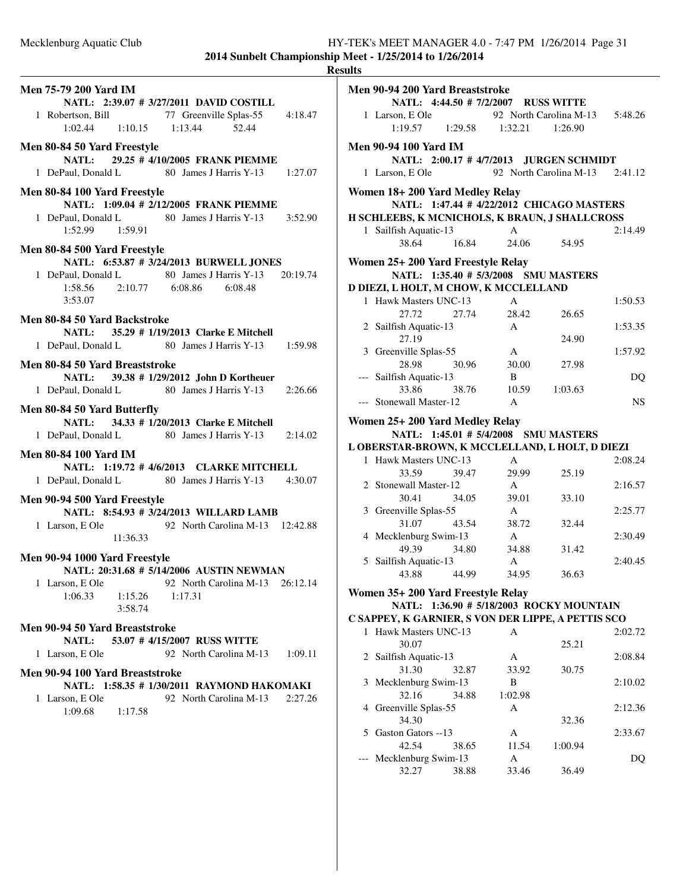|                                          |                                                    | R       |
|------------------------------------------|----------------------------------------------------|---------|
| <b>Men 75-79 200 Yard IM</b>             |                                                    |         |
|                                          | NATL: 2:39.07 # 3/27/2011 DAVID COSTILL            |         |
|                                          | 1 Robertson, Bill 77 Greenville Splas-55 4:18.47   |         |
| $1:02.44$ $1:10.15$ $1:13.44$            | 52.44                                              |         |
|                                          |                                                    |         |
| Men 80-84 50 Yard Freestyle              |                                                    |         |
|                                          | NATL: 29.25 #4/10/2005 FRANK PIEMME                |         |
|                                          | 1 DePaul, Donald L 80 James J Harris Y-13 1:27.07  |         |
|                                          |                                                    |         |
| Men 80-84 100 Yard Freestyle             |                                                    |         |
|                                          | NATL: 1:09.04 # 2/12/2005 FRANK PIEMME             |         |
|                                          | 1 DePaul, Donald L 80 James J Harris Y-13 3:52.90  |         |
| $1:52.99$ $1:59.91$                      |                                                    |         |
| Men 80-84 500 Yard Freestyle             |                                                    |         |
|                                          | NATL: 6:53.87 # 3/24/2013 BURWELL JONES            |         |
|                                          | 1 DePaul, Donald L 80 James J Harris Y-13 20:19.74 |         |
|                                          | 1:58.56 2:10.77 6:08.86 6:08.48                    |         |
| 3:53.07                                  |                                                    |         |
|                                          |                                                    |         |
| Men 80-84 50 Yard Backstroke             |                                                    |         |
|                                          | NATL: 35.29 # 1/19/2013 Clarke E Mitchell          |         |
|                                          | 1 DePaul, Donald L 80 James J Harris Y-13 1:59.98  |         |
|                                          |                                                    |         |
| Men 80-84 50 Yard Breaststroke           |                                                    |         |
|                                          | NATL: 39.38 # 1/29/2012 John D Kortheuer           |         |
|                                          | 1 DePaul, Donald L 80 James J Harris Y-13 2:26.66  |         |
|                                          |                                                    |         |
| Men 80-84 50 Yard Butterfly              |                                                    |         |
|                                          | NATL: 34.33 # 1/20/2013 Clarke E Mitchell          |         |
|                                          | 1 DePaul, Donald L 80 James J Harris Y-13 2:14.02  |         |
| <b>Men 80-84 100 Yard IM</b>             |                                                    |         |
|                                          | NATL: 1:19.72 #4/6/2013 CLARKE MITCHELL            |         |
|                                          | 1 DePaul, Donald L 80 James J Harris Y-13 4:30.07  |         |
|                                          |                                                    |         |
| Men 90-94 500 Yard Freestyle             |                                                    |         |
|                                          | NATL: 8:54.93 # 3/24/2013 WILLARD LAMB             |         |
|                                          | 1 Larson, E Ole 92 North Carolina M-13 12:42.88    |         |
| 11:36.33                                 |                                                    |         |
|                                          |                                                    |         |
| Men 90-94 1000 Yard Freestyle            |                                                    |         |
| NATL: 20:31.68 # 5/14/2006 AUSTIN NEWMAN |                                                    |         |
| 1 Larson, E Ole                          | 92 North Carolina M-13 26:12.14                    |         |
| $1:15.26$ $1:17.31$<br>1:06.33           |                                                    |         |
| 3:58.74                                  |                                                    |         |
|                                          |                                                    |         |
| Men 90-94 50 Yard Breaststroke           |                                                    |         |
| <b>NATL:</b>                             | 53.07 #4/15/2007 RUSS WITTE                        |         |
| 1 Larson, E Ole                          | 92 North Carolina M-13 1:09.11                     |         |
| Men 90-94 100 Yard Breaststroke          |                                                    |         |
|                                          | NATL: 1:58.35 # 1/30/2011 RAYMOND HAKOMAKI         |         |
|                                          |                                                    |         |
| 1 Larson, E Ole                          | 92 North Carolina M-13                             | 2:27.26 |
| 1:09.68<br>1:17.58                       |                                                    |         |
|                                          |                                                    |         |
|                                          |                                                    |         |
|                                          |                                                    |         |
|                                          |                                                    |         |
|                                          |                                                    |         |

| <b>Results</b> |                                                    |                               |                                |           |
|----------------|----------------------------------------------------|-------------------------------|--------------------------------|-----------|
|                | Men 90-94 200 Yard Breaststroke                    |                               |                                |           |
|                | NATL: 4:44.50 # 7/2/2007 RUSS WITTE                |                               |                                |           |
|                |                                                    |                               | 92 North Carolina M-13 5:48.26 |           |
|                | 1 Larson, E Ole<br>1:19.57                         | $1:29.58$ $1:32.21$ $1:26.90$ |                                |           |
|                |                                                    |                               |                                |           |
|                | <b>Men 90-94 100 Yard IM</b>                       |                               |                                |           |
|                | NATL: 2:00.17 #4/7/2013 JURGEN SCHMIDT             |                               |                                |           |
|                | 1 Larson, E Ole                                    |                               | 92 North Carolina M-13 2:41.12 |           |
|                | Women 18+200 Yard Medley Relay                     |                               |                                |           |
|                | NATL: 1:47.44 # 4/22/2012 CHICAGO MASTERS          |                               |                                |           |
|                | H SCHLEEBS, K MCNICHOLS, K BRAUN, J SHALLCROSS     |                               |                                |           |
|                | 1 Sailfish Aquatic-13                              | $\mathbf{A}$                  |                                | 2:14.49   |
|                | 38.64<br>16.84                                     | 24.06                         | 54.95                          |           |
|                |                                                    |                               |                                |           |
|                | Women 25+ 200 Yard Freestyle Relay                 |                               |                                |           |
|                | NATL: 1:35.40 # 5/3/2008 SMU MASTERS               |                               |                                |           |
|                | D DIEZI, L HOLT, M CHOW, K MCCLELLAND              |                               |                                |           |
|                | 1 Hawk Masters UNC-13                              | $\mathsf{A}$                  |                                | 1:50.53   |
|                | 27.72<br>27.74                                     | 28.42                         | 26.65                          |           |
|                | 2 Sailfish Aquatic-13                              | $\mathbf{A}$                  |                                | 1:53.35   |
|                | 27.19                                              |                               | 24.90                          |           |
|                | 3 Greenville Splas-55                              | $\mathbf{A}$                  |                                | 1:57.92   |
|                | 30.96<br>28.98                                     | 30.00                         | 27.98                          |           |
|                | --- Sailfish Aquatic-13                            | <sup>B</sup>                  |                                | <b>DQ</b> |
|                | 33.86<br>38.76                                     | 10.59                         | 1:03.63                        |           |
|                | --- Stonewall Master-12                            | $\mathsf{A}$                  |                                | NS.       |
|                | Women 25+ 200 Yard Medley Relay                    |                               |                                |           |
|                | NATL: 1:45.01 # 5/4/2008 SMU MASTERS               |                               |                                |           |
|                | L OBERSTAR-BROWN, K MCCLELLAND, L HOLT, D DIEZI    |                               |                                |           |
|                | 1 Hawk Masters UNC-13                              | $\mathbf{A}$                  |                                | 2:08.24   |
|                | 39.47<br>33.59                                     | 29.99                         | 25.19                          |           |
|                | 2 Stonewall Master-12                              | $\overline{A}$                |                                | 2:16.57   |
|                | 30.41<br>34.05                                     | 39.01                         | 33.10                          |           |
|                | 3 Greenville Splas-55                              | A                             |                                | 2:25.77   |
|                | 31.07<br>43.54                                     | 38.72                         | 32.44                          |           |
|                | 4 Mecklenburg Swim-13                              | $\mathbf{A}$                  |                                | 2:30.49   |
|                | 49.39<br>34.80                                     | 34.88                         | 31.42                          |           |
|                | 5 Sailfish Aquatic-13                              | A                             |                                | 2:40.45   |
|                | 44.99<br>43.88                                     | 34.95                         | 36.63                          |           |
|                | Women 35+ 200 Yard Freestyle Relay                 |                               |                                |           |
|                | NATL: 1:36.90 # 5/18/2003 ROCKY MOUNTAIN           |                               |                                |           |
|                | C SAPPEY, K GARNIER, S VON DER LIPPE, A PETTIS SCO |                               |                                |           |
|                | 1 Hawk Masters UNC-13                              | А                             |                                | 2:02.72   |
|                | 30.07                                              |                               | 25.21                          |           |
|                | 2 Sailfish Aquatic-13                              | A                             |                                | 2:08.84   |
|                | 31.30<br>32.87                                     | 33.92                         | 30.75                          |           |
|                | 3 Mecklenburg Swim-13                              | B                             |                                | 2:10.02   |
|                | 32.16<br>34.88                                     | 1:02.98                       |                                |           |
|                | 4 Greenville Splas-55                              | А                             |                                | 2:12.36   |
|                | 34.30                                              |                               | 32.36                          |           |
|                | 5 Gaston Gators --13                               | A                             |                                | 2:33.67   |
|                | 42.54<br>38.65                                     | 11.54                         | 1:00.94                        |           |
|                | --- Mecklenburg Swim-13                            | A                             |                                | DQ        |
|                |                                                    |                               |                                |           |

32.27 38.88 33.46 36.49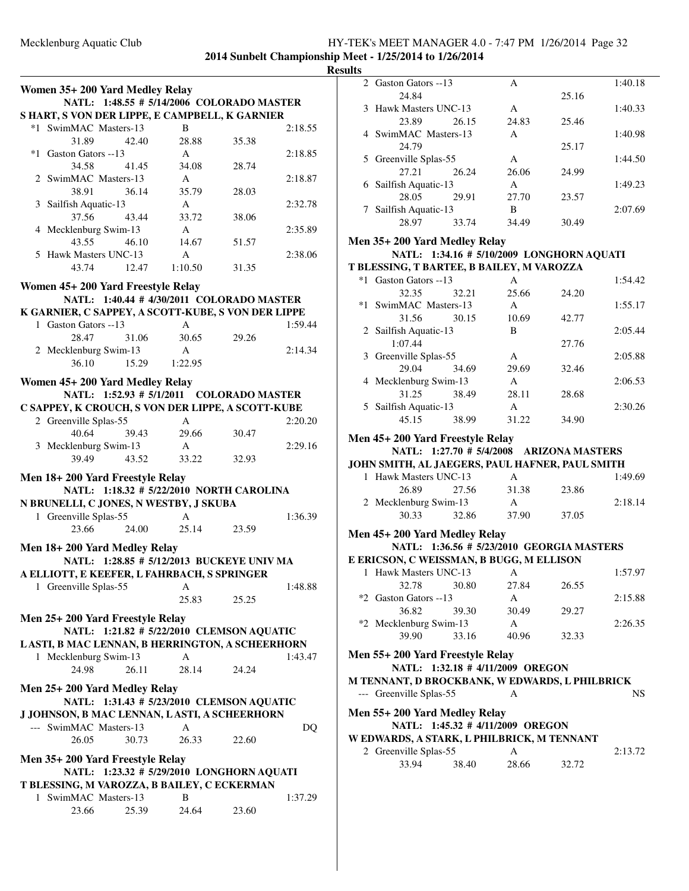|      | Women 35+ 200 Yard Medley Relay                                          |       |                                           |       |         |
|------|--------------------------------------------------------------------------|-------|-------------------------------------------|-------|---------|
|      |                                                                          |       | NATL: 1:48.55 # 5/14/2006 COLORADO MASTER |       |         |
|      | S HART, S VON DER LIPPE, E CAMPBELL, K GARNIER                           |       |                                           |       |         |
|      | *1 SwimMAC Masters-13                                                    |       | B                                         |       | 2:18.55 |
|      | 31.89                                                                    | 42.40 | 28.88                                     | 35.38 |         |
| $*1$ | Gaston Gators --13                                                       |       | $\mathsf{A}$                              |       | 2:18.85 |
|      | 34.58                                                                    | 41.45 | 34.08                                     | 28.74 |         |
|      | 2 SwimMAC Masters-13                                                     |       | A                                         |       | 2:18.87 |
|      | 38.91                                                                    | 36.14 | 35.79                                     | 28.03 |         |
|      | 3 Sailfish Aquatic-13                                                    |       | $\mathbf{A}$                              |       | 2:32.78 |
|      | 37.56                                                                    | 43.44 | 33.72                                     | 38.06 |         |
|      | 4 Mecklenburg Swim-13                                                    |       | $\mathsf{A}$                              |       | 2:35.89 |
|      | 43.55                                                                    | 46.10 | 14.67                                     | 51.57 |         |
|      | 5 Hawk Masters UNC-13                                                    |       | $\mathsf{A}$                              |       | 2:38.06 |
|      | 43.74                                                                    | 12.47 | 1:10.50                                   | 31.35 |         |
|      | Women 45+ 200 Yard Freestyle Relay                                       |       |                                           |       |         |
|      |                                                                          |       | NATL: 1:40.44 # 4/30/2011 COLORADO MASTER |       |         |
|      | K GARNIER, C SAPPEY, A SCOTT-KUBE, S VON DER LIPPE                       |       |                                           |       |         |
|      | 1 Gaston Gators --13                                                     |       | A                                         |       | 1:59.44 |
|      | 28.47                                                                    | 31.06 | 30.65                                     | 29.26 |         |
|      | 2 Mecklenburg Swim-13                                                    |       | $\mathbf{A}$                              |       | 2:14.34 |
|      | 36.10                                                                    | 15.29 | 1:22.95                                   |       |         |
|      |                                                                          |       |                                           |       |         |
|      | Women 45+ 200 Yard Medley Relay                                          |       |                                           |       |         |
|      |                                                                          |       | NATL: 1:52.93 # 5/1/2011 COLORADO MASTER  |       |         |
|      | C SAPPEY, K CROUCH, S VON DER LIPPE, A SCOTT-KUBE                        |       |                                           |       |         |
|      | 2 Greenville Splas-55                                                    |       | A                                         |       | 2:20.20 |
|      | 40.64                                                                    | 39.43 | 29.66                                     | 30.47 |         |
|      | 3 Mecklenburg Swim-13                                                    |       | A                                         |       | 2:29.16 |
|      | 39.49                                                                    | 43.52 | 33.22                                     | 32.93 |         |
|      | Men 18+200 Yard Freestyle Relay                                          |       |                                           |       |         |
|      |                                                                          |       | NATL: 1:18.32 # 5/22/2010 NORTH CAROLINA  |       |         |
|      | N BRUNELLI, C JONES, N WESTBY, J SKUBA                                   |       |                                           |       |         |
|      | 1 Greenville Splas-55                                                    |       | $\mathsf{A}$                              |       | 1:36.39 |
|      | 23.66                                                                    |       | 24.00 25.14                               | 23.59 |         |
|      | Men 18+200 Yard Medley Relay                                             |       |                                           |       |         |
|      |                                                                          |       | NATL: 1:28.85 # 5/12/2013 BUCKEYE UNIV MA |       |         |
|      | A ELLIOTT, E KEEFER, L FAHRBACH, S SPRINGER                              |       |                                           |       |         |
|      | 1 Greenville Splas-55                                                    |       | A                                         |       | 1:48.88 |
|      |                                                                          |       | 25.83                                     | 25.25 |         |
|      |                                                                          |       |                                           |       |         |
|      | Men 25+200 Yard Freestyle Relay                                          |       |                                           |       |         |
|      |                                                                          |       | NATL: 1:21.82 # 5/22/2010 CLEMSON AQUATIC |       |         |
|      | LASTI, B MAC LENNAN, B HERRINGTON, A SCHEERHORN<br>1 Mecklenburg Swim-13 |       | A                                         |       | 1:43.47 |
|      | 24.98                                                                    | 26.11 | 28.14                                     | 24.24 |         |
|      |                                                                          |       |                                           |       |         |
|      | Men 25+200 Yard Medley Relay                                             |       |                                           |       |         |
|      |                                                                          |       | NATL: 1:31.43 # 5/23/2010 CLEMSON AQUATIC |       |         |
|      | J JOHNSON, B MAC LENNAN, LASTI, A SCHEERHORN                             |       |                                           |       |         |
|      | --- SwimMAC Masters-13                                                   |       | A                                         |       | DQ      |
|      | 26.05                                                                    | 30.73 | 26.33                                     | 22.60 |         |
|      | Men 35+200 Yard Freestyle Relay                                          |       |                                           |       |         |
|      |                                                                          |       | NATL: 1:23.32 # 5/29/2010 LONGHORN AQUATI |       |         |
|      | T BLESSING, M VAROZZA, B BAILEY, C ECKERMAN                              |       |                                           |       |         |
|      | 1 SwimMAC Masters-13                                                     |       | B                                         |       | 1:37.29 |
|      | 23.66                                                                    | 25.39 | 24.64                                     | 23.60 |         |
|      |                                                                          |       |                                           |       |         |

| <b>Results</b> |                                                 |              |       |         |
|----------------|-------------------------------------------------|--------------|-------|---------|
|                | 2 Gaston Gators --13                            | A            |       | 1:40.18 |
|                | 24.84                                           |              | 25.16 |         |
|                | 3 Hawk Masters UNC-13                           | A            |       | 1:40.33 |
|                | 23.89<br>26.15                                  | 24.83        | 25.46 |         |
|                | 4 SwimMAC Masters-13                            | $\mathsf{A}$ |       | 1:40.98 |
|                | 24.79                                           |              | 25.17 |         |
|                | 5 Greenville Splas-55                           | A            |       | 1:44.50 |
|                |                                                 |              |       |         |
|                | 27.21<br>26.24                                  | 26.06        | 24.99 |         |
|                | 6 Sailfish Aquatic-13                           | $\mathbf{A}$ |       | 1:49.23 |
|                | 28.05<br>29.91                                  | 27.70        | 23.57 |         |
|                | 7 Sailfish Aquatic-13                           | B            |       | 2:07.69 |
|                | 28.97<br>33.74                                  | 34.49        | 30.49 |         |
|                | Men 35+200 Yard Medley Relay                    |              |       |         |
|                | NATL: 1:34.16 # 5/10/2009 LONGHORN AQUATI       |              |       |         |
|                | T BLESSING, T BARTEE, B BAILEY, M VAROZZA       |              |       |         |
|                | *1 Gaston Gators --13                           | A            |       | 1:54.42 |
|                | 32.35<br>32.21                                  | 25.66        | 24.20 |         |
|                | *1 SwimMAC Masters-13                           | A            |       | 1:55.17 |
|                | 31.56<br>30.15                                  | 10.69        | 42.77 |         |
|                |                                                 | B            |       | 2:05.44 |
|                | 2 Sailfish Aquatic-13                           |              |       |         |
|                | 1:07.44                                         |              | 27.76 |         |
|                | 3 Greenville Splas-55                           | A            |       | 2:05.88 |
|                | 29.04<br>34.69                                  | 29.69        | 32.46 |         |
|                | 4 Mecklenburg Swim-13                           | A            |       | 2:06.53 |
|                | 31.25<br>38.49                                  | 28.11        | 28.68 |         |
|                | 5 Sailfish Aquatic-13                           | $\mathbf{A}$ |       | 2:30.26 |
|                | 45.15<br>38.99                                  | 31.22        | 34.90 |         |
|                | Men 45+200 Yard Freestyle Relay                 |              |       |         |
|                | NATL: 1:27.70 # 5/4/2008 ARIZONA MASTERS        |              |       |         |
|                | JOHN SMITH, AL JAEGERS, PAUL HAFNER, PAUL SMITH |              |       |         |
|                | 1 Hawk Masters UNC-13                           | $\mathsf{A}$ |       | 1:49.69 |
|                | 26.89<br>27.56                                  | 31.38        | 23.86 |         |
|                | 2 Mecklenburg Swim-13                           | A            |       | 2:18.14 |
|                | 30.33<br>32.86                                  | 37.90        | 37.05 |         |
|                |                                                 |              |       |         |
|                | Men 45+200 Yard Medley Relay                    |              |       |         |
|                | NATL: 1:36.56 # 5/23/2010 GEORGIA MASTERS       |              |       |         |
|                | E ERICSON, C WEISSMAN, B BUGG, M ELLISON        |              |       |         |
|                | 1 Hawk Masters UNC-13                           | A            |       | 1:57.97 |
|                | 32.78<br>30.80                                  | 27.84        | 26.55 |         |
|                | *2 Gaston Gators --13                           | A            |       | 2:15.88 |
|                | 36.82<br>39.30                                  | 30.49        | 29.27 |         |
|                | *2 Mecklenburg Swim-13                          | A            |       | 2:26.35 |
|                | 39.90<br>33.16                                  | 40.96        | 32.33 |         |
|                |                                                 |              |       |         |
|                |                                                 |              |       |         |
|                | Men 55+200 Yard Freestyle Relay                 |              |       |         |
|                | NATL: 1:32.18 # 4/11/2009 OREGON                |              |       |         |
|                | M TENNANT, D BROCKBANK, W EDWARDS, L PHILBRICK  |              |       |         |
|                | --- Greenville Splas-55                         | А            |       | NS.     |
|                |                                                 |              |       |         |
|                | Men 55+200 Yard Medley Relay                    |              |       |         |
|                | NATL: 1:45.32 # 4/11/2009 OREGON                |              |       |         |
|                | W EDWARDS, A STARK, L PHILBRICK, M TENNANT      | A            |       |         |
|                | 2 Greenville Splas-55                           |              |       | 2:13.72 |
|                | 33.94<br>38.40                                  | 28.66        | 32.72 |         |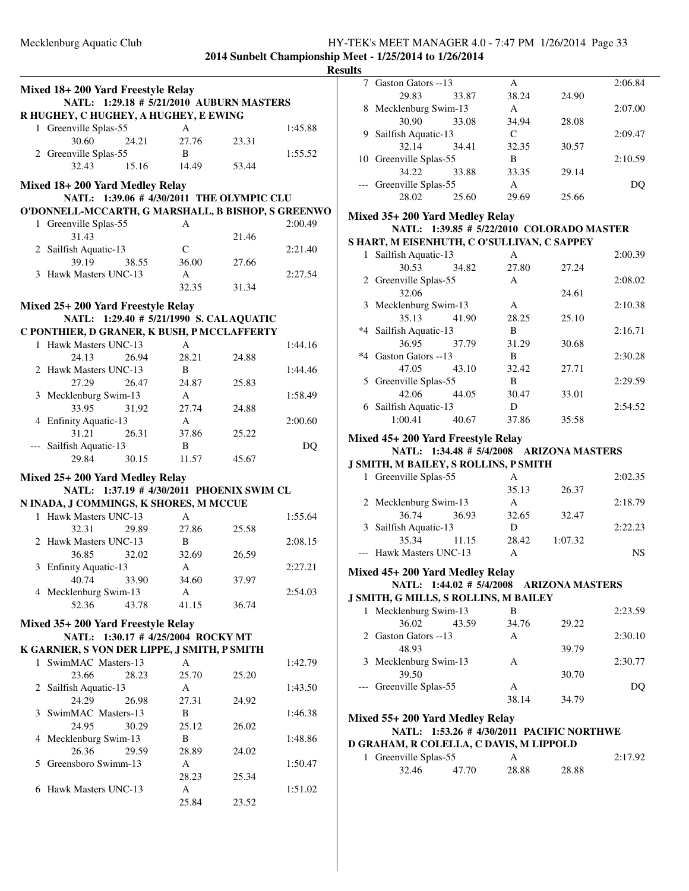**2014 Sunbelt Championship M** 

|   | Mixed 18+200 Yard Freestyle Relay<br>NATL: 1:29.18 # 5/21/2010 AUBURN MASTERS |               |       |         |
|---|-------------------------------------------------------------------------------|---------------|-------|---------|
|   | R HUGHEY, C HUGHEY, A HUGHEY, E EWING                                         |               |       |         |
|   | 1 Greenville Splas-55                                                         | A             |       | 1:45.88 |
|   | 30.60                                                                         | 27.76         |       |         |
|   | 24.21                                                                         |               | 23.31 |         |
|   | 2 Greenville Splas-55                                                         | B             |       | 1:55.52 |
|   | 32.43<br>15.16                                                                | 14.49         | 53.44 |         |
|   | Mixed 18+200 Yard Medley Relay                                                |               |       |         |
|   | NATL: 1:39.06 #4/30/2011 THE OLYMPIC CLU                                      |               |       |         |
|   | O'DONNELL-MCCARTH, G MARSHALL, B BISHOP, S GREENWO                            |               |       |         |
|   | 1 Greenville Splas-55                                                         | A             |       | 2:00.49 |
|   | 31.43                                                                         |               | 21.46 |         |
|   | 2 Sailfish Aquatic-13                                                         | $\mathcal{C}$ |       | 2:21.40 |
|   | 39.19<br>38.55                                                                | 36.00         | 27.66 |         |
|   | 3 Hawk Masters UNC-13                                                         | $\mathbf{A}$  |       | 2:27.54 |
|   |                                                                               | 32.35         | 31.34 |         |
|   |                                                                               |               |       |         |
|   | Mixed 25+ 200 Yard Freestyle Relay                                            |               |       |         |
|   | NATL: 1:29.40 # 5/21/1990 S. CAL AQUATIC                                      |               |       |         |
|   | C PONTHIER, D GRANER, K BUSH, P MCCLAFFERTY                                   |               |       |         |
|   | 1 Hawk Masters UNC-13                                                         | $\mathsf{A}$  |       | 1:44.16 |
|   | 24.13<br>26.94                                                                | 28.21         | 24.88 |         |
|   | 2 Hawk Masters UNC-13                                                         | B             |       | 1:44.46 |
|   | 27.29<br>26.47                                                                | 24.87         | 25.83 |         |
|   | 3 Mecklenburg Swim-13                                                         | $\mathbf{A}$  |       | 1:58.49 |
|   | 31.92<br>33.95                                                                | 27.74         | 24.88 |         |
|   | 4 Enfinity Aquatic-13                                                         | $\mathsf{A}$  |       | 2:00.60 |
|   | 31.21<br>26.31                                                                | 37.86         | 25.22 |         |
|   | --- Sailfish Aquatic-13                                                       | B             |       | DQ      |
|   | 29.84<br>30.15                                                                | 11.57         | 45.67 |         |
|   | Mixed 25+200 Yard Medley Relay                                                |               |       |         |
|   | NATL: 1:37.19 # 4/30/2011 PHOENIX SWIM CL                                     |               |       |         |
|   | N INADA, J COMMINGS, K SHORES, M MCCUE                                        |               |       |         |
|   | 1 Hawk Masters UNC-13                                                         | A             |       | 1:55.64 |
|   | 29.89                                                                         | 27.86         |       |         |
|   | 32.31<br>2 Hawk Masters UNC-13                                                | B             | 25.58 | 2:08.15 |
|   |                                                                               |               |       |         |
|   | 36.85<br>32.02                                                                | 32.69         | 26.59 | 2:27.21 |
| 3 | <b>Enfinity Aquatic-13</b>                                                    | A             |       |         |
|   | 40.74<br>33.90                                                                | 34.60         | 37.97 |         |
|   | 4 Mecklenburg Swim-13                                                         | A             |       | 2:54.03 |
|   | 52.36<br>43.78                                                                | 41.15         | 36.74 |         |
|   | Mixed 35+ 200 Yard Freestyle Relay                                            |               |       |         |
|   | NATL: 1:30.17 # 4/25/2004 ROCKY MT                                            |               |       |         |
|   | K GARNIER, S VON DER LIPPE, J SMITH, P SMITH                                  |               |       |         |
|   | 1 SwimMAC Masters-13                                                          | $\mathbf{A}$  |       | 1:42.79 |
|   | 23.66<br>28.23                                                                | 25.70         | 25.20 |         |
|   | 2 Sailfish Aquatic-13                                                         | A             |       | 1:43.50 |
|   | 24.29<br>26.98                                                                | 27.31         | 24.92 |         |
|   | 3 SwimMAC Masters-13                                                          | B             |       | 1:46.38 |
|   | 24.95<br>30.29                                                                | 25.12         | 26.02 |         |
|   | 4 Mecklenburg Swim-13                                                         | B             |       | 1:48.86 |
|   | 26.36<br>29.59                                                                | 28.89         | 24.02 |         |
|   | 5 Greensboro Swimm-13                                                         | A             |       | 1:50.47 |
|   |                                                                               | 28.23         | 25.34 |         |
|   | 6 Hawk Masters UNC-13                                                         | A             |       | 1:51.02 |
|   |                                                                               | 25.84         | 23.52 |         |
|   |                                                                               |               |       |         |

|   | <b>Results</b> | hip Meet - 1/25/2014 to 1/26/2014           |                       |         |           |
|---|----------------|---------------------------------------------|-----------------------|---------|-----------|
|   |                | 7 Gaston Gators -- 13                       | A                     |         | 2:06.84   |
|   |                | 29.83<br>33.87                              | 38.24                 | 24.90   |           |
|   |                | 8 Mecklenburg Swim-13                       | A                     |         | 2:07.00   |
|   |                | 30.90<br>33.08                              | 34.94                 | 28.08   |           |
|   |                | 9 Sailfish Aquatic-13                       | C                     |         | 2:09.47   |
|   |                | 32.14<br>34.41                              | 32.35                 | 30.57   |           |
|   |                | 10 Greenville Splas-55                      | B                     |         | 2:10.59   |
|   |                | 34.22<br>33.88                              | 33.35                 | 29.14   |           |
|   |                | --- Greenville Splas-55                     | $\mathsf{A}$          |         | DQ        |
|   |                | 28.02<br>25.60                              | 29.69                 | 25.66   |           |
| Ō |                |                                             |                       |         |           |
|   |                | Mixed 35+200 Yard Medley Relay              |                       |         |           |
|   |                | NATL: 1:39.85 # 5/22/2010 COLORADO MASTER   |                       |         |           |
|   |                | S HART, M EISENHUTH, C O'SULLIVAN, C SAPPEY |                       |         |           |
|   |                | 1 Sailfish Aquatic-13                       | $\mathsf{A}$          |         | 2:00.39   |
|   |                | 30.53<br>34.82                              | 27.80                 | 27.24   |           |
|   |                | 2 Greenville Splas-55                       | $\mathsf{A}$          |         | 2:08.02   |
|   |                | 32.06                                       |                       | 24.61   |           |
|   |                | 3 Mecklenburg Swim-13                       | A                     |         | 2:10.38   |
|   |                | 35.13<br>41.90                              | 28.25                 | 25.10   |           |
|   |                | *4 Sailfish Aquatic-13                      | B                     |         | 2:16.71   |
|   |                | 36.95<br>37.79                              | 31.29                 | 30.68   |           |
|   |                | *4 Gaston Gators --13                       | B                     |         | 2:30.28   |
|   |                | 47.05<br>43.10                              | 32.42                 | 27.71   |           |
|   |                | 5 Greenville Splas-55                       | B                     |         | 2:29.59   |
|   |                | 42.06<br>44.05<br>6 Sailfish Aquatic-13     | 30.47<br>D            | 33.01   | 2:54.52   |
|   |                | 1:00.41<br>40.67                            | 37.86                 | 35.58   |           |
|   |                |                                             |                       |         |           |
|   |                | Mixed 45+200 Yard Freestyle Relay           |                       |         |           |
|   |                | NATL: 1:34.48 # 5/4/2008 ARIZONA MASTERS    |                       |         |           |
|   |                | J SMITH, M BAILEY, S ROLLINS, P SMITH       |                       |         |           |
|   |                | 1 Greenville Splas-55                       | A                     |         | 2:02.35   |
|   |                |                                             | 35.13                 | 26.37   |           |
|   |                | 2 Mecklenburg Swim-13                       | A                     |         | 2:18.79   |
|   |                | 36.74<br>36.93                              | 32.65                 | 32.47   |           |
|   |                | 3 Sailfish Aquatic-13                       | D                     |         | 2:22.23   |
|   |                | 35.34<br>11.15                              | 28.42                 | 1:07.32 |           |
|   |                | --- Hawk Masters UNC-13                     | А                     |         | <b>NS</b> |
|   |                | Mixed 45+200 Yard Medley Relay              |                       |         |           |
|   |                | NATL: 1:44.02 # 5/4/2008 ARIZONA MASTERS    |                       |         |           |
|   |                | J SMITH, G MILLS, S ROLLINS, M BAILEY       |                       |         |           |
|   |                | 1 Mecklenburg Swim-13                       | B                     |         | 2:23.59   |
|   |                | 36.02<br>43.59                              | 34.76                 | 29.22   |           |
|   |                | 2 Gaston Gators --13                        | $\mathsf{A}$          |         | 2:30.10   |
|   |                |                                             |                       | 39.79   |           |
|   |                | 48.93                                       |                       |         |           |
|   |                | 3 Mecklenburg Swim-13                       | A                     |         | 2:30.77   |
|   |                | 39.50                                       |                       | 30.70   |           |
|   |                | --- Greenville Splas-55                     | A                     |         | DQ        |
|   |                |                                             | 38.14                 | 34.79   |           |
|   |                |                                             |                       |         |           |
|   |                | Mixed 55+200 Yard Medley Relay              |                       |         |           |
|   |                | NATL: 1:53.26 # 4/30/2011 PACIFIC NORTHWE   |                       |         |           |
|   |                | D GRAHAM, R COLELLA, C DAVIS, M LIPPOLD     |                       |         |           |
|   |                | 1 Greenville Splas-55<br>32.46<br>47.70     | $\mathsf{A}$<br>28.88 | 28.88   | 2:17.92   |